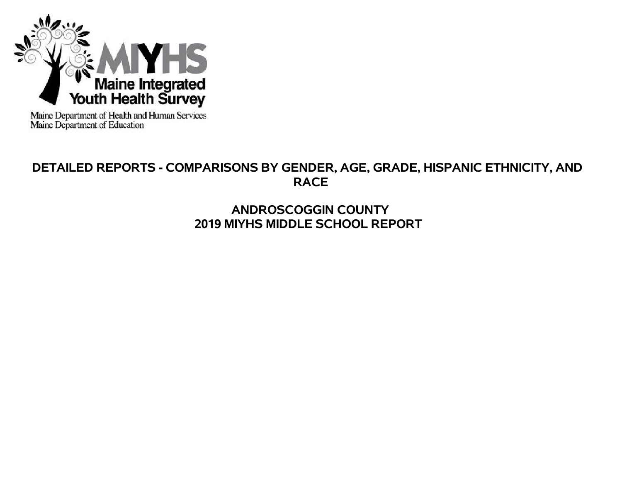

Maine Department of Health and Human Services<br>Maine Department of Education

# **DETAILED REPORTS - COMPARISONS BY GENDER, AGE, GRADE, HISPANIC ETHNICITY, AND RACE**

# **ANDROSCOGGIN COUNTY 2019 MIYHS MIDDLE SCHOOL REPORT**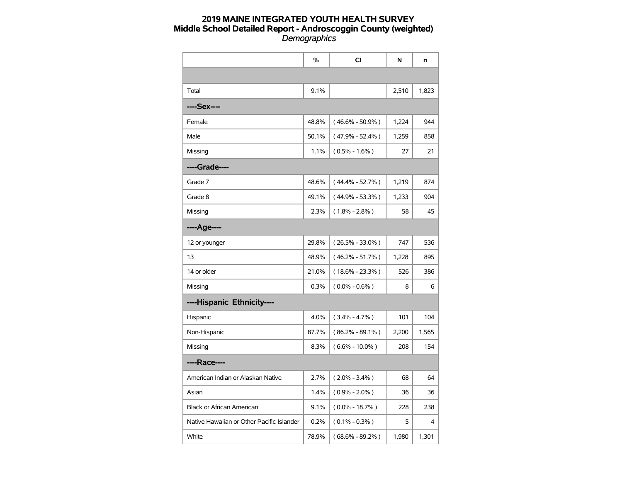|                                           | %     | CI                  | N     | n     |
|-------------------------------------------|-------|---------------------|-------|-------|
|                                           |       |                     |       |       |
| Total                                     | 9.1%  |                     | 2,510 | 1,823 |
| ----Sex----                               |       |                     |       |       |
| Female                                    | 48.8% | $(46.6\% - 50.9\%)$ | 1,224 | 944   |
| Male                                      | 50.1% | $(47.9\% - 52.4\%)$ | 1,259 | 858   |
| Missing                                   | 1.1%  | $(0.5\% - 1.6\%)$   | 27    | 21    |
| ----Grade----                             |       |                     |       |       |
| Grade 7                                   | 48.6% | $(44.4\% - 52.7\%)$ | 1,219 | 874   |
| Grade 8                                   | 49.1% | $(44.9\% - 53.3\%)$ | 1,233 | 904   |
| Missing                                   | 2.3%  | $(1.8\% - 2.8\%)$   | 58    | 45    |
| ----Age----                               |       |                     |       |       |
| 12 or younger                             | 29.8% | $(26.5\% - 33.0\%)$ | 747   | 536   |
| 13                                        | 48.9% | $(46.2\% - 51.7\%)$ | 1,228 | 895   |
| 14 or older                               | 21.0% | $(18.6\% - 23.3\%)$ | 526   | 386   |
| Missing                                   | 0.3%  | $(0.0\% - 0.6\%)$   | 8     | 6     |
| ----Hispanic Ethnicity----                |       |                     |       |       |
| Hispanic                                  | 4.0%  | $(3.4\% - 4.7\%)$   | 101   | 104   |
| Non-Hispanic                              | 87.7% | $(86.2\% - 89.1\%)$ | 2,200 | 1,565 |
| Missing                                   | 8.3%  | $(6.6\% - 10.0\%)$  | 208   | 154   |
| ----Race----                              |       |                     |       |       |
| American Indian or Alaskan Native         | 2.7%  | $(2.0\% - 3.4\%)$   | 68    | 64    |
| Asian                                     | 1.4%  | $(0.9\% - 2.0\%)$   | 36    | 36    |
| <b>Black or African American</b>          | 9.1%  | $(0.0\% - 18.7\%)$  | 228   | 238   |
| Native Hawaiian or Other Pacific Islander | 0.2%  | $(0.1\% - 0.3\%)$   | 5     | 4     |
| White                                     | 78.9% | $(68.6\% - 89.2\%)$ | 1,980 | 1,301 |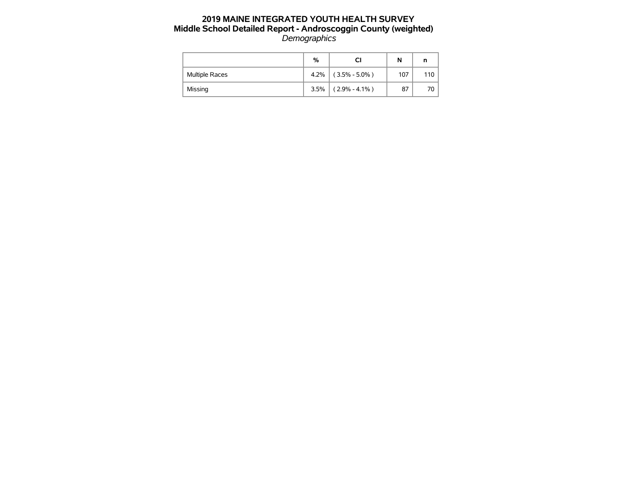|                       | %    |                   | N   |      |
|-----------------------|------|-------------------|-----|------|
| <b>Multiple Races</b> | 4.2% | $(3.5\% - 5.0\%)$ | 107 | 110  |
| Missing               | 3.5% | $(2.9\% - 4.1\%)$ | 87  | 70 I |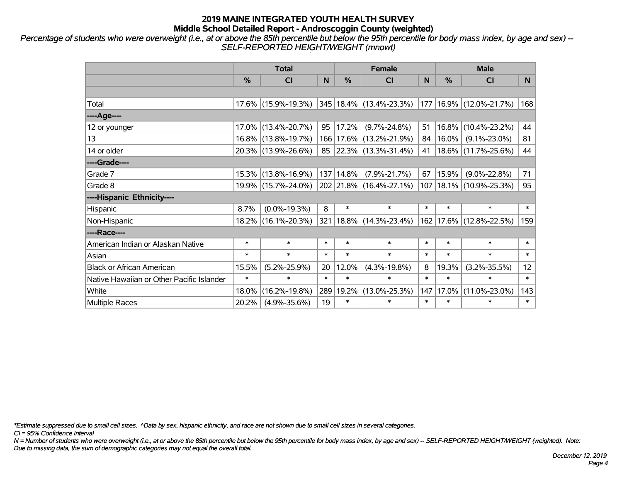*Percentage of students who were overweight (i.e., at or above the 85th percentile but below the 95th percentile for body mass index, by age and sex) -- SELF-REPORTED HEIGHT/WEIGHT (mnowt)*

|                                           | <b>Total</b>  |                     |        |           | <b>Female</b>               |        | <b>Male</b>   |                             |                 |  |
|-------------------------------------------|---------------|---------------------|--------|-----------|-----------------------------|--------|---------------|-----------------------------|-----------------|--|
|                                           | $\frac{0}{0}$ | <b>CI</b>           | N      | $\%$      | <b>CI</b>                   | N      | $\frac{0}{0}$ | <b>CI</b>                   | <b>N</b>        |  |
|                                           |               |                     |        |           |                             |        |               |                             |                 |  |
| Total                                     |               | 17.6% (15.9%-19.3%) |        |           | 345 18.4% (13.4%-23.3%)     | 177    |               | 16.9% (12.0%-21.7%)         | 168             |  |
| ----Age----                               |               |                     |        |           |                             |        |               |                             |                 |  |
| 12 or younger                             |               | 17.0% (13.4%-20.7%) | 95     | 17.2%     | $(9.7\% - 24.8\%)$          | 51     | 16.8%         | $(10.4\% - 23.2\%)$         | 44              |  |
| 13                                        |               | 16.8% (13.8%-19.7%) |        |           | 166 17.6% (13.2%-21.9%)     | 84     | $16.0\%$      | $(9.1\% - 23.0\%)$          | 81              |  |
| 14 or older                               |               | 20.3% (13.9%-26.6%) |        |           | 85 22.3% (13.3%-31.4%)      | 41     |               | 18.6% (11.7%-25.6%)         | 44              |  |
| ----Grade----                             |               |                     |        |           |                             |        |               |                             |                 |  |
| Grade 7                                   |               | 15.3% (13.8%-16.9%) |        | 137 14.8% | $(7.9\% - 21.7\%)$          | 67     | 15.9%         | $(9.0\% - 22.8\%)$          | 71              |  |
| Grade 8                                   |               | 19.9% (15.7%-24.0%) |        |           | 202 21.8% (16.4%-27.1%)     |        |               | 107   18.1%   (10.9%-25.3%) | 95              |  |
| ----Hispanic Ethnicity----                |               |                     |        |           |                             |        |               |                             |                 |  |
| Hispanic                                  | 8.7%          | $(0.0\% - 19.3\%)$  | 8      | $\ast$    | $\ast$                      | $\ast$ | $\ast$        | $\ast$                      | $\ast$          |  |
| Non-Hispanic                              |               | 18.2% (16.1%-20.3%) |        |           | 321   18.8%   (14.3%-23.4%) | 162    |               | 17.6% (12.8%-22.5%)         | 159             |  |
| ----Race----                              |               |                     |        |           |                             |        |               |                             |                 |  |
| American Indian or Alaskan Native         | $\ast$        | $\ast$              | $\ast$ | $\ast$    | $\ast$                      | $\ast$ | $\ast$        | $\ast$                      | $\ast$          |  |
| Asian                                     | $\ast$        | $\ast$              | $\ast$ | $\ast$    | $\ast$                      | $\ast$ | $\ast$        | $\ast$                      | $\ast$          |  |
| <b>Black or African American</b>          | 15.5%         | $(5.2\% - 25.9\%)$  | 20     | 12.0%     | $(4.3\% - 19.8\%)$          | 8      | 19.3%         | $(3.2\% - 35.5\%)$          | 12 <sub>2</sub> |  |
| Native Hawaiian or Other Pacific Islander | $\ast$        | $\ast$              | $\ast$ | $\ast$    | $\ast$                      | $\ast$ | $\ast$        | $\ast$                      | $\ast$          |  |
| White                                     | 18.0%         | $(16.2\% - 19.8\%)$ | 289    | 19.2%     | $(13.0\% - 25.3\%)$         | 147    | 17.0%         | $(11.0\% - 23.0\%)$         | 143             |  |
| <b>Multiple Races</b>                     | 20.2%         | $(4.9\% - 35.6\%)$  | 19     | $\ast$    | $\ast$                      | $\ast$ | $\ast$        | $\ast$                      | $\ast$          |  |

*\*Estimate suppressed due to small cell sizes. ^Data by sex, hispanic ethnicity, and race are not shown due to small cell sizes in several categories.*

*CI = 95% Confidence Interval*

*N = Number of students who were overweight (i.e., at or above the 85th percentile but below the 95th percentile for body mass index, by age and sex) -- SELF-REPORTED HEIGHT/WEIGHT (weighted). Note: Due to missing data, the sum of demographic categories may not equal the overall total.*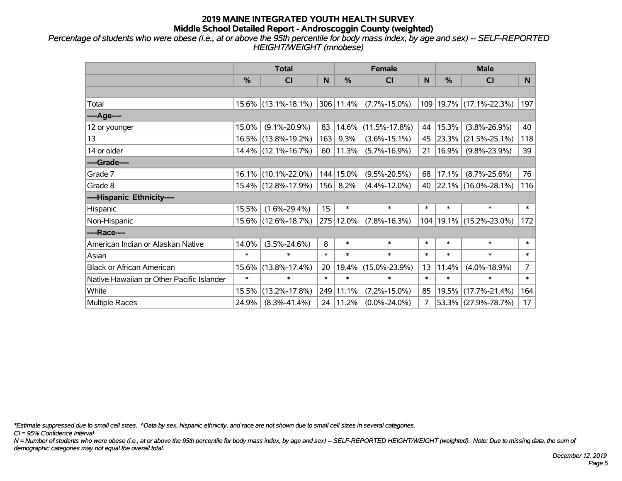*Percentage of students who were obese (i.e., at or above the 95th percentile for body mass index, by age and sex) -- SELF-REPORTED HEIGHT/WEIGHT (mnobese)*

|                                           | <b>Total</b>  |                        |        |                | <b>Female</b>       |        | <b>Male</b> |                         |                 |  |
|-------------------------------------------|---------------|------------------------|--------|----------------|---------------------|--------|-------------|-------------------------|-----------------|--|
|                                           | $\frac{0}{0}$ | <b>CI</b>              | N      | %              | <b>CI</b>           | N      | %           | <b>CI</b>               | N               |  |
|                                           |               |                        |        |                |                     |        |             |                         |                 |  |
| Total                                     |               | $15.6\%$ (13.1%-18.1%) |        | $ 306 11.4\% $ | $(7.7\% - 15.0\%)$  |        |             | 109 19.7% (17.1%-22.3%) | 197             |  |
| ----Age----                               |               |                        |        |                |                     |        |             |                         |                 |  |
| 12 or younger                             | 15.0%         | $(9.1\% - 20.9\%)$     | 83     | 14.6%          | $(11.5\% - 17.8\%)$ | 44     | 15.3%       | $(3.8\% - 26.9\%)$      | 40              |  |
| 13                                        |               | 16.5% (13.8%-19.2%)    | 163    | 9.3%           | $(3.6\% - 15.1\%)$  |        | 45 23.3%    | $(21.5\% - 25.1\%)$     | 118             |  |
| 14 or older                               |               | 14.4% (12.1%-16.7%)    | 60     | $ 11.3\% $     | $(5.7\% - 16.9\%)$  | 21     | 16.9%       | $(9.8\% - 23.9\%)$      | 39              |  |
| ----Grade----                             |               |                        |        |                |                     |        |             |                         |                 |  |
| Grade 7                                   | $16.1\%$      | $(10.1\% - 22.0\%)$    |        | 144 15.0%      | $(9.5\% - 20.5\%)$  | 68     | 17.1%       | $(8.7\% - 25.6\%)$      | 76              |  |
| Grade 8                                   |               | 15.4% (12.8%-17.9%)    | 156    | 8.2%           | $(4.4\% - 12.0\%)$  |        |             | 40 22.1% (16.0%-28.1%)  | 116             |  |
| ----Hispanic Ethnicity----                |               |                        |        |                |                     |        |             |                         |                 |  |
| Hispanic                                  | 15.5%         | $(1.6\% - 29.4\%)$     | 15     | $\ast$         | $\ast$              | $\ast$ | $\ast$      | $\ast$                  | $\ast$          |  |
| Non-Hispanic                              |               | 15.6% (12.6%-18.7%)    |        | 275 12.0%      | $(7.8\% - 16.3\%)$  | 104    |             | 19.1% (15.2%-23.0%)     | 172             |  |
| ----Race----                              |               |                        |        |                |                     |        |             |                         |                 |  |
| American Indian or Alaskan Native         | 14.0%         | $(3.5\% - 24.6\%)$     | 8      | $\ast$         | $\ast$              | $\ast$ | $\ast$      | $\ast$                  | $\ast$          |  |
| Asian                                     | $\ast$        | $\ast$                 | $\ast$ | $\ast$         | $\ast$              | $\ast$ | $\ast$      | $\ast$                  | $\ast$          |  |
| <b>Black or African American</b>          | 15.6%         | $(13.8\% - 17.4\%)$    | 20     | 19.4%          | $(15.0\% - 23.9\%)$ | 13     | 11.4%       | $(4.0\% - 18.9\%)$      | $\overline{7}$  |  |
| Native Hawaiian or Other Pacific Islander | $\ast$        | $\ast$                 | $\ast$ | $\ast$         | $\ast$              | $\ast$ | $\ast$      | $\ast$                  | $\ast$          |  |
| White                                     | 15.5%         | $(13.2\% - 17.8\%)$    |        | 249 11.1%      | $(7.2\% - 15.0\%)$  | 85     | 19.5%       | $(17.7\% - 21.4\%)$     | 164             |  |
| Multiple Races                            | 24.9%         | $(8.3\% - 41.4\%)$     |        | 24   11.2%     | $(0.0\% - 24.0\%)$  | 7      |             | 53.3% (27.9%-78.7%)     | 17 <sub>2</sub> |  |

*\*Estimate suppressed due to small cell sizes. ^Data by sex, hispanic ethnicity, and race are not shown due to small cell sizes in several categories.*

*CI = 95% Confidence Interval*

*N = Number of students who were obese (i.e., at or above the 95th percentile for body mass index, by age and sex) -- SELF-REPORTED HEIGHT/WEIGHT (weighted). Note: Due to missing data, the sum of demographic categories may not equal the overall total.*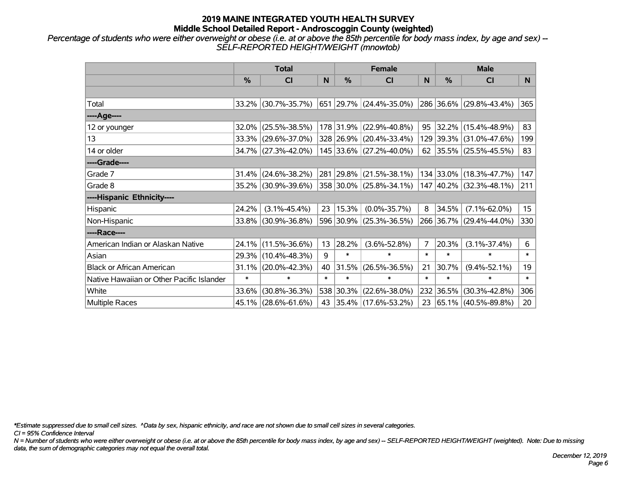*Percentage of students who were either overweight or obese (i.e. at or above the 85th percentile for body mass index, by age and sex) -- SELF-REPORTED HEIGHT/WEIGHT (mnowtob)*

|                                           | <b>Total</b>  |                     |        |           | <b>Female</b>                    |        | <b>Male</b> |                         |                 |  |
|-------------------------------------------|---------------|---------------------|--------|-----------|----------------------------------|--------|-------------|-------------------------|-----------------|--|
|                                           | $\frac{0}{0}$ | <b>CI</b>           | N      | %         | <b>CI</b>                        | N      | %           | <b>CI</b>               | N.              |  |
|                                           |               |                     |        |           |                                  |        |             |                         |                 |  |
| Total                                     |               | 33.2% (30.7%-35.7%) |        |           | $ 651 29.7\%  (24.4\% - 35.0\%)$ |        |             | 286 36.6% (29.8%-43.4%) | 365             |  |
| ----Age----                               |               |                     |        |           |                                  |        |             |                         |                 |  |
| 12 or younger                             | 32.0%         | $(25.5\% - 38.5\%)$ |        |           | 178 31.9% (22.9%-40.8%)          | 95     | 32.2%       | $(15.4\% - 48.9\%)$     | 83              |  |
| 13                                        |               | 33.3% (29.6%-37.0%) |        |           | 328 26.9% (20.4%-33.4%)          |        |             | 129 39.3% (31.0%-47.6%) | 199             |  |
| 14 or older                               |               | 34.7% (27.3%-42.0%) |        |           | 145 33.6% (27.2%-40.0%)          |        |             | 62 35.5% (25.5%-45.5%)  | 83              |  |
| ----Grade----                             |               |                     |        |           |                                  |        |             |                         |                 |  |
| Grade 7                                   | 31.4%         | $(24.6\% - 38.2\%)$ |        |           | 281 29.8% (21.5%-38.1%)          |        | 134 33.0%   | $(18.3\% - 47.7\%)$     | 147             |  |
| Grade 8                                   |               | 35.2% (30.9%-39.6%) |        |           | $ 358 30.0\% $ (25.8%-34.1%)     |        |             | 147 40.2% (32.3%-48.1%) | 211             |  |
| ----Hispanic Ethnicity----                |               |                     |        |           |                                  |        |             |                         |                 |  |
| Hispanic                                  | 24.2%         | $(3.1\% - 45.4\%)$  | 23     | 15.3%     | $(0.0\% - 35.7\%)$               | 8      | 34.5%       | $(7.1\% - 62.0\%)$      | 15 <sub>1</sub> |  |
| Non-Hispanic                              | 33.8%         | $(30.9\% - 36.8\%)$ |        |           | 596 30.9% (25.3%-36.5%)          |        |             | 266 36.7% (29.4%-44.0%) | 330             |  |
| ----Race----                              |               |                     |        |           |                                  |        |             |                         |                 |  |
| American Indian or Alaskan Native         | 24.1%         | $(11.5\% - 36.6\%)$ | 13     | 28.2%     | $(3.6\% - 52.8\%)$               | 7      | 20.3%       | $(3.1\% - 37.4\%)$      | 6               |  |
| Asian                                     |               | 29.3% (10.4%-48.3%) | 9      | $\ast$    | $\ast$                           | $\ast$ | $\ast$      | $\ast$                  | $\ast$          |  |
| <b>Black or African American</b>          | 31.1%         | $(20.0\% - 42.3\%)$ | 40     | 31.5%     | $(26.5\% - 36.5\%)$              | 21     | 30.7%       | $(9.4\% - 52.1\%)$      | 19              |  |
| Native Hawaiian or Other Pacific Islander | $\ast$        | $\ast$              | $\ast$ | $\ast$    | $\ast$                           | $\ast$ | $\ast$      | $\ast$                  | $\ast$          |  |
| White                                     | 33.6%         | $(30.8\% - 36.3\%)$ |        | 538 30.3% | $(22.6\% - 38.0\%)$              | 232    | 36.5%       | $(30.3\% - 42.8\%)$     | 306             |  |
| Multiple Races                            |               | 45.1% (28.6%-61.6%) | 43     |           | $ 35.4\% $ (17.6%-53.2%)         |        |             | 23 65.1% (40.5%-89.8%)  | 20 <sub>2</sub> |  |

*\*Estimate suppressed due to small cell sizes. ^Data by sex, hispanic ethnicity, and race are not shown due to small cell sizes in several categories.*

*CI = 95% Confidence Interval*

*N = Number of students who were either overweight or obese (i.e. at or above the 85th percentile for body mass index, by age and sex) -- SELF-REPORTED HEIGHT/WEIGHT (weighted). Note: Due to missing data, the sum of demographic categories may not equal the overall total.*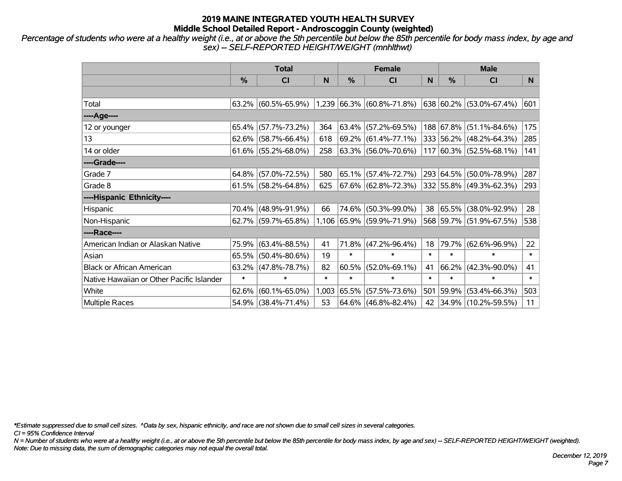*Percentage of students who were at a healthy weight (i.e., at or above the 5th percentile but below the 85th percentile for body mass index, by age and sex) -- SELF-REPORTED HEIGHT/WEIGHT (mnhlthwt)*

|                                           | <b>Total</b>  |                        |        |        | <b>Female</b>                    |        | <b>Male</b> |                                 |        |  |
|-------------------------------------------|---------------|------------------------|--------|--------|----------------------------------|--------|-------------|---------------------------------|--------|--|
|                                           | $\frac{0}{0}$ | CI                     | N      | %      | <b>CI</b>                        | N      | %           | <b>CI</b>                       | N      |  |
|                                           |               |                        |        |        |                                  |        |             |                                 |        |  |
| Total                                     |               | $63.2\%$ (60.5%-65.9%) |        |        | $ 1,239 66.3\% 60.8\% - 71.8\% $ |        |             | $638 60.2\%  (53.0\% - 67.4\%)$ | 601    |  |
| ----Age----                               |               |                        |        |        |                                  |        |             |                                 |        |  |
| 12 or younger                             |               | 65.4% (57.7%-73.2%)    | 364    |        | $63.4\%$ (57.2%-69.5%)           |        |             | 188 67.8% (51.1%-84.6%)         | 175    |  |
| 13                                        |               | $62.6\%$ (58.7%-66.4%) | 618    |        | $69.2\%$ (61.4%-77.1%)           |        |             | 333 56.2% (48.2%-64.3%)         | 285    |  |
| 14 or older                               |               | $61.6\%$ (55.2%-68.0%) | 258    |        | 63.3% (56.0%-70.6%)              |        |             | $117 60.3\% $ (52.5%-68.1%)     | 141    |  |
| ----Grade----                             |               |                        |        |        |                                  |        |             |                                 |        |  |
| Grade 7                                   | 64.8%         | $(57.0\% - 72.5\%)$    | 580    |        | $65.1\%$ (57.4%-72.7%)           |        | 293 64.5%   | $(50.0\% - 78.9\%)$             | 287    |  |
| Grade 8                                   |               | $61.5\%$ (58.2%-64.8%) | 625    |        | 67.6% (62.8%-72.3%)              |        |             | 332 55.8% (49.3%-62.3%)         | 293    |  |
| ----Hispanic Ethnicity----                |               |                        |        |        |                                  |        |             |                                 |        |  |
| Hispanic                                  |               | 70.4% (48.9%-91.9%)    | 66     | 74.6%  | $(50.3\% - 99.0\%)$              | 38     | 65.5%       | $(38.0\% - 92.9\%)$             | 28     |  |
| Non-Hispanic                              |               | 62.7% (59.7%-65.8%)    |        |        | 1,106 65.9% (59.9%-71.9%)        |        |             | 568 59.7% (51.9%-67.5%)         | 538    |  |
| ----Race----                              |               |                        |        |        |                                  |        |             |                                 |        |  |
| American Indian or Alaskan Native         |               | 75.9% (63.4%-88.5%)    | 41     | 71.8%  | $(47.2\% - 96.4\%)$              | 18     | 79.7%       | $(62.6\% - 96.9\%)$             | 22     |  |
| Asian                                     | 65.5%         | $(50.4\% - 80.6\%)$    | 19     | $\ast$ | $\ast$                           | $\ast$ | $\ast$      | $\ast$                          | $\ast$ |  |
| <b>Black or African American</b>          | 63.2%         | $(47.8\% - 78.7\%)$    | 82     | 60.5%  | $(52.0\% - 69.1\%)$              | 41     | 66.2%       | $(42.3\% - 90.0\%)$             | 41     |  |
| Native Hawaiian or Other Pacific Islander | $\ast$        | $\ast$                 | $\ast$ | $\ast$ | $\ast$                           | $\ast$ | $\ast$      | $\ast$                          | $\ast$ |  |
| White                                     | 62.6%         | $(60.1\% - 65.0\%)$    | 1,003  | 65.5%  | $(57.5\% - 73.6\%)$              | 501    | 59.9%       | $(53.4\% - 66.3\%)$             | 503    |  |
| <b>Multiple Races</b>                     |               | 54.9% (38.4%-71.4%)    | 53     |        | $64.6\%$ (46.8%-82.4%)           | 42     |             | $ 34.9\% $ (10.2%-59.5%)        | 11     |  |

*\*Estimate suppressed due to small cell sizes. ^Data by sex, hispanic ethnicity, and race are not shown due to small cell sizes in several categories.*

*CI = 95% Confidence Interval*

*N = Number of students who were at a healthy weight (i.e., at or above the 5th percentile but below the 85th percentile for body mass index, by age and sex) -- SELF-REPORTED HEIGHT/WEIGHT (weighted). Note: Due to missing data, the sum of demographic categories may not equal the overall total.*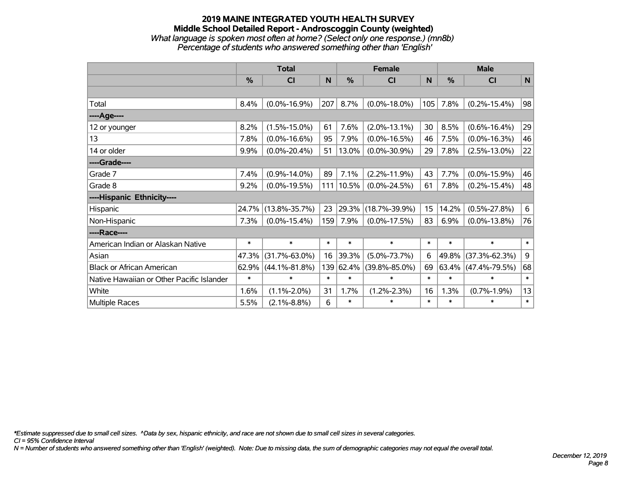#### **2019 MAINE INTEGRATED YOUTH HEALTH SURVEY Middle School Detailed Report - Androscoggin County (weighted)** *What language is spoken most often at home? (Select only one response.) (mn8b) Percentage of students who answered something other than 'English'*

|                                           | <b>Total</b> |                     |        |           | <b>Female</b>       | <b>Male</b> |               |                     |        |
|-------------------------------------------|--------------|---------------------|--------|-----------|---------------------|-------------|---------------|---------------------|--------|
|                                           | %            | CI                  | N      | %         | CI                  | N           | $\frac{0}{0}$ | <b>CI</b>           | N      |
|                                           |              |                     |        |           |                     |             |               |                     |        |
| Total                                     | 8.4%         | $(0.0\% - 16.9\%)$  | 207    | 8.7%      | $(0.0\% - 18.0\%)$  | 105         | 7.8%          | $(0.2\% - 15.4\%)$  | 98     |
| ----Age----                               |              |                     |        |           |                     |             |               |                     |        |
| 12 or younger                             | 8.2%         | $(1.5\% - 15.0\%)$  | 61     | 7.6%      | $(2.0\% - 13.1\%)$  | 30          | 8.5%          | $(0.6\% - 16.4\%)$  | 29     |
| 13                                        | 7.8%         | $(0.0\% - 16.6\%)$  | 95     | 7.9%      | $(0.0\% - 16.5\%)$  | 46          | 7.5%          | $(0.0\% - 16.3\%)$  | 46     |
| 14 or older                               | 9.9%         | $(0.0\% - 20.4\%)$  | 51     | 13.0%     | $(0.0\% - 30.9\%)$  | 29          | 7.8%          | $(2.5\% - 13.0\%)$  | 22     |
| ----Grade----                             |              |                     |        |           |                     |             |               |                     |        |
| Grade 7                                   | 7.4%         | $(0.9\% - 14.0\%)$  | 89     | 7.1%      | $(2.2\% - 11.9\%)$  | 43          | 7.7%          | $(0.0\% - 15.9\%)$  | 46     |
| Grade 8                                   | 9.2%         | $(0.0\% - 19.5\%)$  |        | 111 10.5% | $(0.0\% - 24.5\%)$  | 61          | 7.8%          | $(0.2\% - 15.4\%)$  | 48     |
| ----Hispanic Ethnicity----                |              |                     |        |           |                     |             |               |                     |        |
| Hispanic                                  | 24.7%        | $(13.8\% - 35.7\%)$ | 23     | 29.3%     | $(18.7\% - 39.9\%)$ | 15          | 14.2%         | $(0.5\% - 27.8\%)$  | 6      |
| Non-Hispanic                              | 7.3%         | $(0.0\% - 15.4\%)$  | 159    | 7.9%      | $(0.0\% - 17.5\%)$  | 83          | 6.9%          | $(0.0\% - 13.8\%)$  | 76     |
| ----Race----                              |              |                     |        |           |                     |             |               |                     |        |
| American Indian or Alaskan Native         | $\ast$       | $\ast$              | $\ast$ | $\ast$    | $\ast$              | $\ast$      | $\ast$        | $\ast$              | $\ast$ |
| Asian                                     | 47.3%        | $(31.7\% - 63.0\%)$ | 16     | 39.3%     | $(5.0\% - 73.7\%)$  | 6           | 49.8%         | $(37.3\% - 62.3\%)$ | 9      |
| <b>Black or African American</b>          | 62.9%        | $(44.1\% - 81.8\%)$ |        | 139 62.4% | $(39.8\% - 85.0\%)$ | 69          | 63.4%         | $(47.4\% - 79.5\%)$ | 68     |
| Native Hawaiian or Other Pacific Islander | $\ast$       | $\ast$              | $\ast$ | $\ast$    | $\ast$              | $\ast$      | $\ast$        | $\ast$              | $\ast$ |
| White                                     | 1.6%         | $(1.1\% - 2.0\%)$   | 31     | 1.7%      | $(1.2\% - 2.3\%)$   | 16          | 1.3%          | $(0.7\% - 1.9\%)$   | 13     |
| Multiple Races                            | 5.5%         | $(2.1\% - 8.8\%)$   | 6      | $\ast$    | $\ast$              | $\ast$      | $\ast$        | $\ast$              | $\ast$ |

*\*Estimate suppressed due to small cell sizes. ^Data by sex, hispanic ethnicity, and race are not shown due to small cell sizes in several categories.*

*CI = 95% Confidence Interval*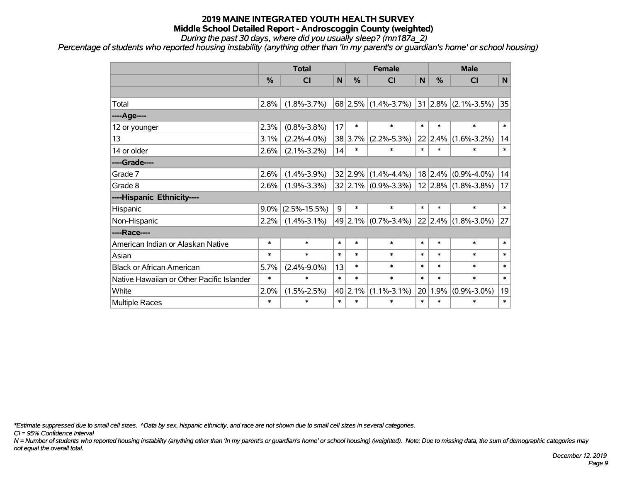*During the past 30 days, where did you usually sleep? (mn187a\_2)*

*Percentage of students who reported housing instability (anything other than 'In my parent's or guardian's home' or school housing)*

|                                           | <b>Total</b> |                    |                 | <b>Female</b> |                                                   |        | <b>Male</b> |                   |        |  |
|-------------------------------------------|--------------|--------------------|-----------------|---------------|---------------------------------------------------|--------|-------------|-------------------|--------|--|
|                                           | %            | CI                 | N               | $\frac{0}{0}$ | <b>CI</b>                                         | N      | %           | <b>CI</b>         | N      |  |
|                                           |              |                    |                 |               |                                                   |        |             |                   |        |  |
| Total                                     | 2.8%         | $(1.8\% - 3.7\%)$  |                 |               | $68$ 2.5% (1.4%-3.7%) 31 2.8% (2.1%-3.5%)         |        |             |                   | 35     |  |
| ----Age----                               |              |                    |                 |               |                                                   |        |             |                   |        |  |
| 12 or younger                             | 2.3%         | $(0.8\% - 3.8\%)$  | 17              | $\ast$        | $\ast$                                            | $\ast$ | $\ast$      | $\ast$            | $\ast$ |  |
| 13                                        | 3.1%         | $(2.2\% - 4.0\%)$  |                 | 38 3.7%       | $(2.2\% - 5.3\%)$                                 |        | 22 2.4%     | $(1.6\% - 3.2\%)$ | 14     |  |
| 14 or older                               | 2.6%         | $(2.1\% - 3.2\%)$  | 14              | $\ast$        | $\ast$                                            | $\ast$ | $\ast$      | $\ast$            | $\ast$ |  |
| ----Grade----                             |              |                    |                 |               |                                                   |        |             |                   |        |  |
| Grade 7                                   | 2.6%         | $(1.4\% - 3.9\%)$  |                 |               | $32 2.9\% (1.4\% - 4.4\%)$                        |        | 18 2.4%     | $(0.9\% - 4.0\%)$ | 14     |  |
| Grade 8                                   | 2.6%         | $(1.9\% - 3.3\%)$  |                 |               | $32 2.1\% $ (0.9%-3.3%)   12   2.8%   (1.8%-3.8%) |        |             |                   | 17     |  |
| ----Hispanic Ethnicity----                |              |                    |                 |               |                                                   |        |             |                   |        |  |
| Hispanic                                  | $9.0\%$      | $(2.5\% - 15.5\%)$ | 9               | $\ast$        | $\ast$                                            | $\ast$ | $\ast$      | $\ast$            | $\ast$ |  |
| Non-Hispanic                              | 2.2%         | $(1.4\% - 3.1\%)$  |                 |               | 49 2.1% (0.7%-3.4%)                               |        | 22 2.4%     | $(1.8\% - 3.0\%)$ | 27     |  |
| ----Race----                              |              |                    |                 |               |                                                   |        |             |                   |        |  |
| American Indian or Alaskan Native         | $\ast$       | $\ast$             | $\ast$          | $\ast$        | $\ast$                                            | $\ast$ | $\ast$      | $\ast$            | $\ast$ |  |
| Asian                                     | $\ast$       | $\ast$             | $\ast$          | $\ast$        | $\ast$                                            | $\ast$ | $\ast$      | $\ast$            | $\ast$ |  |
| <b>Black or African American</b>          | 5.7%         | $(2.4\% - 9.0\%)$  | 13              | $\ast$        | $\ast$                                            | $\ast$ | $\ast$      | $\ast$            | $\ast$ |  |
| Native Hawaiian or Other Pacific Islander | $\ast$       | $\ast$             | $\ast$          | $\ast$        | $\ast$                                            | $\ast$ | $\ast$      | $\ast$            | $\ast$ |  |
| White                                     | 2.0%         | $(1.5\% - 2.5\%)$  | 40 <sub>1</sub> | 2.1%          | $(1.1\% - 3.1\%)$                                 | 20     | 1.9%        | $(0.9\% - 3.0\%)$ | 19     |  |
| Multiple Races                            | $\ast$       | $\ast$             | $\ast$          | $\ast$        | $\ast$                                            | $\ast$ | $\ast$      | $\ast$            | $\ast$ |  |

*\*Estimate suppressed due to small cell sizes. ^Data by sex, hispanic ethnicity, and race are not shown due to small cell sizes in several categories.*

*CI = 95% Confidence Interval*

*N = Number of students who reported housing instability (anything other than 'In my parent's or guardian's home' or school housing) (weighted). Note: Due to missing data, the sum of demographic categories may not equal the overall total.*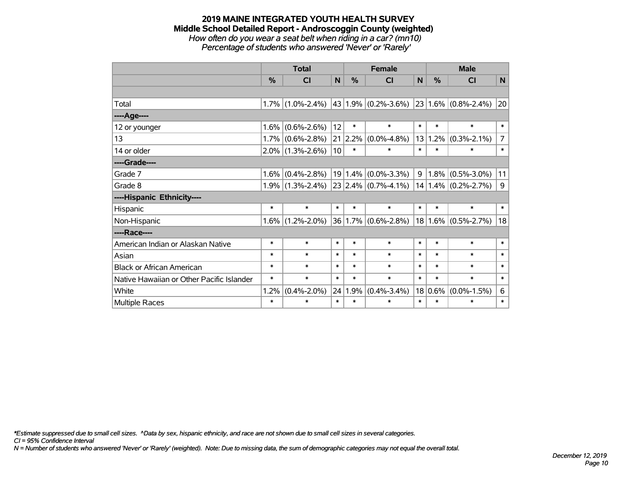#### **2019 MAINE INTEGRATED YOUTH HEALTH SURVEY Middle School Detailed Report - Androscoggin County (weighted)** *How often do you wear a seat belt when riding in a car? (mn10)*

*Percentage of students who answered 'Never' or 'Rarely'*

|                                           |         | <b>Total</b>        |        |               | <b>Female</b>            |        |        | <b>Male</b>              |                |  |
|-------------------------------------------|---------|---------------------|--------|---------------|--------------------------|--------|--------|--------------------------|----------------|--|
|                                           | $\%$    | <b>CI</b>           | N      | $\frac{0}{0}$ | <b>CI</b>                | N      | $\%$   | CI                       | N              |  |
|                                           |         |                     |        |               |                          |        |        |                          |                |  |
| Total                                     |         | $1.7\%$ (1.0%-2.4%) |        |               | $ 43 1.9\% $ (0.2%-3.6%) |        |        | $ 23 1.6\% $ (0.8%-2.4%) | 20             |  |
| ----Age----                               |         |                     |        |               |                          |        |        |                          |                |  |
| 12 or younger                             | 1.6%    | $(0.6\% - 2.6\%)$   | 12     | $\ast$        | $\ast$                   | $\ast$ | $\ast$ | $\ast$                   | $\ast$         |  |
| 13                                        |         | $1.7\%$ (0.6%-2.8%) | 21     | 2.2%          | $(0.0\% - 4.8\%)$        | 13     | 1.2%   | $(0.3\% - 2.1\%)$        | $\overline{7}$ |  |
| 14 or older                               |         | $2.0\%$ (1.3%-2.6%) | 10     | $\ast$        | $\ast$                   | $\ast$ | $\ast$ | $\ast$                   | $\ast$         |  |
| ----Grade----                             |         |                     |        |               |                          |        |        |                          |                |  |
| Grade 7                                   | 1.6%    | $(0.4\% - 2.8\%)$   |        | 19 1.4%       | $(0.0\% - 3.3\%)$        | 9      | 1.8%   | $(0.5\% - 3.0\%)$        | 11             |  |
| Grade 8                                   |         | $1.9\%$ (1.3%-2.4%) |        |               | $23 2.4\% $ (0.7%-4.1%)  |        |        | $14 1.4\% $ (0.2%-2.7%)  | 9              |  |
| ----Hispanic Ethnicity----                |         |                     |        |               |                          |        |        |                          |                |  |
| Hispanic                                  | $\ast$  | $\ast$              | $\ast$ | $\ast$        | $\ast$                   | $\ast$ | $\ast$ | $\ast$                   | $\ast$         |  |
| Non-Hispanic                              | $1.6\%$ | $(1.2\% - 2.0\%)$   |        |               | 36 1.7% (0.6%-2.8%)      |        |        | $18 1.6\% $ (0.5%-2.7%)  | 18             |  |
| ----Race----                              |         |                     |        |               |                          |        |        |                          |                |  |
| American Indian or Alaskan Native         | $\ast$  | $\ast$              | $\ast$ | $\ast$        | $\ast$                   | $\ast$ | $\ast$ | $\ast$                   | $\ast$         |  |
| Asian                                     | $\ast$  | $\ast$              | $\ast$ | $\ast$        | $\ast$                   | $\ast$ | $\ast$ | $\ast$                   | $\ast$         |  |
| <b>Black or African American</b>          | $\ast$  | $\ast$              | $\ast$ | $\ast$        | $\ast$                   | $\ast$ | $\ast$ | $\ast$                   | $\ast$         |  |
| Native Hawaiian or Other Pacific Islander | $\ast$  | $\ast$              | $\ast$ | $\ast$        | $\ast$                   | $\ast$ | $\ast$ | $\ast$                   | $\ast$         |  |
| White                                     | 1.2%    | $(0.4\% - 2.0\%)$   | 24     | 1.9%          | $(0.4\% - 3.4\%)$        | 18     | 0.6%   | $(0.0\% - 1.5\%)$        | 6              |  |
| Multiple Races                            | $\ast$  | $\ast$              | $\ast$ | $\ast$        | $\ast$                   | $\ast$ | $\ast$ | $\ast$                   | $\ast$         |  |

*\*Estimate suppressed due to small cell sizes. ^Data by sex, hispanic ethnicity, and race are not shown due to small cell sizes in several categories.*

*CI = 95% Confidence Interval*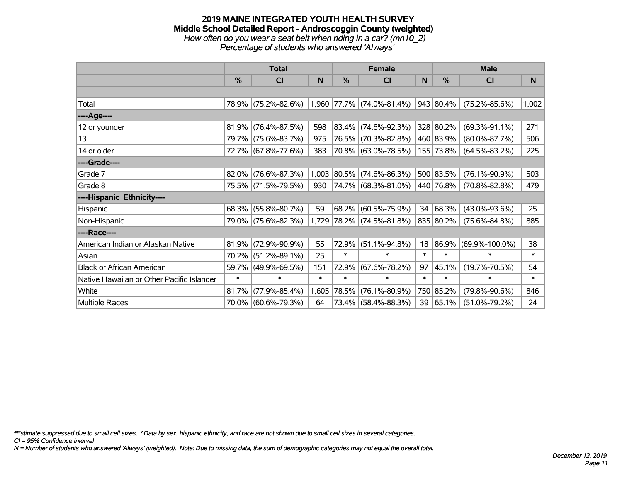#### **2019 MAINE INTEGRATED YOUTH HEALTH SURVEY Middle School Detailed Report - Androscoggin County (weighted)** *How often do you wear a seat belt when riding in a car? (mn10\_2) Percentage of students who answered 'Always'*

|                                           |          | <b>Total</b>        |        |             | <b>Female</b>                     |        | <b>Male</b> |                      |        |  |
|-------------------------------------------|----------|---------------------|--------|-------------|-----------------------------------|--------|-------------|----------------------|--------|--|
|                                           | $\%$     | <b>CI</b>           | N      | $\%$        | <b>CI</b>                         | N      | $\%$        | <b>CI</b>            | N      |  |
|                                           |          |                     |        |             |                                   |        |             |                      |        |  |
| Total                                     |          | 78.9% (75.2%-82.6%) |        |             | $(1,960 77.7\% (74.0\% - 81.4\%)$ |        | 943 80.4%   | $(75.2\% - 85.6\%)$  | 1,002  |  |
| ----Age----                               |          |                     |        |             |                                   |        |             |                      |        |  |
| 12 or younger                             | 81.9%    | $(76.4\% - 87.5\%)$ | 598    | 83.4%       | $(74.6\% - 92.3\%)$               |        | 328 80.2%   | $(69.3\% - 91.1\%)$  | 271    |  |
| 13                                        |          | 79.7% (75.6%-83.7%) | 975    |             | 76.5% (70.3%-82.8%)               |        | 460 83.9%   | $(80.0\% - 87.7\%)$  | 506    |  |
| 14 or older                               |          | 72.7% (67.8%-77.6%) | 383    |             | 70.8% (63.0%-78.5%)               |        | 155 73.8%   | $(64.5\% - 83.2\%)$  | 225    |  |
| ----Grade----                             |          |                     |        |             |                                   |        |             |                      |        |  |
| Grade 7                                   | $82.0\%$ | $(76.6\% - 87.3\%)$ |        | 1,003 80.5% | $(74.6\% - 86.3\%)$               |        | 500 83.5%   | $(76.1\% - 90.9\%)$  | 503    |  |
| Grade 8                                   |          | 75.5% (71.5%-79.5%) | 930    |             | 74.7% (68.3%-81.0%)               |        | 440 76.8%   | $(70.8\% - 82.8\%)$  | 479    |  |
| ----Hispanic Ethnicity----                |          |                     |        |             |                                   |        |             |                      |        |  |
| Hispanic                                  | 68.3%    | $(55.8\% - 80.7\%)$ | 59     | 68.2%       | $(60.5\% - 75.9\%)$               | 34     | 68.3%       | $(43.0\% - 93.6\%)$  | 25     |  |
| Non-Hispanic                              |          | 79.0% (75.6%-82.3%) |        | 1,729 78.2% | $(74.5\% - 81.8\%)$               |        | 835 80.2%   | $(75.6\% - 84.8\%)$  | 885    |  |
| ----Race----                              |          |                     |        |             |                                   |        |             |                      |        |  |
| American Indian or Alaskan Native         | 81.9%    | $(72.9\% - 90.9\%)$ | 55     | 72.9%       | $(51.1\% - 94.8\%)$               |        | 18 86.9%    | $(69.9\% - 100.0\%)$ | 38     |  |
| Asian                                     | 70.2%    | $(51.2\% - 89.1\%)$ | 25     | $\ast$      | $\ast$                            | $\ast$ | $\ast$      | $\ast$               | $\ast$ |  |
| <b>Black or African American</b>          | 59.7%    | $(49.9\% - 69.5\%)$ | 151    | 72.9%       | $(67.6\% - 78.2\%)$               | 97     | 45.1%       | $(19.7\% - 70.5\%)$  | 54     |  |
| Native Hawaiian or Other Pacific Islander | $\ast$   | $\ast$              | $\ast$ | $\ast$      | $\ast$                            | $\ast$ | $\ast$      | $\ast$               | $\ast$ |  |
| White                                     | 81.7%    | $(77.9\% - 85.4\%)$ | 1,605  | 78.5%       | $(76.1\% - 80.9\%)$               |        | 750 85.2%   | $(79.8\% - 90.6\%)$  | 846    |  |
| Multiple Races                            | $70.0\%$ | $(60.6\% - 79.3\%)$ | 64     |             | 73.4% (58.4%-88.3%)               | 39     | 65.1%       | $(51.0\% - 79.2\%)$  | 24     |  |

*\*Estimate suppressed due to small cell sizes. ^Data by sex, hispanic ethnicity, and race are not shown due to small cell sizes in several categories.*

*CI = 95% Confidence Interval*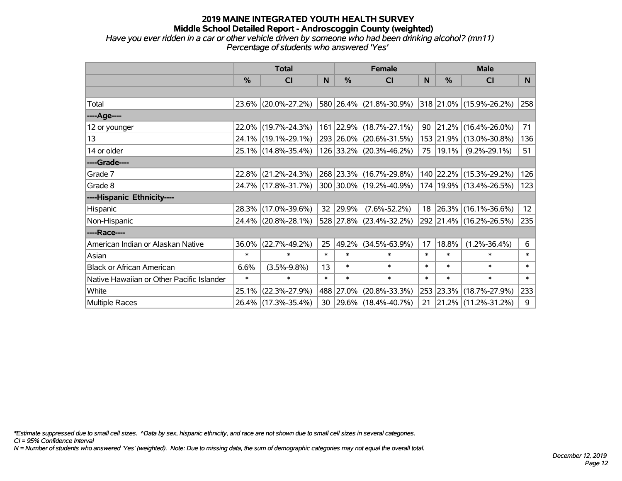#### **2019 MAINE INTEGRATED YOUTH HEALTH SURVEY Middle School Detailed Report - Androscoggin County (weighted)** *Have you ever ridden in a car or other vehicle driven by someone who had been drinking alcohol? (mn11) Percentage of students who answered 'Yes'*

|                                           | <b>Total</b>  |                        |        |               | <b>Female</b>            |          | <b>Male</b> |                             |          |  |
|-------------------------------------------|---------------|------------------------|--------|---------------|--------------------------|----------|-------------|-----------------------------|----------|--|
|                                           | $\frac{9}{6}$ | CI                     | N      | $\frac{0}{0}$ | CI                       | <b>N</b> | %           | CI                          | <b>N</b> |  |
|                                           |               |                        |        |               |                          |          |             |                             |          |  |
| Total                                     |               | 23.6% (20.0%-27.2%)    |        |               | 580 26.4% (21.8%-30.9%)  |          |             | 318 21.0% (15.9%-26.2%)     | 258      |  |
| ----Age----                               |               |                        |        |               |                          |          |             |                             |          |  |
| 12 or younger                             |               | 22.0% (19.7%-24.3%)    |        |               | 161 22.9% (18.7%-27.1%)  | 90       | 21.2%       | $(16.4\% - 26.0\%)$         | 71       |  |
| 13                                        |               | 24.1% (19.1%-29.1%)    |        |               | 293 26.0% (20.6%-31.5%)  |          | 153 21.9%   | $(13.0\% - 30.8\%)$         | 136      |  |
| 14 or older                               |               | 25.1% (14.8%-35.4%)    |        |               | 126 33.2% (20.3%-46.2%)  | 75       | 19.1%       | $(9.2\% - 29.1\%)$          | 51       |  |
| ----Grade----                             |               |                        |        |               |                          |          |             |                             |          |  |
| Grade 7                                   |               | $22.8\%$ (21.2%-24.3%) |        |               | 268 23.3% (16.7%-29.8%)  |          |             | 140 22.2% (15.3%-29.2%)     | 126      |  |
| Grade 8                                   |               | 24.7% (17.8%-31.7%)    |        |               | 300 30.0% (19.2%-40.9%)  |          |             | 174   19.9%   (13.4%-26.5%) | 123      |  |
| ----Hispanic Ethnicity----                |               |                        |        |               |                          |          |             |                             |          |  |
| Hispanic                                  |               | 28.3% (17.0%-39.6%)    | 32     | 29.9%         | $(7.6\% - 52.2\%)$       |          | 18 26.3%    | $(16.1\% - 36.6\%)$         | 12       |  |
| Non-Hispanic                              |               | 24.4% (20.8%-28.1%)    |        |               | 528 27.8% (23.4%-32.2%)  |          |             | 292 21.4% (16.2%-26.5%)     | 235      |  |
| ----Race----                              |               |                        |        |               |                          |          |             |                             |          |  |
| American Indian or Alaskan Native         | 36.0%         | $(22.7\% - 49.2\%)$    | 25     | 49.2%         | $(34.5\% - 63.9\%)$      | 17       | 18.8%       | $(1.2\% - 36.4\%)$          | 6        |  |
| Asian                                     | $\ast$        | $\ast$                 | $\ast$ | $\ast$        | $\ast$                   | $\ast$   | $\ast$      | $\ast$                      | $\ast$   |  |
| <b>Black or African American</b>          | 6.6%          | $(3.5\% - 9.8\%)$      | 13     | $\ast$        | $\ast$                   | $\ast$   | $\ast$      | $\ast$                      | $\ast$   |  |
| Native Hawaiian or Other Pacific Islander | $\ast$        | $\ast$                 | $\ast$ | $\ast$        | $\ast$                   | $\ast$   | $\ast$      | $\ast$                      | $\ast$   |  |
| White                                     | 25.1%         | $(22.3\% - 27.9\%)$    |        | 488 27.0%     | $(20.8\% - 33.3\%)$      | 253      | 23.3%       | $(18.7\% - 27.9\%)$         | 233      |  |
| Multiple Races                            |               | 26.4% (17.3%-35.4%)    | 30     |               | $ 29.6\% $ (18.4%-40.7%) | 21       |             | $21.2\%$ (11.2%-31.2%)      | 9        |  |

*\*Estimate suppressed due to small cell sizes. ^Data by sex, hispanic ethnicity, and race are not shown due to small cell sizes in several categories.*

*CI = 95% Confidence Interval*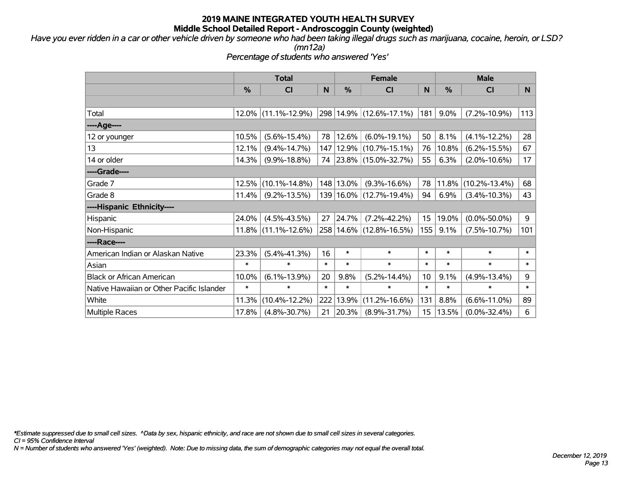*Have you ever ridden in a car or other vehicle driven by someone who had been taking illegal drugs such as marijuana, cocaine, heroin, or LSD?*

*(mn12a)*

*Percentage of students who answered 'Yes'*

|                                           | <b>Total</b>  |                        |        |               | <b>Female</b>               |                  | <b>Male</b> |                     |              |
|-------------------------------------------|---------------|------------------------|--------|---------------|-----------------------------|------------------|-------------|---------------------|--------------|
|                                           | $\frac{0}{0}$ | CI                     | N      | $\frac{0}{0}$ | <b>CI</b>                   | <sub>N</sub>     | %           | <b>CI</b>           | N            |
|                                           |               |                        |        |               |                             |                  |             |                     |              |
| Total                                     |               | 12.0% (11.1%-12.9%)    |        |               | 298 14.9% (12.6%-17.1%)     | 181              | 9.0%        | $(7.2\% - 10.9\%)$  | 113          |
| ----Age----                               |               |                        |        |               |                             |                  |             |                     |              |
| 12 or younger                             | 10.5%         | $(5.6\% - 15.4\%)$     | 78     | 12.6%         | $(6.0\% - 19.1\%)$          | 50               | 8.1%        | $(4.1\% - 12.2\%)$  | 28           |
| 13                                        | 12.1%         | $(9.4\% - 14.7\%)$     |        |               | 147   12.9%   (10.7%-15.1%) | 76               | 10.8%       | $(6.2\% - 15.5\%)$  | 67           |
| 14 or older                               | 14.3%         | $(9.9\% - 18.8\%)$     |        |               | 74 23.8% (15.0%-32.7%)      | 55               | 6.3%        | $(2.0\% - 10.6\%)$  | 17           |
| ----Grade----                             |               |                        |        |               |                             |                  |             |                     |              |
| Grade 7                                   | 12.5%         | $(10.1\% - 14.8\%)$    |        | 148 13.0%     | $(9.3\% - 16.6\%)$          | 78               | 11.8%       | $(10.2\% - 13.4\%)$ | 68           |
| Grade 8                                   | 11.4%         | $(9.2\% - 13.5\%)$     |        |               | 139 16.0% (12.7%-19.4%)     | 94               | 6.9%        | $(3.4\% - 10.3\%)$  | 43           |
| ----Hispanic Ethnicity----                |               |                        |        |               |                             |                  |             |                     |              |
| Hispanic                                  | 24.0%         | $(4.5\% - 43.5\%)$     | 27     | 24.7%         | $(7.2\% - 42.2\%)$          | 15 <sub>15</sub> | 19.0%       | $(0.0\% - 50.0\%)$  | 9            |
| Non-Hispanic                              |               | $11.8\%$ (11.1%-12.6%) |        |               | 258 14.6% (12.8%-16.5%)     | 155              | 9.1%        | $(7.5\% - 10.7\%)$  | 101          |
| ----Race----                              |               |                        |        |               |                             |                  |             |                     |              |
| American Indian or Alaskan Native         | 23.3%         | $(5.4\% - 41.3\%)$     | 16     | $\ast$        | $\ast$                      | $\ast$           | $\ast$      | $\ast$              | $\ast$       |
| Asian                                     | $\ast$        | $\ast$                 | $\ast$ | $\ast$        | $\ast$                      | $\ast$           | $\ast$      | $\ast$              | $\ast$       |
| <b>Black or African American</b>          | 10.0%         | $(6.1\% - 13.9\%)$     | 20     | 9.8%          | $(5.2\% - 14.4\%)$          | 10 <sup>1</sup>  | 9.1%        | $(4.9\% - 13.4\%)$  | 9            |
| Native Hawaiian or Other Pacific Islander | $\ast$        | $\ast$                 | $\ast$ | $\ast$        | $\ast$                      | $\ast$           | $\ast$      | $\ast$              | $\pmb{\ast}$ |
| White                                     | 11.3%         | $(10.4\% - 12.2\%)$    | 222    | 13.9%         | $(11.2\% - 16.6\%)$         | 131              | 8.8%        | $(6.6\% - 11.0\%)$  | 89           |
| <b>Multiple Races</b>                     | 17.8%         | $(4.8\% - 30.7\%)$     | 21     | 20.3%         | $(8.9\% - 31.7\%)$          | 15 <sub>1</sub>  | 13.5%       | $(0.0\% - 32.4\%)$  | 6            |

*\*Estimate suppressed due to small cell sizes. ^Data by sex, hispanic ethnicity, and race are not shown due to small cell sizes in several categories.*

*CI = 95% Confidence Interval*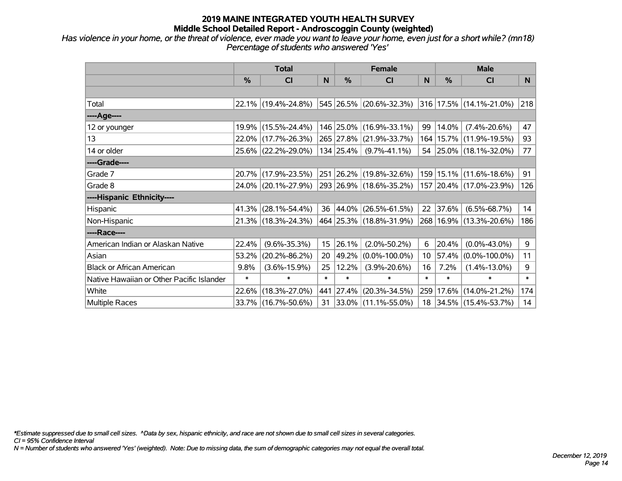*Has violence in your home, or the threat of violence, ever made you want to leave your home, even just for a short while? (mn18) Percentage of students who answered 'Yes'*

|                                           | <b>Total</b> |                     |        | <b>Female</b> | <b>Male</b>              |                 |          |                             |        |
|-------------------------------------------|--------------|---------------------|--------|---------------|--------------------------|-----------------|----------|-----------------------------|--------|
|                                           | $\%$         | <b>CI</b>           | N      | $\%$          | <b>CI</b>                | <sub>N</sub>    | %        | <b>CI</b>                   | N.     |
|                                           |              |                     |        |               |                          |                 |          |                             |        |
| Total                                     |              | 22.1% (19.4%-24.8%) |        |               | 545 26.5% (20.6%-32.3%)  |                 |          | 316 17.5% (14.1%-21.0%)     | 218    |
| ----Age----                               |              |                     |        |               |                          |                 |          |                             |        |
| 12 or younger                             |              | 19.9% (15.5%-24.4%) |        |               | 146 25.0% (16.9%-33.1%)  | 99              | 14.0%    | $(7.4\% - 20.6\%)$          | 47     |
| 13                                        |              | 22.0% (17.7%-26.3%) |        |               | 265 27.8% (21.9%-33.7%)  |                 |          | 164   15.7%   (11.9%-19.5%) | 93     |
| 14 or older                               |              | 25.6% (22.2%-29.0%) |        | 134 25.4%     | $(9.7\% - 41.1\%)$       |                 |          | 54 25.0% (18.1%-32.0%)      | 77     |
| ----Grade----                             |              |                     |        |               |                          |                 |          |                             |        |
| Grade 7                                   |              | 20.7% (17.9%-23.5%) |        |               | 251 26.2% (19.8%-32.6%)  | 159             | 15.1%    | $(11.6\% - 18.6\%)$         | 91     |
| Grade 8                                   |              | 24.0% (20.1%-27.9%) |        |               | 293 26.9% (18.6%-35.2%)  |                 |          | 157 20.4% (17.0%-23.9%)     | 126    |
| ----Hispanic Ethnicity----                |              |                     |        |               |                          |                 |          |                             |        |
| <b>Hispanic</b>                           | 41.3%        | $(28.1\% - 54.4\%)$ |        |               | 36 44.0% (26.5%-61.5%)   |                 | 22 37.6% | $(6.5\% - 68.7\%)$          | 14     |
| Non-Hispanic                              |              | 21.3% (18.3%-24.3%) |        |               | 464 25.3% (18.8%-31.9%)  |                 |          | 268 16.9% (13.3%-20.6%)     | 186    |
| ----Race----                              |              |                     |        |               |                          |                 |          |                             |        |
| American Indian or Alaskan Native         | 22.4%        | $(9.6\% - 35.3\%)$  | 15     | 26.1%         | $(2.0\% - 50.2\%)$       | 6               | 20.4%    | $(0.0\% - 43.0\%)$          | 9      |
| Asian                                     | 53.2%        | $(20.2\% - 86.2\%)$ | 20     | $ 49.2\% $    | $(0.0\% - 100.0\%)$      | 10 <sup>°</sup> | 57.4%    | $(0.0\% - 100.0\%)$         | 11     |
| <b>Black or African American</b>          | 9.8%         | $(3.6\% - 15.9\%)$  | 25     | 12.2%         | $(3.9\% - 20.6\%)$       | 16              | 7.2%     | $(1.4\% - 13.0\%)$          | 9      |
| Native Hawaiian or Other Pacific Islander | $\ast$       | $\ast$              | $\ast$ | $\ast$        | $\ast$                   | $\ast$          | $\ast$   | $\ast$                      | $\ast$ |
| White                                     | 22.6%        | $(18.3\% - 27.0\%)$ | 441    | $ 27.4\% $    | $(20.3\% - 34.5\%)$      | 259             | 17.6%    | $(14.0\% - 21.2\%)$         | 174    |
| <b>Multiple Races</b>                     |              | 33.7% (16.7%-50.6%) | 31     |               | $ 33.0\% $ (11.1%-55.0%) |                 |          | 18 34.5% (15.4%-53.7%)      | 14     |

*\*Estimate suppressed due to small cell sizes. ^Data by sex, hispanic ethnicity, and race are not shown due to small cell sizes in several categories.*

*CI = 95% Confidence Interval*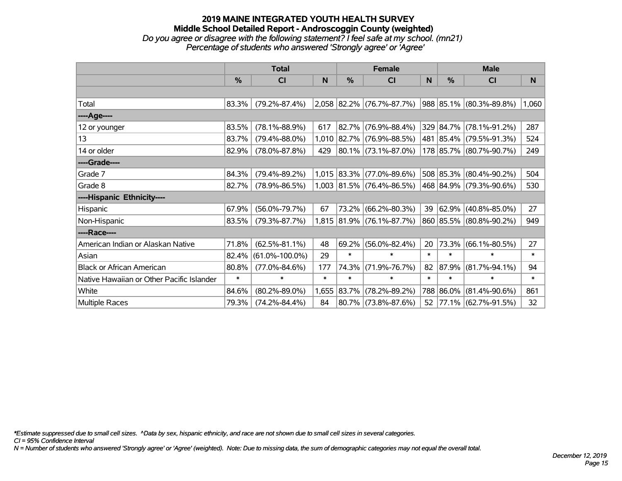#### **2019 MAINE INTEGRATED YOUTH HEALTH SURVEY Middle School Detailed Report - Androscoggin County (weighted)** *Do you agree or disagree with the following statement? I feel safe at my school. (mn21) Percentage of students who answered 'Strongly agree' or 'Agree'*

|                                           | <b>Total</b> |                      |        |               | <b>Female</b>             |             | <b>Male</b>   |                         |        |  |
|-------------------------------------------|--------------|----------------------|--------|---------------|---------------------------|-------------|---------------|-------------------------|--------|--|
|                                           | $\%$         | CI                   | N      | %             | CI                        | $\mathbf N$ | $\frac{0}{0}$ | <b>CI</b>               | N      |  |
|                                           |              |                      |        |               |                           |             |               |                         |        |  |
| Total                                     | 83.3%        | $(79.2\% - 87.4\%)$  |        |               | 2,058 82.2% (76.7%-87.7%) |             |               | 988 85.1% (80.3%-89.8%) | 1,060  |  |
| ----Age----                               |              |                      |        |               |                           |             |               |                         |        |  |
| 12 or younger                             | 83.5%        | $(78.1\% - 88.9\%)$  | 617    | 82.7%         | $(76.9\% - 88.4\%)$       |             | 329 84.7%     | $(78.1\% - 91.2\%)$     | 287    |  |
| 13                                        | 83.7%        | $(79.4\% - 88.0\%)$  | 1,010  |               | $ 82.7\% $ (76.9%-88.5%)  |             |               | 481 85.4% (79.5%-91.3%) | 524    |  |
| 14 or older                               | 82.9%        | $(78.0\% - 87.8\%)$  | 429    |               | $ 80.1\% $ (73.1%-87.0%)  |             |               | 178 85.7% (80.7%-90.7%) | 249    |  |
| ----Grade----                             |              |                      |        |               |                           |             |               |                         |        |  |
| Grade 7                                   | 84.3%        | $(79.4\% - 89.2\%)$  |        | $1,015$ 83.3% | $(77.0\% - 89.6\%)$       |             | 508 85.3%     | $(80.4\% - 90.2\%)$     | 504    |  |
| Grade 8                                   | 82.7%        | $(78.9\% - 86.5\%)$  |        |               | 1,003 81.5% (76.4%-86.5%) |             |               | 468 84.9% (79.3%-90.6%) | 530    |  |
| ----Hispanic Ethnicity----                |              |                      |        |               |                           |             |               |                         |        |  |
| Hispanic                                  | 67.9%        | $(56.0\% - 79.7\%)$  | 67     | 73.2%         | $(66.2\% - 80.3\%)$       | 39          | 62.9%         | $(40.8\% - 85.0\%)$     | 27     |  |
| Non-Hispanic                              | 83.5%        | $(79.3\% - 87.7\%)$  |        |               | 1,815 81.9% (76.1%-87.7%) |             | 860 85.5%     | $(80.8\% - 90.2\%)$     | 949    |  |
| ----Race----                              |              |                      |        |               |                           |             |               |                         |        |  |
| American Indian or Alaskan Native         | 71.8%        | $(62.5\% - 81.1\%)$  | 48     | 69.2%         | $(56.0\% - 82.4\%)$       | 20          | 73.3%         | $(66.1\% - 80.5\%)$     | 27     |  |
| Asian                                     | 82.4%        | $(61.0\% - 100.0\%)$ | 29     | $\ast$        | $\ast$                    | $\ast$      | $\ast$        | $\ast$                  | $\ast$ |  |
| <b>Black or African American</b>          | 80.8%        | $(77.0\% - 84.6\%)$  | 177    | 74.3%         | $(71.9\% - 76.7\%)$       | 82          | $ 87.9\% $    | $(81.7\% - 94.1\%)$     | 94     |  |
| Native Hawaiian or Other Pacific Islander | $\ast$       | $\ast$               | $\ast$ | $\ast$        | $\ast$                    | $\ast$      | $\ast$        | $\ast$                  | $\ast$ |  |
| White                                     | 84.6%        | $(80.2\% - 89.0\%)$  | 1,655  | $ 83.7\% $    | $(78.2\% - 89.2\%)$       |             | 788 86.0%     | $(81.4\% - 90.6\%)$     | 861    |  |
| Multiple Races                            | 79.3%        | $(74.2\% - 84.4\%)$  | 84     |               | 80.7% (73.8%-87.6%)       | 52          |               | 77.1% (62.7%-91.5%)     | 32     |  |

*\*Estimate suppressed due to small cell sizes. ^Data by sex, hispanic ethnicity, and race are not shown due to small cell sizes in several categories.*

*CI = 95% Confidence Interval*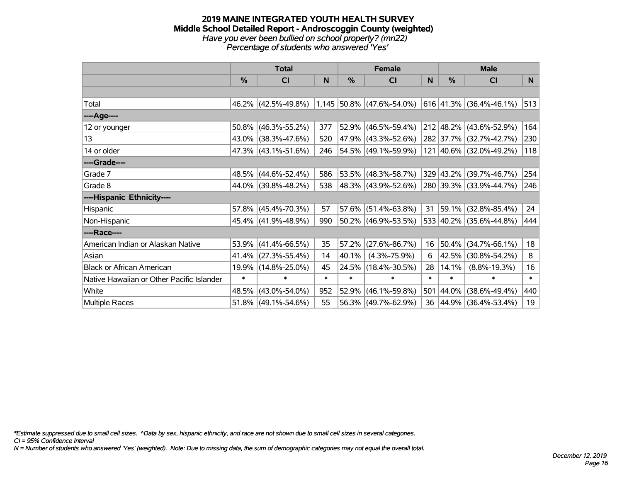#### **2019 MAINE INTEGRATED YOUTH HEALTH SURVEY Middle School Detailed Report - Androscoggin County (weighted)** *Have you ever been bullied on school property? (mn22) Percentage of students who answered 'Yes'*

|                                           | <b>Total</b> |                        |        | <b>Female</b> | <b>Male</b>                 |        |           |                           |        |
|-------------------------------------------|--------------|------------------------|--------|---------------|-----------------------------|--------|-----------|---------------------------|--------|
|                                           | %            | CI                     | N      | %             | <b>CI</b>                   | N      | %         | <b>CI</b>                 | N      |
|                                           |              |                        |        |               |                             |        |           |                           |        |
| Total                                     |              | 46.2% (42.5%-49.8%)    |        |               | $1,145$ 50.8% (47.6%-54.0%) |        |           | $616$ 41.3% (36.4%-46.1%) | 513    |
| ----Age----                               |              |                        |        |               |                             |        |           |                           |        |
| 12 or younger                             | 50.8%        | $(46.3\% - 55.2\%)$    | 377    | 52.9%         | $(46.5\% - 59.4\%)$         |        |           | 212 48.2% (43.6%-52.9%)   | 164    |
| 13                                        |              | 43.0% (38.3%-47.6%)    | 520    |               | 47.9% (43.3%-52.6%)         |        |           | 282 37.7% (32.7%-42.7%)   | 230    |
| 14 or older                               |              | 47.3% (43.1%-51.6%)    | 246    |               | $ 54.5\% $ (49.1%-59.9%)    |        |           | 121 40.6% (32.0%-49.2%)   | 118    |
| ----Grade----                             |              |                        |        |               |                             |        |           |                           |        |
| Grade 7                                   |              | 48.5% (44.6%-52.4%)    | 586    | 53.5%         | $(48.3\% - 58.7\%)$         |        | 329 43.2% | $(39.7\% - 46.7\%)$       | 254    |
| Grade 8                                   |              | 44.0% (39.8%-48.2%)    | 538    |               | 48.3% (43.9%-52.6%)         |        |           | 280 39.3% (33.9%-44.7%)   | 246    |
| ----Hispanic Ethnicity----                |              |                        |        |               |                             |        |           |                           |        |
| Hispanic                                  |              | 57.8% (45.4%-70.3%)    | 57     | 57.6%         | $(51.4\% - 63.8\%)$         | 31     | 59.1%     | $(32.8\% - 85.4\%)$       | 24     |
| Non-Hispanic                              |              | 45.4% (41.9%-48.9%)    | 990    |               | $50.2\%$ (46.9%-53.5%)      |        |           | 533 40.2% (35.6%-44.8%)   | 444    |
| ----Race----                              |              |                        |        |               |                             |        |           |                           |        |
| American Indian or Alaskan Native         | 53.9%        | $(41.4\% - 66.5\%)$    | 35     | 57.2%         | $(27.6\% - 86.7\%)$         | 16     | 50.4%     | $(34.7\% - 66.1\%)$       | 18     |
| Asian                                     | 41.4%        | $(27.3\% - 55.4\%)$    | 14     | 40.1%         | $(4.3\% - 75.9\%)$          | 6      | 42.5%     | $(30.8\% - 54.2\%)$       | 8      |
| <b>Black or African American</b>          | 19.9%        | $(14.8\% - 25.0\%)$    | 45     | 24.5%         | $(18.4\% - 30.5\%)$         | 28     | 14.1%     | $(8.8\% - 19.3\%)$        | 16     |
| Native Hawaiian or Other Pacific Islander | $\ast$       | $\ast$                 | $\ast$ | $\ast$        | $\ast$                      | $\ast$ | $\ast$    | $\ast$                    | $\ast$ |
| White                                     | 48.5%        | $(43.0\% - 54.0\%)$    | 952    | 52.9%         | $(46.1\% - 59.8\%)$         | 501    | 44.0%     | $(38.6\% - 49.4\%)$       | 440    |
| Multiple Races                            |              | $51.8\%$ (49.1%-54.6%) | 55     | 56.3%         | $(49.7\% - 62.9\%)$         | 36     |           | 44.9% (36.4%-53.4%)       | 19     |

*\*Estimate suppressed due to small cell sizes. ^Data by sex, hispanic ethnicity, and race are not shown due to small cell sizes in several categories.*

*CI = 95% Confidence Interval*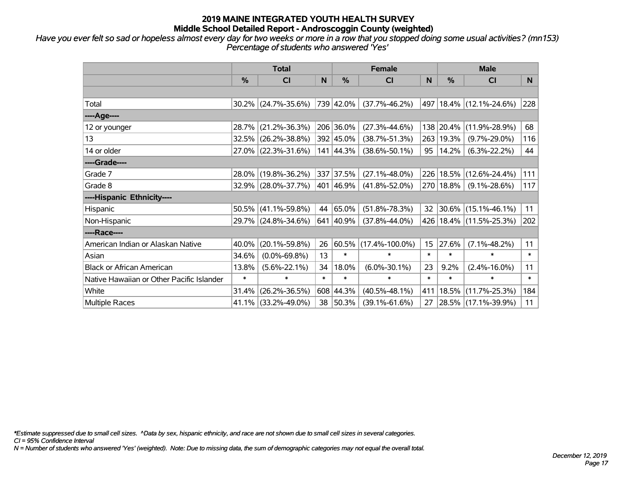*Have you ever felt so sad or hopeless almost every day for two weeks or more in a row that you stopped doing some usual activities? (mn153) Percentage of students who answered 'Yes'*

|                                           | <b>Total</b>  |                        |        |           | <b>Female</b>        |                 | <b>Male</b> |                             |        |  |
|-------------------------------------------|---------------|------------------------|--------|-----------|----------------------|-----------------|-------------|-----------------------------|--------|--|
|                                           | $\frac{0}{0}$ | <b>CI</b>              | N      | $\%$      | <b>CI</b>            | <sub>N</sub>    | %           | <b>CI</b>                   | N      |  |
|                                           |               |                        |        |           |                      |                 |             |                             |        |  |
| Total                                     |               | $30.2\%$ (24.7%-35.6%) |        | 739 42.0% | $(37.7\% - 46.2\%)$  |                 |             | 497 18.4% (12.1%-24.6%)     | 228    |  |
| ----Age----                               |               |                        |        |           |                      |                 |             |                             |        |  |
| 12 or younger                             | 28.7%         | $(21.2\% - 36.3\%)$    |        | 206 36.0% | $(27.3\% - 44.6\%)$  |                 | 138 20.4%   | $(11.9\% - 28.9\%)$         | 68     |  |
| 13                                        |               | 32.5% (26.2%-38.8%)    |        | 392 45.0% | $(38.7\% - 51.3\%)$  |                 | 263 19.3%   | $(9.7\% - 29.0\%)$          | 116    |  |
| 14 or older                               |               | 27.0% (22.3%-31.6%)    |        | 141 44.3% | $(38.6\% - 50.1\%)$  | 95              | 14.2%       | $(6.3\% - 22.2\%)$          | 44     |  |
| ----Grade----                             |               |                        |        |           |                      |                 |             |                             |        |  |
| Grade 7                                   |               | 28.0% (19.8%-36.2%)    |        | 337 37.5% | $(27.1\% - 48.0\%)$  |                 | 226 18.5%   | $(12.6\% - 24.4\%)$         | 111    |  |
| Grade 8                                   |               | 32.9% (28.0%-37.7%)    |        | 401 46.9% | $(41.8\% - 52.0\%)$  |                 | 270 18.8%   | $(9.1\% - 28.6\%)$          | 117    |  |
| ----Hispanic Ethnicity----                |               |                        |        |           |                      |                 |             |                             |        |  |
| Hispanic                                  |               | $50.5\%$ (41.1%-59.8%) | 44     | 65.0%     | $(51.8\% - 78.3\%)$  | 32              | 30.6%       | $(15.1\% - 46.1\%)$         | 11     |  |
| Non-Hispanic                              |               | 29.7% (24.8%-34.6%)    |        | 641 40.9% | $(37.8\% - 44.0\%)$  |                 |             | 426   18.4%   (11.5%-25.3%) | 202    |  |
| ----Race----                              |               |                        |        |           |                      |                 |             |                             |        |  |
| American Indian or Alaskan Native         | 40.0%         | $(20.1\% - 59.8\%)$    | 26     | 60.5%     | $(17.4\% - 100.0\%)$ | 15 <sub>1</sub> | 27.6%       | $(7.1\% - 48.2\%)$          | 11     |  |
| Asian                                     | 34.6%         | $(0.0\% - 69.8\%)$     | 13     | $\ast$    | $\ast$               | $\ast$          | $\ast$      | $\ast$                      | $\ast$ |  |
| <b>Black or African American</b>          | 13.8%         | $(5.6\% - 22.1\%)$     | 34     | 18.0%     | $(6.0\% - 30.1\%)$   | 23              | 9.2%        | $(2.4\% - 16.0\%)$          | 11     |  |
| Native Hawaiian or Other Pacific Islander | $\ast$        | $\ast$                 | $\ast$ | $\ast$    | $\ast$               | $\ast$          | $\ast$      | $\ast$                      | $\ast$ |  |
| White                                     | 31.4%         | $(26.2\% - 36.5\%)$    |        | 608 44.3% | $(40.5\% - 48.1\%)$  | 411             | 18.5%       | $(11.7\% - 25.3\%)$         | 184    |  |
| Multiple Races                            |               | 41.1% (33.2%-49.0%)    | 38     | $ 50.3\%$ | $(39.1\% - 61.6\%)$  | 27              |             | 28.5% (17.1%-39.9%)         | 11     |  |

*\*Estimate suppressed due to small cell sizes. ^Data by sex, hispanic ethnicity, and race are not shown due to small cell sizes in several categories.*

*CI = 95% Confidence Interval*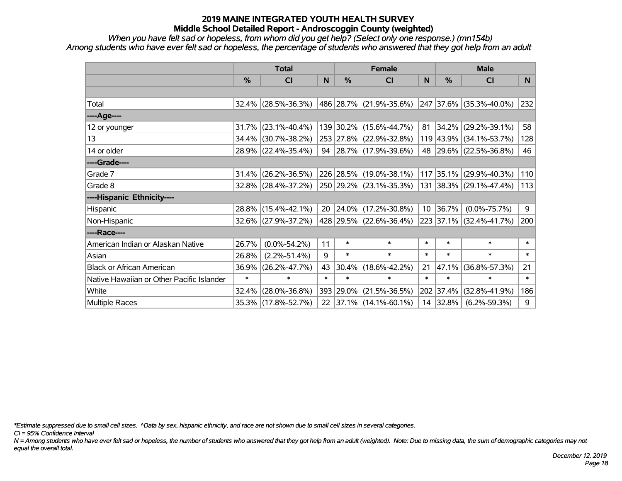*When you have felt sad or hopeless, from whom did you get help? (Select only one response.) (mn154b) Among students who have ever felt sad or hopeless, the percentage of students who answered that they got help from an adult*

|                                           | <b>Total</b> |                        |        |        | <b>Female</b>               |        | <b>Male</b>   |                         |                |  |
|-------------------------------------------|--------------|------------------------|--------|--------|-----------------------------|--------|---------------|-------------------------|----------------|--|
|                                           | $\%$         | <b>CI</b>              | N      | %      | <b>CI</b>                   | N      | $\frac{0}{0}$ | <b>CI</b>               | N <sub>1</sub> |  |
|                                           |              |                        |        |        |                             |        |               |                         |                |  |
| Total                                     |              | $32.4\%$ (28.5%-36.3%) |        |        | 486   28.7%   (21.9%-35.6%) |        |               | 247 37.6% (35.3%-40.0%) | 232            |  |
| ----Age----                               |              |                        |        |        |                             |        |               |                         |                |  |
| 12 or younger                             | 31.7%        | $(23.1\% - 40.4\%)$    |        |        | 139 30.2% (15.6%-44.7%)     | 81     | 34.2%         | $(29.2\% - 39.1\%)$     | 58             |  |
| 13                                        | 34.4%        | $(30.7\% - 38.2\%)$    |        |        | 253 27.8% (22.9%-32.8%)     |        |               | 119 43.9% (34.1%-53.7%) | 128            |  |
| 14 or older                               |              | 28.9% (22.4%-35.4%)    |        |        | 94 28.7% (17.9%-39.6%)      |        |               | 48 29.6% (22.5%-36.8%)  | 46             |  |
| ----Grade----                             |              |                        |        |        |                             |        |               |                         |                |  |
| Grade 7                                   | 31.4%        | $(26.2\% - 36.5\%)$    |        |        | 226 28.5% (19.0%-38.1%)     |        | 117 35.1%     | $(29.9\% - 40.3\%)$     | 110            |  |
| Grade 8                                   |              | $32.8\%$ (28.4%-37.2%) |        |        | 250 29.2% (23.1%-35.3%)     |        |               | 131 38.3% (29.1%-47.4%) | 113            |  |
| ----Hispanic Ethnicity----                |              |                        |        |        |                             |        |               |                         |                |  |
| Hispanic                                  | $28.8\%$     | $(15.4\% - 42.1\%)$    | 20     |        | $ 24.0\% $ (17.2%-30.8%)    |        | 10 36.7%      | $(0.0\% - 75.7\%)$      | 9              |  |
| Non-Hispanic                              |              | 32.6% (27.9%-37.2%)    |        |        | 428 29.5% (22.6%-36.4%)     |        |               | 223 37.1% (32.4%-41.7%) | 200            |  |
| ----Race----                              |              |                        |        |        |                             |        |               |                         |                |  |
| American Indian or Alaskan Native         | 26.7%        | $(0.0\% - 54.2\%)$     | 11     | $\ast$ | $\ast$                      | $\ast$ | $\ast$        | $\ast$                  | $\ast$         |  |
| Asian                                     | 26.8%        | $(2.2\% - 51.4\%)$     | 9      | $\ast$ | $\ast$                      | $\ast$ | $\ast$        | $\ast$                  | $\ast$         |  |
| <b>Black or African American</b>          | 36.9%        | $(26.2\% - 47.7\%)$    | 43     | 30.4%  | $(18.6\% - 42.2\%)$         | 21     | 47.1%         | $(36.8\% - 57.3\%)$     | 21             |  |
| Native Hawaiian or Other Pacific Islander | $\ast$       | $\ast$                 | $\ast$ | $\ast$ | $\ast$                      | $\ast$ | $\ast$        | $\ast$                  | $\ast$         |  |
| White                                     | 32.4%        | $(28.0\% - 36.8\%)$    | 393    | 29.0%  | $(21.5\% - 36.5\%)$         |        | 202 37.4%     | $(32.8\% - 41.9\%)$     | 186            |  |
| Multiple Races                            |              | 35.3% (17.8%-52.7%)    | 22     |        | $ 37.1\% $ (14.1%-60.1%)    |        | 14 32.8%      | $(6.2\% - 59.3\%)$      | 9              |  |

*\*Estimate suppressed due to small cell sizes. ^Data by sex, hispanic ethnicity, and race are not shown due to small cell sizes in several categories.*

*CI = 95% Confidence Interval*

*N = Among students who have ever felt sad or hopeless, the number of students who answered that they got help from an adult (weighted). Note: Due to missing data, the sum of demographic categories may not equal the overall total.*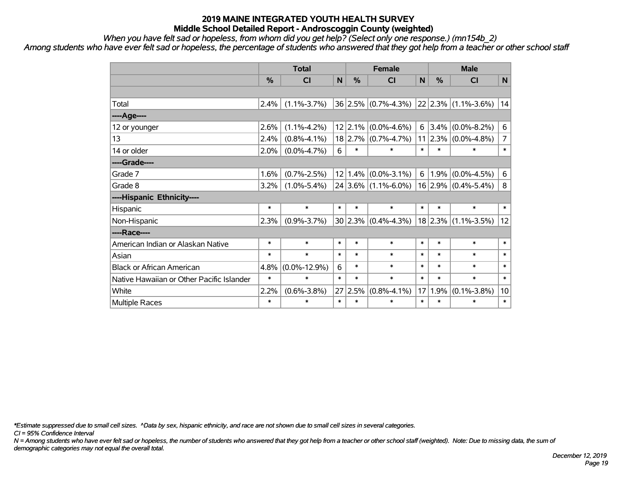*When you have felt sad or hopeless, from whom did you get help? (Select only one response.) (mn154b\_2)*

*Among students who have ever felt sad or hopeless, the percentage of students who answered that they got help from a teacher or other school staff*

|                                           | <b>Total</b>  |                    |                 | <b>Female</b> |                         |              | <b>Male</b>   |                         |                |  |
|-------------------------------------------|---------------|--------------------|-----------------|---------------|-------------------------|--------------|---------------|-------------------------|----------------|--|
|                                           | $\frac{0}{0}$ | <b>CI</b>          | N               | %             | <b>CI</b>               | $\mathsf{N}$ | $\frac{0}{0}$ | <b>CI</b>               | N              |  |
|                                           |               |                    |                 |               |                         |              |               |                         |                |  |
| Total                                     | 2.4%          | $(1.1\% - 3.7\%)$  |                 |               | $36 2.5\% $ (0.7%-4.3%) |              |               | 22 2.3% (1.1%-3.6%)     | 14             |  |
| ----Age----                               |               |                    |                 |               |                         |              |               |                         |                |  |
| 12 or younger                             | 2.6%          | $(1.1\% - 4.2\%)$  |                 | 12 2.1%       | $(0.0\% - 4.6\%)$       | 6            | 3.4%          | $(0.0\% - 8.2\%)$       | 6              |  |
| 13                                        | 2.4%          | $(0.8\% - 4.1\%)$  |                 | $18$   2.7%   | $(0.7\% - 4.7\%)$       |              | 11 2.3%       | $(0.0\% - 4.8\%)$       | $\overline{7}$ |  |
| 14 or older                               | 2.0%          | $(0.0\% - 4.7\%)$  | 6               | $\ast$        | $\ast$                  | $\ast$       | $\ast$        | *                       | $\ast$         |  |
| ----Grade----                             |               |                    |                 |               |                         |              |               |                         |                |  |
| Grade 7                                   | 1.6%          | $(0.7\% - 2.5\%)$  | 12 <sub>1</sub> | 1.4%          | $(0.0\% - 3.1\%)$       | 6            | 1.9%          | $(0.0\% - 4.5\%)$       | 6              |  |
| Grade 8                                   | $3.2\%$       | $(1.0\% - 5.4\%)$  |                 |               | $24 3.6\% $ (1.1%-6.0%) |              |               | $16 2.9\% $ (0.4%-5.4%) | 8              |  |
| ----Hispanic Ethnicity----                |               |                    |                 |               |                         |              |               |                         |                |  |
| Hispanic                                  | $\ast$        | $\ast$             | $\ast$          | $\ast$        | $\ast$                  | $\ast$       | $\ast$        | $\ast$                  | $\ast$         |  |
| Non-Hispanic                              | 2.3%          | $(0.9\% - 3.7\%)$  |                 | 30 2.3%       | $(0.4\% - 4.3\%)$       |              | 18 2.3%       | $(1.1\% - 3.5\%)$       | 12             |  |
| ----Race----                              |               |                    |                 |               |                         |              |               |                         |                |  |
| American Indian or Alaskan Native         | $\ast$        | $\ast$             | *               | $\ast$        | $\ast$                  | $\ast$       | $\ast$        | $\ast$                  | $\ast$         |  |
| Asian                                     | $\ast$        | $\ast$             | $\ast$          | $\ast$        | $\ast$                  | $\ast$       | $\ast$        | $\ast$                  | $\ast$         |  |
| <b>Black or African American</b>          | 4.8%          | $(0.0\% - 12.9\%)$ | 6               | $\ast$        | $\ast$                  | $\ast$       | $\ast$        | $\ast$                  | $\ast$         |  |
| Native Hawaiian or Other Pacific Islander | $\ast$        | $\ast$             | $\ast$          | $\ast$        | $\ast$                  | $\ast$       | $\ast$        | $\ast$                  | $\ast$         |  |
| White                                     | 2.2%          | $(0.6\% - 3.8\%)$  | 27              | 2.5%          | $(0.8\% - 4.1\%)$       | 17           | 1.9%          | $(0.1\% - 3.8\%)$       | 10             |  |
| Multiple Races                            | $\ast$        | $\ast$             | $\ast$          | $\ast$        | $\ast$                  | $\ast$       | $\ast$        | $\ast$                  | $\ast$         |  |

*\*Estimate suppressed due to small cell sizes. ^Data by sex, hispanic ethnicity, and race are not shown due to small cell sizes in several categories.*

*CI = 95% Confidence Interval*

*N = Among students who have ever felt sad or hopeless, the number of students who answered that they got help from a teacher or other school staff (weighted). Note: Due to missing data, the sum of demographic categories may not equal the overall total.*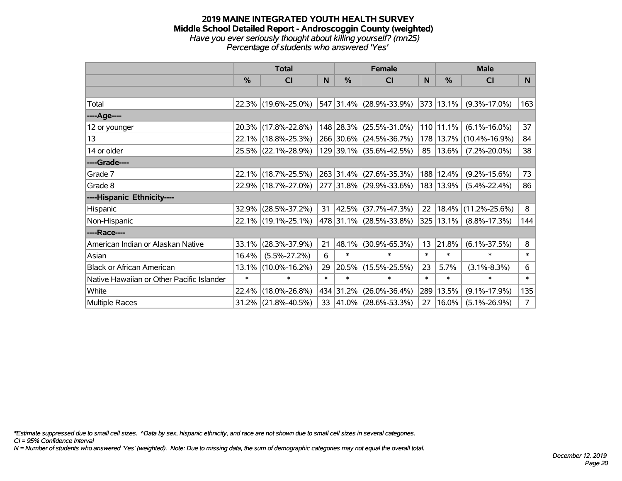#### **2019 MAINE INTEGRATED YOUTH HEALTH SURVEY Middle School Detailed Report - Androscoggin County (weighted)** *Have you ever seriously thought about killing yourself? (mn25) Percentage of students who answered 'Yes'*

|                                           | <b>Total</b> |                     |        |            | <b>Female</b>           |        | <b>Male</b> |                             |                |  |
|-------------------------------------------|--------------|---------------------|--------|------------|-------------------------|--------|-------------|-----------------------------|----------------|--|
|                                           | $\%$         | CI                  | N      | $\%$       | <b>CI</b>               | N      | $\%$        | <b>CI</b>                   | N              |  |
|                                           |              |                     |        |            |                         |        |             |                             |                |  |
| Total                                     |              | 22.3% (19.6%-25.0%) |        |            | 547 31.4% (28.9%-33.9%) |        | 373 13.1%   | $(9.3\% - 17.0\%)$          | 163            |  |
| ----Age----                               |              |                     |        |            |                         |        |             |                             |                |  |
| 12 or younger                             | 20.3%        | $(17.8\% - 22.8\%)$ |        |            | 148 28.3% (25.5%-31.0%) |        | 110 11.1%   | $(6.1\% - 16.0\%)$          | 37             |  |
| 13                                        |              | 22.1% (18.8%-25.3%) |        |            | 266 30.6% (24.5%-36.7%) |        |             | 178   13.7%   (10.4%-16.9%) | 84             |  |
| 14 or older                               |              | 25.5% (22.1%-28.9%) |        |            | 129 39.1% (35.6%-42.5%) | 85     | 13.6%       | $(7.2\% - 20.0\%)$          | 38             |  |
| ----Grade----                             |              |                     |        |            |                         |        |             |                             |                |  |
| Grade 7                                   | 22.1%        | $(18.7\% - 25.5\%)$ |        | 263 31.4%  | $(27.6\% - 35.3\%)$     |        | 188 12.4%   | $(9.2\% - 15.6\%)$          | 73             |  |
| Grade 8                                   |              | 22.9% (18.7%-27.0%) |        |            | 277 31.8% (29.9%-33.6%) |        | 183 13.9%   | $(5.4\% - 22.4\%)$          | 86             |  |
| ----Hispanic Ethnicity----                |              |                     |        |            |                         |        |             |                             |                |  |
| <b>Hispanic</b>                           | 32.9%        | $(28.5\% - 37.2\%)$ | 31     | $ 42.5\% $ | $(37.7\% - 47.3\%)$     | 22     | 18.4%       | $(11.2\% - 25.6\%)$         | 8              |  |
| Non-Hispanic                              |              | 22.1% (19.1%-25.1%) |        |            | 478 31.1% (28.5%-33.8%) |        | 325 13.1%   | $(8.8\% - 17.3\%)$          | 144            |  |
| ----Race----                              |              |                     |        |            |                         |        |             |                             |                |  |
| American Indian or Alaskan Native         | 33.1%        | $(28.3\% - 37.9\%)$ | 21     | 48.1%      | $(30.9\% - 65.3\%)$     | 13     | 21.8%       | $(6.1\% - 37.5\%)$          | 8              |  |
| Asian                                     | 16.4%        | $(5.5\% - 27.2\%)$  | 6      | $\ast$     | $\ast$                  | $\ast$ | $\ast$      | $\ast$                      | $\ast$         |  |
| <b>Black or African American</b>          | 13.1%        | $(10.0\% - 16.2\%)$ | 29     | 20.5%      | $(15.5\% - 25.5\%)$     | 23     | 5.7%        | $(3.1\% - 8.3\%)$           | 6              |  |
| Native Hawaiian or Other Pacific Islander | $\ast$       | $\ast$              | $\ast$ | $\ast$     | $\ast$                  | $\ast$ | $\ast$      | $\ast$                      | $\ast$         |  |
| White                                     | 22.4%        | $(18.0\% - 26.8\%)$ |        | 434 31.2%  | $(26.0\% - 36.4\%)$     | 289    | 13.5%       | $(9.1\% - 17.9\%)$          | 135            |  |
| <b>Multiple Races</b>                     | 31.2%        | $(21.8\% - 40.5\%)$ |        |            | 33 41.0% (28.6%-53.3%)  | 27     | 16.0%       | $(5.1\% - 26.9\%)$          | $\overline{7}$ |  |

*\*Estimate suppressed due to small cell sizes. ^Data by sex, hispanic ethnicity, and race are not shown due to small cell sizes in several categories.*

*CI = 95% Confidence Interval*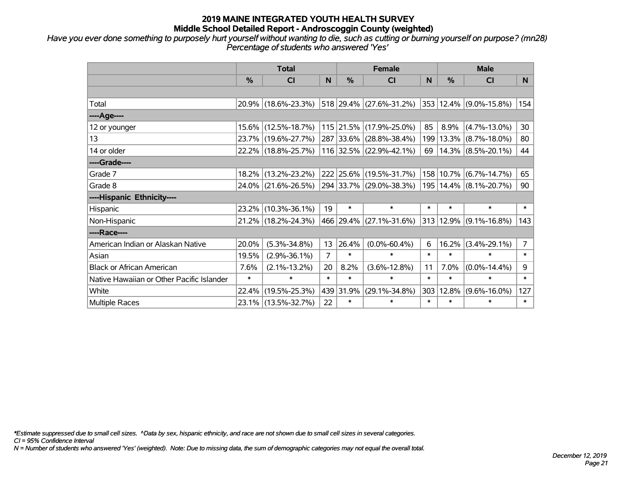*Have you ever done something to purposely hurt yourself without wanting to die, such as cutting or burning yourself on purpose? (mn28) Percentage of students who answered 'Yes'*

|                                           | <b>Total</b> |                     |        |           | <b>Female</b>           |        | <b>Male</b> |                                 |                |  |
|-------------------------------------------|--------------|---------------------|--------|-----------|-------------------------|--------|-------------|---------------------------------|----------------|--|
|                                           | %            | <b>CI</b>           | N      | %         | <b>CI</b>               | N      | $\%$        | <b>CI</b>                       | N.             |  |
|                                           |              |                     |        |           |                         |        |             |                                 |                |  |
| Total                                     |              | 20.9% (18.6%-23.3%) |        |           | 518 29.4% (27.6%-31.2%) |        |             | 353  12.4%  (9.0%-15.8%)        | 154            |  |
| ----Age----                               |              |                     |        |           |                         |        |             |                                 |                |  |
| 12 or younger                             | 15.6%        | $(12.5\% - 18.7\%)$ |        | 115 21.5% | $(17.9\% - 25.0\%)$     | 85     | 8.9%        | $(4.7\% - 13.0\%)$              | 30             |  |
| 13                                        | 23.7%        | $(19.6\% - 27.7\%)$ |        | 287 33.6% | $(28.8\% - 38.4\%)$     | 199    |             | $13.3\%$ (8.7%-18.0%)           | 80             |  |
| 14 or older                               |              | 22.2% (18.8%-25.7%) |        | 116 32.5% | $(22.9\% - 42.1\%)$     | 69     |             | $14.3\%$ (8.5%-20.1%)           | 44             |  |
| ----Grade----                             |              |                     |        |           |                         |        |             |                                 |                |  |
| Grade 7                                   | 18.2%        | $(13.2\% - 23.2\%)$ |        | 222 25.6% | $(19.5\% - 31.7\%)$     |        |             | 158 10.7% (6.7%-14.7%)          | 65             |  |
| Grade 8                                   |              | 24.0% (21.6%-26.5%) |        |           | 294 33.7% (29.0%-38.3%) |        |             | 195   14.4%   (8.1%-20.7%)      | 90             |  |
| ----Hispanic Ethnicity----                |              |                     |        |           |                         |        |             |                                 |                |  |
| Hispanic                                  | 23.2%        | $(10.3\% - 36.1\%)$ | 19     | $\ast$    | $\ast$                  | $\ast$ | $\ast$      | $\ast$                          | $\ast$         |  |
| Non-Hispanic                              | 21.2%        | $(18.2\% - 24.3\%)$ |        | 466 29.4% | $(27.1\% - 31.6\%)$     |        |             | $ 313 12.9\%  (9.1\% - 16.8\%)$ | 143            |  |
| ----Race----                              |              |                     |        |           |                         |        |             |                                 |                |  |
| American Indian or Alaskan Native         | 20.0%        | $(5.3\% - 34.8\%)$  | 13     | 26.4%     | $(0.0\% - 60.4\%)$      | 6      | 16.2%       | $(3.4\% - 29.1\%)$              | $\overline{7}$ |  |
| Asian                                     | 19.5%        | $(2.9\% - 36.1\%)$  | 7      | $\ast$    | $\ast$                  | $\ast$ | $\ast$      | $\ast$                          | $\ast$         |  |
| <b>Black or African American</b>          | 7.6%         | $(2.1\% - 13.2\%)$  | 20     | 8.2%      | $(3.6\% - 12.8\%)$      | 11     | 7.0%        | $(0.0\% - 14.4\%)$              | 9              |  |
| Native Hawaiian or Other Pacific Islander | $\ast$       | $\ast$              | $\ast$ | $\ast$    | $\ast$                  | $\ast$ | $\ast$      | $\ast$                          | $\ast$         |  |
| White                                     | 22.4%        | $(19.5\% - 25.3\%)$ |        | 439 31.9% | $(29.1\% - 34.8\%)$     | 303    | 12.8%       | $(9.6\% - 16.0\%)$              | 127            |  |
| Multiple Races                            |              | 23.1% (13.5%-32.7%) | 22     | $\ast$    | $\ast$                  | $\ast$ | $\ast$      | $\ast$                          | $\ast$         |  |

*\*Estimate suppressed due to small cell sizes. ^Data by sex, hispanic ethnicity, and race are not shown due to small cell sizes in several categories.*

*CI = 95% Confidence Interval*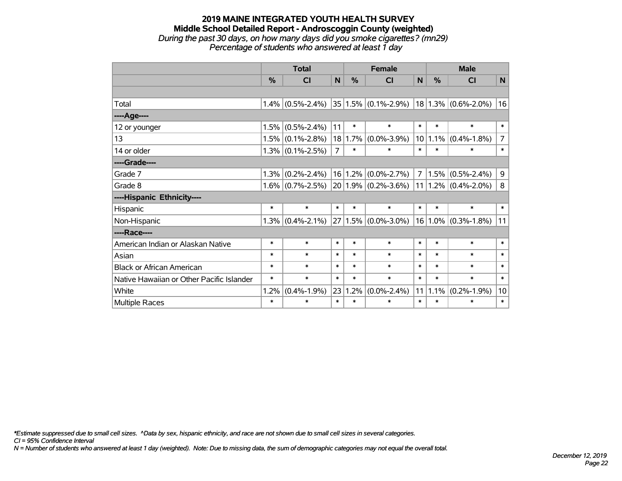#### **2019 MAINE INTEGRATED YOUTH HEALTH SURVEY Middle School Detailed Report - Androscoggin County (weighted)** *During the past 30 days, on how many days did you smoke cigarettes? (mn29) Percentage of students who answered at least 1 day*

|                                           | <b>Total</b> |                     |                | <b>Female</b> |                          |                | <b>Male</b>   |                         |                |  |
|-------------------------------------------|--------------|---------------------|----------------|---------------|--------------------------|----------------|---------------|-------------------------|----------------|--|
|                                           | $\%$         | <b>CI</b>           | N              | $\%$          | <b>CI</b>                | N              | $\frac{0}{0}$ | <b>CI</b>               | N              |  |
|                                           |              |                     |                |               |                          |                |               |                         |                |  |
| Total                                     | $1.4\%$      | $(0.5\% - 2.4\%)$   |                |               | $ 35 1.5\% $ (0.1%-2.9%) |                |               | $18 1.3\% $ (0.6%-2.0%) | 16             |  |
| ----Age----                               |              |                     |                |               |                          |                |               |                         |                |  |
| 12 or younger                             | 1.5%         | $(0.5\% - 2.4\%)$   | 11             | $\ast$        | $\ast$                   | $\ast$         | $\ast$        | $\ast$                  | $\ast$         |  |
| 13                                        | 1.5%         | $(0.1\% - 2.8\%)$   | 18             | 1.7%          | $(0.0\% - 3.9\%)$        | 10             | $1.1\%$       | $(0.4\% - 1.8\%)$       | $\overline{7}$ |  |
| 14 or older                               |              | $1.3\%$ (0.1%-2.5%) | $\overline{7}$ | $\ast$        | $\ast$                   | $\ast$         | $\ast$        | $\ast$                  | $\ast$         |  |
| ----Grade----                             |              |                     |                |               |                          |                |               |                         |                |  |
| Grade 7                                   | 1.3%         | $(0.2\% - 2.4\%)$   | 16             | 1.2%          | $(0.0\% - 2.7\%)$        | $\overline{7}$ | 1.5%          | $(0.5\% - 2.4\%)$       | 9              |  |
| Grade 8                                   | 1.6%         | $(0.7\% - 2.5\%)$   |                |               | $20 1.9\% $ (0.2%-3.6%)  |                |               | $11 1.2\% $ (0.4%-2.0%) | 8              |  |
| ----Hispanic Ethnicity----                |              |                     |                |               |                          |                |               |                         |                |  |
| Hispanic                                  | $\ast$       | $\ast$              | $\ast$         | $\ast$        | $\ast$                   | $\ast$         | $\ast$        | $\ast$                  | $\ast$         |  |
| Non-Hispanic                              | 1.3%         | $(0.4\% - 2.1\%)$   |                |               | $27 1.5\% $ (0.0%-3.0%)  |                |               | $16 1.0\% $ (0.3%-1.8%) | 11             |  |
| ----Race----                              |              |                     |                |               |                          |                |               |                         |                |  |
| American Indian or Alaskan Native         | $\ast$       | $\ast$              | $\ast$         | $\ast$        | $\ast$                   | $\ast$         | $\ast$        | $\ast$                  | $\ast$         |  |
| Asian                                     | $\ast$       | $\ast$              | $\ast$         | $\ast$        | $\ast$                   | $\ast$         | $\ast$        | $\ast$                  | $\ast$         |  |
| <b>Black or African American</b>          | $\ast$       | $\ast$              | $\ast$         | $\ast$        | $\ast$                   | $\ast$         | $\ast$        | $\ast$                  | $\ast$         |  |
| Native Hawaiian or Other Pacific Islander | $\ast$       | $\ast$              | $\ast$         | $\ast$        | $\ast$                   | $\ast$         | $\ast$        | $\ast$                  | $\ast$         |  |
| White                                     | 1.2%         | $(0.4\% - 1.9\%)$   | 23             | 1.2%          | $(0.0\% - 2.4\%)$        | 11             | 1.1%          | $(0.2\% - 1.9\%)$       | 10             |  |
| Multiple Races                            | $\ast$       | $\ast$              | $\ast$         | $\ast$        | $\ast$                   | $\ast$         | $\ast$        | $\ast$                  | $\ast$         |  |

*\*Estimate suppressed due to small cell sizes. ^Data by sex, hispanic ethnicity, and race are not shown due to small cell sizes in several categories.*

*CI = 95% Confidence Interval*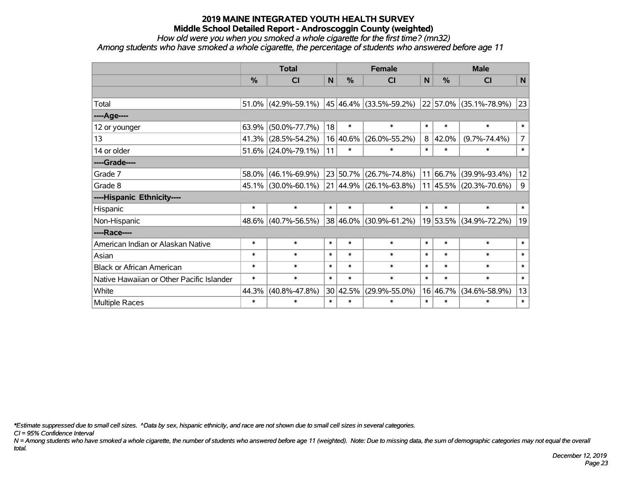*How old were you when you smoked a whole cigarette for the first time? (mn32)*

*Among students who have smoked a whole cigarette, the percentage of students who answered before age 11*

|                                           | <b>Total</b>  |                        |        |          | <b>Female</b>                                 | <b>Male</b> |               |                            |                |
|-------------------------------------------|---------------|------------------------|--------|----------|-----------------------------------------------|-------------|---------------|----------------------------|----------------|
|                                           | $\frac{0}{0}$ | CI                     | N      | %        | <b>CI</b>                                     | N           | $\frac{0}{0}$ | <b>CI</b>                  | N              |
|                                           |               |                        |        |          |                                               |             |               |                            |                |
| Total                                     |               | $51.0\%$ (42.9%-59.1%) |        |          | 45 46.4% (33.5%-59.2%) 22 57.0% (35.1%-78.9%) |             |               |                            | 23             |
| ----Age----                               |               |                        |        |          |                                               |             |               |                            |                |
| 12 or younger                             | 63.9%         | $(50.0\% - 77.7\%)$    | 18     | $\ast$   | $\ast$                                        | $\ast$      | $\ast$        | $\ast$                     | $\ast$         |
| 13                                        |               | 41.3% (28.5%-54.2%)    |        | 16 40.6% | $(26.0\% - 55.2\%)$                           | 8           | 42.0%         | $(9.7\% - 74.4\%)$         | $\overline{7}$ |
| 14 or older                               |               | $51.6\%$ (24.0%-79.1%) | 11     | $\ast$   | $\ast$                                        | $\ast$      | $\ast$        | $\ast$                     | $\ast$         |
| ----Grade----                             |               |                        |        |          |                                               |             |               |                            |                |
| Grade 7                                   | 58.0%         | $(46.1\% - 69.9\%)$    |        | 23 50.7% | $(26.7\% - 74.8\%)$                           |             | 11 66.7%      | $(39.9\% - 93.4\%)$        | 12             |
| Grade 8                                   |               | $45.1\%$ (30.0%-60.1%) |        |          | 21 44.9% (26.1%-63.8%)                        |             |               | $11 45.5\% $ (20.3%-70.6%) | 9              |
| ----Hispanic Ethnicity----                |               |                        |        |          |                                               |             |               |                            |                |
| Hispanic                                  | $\ast$        | $\ast$                 | $\ast$ | $\ast$   | $\ast$                                        | $\ast$      | $\ast$        | $\ast$                     | $\ast$         |
| Non-Hispanic                              |               | 48.6% (40.7%-56.5%)    |        | 38 46.0% | $(30.9\% - 61.2\%)$                           |             |               | 19 53.5% (34.9%-72.2%)     | 19             |
| ----Race----                              |               |                        |        |          |                                               |             |               |                            |                |
| American Indian or Alaskan Native         | $\ast$        | $\ast$                 | $\ast$ | $\ast$   | $\ast$                                        | $\ast$      | $\ast$        | $\ast$                     | $\ast$         |
| Asian                                     | $\ast$        | $\ast$                 | $\ast$ | $\ast$   | $\ast$                                        | $\ast$      | $\ast$        | $\ast$                     | $\ast$         |
| <b>Black or African American</b>          | $\ast$        | $\ast$                 | $\ast$ | $\ast$   | $\ast$                                        | $\ast$      | $\ast$        | $\ast$                     | $\ast$         |
| Native Hawaiian or Other Pacific Islander | $\ast$        | $\ast$                 | $\ast$ | $\ast$   | $\ast$                                        | $\ast$      | $\ast$        | $\ast$                     | $\ast$         |
| White                                     | 44.3%         | $(40.8\% - 47.8\%)$    |        | 30 42.5% | $(29.9\% - 55.0\%)$                           |             | 16 46.7%      | $(34.6\% - 58.9\%)$        | 13             |
| Multiple Races                            | $\ast$        | $\ast$                 | $\ast$ | $\ast$   | $\ast$                                        | $\ast$      | $\ast$        | $\ast$                     | $\ast$         |

*\*Estimate suppressed due to small cell sizes. ^Data by sex, hispanic ethnicity, and race are not shown due to small cell sizes in several categories.*

*CI = 95% Confidence Interval*

*N = Among students who have smoked a whole cigarette, the number of students who answered before age 11 (weighted). Note: Due to missing data, the sum of demographic categories may not equal the overall total.*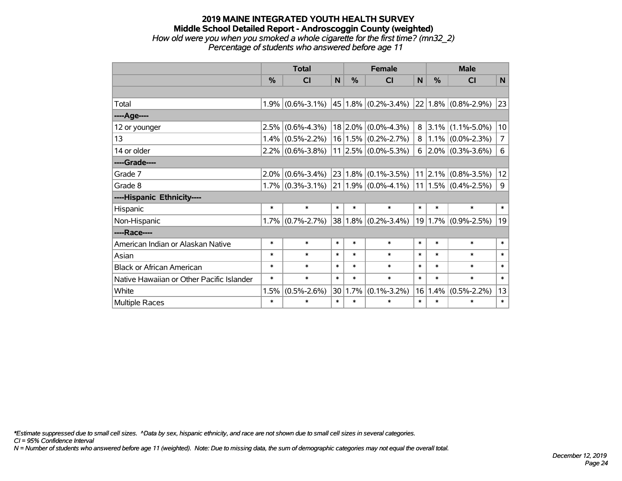#### **2019 MAINE INTEGRATED YOUTH HEALTH SURVEY Middle School Detailed Report - Androscoggin County (weighted)** *How old were you when you smoked a whole cigarette for the first time? (mn32\_2) Percentage of students who answered before age 11*

|                                           | <b>Total</b> |                         |                 | <b>Female</b> |                               |        | <b>Male</b> |                          |                |  |
|-------------------------------------------|--------------|-------------------------|-----------------|---------------|-------------------------------|--------|-------------|--------------------------|----------------|--|
|                                           | $\%$         | $\overline{\mathsf{C}}$ | N               | %             | <b>CI</b>                     | N      | $\%$        | <b>CI</b>                | N              |  |
|                                           |              |                         |                 |               |                               |        |             |                          |                |  |
| Total                                     | 1.9%         | $(0.6\% - 3.1\%)$       |                 |               | $45 1.8\% $ (0.2%-3.4%)       |        |             | $ 22 1.8\% $ (0.8%-2.9%) | 23             |  |
| ----Age----                               |              |                         |                 |               |                               |        |             |                          |                |  |
| 12 or younger                             | 2.5%         | $(0.6\% - 4.3\%)$       |                 |               | $18 2.0\% $ (0.0%-4.3%)       |        | $8 3.1\% $  | $(1.1\% - 5.0\%)$        | 10             |  |
| 13                                        | 1.4%         | $(0.5\% - 2.2\%)$       |                 |               | $16 1.5\% $ (0.2%-2.7%)       | 8      | $1.1\%$     | $(0.0\% - 2.3\%)$        | $\overline{7}$ |  |
| 14 or older                               |              | $2.2\%$ (0.6%-3.8%)     |                 |               | $11$   2.5% $(0.0\% - 5.3\%)$ |        |             | $6$   2.0%   (0.3%-3.6%) | 6              |  |
| ----Grade----                             |              |                         |                 |               |                               |        |             |                          |                |  |
| Grade 7                                   | 2.0%         | $(0.6\% - 3.4\%)$       | 23              |               | $1.8\%$ (0.1%-3.5%)           |        | $11$   2.1% | $(0.8\% - 3.5\%)$        | 12             |  |
| Grade 8                                   |              | $1.7\%$ (0.3%-3.1%)     |                 |               | $21 1.9\% $ (0.0%-4.1%)       |        |             | $ 11 1.5\% $ (0.4%-2.5%) | 9              |  |
| ----Hispanic Ethnicity----                |              |                         |                 |               |                               |        |             |                          |                |  |
| Hispanic                                  | $\ast$       | $\ast$                  | $\ast$          | $\ast$        | $\ast$                        | $\ast$ | $\ast$      | $\ast$                   | $\ast$         |  |
| Non-Hispanic                              | 1.7%         | $(0.7\% - 2.7\%)$       | 38              |               | $1.8\%$ (0.2%-3.4%)           |        | 19 1.7%     | $(0.9\% - 2.5\%)$        | 19             |  |
| ----Race----                              |              |                         |                 |               |                               |        |             |                          |                |  |
| American Indian or Alaskan Native         | $\ast$       | $\ast$                  | $\ast$          | $\ast$        | $\ast$                        | $\ast$ | $\ast$      | $\ast$                   | $\ast$         |  |
| Asian                                     | $\ast$       | $\ast$                  | $\ast$          | $\ast$        | $\ast$                        | $\ast$ | $\ast$      | $\ast$                   | $\ast$         |  |
| <b>Black or African American</b>          | $\ast$       | $\ast$                  | $\ast$          | $\ast$        | $\ast$                        | $\ast$ | $\ast$      | $\ast$                   | $\ast$         |  |
| Native Hawaiian or Other Pacific Islander | $\ast$       | $\ast$                  | $\ast$          | $\ast$        | $\ast$                        | $\ast$ | $\ast$      | $\ast$                   | $\ast$         |  |
| White                                     | 1.5%         | $(0.5\% - 2.6\%)$       | 30 <sup>°</sup> | 1.7%          | $(0.1\% - 3.2\%)$             | 16     | 1.4%        | $(0.5\% - 2.2\%)$        | 13             |  |
| <b>Multiple Races</b>                     | $\ast$       | $\ast$                  | $\ast$          | $\ast$        | *                             | $\ast$ | $\ast$      | ∗                        | $\ast$         |  |

*\*Estimate suppressed due to small cell sizes. ^Data by sex, hispanic ethnicity, and race are not shown due to small cell sizes in several categories.*

*CI = 95% Confidence Interval*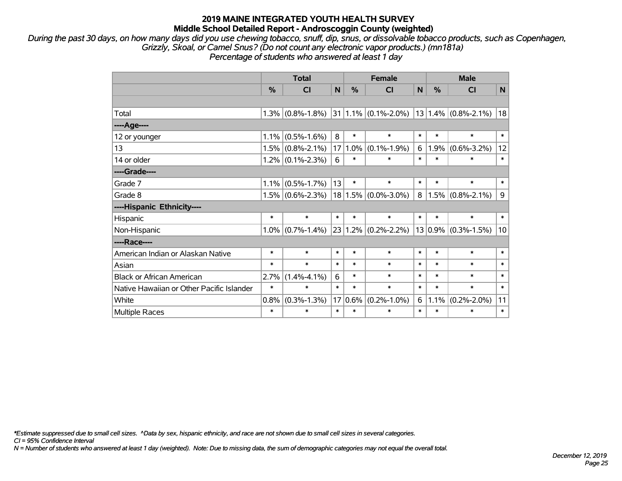*During the past 30 days, on how many days did you use chewing tobacco, snuff, dip, snus, or dissolvable tobacco products, such as Copenhagen, Grizzly, Skoal, or Camel Snus? (Do not count any electronic vapor products.) (mn181a) Percentage of students who answered at least 1 day*

|                                           | <b>Total</b> |                          |                 |               | <b>Female</b>            | <b>Male</b> |        |                         |                |
|-------------------------------------------|--------------|--------------------------|-----------------|---------------|--------------------------|-------------|--------|-------------------------|----------------|
|                                           | %            | <b>CI</b>                | N               | $\frac{0}{0}$ | <b>CI</b>                | N           | %      | <b>CI</b>               | N <sub>1</sub> |
|                                           |              |                          |                 |               |                          |             |        |                         |                |
| Total                                     | 1.3%         | $(0.8\% - 1.8\%)$        |                 |               | $ 31 1.1\% $ (0.1%-2.0%) |             |        | $13 1.4\% $ (0.8%-2.1%) | 18             |
| ----Age----                               |              |                          |                 |               |                          |             |        |                         |                |
| 12 or younger                             | 1.1%         | $(0.5\% - 1.6\%)$        | 8               | $\ast$        | $\ast$                   | $\ast$      | $\ast$ | $\ast$                  | $\ast$         |
| 13                                        | 1.5%         | $(0.8\% - 2.1\%)$        | 17 <sup>2</sup> | 1.0%          | $(0.1\% - 1.9\%)$        | 6           |        | $1.9\%$ (0.6%-3.2%)     | 12             |
| 14 or older                               |              | $1.2\%$ (0.1%-2.3%)      | 6               | $\ast$        | $\ast$                   | $\ast$      | $\ast$ | $\ast$                  | $\ast$         |
| ----Grade----                             |              |                          |                 |               |                          |             |        |                         |                |
| Grade 7                                   | 1.1%         | $(0.5\% - 1.7\%)$        | 13              | $\ast$        | $\ast$                   | $\ast$      | $\ast$ | $\ast$                  | $\ast$         |
| Grade 8                                   | 1.5%         | $(0.6\textdegree-2.3\%)$ |                 |               | $18 1.5\% $ (0.0%-3.0%)  | 8           |        | $1.5\%$ (0.8%-2.1%)     | 9              |
| ----Hispanic Ethnicity----                |              |                          |                 |               |                          |             |        |                         |                |
| Hispanic                                  | $\ast$       | $\ast$                   | $\ast$          | $\ast$        | $\ast$                   | $\ast$      | $\ast$ | $\ast$                  | $\ast$         |
| Non-Hispanic                              | $1.0\%$      | $(0.7\% - 1.4\%)$        |                 |               | $23 1.2\% $ (0.2%-2.2%)  |             |        | $13 0.9\% $ (0.3%-1.5%) | 10             |
| ----Race----                              |              |                          |                 |               |                          |             |        |                         |                |
| American Indian or Alaskan Native         | $\ast$       | $\ast$                   | $\ast$          | $\ast$        | $\ast$                   | $\ast$      | $\ast$ | $\ast$                  | $\ast$         |
| Asian                                     | $\ast$       | $\ast$                   | $\ast$          | $\ast$        | $\ast$                   | $\ast$      | $\ast$ | $\ast$                  | $\ast$         |
| <b>Black or African American</b>          | 2.7%         | $(1.4\% - 4.1\%)$        | 6               | $\ast$        | $\ast$                   | $\ast$      | $\ast$ | $\ast$                  | $\ast$         |
| Native Hawaiian or Other Pacific Islander | $\ast$       | $\ast$                   | $\ast$          | $\ast$        | $\ast$                   | $\ast$      | $\ast$ | $\ast$                  | $\ast$         |
| White                                     | 0.8%         | $(0.3\% - 1.3\%)$        | 17              | 0.6%          | $(0.2\% - 1.0\%)$        | 6           |        | $1.1\%$ (0.2%-2.0%)     | 11             |
| <b>Multiple Races</b>                     | $\ast$       | $\ast$                   | $\ast$          | $\ast$        | $\ast$                   | $\ast$      | $\ast$ | $\ast$                  | $\ast$         |

*\*Estimate suppressed due to small cell sizes. ^Data by sex, hispanic ethnicity, and race are not shown due to small cell sizes in several categories.*

*CI = 95% Confidence Interval*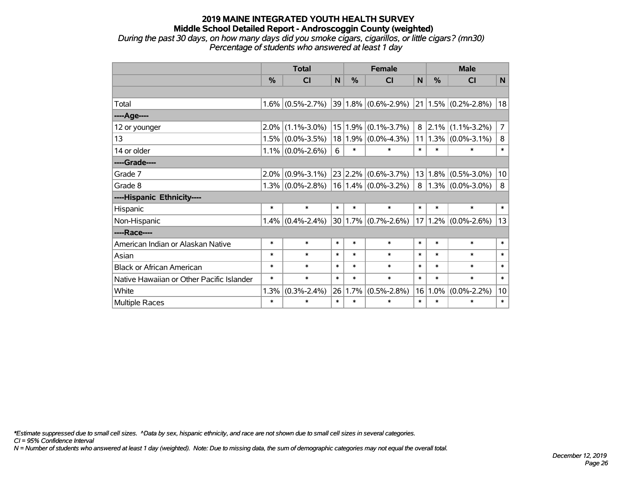*During the past 30 days, on how many days did you smoke cigars, cigarillos, or little cigars? (mn30) Percentage of students who answered at least 1 day*

|                                           |        | <b>Total</b>        |        | <b>Female</b> |                              |                 | <b>Male</b> |                              |                |
|-------------------------------------------|--------|---------------------|--------|---------------|------------------------------|-----------------|-------------|------------------------------|----------------|
|                                           | %      | <b>CI</b>           | N      | %             | <b>CI</b>                    | N               | $\%$        | <b>CI</b>                    | N              |
|                                           |        |                     |        |               |                              |                 |             |                              |                |
| Total                                     |        | $1.6\%$ (0.5%-2.7%) |        |               | $ 39 1.8\%  (0.6\% - 2.9\%)$ |                 |             | $ 21 1.5\%  (0.2\% - 2.8\%)$ | 18             |
| ----Age----                               |        |                     |        |               |                              |                 |             |                              |                |
| 12 or younger                             | 2.0%   | $(1.1\% - 3.0\%)$   |        | 15 1.9%       | $(0.1\% - 3.7\%)$            | 8               | 2.1%        | $(1.1\% - 3.2\%)$            | $\overline{7}$ |
| 13                                        |        | $1.5\%$ (0.0%-3.5%) |        |               | 18 1.9% (0.0%-4.3%)          | 11              |             | $1.3\%$ (0.0%-3.1%)          | 8              |
| 14 or older                               |        | $1.1\%$ (0.0%-2.6%) | 6      | $\ast$        | $\ast$                       | $\ast$          | *           | ∗                            | $\ast$         |
| ----Grade----                             |        |                     |        |               |                              |                 |             |                              |                |
| Grade 7                                   | 2.0%   | $(0.9\% - 3.1\%)$   |        | 23 2.2%       | $(0.6\% - 3.7\%)$            | 13              | 1.8%        | $(0.5\% - 3.0\%)$            | 10             |
| Grade 8                                   |        | $1.3\%$ (0.0%-2.8%) |        |               | $16 1.4\% $ (0.0%-3.2%)      | 8               |             | $1.3\%$ (0.0%-3.0%)          | 8              |
| ----Hispanic Ethnicity----                |        |                     |        |               |                              |                 |             |                              |                |
| Hispanic                                  | $\ast$ | $\ast$              | $\ast$ | $\ast$        | $\ast$                       | $\ast$          | $\ast$      | $\ast$                       | $\ast$         |
| Non-Hispanic                              |        | $1.4\%$ (0.4%-2.4%) |        |               | 30   1.7%   (0.7%-2.6%)      | 17 <sup>1</sup> |             | $1.2\%$ $(0.0\%$ -2.6%)      | 13             |
| ----Race----                              |        |                     |        |               |                              |                 |             |                              |                |
| American Indian or Alaskan Native         | $\ast$ | $\ast$              | $\ast$ | $\ast$        | $\ast$                       | $\ast$          | $\ast$      | $\ast$                       | $\ast$         |
| Asian                                     | $\ast$ | $\ast$              | $\ast$ | $\ast$        | $\ast$                       | $\ast$          | $\ast$      | $\ast$                       | $\ast$         |
| <b>Black or African American</b>          | $\ast$ | $\ast$              | $\ast$ | $\ast$        | $\ast$                       | $\ast$          | $\ast$      | $\ast$                       | $\ast$         |
| Native Hawaiian or Other Pacific Islander | $\ast$ | $\ast$              | $\ast$ | $\ast$        | $\ast$                       | $\ast$          | $\ast$      | $\ast$                       | $\ast$         |
| White                                     | 1.3%   | $(0.3\% - 2.4\%)$   | 26     | 1.7%          | $(0.5\% - 2.8\%)$            | 16              | 1.0%        | $(0.0\% - 2.2\%)$            | 10             |
| <b>Multiple Races</b>                     | $\ast$ | $\ast$              | $\ast$ | $\ast$        | $\ast$                       | $\ast$          | *           | $\ast$                       | $\ast$         |

*\*Estimate suppressed due to small cell sizes. ^Data by sex, hispanic ethnicity, and race are not shown due to small cell sizes in several categories.*

*CI = 95% Confidence Interval*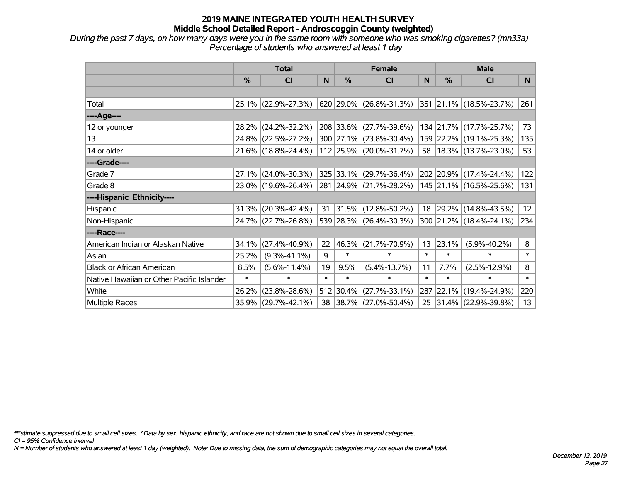*During the past 7 days, on how many days were you in the same room with someone who was smoking cigarettes? (mn33a) Percentage of students who answered at least 1 day*

|                                           | <b>Total</b>  |                     |        |            | <b>Female</b>            |        | <b>Male</b> |                            |                 |  |
|-------------------------------------------|---------------|---------------------|--------|------------|--------------------------|--------|-------------|----------------------------|-----------------|--|
|                                           | $\frac{0}{0}$ | CI                  | N      | $\%$       | <b>CI</b>                | N      | $\%$        | <b>CI</b>                  | <b>N</b>        |  |
|                                           |               |                     |        |            |                          |        |             |                            |                 |  |
| Total                                     |               | 25.1% (22.9%-27.3%) |        |            | 620 29.0% (26.8%-31.3%)  |        |             | 351 21.1% (18.5%-23.7%)    | 261             |  |
| ----Age----                               |               |                     |        |            |                          |        |             |                            |                 |  |
| 12 or younger                             | 28.2%         | $(24.2\% - 32.2\%)$ |        |            | 208 33.6% (27.7%-39.6%)  |        |             | 134 21.7% (17.7%-25.7%)    | 73              |  |
| 13                                        |               | 24.8% (22.5%-27.2%) |        |            | 300 27.1% (23.8%-30.4%)  |        |             | 159 22.2% (19.1%-25.3%)    | 135             |  |
| 14 or older                               |               | 21.6% (18.8%-24.4%) |        |            | 112 25.9% (20.0%-31.7%)  |        |             | 58   18.3%   (13.7%-23.0%) | 53              |  |
| ----Grade----                             |               |                     |        |            |                          |        |             |                            |                 |  |
| Grade 7                                   | 27.1%         | $(24.0\% - 30.3\%)$ |        |            | 325 33.1% (29.7%-36.4%)  |        |             | 202 20.9% (17.4%-24.4%)    | 122             |  |
| Grade 8                                   |               | 23.0% (19.6%-26.4%) |        |            | 281 24.9% (21.7%-28.2%)  |        |             | 145 21.1% (16.5%-25.6%)    | 131             |  |
| ----Hispanic Ethnicity----                |               |                     |        |            |                          |        |             |                            |                 |  |
| Hispanic                                  | 31.3%         | $(20.3\% - 42.4\%)$ | 31     |            | 31.5% (12.8%-50.2%)      |        |             | 18 29.2% (14.8%-43.5%)     | 12 <sup>2</sup> |  |
| Non-Hispanic                              |               | 24.7% (22.7%-26.8%) |        |            | 539 28.3% (26.4%-30.3%)  |        |             | 300 21.2% (18.4%-24.1%)    | 234             |  |
| ----Race----                              |               |                     |        |            |                          |        |             |                            |                 |  |
| American Indian or Alaskan Native         | 34.1%         | $(27.4\% - 40.9\%)$ | 22     | $ 46.3\% $ | $(21.7\% - 70.9\%)$      | 13     | 23.1%       | $(5.9\% - 40.2\%)$         | 8               |  |
| Asian                                     | 25.2%         | $(9.3\% - 41.1\%)$  | 9      | $\ast$     | $\ast$                   | $\ast$ | $\ast$      | $\ast$                     | $\ast$          |  |
| <b>Black or African American</b>          | 8.5%          | $(5.6\% - 11.4\%)$  | 19     | 9.5%       | $(5.4\% - 13.7\%)$       | 11     | 7.7%        | $(2.5\% - 12.9\%)$         | 8               |  |
| Native Hawaiian or Other Pacific Islander | $\ast$        | $\ast$              | $\ast$ | $\ast$     | $\ast$                   | $\ast$ | $\ast$      | $\ast$                     | $\ast$          |  |
| White                                     | 26.2%         | $(23.8\% - 28.6\%)$ | 512    | $ 30.4\% $ | $(27.7\% - 33.1\%)$      |        | 287 22.1%   | $(19.4\% - 24.9\%)$        | 220             |  |
| Multiple Races                            | 35.9%         | $(29.7\% - 42.1\%)$ | 38     |            | $ 38.7\% $ (27.0%-50.4%) |        |             | 25 31.4% (22.9%-39.8%)     | 13              |  |

*\*Estimate suppressed due to small cell sizes. ^Data by sex, hispanic ethnicity, and race are not shown due to small cell sizes in several categories.*

*CI = 95% Confidence Interval*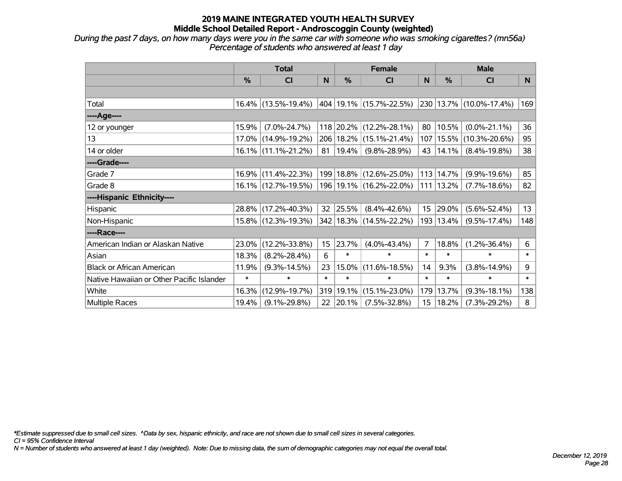*During the past 7 days, on how many days were you in the same car with someone who was smoking cigarettes? (mn56a) Percentage of students who answered at least 1 day*

|                                           | <b>Total</b> |                        |        | <b>Female</b> |                             |                  | <b>Male</b>   |                         |        |
|-------------------------------------------|--------------|------------------------|--------|---------------|-----------------------------|------------------|---------------|-------------------------|--------|
|                                           | $\%$         | <b>CI</b>              | N      | %             | <b>CI</b>                   | N                | %             | <b>CI</b>               | N      |
|                                           |              |                        |        |               |                             |                  |               |                         |        |
| Total                                     |              | 16.4% (13.5%-19.4%)    |        |               | 404   19.1%   (15.7%-22.5%) |                  |               | 230 13.7% (10.0%-17.4%) | 169    |
| ----Age----                               |              |                        |        |               |                             |                  |               |                         |        |
| 12 or younger                             | 15.9%        | $(7.0\% - 24.7\%)$     |        |               | 118 20.2% (12.2%-28.1%)     | 80               | 10.5%         | $(0.0\% - 21.1\%)$      | 36     |
| 13                                        |              | 17.0% (14.9%-19.2%)    |        |               | 206   18.2%   (15.1%-21.4%) | 107              | 15.5%         | $(10.3\% - 20.6\%)$     | 95     |
| 14 or older                               |              | $16.1\%$ (11.1%-21.2%) |        | 81   19.4%    | $(9.8\% - 28.9\%)$          | 43               | 14.1%         | $(8.4\% - 19.8\%)$      | 38     |
| ----Grade----                             |              |                        |        |               |                             |                  |               |                         |        |
| Grade 7                                   |              | 16.9% (11.4%-22.3%)    |        |               | 199   18.8%   (12.6%-25.0%) | 113              | 14.7%         | $(9.9\% - 19.6\%)$      | 85     |
| Grade 8                                   |              | 16.1% (12.7%-19.5%)    |        |               | 196 19.1% (16.2%-22.0%)     |                  | $111$   13.2% | $(7.7\% - 18.6\%)$      | 82     |
| ----Hispanic Ethnicity----                |              |                        |        |               |                             |                  |               |                         |        |
| Hispanic                                  |              | 28.8% (17.2%-40.3%)    | 32     | 25.5%         | $(8.4\% - 42.6\%)$          | 15 <sub>1</sub>  | 29.0%         | $(5.6\% - 52.4\%)$      | 13     |
| Non-Hispanic                              |              | 15.8% (12.3%-19.3%)    |        |               | 342 18.3% (14.5%-22.2%)     | 193              | 13.4%         | $(9.5\% - 17.4\%)$      | 148    |
| ----Race----                              |              |                        |        |               |                             |                  |               |                         |        |
| American Indian or Alaskan Native         | 23.0%        | $(12.2\% - 33.8\%)$    | 15     | 23.7%         | $(4.0\% - 43.4\%)$          | 7                | 18.8%         | $(1.2\% - 36.4\%)$      | 6      |
| Asian                                     | 18.3%        | $(8.2\% - 28.4\%)$     | 6      | $\ast$        | $\ast$                      | $\ast$           | $\ast$        | $\ast$                  | $\ast$ |
| <b>Black or African American</b>          | 11.9%        | $(9.3\% - 14.5\%)$     | 23     | 15.0%         | $(11.6\% - 18.5\%)$         | 14               | 9.3%          | $(3.8\% - 14.9\%)$      | 9      |
| Native Hawaiian or Other Pacific Islander | $\ast$       | $\ast$                 | $\ast$ | $\ast$        | $\ast$                      | $\ast$           | $\ast$        | $\ast$                  | $\ast$ |
| White                                     | 16.3%        | $(12.9\% - 19.7\%)$    | 319    | 19.1%         | $(15.1\% - 23.0\%)$         | 179              | 13.7%         | $(9.3\% - 18.1\%)$      | 138    |
| Multiple Races                            | 19.4%        | $(9.1\% - 29.8\%)$     |        | 22 20.1%      | $(7.5\% - 32.8\%)$          | 15 <sub>15</sub> | 18.2%         | $(7.3\% - 29.2\%)$      | 8      |

*\*Estimate suppressed due to small cell sizes. ^Data by sex, hispanic ethnicity, and race are not shown due to small cell sizes in several categories.*

*CI = 95% Confidence Interval*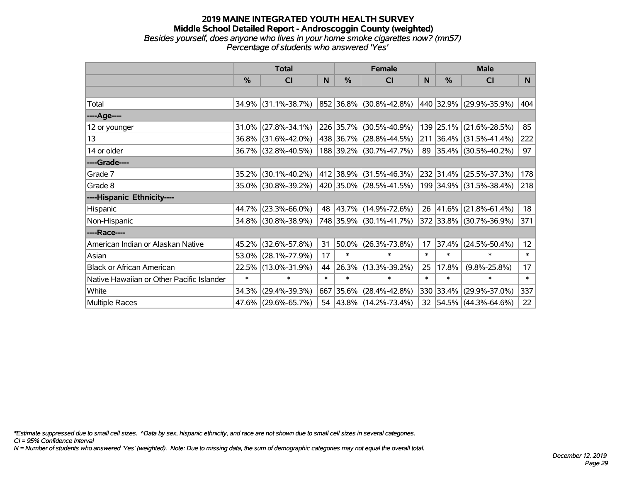#### **2019 MAINE INTEGRATED YOUTH HEALTH SURVEY Middle School Detailed Report - Androscoggin County (weighted)** *Besides yourself, does anyone who lives in your home smoke cigarettes now? (mn57) Percentage of students who answered 'Yes'*

|                                           | <b>Total</b>  |                     |        |               | <b>Female</b>            |        | <b>Male</b> |                         |        |  |
|-------------------------------------------|---------------|---------------------|--------|---------------|--------------------------|--------|-------------|-------------------------|--------|--|
|                                           | $\frac{0}{0}$ | <b>CI</b>           | N      | $\frac{9}{6}$ | <b>CI</b>                | N      | %           | <b>CI</b>               | N      |  |
|                                           |               |                     |        |               |                          |        |             |                         |        |  |
| Total                                     |               | 34.9% (31.1%-38.7%) |        |               | 852 36.8% (30.8%-42.8%)  |        | 440 32.9%   | $(29.9\% - 35.9\%)$     | 404    |  |
| ----Age----                               |               |                     |        |               |                          |        |             |                         |        |  |
| 12 or younger                             | 31.0%         | $(27.8\% - 34.1\%)$ |        |               | 226 35.7% (30.5%-40.9%)  | 139    | 25.1%       | $(21.6\% - 28.5\%)$     | 85     |  |
| 13                                        | 36.8%         | $(31.6\% - 42.0\%)$ |        |               | 438 36.7% (28.8%-44.5%)  |        | 211 36.4%   | $(31.5\% - 41.4\%)$     | 222    |  |
| 14 or older                               |               | 36.7% (32.8%-40.5%) |        |               | 188 39.2% (30.7%-47.7%)  |        |             | 89 35.4% (30.5%-40.2%)  | 97     |  |
| ----Grade----                             |               |                     |        |               |                          |        |             |                         |        |  |
| Grade 7                                   | 35.2%         | $(30.1\% - 40.2\%)$ |        |               | 412 38.9% (31.5%-46.3%)  |        | 232 31.4%   | $(25.5\% - 37.3\%)$     | 178    |  |
| Grade 8                                   | 35.0%         | $(30.8\% - 39.2\%)$ |        |               | 420 35.0% (28.5%-41.5%)  |        |             | 199 34.9% (31.5%-38.4%) | 218    |  |
| ----Hispanic Ethnicity----                |               |                     |        |               |                          |        |             |                         |        |  |
| Hispanic                                  | 44.7%         | $(23.3\% - 66.0\%)$ | 48     |               | $ 43.7\% $ (14.9%-72.6%) |        | 26 41.6%    | $(21.8\% - 61.4\%)$     | 18     |  |
| Non-Hispanic                              | 34.8%         | $(30.8\% - 38.9\%)$ |        |               | 748 35.9% (30.1%-41.7%)  |        |             | 372 33.8% (30.7%-36.9%) | 371    |  |
| ----Race----                              |               |                     |        |               |                          |        |             |                         |        |  |
| American Indian or Alaskan Native         | 45.2%         | $(32.6\% - 57.8\%)$ | 31     |               | $50.0\%$ (26.3%-73.8%)   | 17     | 37.4%       | $(24.5\% - 50.4\%)$     | 12     |  |
| Asian                                     | 53.0%         | $(28.1\% - 77.9\%)$ | 17     | $\ast$        | $\ast$                   | $\ast$ | $\ast$      | $\ast$                  | $\ast$ |  |
| <b>Black or African American</b>          | 22.5%         | $(13.0\% - 31.9\%)$ | 44     |               | 26.3% (13.3%-39.2%)      | 25     | 17.8%       | $(9.8\% - 25.8\%)$      | 17     |  |
| Native Hawaiian or Other Pacific Islander | $\ast$        | $\ast$              | $\ast$ | $\ast$        | $\ast$                   | $\ast$ | $\ast$      | $\ast$                  | $\ast$ |  |
| White                                     | 34.3%         | $(29.4\% - 39.3\%)$ | 667    |               | $ 35.6\% $ (28.4%-42.8%) |        | 330 33.4%   | $(29.9\% - 37.0\%)$     | 337    |  |
| <b>Multiple Races</b>                     |               | 47.6% (29.6%-65.7%) |        |               | 54 43.8% (14.2%-73.4%)   |        |             | 32 54.5% (44.3%-64.6%)  | 22     |  |

*\*Estimate suppressed due to small cell sizes. ^Data by sex, hispanic ethnicity, and race are not shown due to small cell sizes in several categories.*

*CI = 95% Confidence Interval*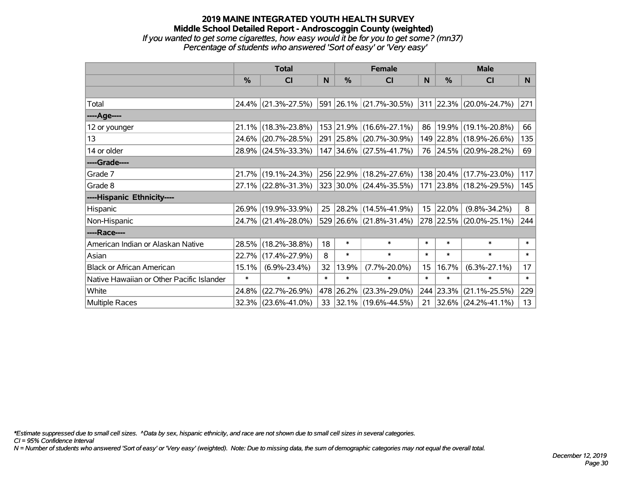#### **2019 MAINE INTEGRATED YOUTH HEALTH SURVEY Middle School Detailed Report - Androscoggin County (weighted)** *If you wanted to get some cigarettes, how easy would it be for you to get some? (mn37) Percentage of students who answered 'Sort of easy' or 'Very easy'*

|                                           | <b>Total</b>  |                     |        |           | <b>Female</b>                   |                  | <b>Male</b> |                         |                |  |
|-------------------------------------------|---------------|---------------------|--------|-----------|---------------------------------|------------------|-------------|-------------------------|----------------|--|
|                                           | $\frac{0}{0}$ | <b>CI</b>           | N      | $\%$      | CI                              | N                | %           | <b>CI</b>               | N <sub>1</sub> |  |
|                                           |               |                     |        |           |                                 |                  |             |                         |                |  |
| Total                                     |               | 24.4% (21.3%-27.5%) |        |           | $ 591 26.1\% (21.7\% - 30.5\%)$ |                  |             | 311 22.3% (20.0%-24.7%) | 271            |  |
| ----Age----                               |               |                     |        |           |                                 |                  |             |                         |                |  |
| 12 or younger                             | 21.1%         | $(18.3\% - 23.8\%)$ |        |           | 153 21.9% (16.6%-27.1%)         | 86               | 19.9%       | $(19.1\% - 20.8\%)$     | 66             |  |
| 13                                        | 24.6%         | $(20.7\% - 28.5\%)$ |        |           | 291 25.8% (20.7%-30.9%)         |                  |             | 149 22.8% (18.9%-26.6%) | 135            |  |
| 14 or older                               |               | 28.9% (24.5%-33.3%) |        |           | 147 34.6% (27.5%-41.7%)         |                  |             | 76 24.5% (20.9%-28.2%)  | 69             |  |
| ----Grade----                             |               |                     |        |           |                                 |                  |             |                         |                |  |
| Grade 7                                   | 21.7%         | $(19.1\% - 24.3\%)$ |        |           | 256 22.9% (18.2%-27.6%)         |                  | 138 20.4%   | $(17.7\% - 23.0\%)$     | 117            |  |
| Grade 8                                   |               | 27.1% (22.8%-31.3%) |        |           | 323 30.0% (24.4%-35.5%)         |                  |             | 171 23.8% (18.2%-29.5%) | 145            |  |
| ----Hispanic Ethnicity----                |               |                     |        |           |                                 |                  |             |                         |                |  |
| Hispanic                                  |               | 26.9% (19.9%-33.9%) | 25     |           | 28.2% (14.5%-41.9%)             |                  | 15 22.0%    | $(9.8\% - 34.2\%)$      | 8              |  |
| Non-Hispanic                              |               | 24.7% (21.4%-28.0%) |        |           | 529 26.6% (21.8%-31.4%)         |                  |             | 278 22.5% (20.0%-25.1%) | 244            |  |
| ----Race----                              |               |                     |        |           |                                 |                  |             |                         |                |  |
| American Indian or Alaskan Native         | 28.5%         | $(18.2\% - 38.8\%)$ | 18     | $\ast$    | $\ast$                          | $\ast$           | $\ast$      | $\ast$                  | $\ast$         |  |
| Asian                                     | 22.7%         | $(17.4\% - 27.9\%)$ | 8      | $\ast$    | $\ast$                          | $\ast$           | $\ast$      | $\ast$                  | $\ast$         |  |
| <b>Black or African American</b>          | 15.1%         | $(6.9\% - 23.4\%)$  | 32     | 13.9%     | $(7.7\% - 20.0\%)$              | 15 <sub>15</sub> | 16.7%       | $(6.3\% - 27.1\%)$      | 17             |  |
| Native Hawaiian or Other Pacific Islander | $\ast$        | $\ast$              | $\ast$ | $\ast$    | $\ast$                          | $\ast$           | $\ast$      | $\ast$                  | $\ast$         |  |
| White                                     | 24.8%         | $(22.7\% - 26.9\%)$ |        | 478 26.2% | $(23.3\% - 29.0\%)$             |                  | 244 23.3%   | $(21.1\% - 25.5\%)$     | 229            |  |
| <b>Multiple Races</b>                     |               | 32.3% (23.6%-41.0%) |        |           | 33 32.1% (19.6%-44.5%)          | 21               | $ 32.6\% $  | $(24.2\% - 41.1\%)$     | 13             |  |

*\*Estimate suppressed due to small cell sizes. ^Data by sex, hispanic ethnicity, and race are not shown due to small cell sizes in several categories.*

*CI = 95% Confidence Interval*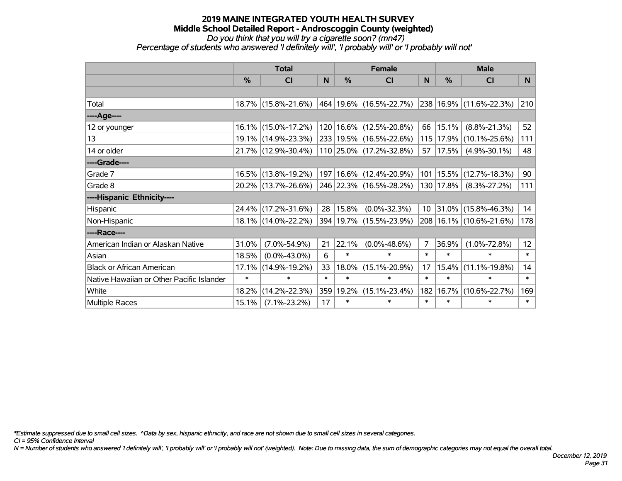#### **2019 MAINE INTEGRATED YOUTH HEALTH SURVEY Middle School Detailed Report - Androscoggin County (weighted)** *Do you think that you will try a cigarette soon? (mn47)*

*Percentage of students who answered 'I definitely will', 'I probably will' or 'I probably will not'*

|                                           | <b>Total</b>  |                                             |        |        | <b>Female</b>               |                 | <b>Male</b> |                            |                 |  |
|-------------------------------------------|---------------|---------------------------------------------|--------|--------|-----------------------------|-----------------|-------------|----------------------------|-----------------|--|
|                                           | $\frac{0}{0}$ | <b>CI</b>                                   | N      | %      | CI                          | N               | %           | <b>CI</b>                  | <b>N</b>        |  |
|                                           |               |                                             |        |        |                             |                 |             |                            |                 |  |
| Total                                     |               | 18.7% (15.8%-21.6%)                         |        |        | 464  19.6%  (16.5%-22.7%)   |                 |             | 238 16.9% (11.6%-22.3%)    | 210             |  |
| ----Age----                               |               |                                             |        |        |                             |                 |             |                            |                 |  |
| 12 or younger                             |               | 16.1% (15.0%-17.2%)                         |        |        | 120   16.6%   (12.5%-20.8%) | 66              | 15.1%       | $(8.8\% - 21.3\%)$         | 52              |  |
| 13                                        |               | 19.1% (14.9%-23.3%)                         |        |        | 233 19.5% (16.5%-22.6%)     | 115             | 17.9%       | $(10.1\% - 25.6\%)$        | 111             |  |
| 14 or older                               |               | 21.7% (12.9%-30.4%)                         |        |        | $110$ 25.0% (17.2%-32.8%)   | 57              | 17.5%       | $(4.9\% - 30.1\%)$         | 48              |  |
| ----Grade----                             |               |                                             |        |        |                             |                 |             |                            |                 |  |
| Grade 7                                   |               | 16.5% (13.8%-19.2%)                         |        |        | 197   16.6%   (12.4%-20.9%) | 101             | 15.5%       | $(12.7\% - 18.3\%)$        | 90              |  |
| Grade 8                                   |               | 20.2% (13.7%-26.6%) 246 22.3% (16.5%-28.2%) |        |        |                             |                 |             | 130   17.8%   (8.3%-27.2%) | 111             |  |
| ----Hispanic Ethnicity----                |               |                                             |        |        |                             |                 |             |                            |                 |  |
| Hispanic                                  | $24.4\%$      | $(17.2\% - 31.6\%)$                         | 28     | 15.8%  | $(0.0\% - 32.3\%)$          | 10 <sup>°</sup> | 31.0%       | $(15.8\% - 46.3\%)$        | 14              |  |
| Non-Hispanic                              |               | 18.1% (14.0%-22.2%)                         |        |        | 394 19.7% (15.5%-23.9%)     | 208             |             | $16.1\%$ (10.6%-21.6%)     | 178             |  |
| ----Race----                              |               |                                             |        |        |                             |                 |             |                            |                 |  |
| American Indian or Alaskan Native         | 31.0%         | $(7.0\% - 54.9\%)$                          | 21     | 22.1%  | $(0.0\% - 48.6\%)$          | 7               | 36.9%       | $(1.0\% - 72.8\%)$         | 12 <sub>2</sub> |  |
| Asian                                     | 18.5%         | $(0.0\% - 43.0\%)$                          | 6      | $\ast$ | $\ast$                      | $\ast$          | $\ast$      | $\ast$                     | $\ast$          |  |
| <b>Black or African American</b>          | 17.1%         | $(14.9\% - 19.2\%)$                         | 33     | 18.0%  | $(15.1\% - 20.9\%)$         | 17              | 15.4%       | $(11.1\% - 19.8\%)$        | 14              |  |
| Native Hawaiian or Other Pacific Islander | $\ast$        | $\ast$                                      | $\ast$ | $\ast$ | $\ast$                      | $\ast$          | $\ast$      | $\ast$                     | $\ast$          |  |
| White                                     | 18.2%         | $(14.2\% - 22.3\%)$                         | 359    | 19.2%  | $(15.1\% - 23.4\%)$         | 182             | 16.7%       | $(10.6\% - 22.7\%)$        | 169             |  |
| Multiple Races                            | 15.1%         | $(7.1\% - 23.2\%)$                          | 17     | $\ast$ | $\ast$                      | $\ast$          | $\ast$      | *                          | $\ast$          |  |

*\*Estimate suppressed due to small cell sizes. ^Data by sex, hispanic ethnicity, and race are not shown due to small cell sizes in several categories.*

*CI = 95% Confidence Interval*

*N = Number of students who answered 'I definitely will', 'I probably will' or 'I probably will not' (weighted). Note: Due to missing data, the sum of demographic categories may not equal the overall total.*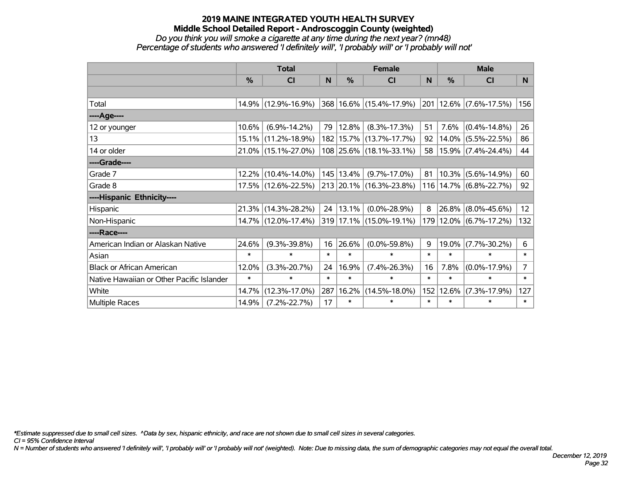#### **2019 MAINE INTEGRATED YOUTH HEALTH SURVEY Middle School Detailed Report - Androscoggin County (weighted)** *Do you think you will smoke a cigarette at any time during the next year? (mn48)*

*Percentage of students who answered 'I definitely will', 'I probably will' or 'I probably will not'*

|                                           | <b>Total</b>  |                     |        |           | <b>Female</b>                   | <b>Male</b> |            |                                                |                |
|-------------------------------------------|---------------|---------------------|--------|-----------|---------------------------------|-------------|------------|------------------------------------------------|----------------|
|                                           | $\frac{0}{0}$ | <b>CI</b>           | N      | %         | <b>CI</b>                       | N           | $\%$       | <b>CI</b>                                      | N <sub>1</sub> |
|                                           |               |                     |        |           |                                 |             |            |                                                |                |
| Total                                     |               | 14.9% (12.9%-16.9%) |        |           | 368 16.6% (15.4%-17.9%)         |             |            | $\vert$ 201 $\vert$ 12.6% $\vert$ (7.6%-17.5%) | 156            |
| ----Age----                               |               |                     |        |           |                                 |             |            |                                                |                |
| 12 or younger                             | 10.6%         | $(6.9\% - 14.2\%)$  | 79     | 12.8%     | $(8.3\% - 17.3\%)$              | 51          | 7.6%       | $(0.4\% - 14.8\%)$                             | 26             |
| 13                                        | 15.1%         | $(11.2\% - 18.9\%)$ |        |           | 182 15.7% (13.7%-17.7%)         | 92          | 14.0%      | $(5.5\% - 22.5\%)$                             | 86             |
| 14 or older                               |               | 21.0% (15.1%-27.0%) |        |           | 108 25.6% (18.1%-33.1%)         | 58          |            | $ 15.9\% $ (7.4%-24.4%)                        | 44             |
| ----Grade----                             |               |                     |        |           |                                 |             |            |                                                |                |
| Grade 7                                   | 12.2%         | $(10.4\% - 14.0\%)$ |        | 145 13.4% | $(9.7\% - 17.0\%)$              | 81          | $ 10.3\% $ | $(5.6\% - 14.9\%)$                             | 60             |
| Grade 8                                   |               | 17.5% (12.6%-22.5%) |        |           | $ 213 20.1\% (16.3\% - 23.8\%)$ |             |            | $116 14.7\%  (6.8\% - 22.7\%)$                 | 92             |
| ----Hispanic Ethnicity----                |               |                     |        |           |                                 |             |            |                                                |                |
| Hispanic                                  | 21.3%         | $(14.3\% - 28.2\%)$ | 24     | 13.1%     | $(0.0\% - 28.9\%)$              | 8           | 26.8%      | $(8.0\% - 45.6\%)$                             | 12             |
| Non-Hispanic                              |               | 14.7% (12.0%-17.4%) |        |           | 319 17.1% (15.0%-19.1%)         |             |            | 179 12.0% (6.7%-17.2%)                         | 132            |
| ----Race----                              |               |                     |        |           |                                 |             |            |                                                |                |
| American Indian or Alaskan Native         | 24.6%         | $(9.3\% - 39.8\%)$  | 16     | 26.6%     | $(0.0\% - 59.8\%)$              | 9           | 19.0%      | $(7.7\% - 30.2\%)$                             | 6              |
| Asian                                     | $\ast$        | $\ast$              | $\ast$ | $\ast$    | $\ast$                          | $\ast$      | $\ast$     | $\ast$                                         | $\ast$         |
| <b>Black or African American</b>          | 12.0%         | $(3.3\% - 20.7\%)$  | 24     | 16.9%     | $(7.4\% - 26.3\%)$              | 16          | 7.8%       | $(0.0\% - 17.9\%)$                             | $\overline{7}$ |
| Native Hawaiian or Other Pacific Islander | $\ast$        | $\ast$              | $\ast$ | $\ast$    | $\ast$                          | $\ast$      | $\ast$     | $\ast$                                         | $\ast$         |
| White                                     | 14.7%         | $(12.3\% - 17.0\%)$ | 287    | 16.2%     | $(14.5\% - 18.0\%)$             | 152         | 12.6%      | $(7.3\% - 17.9\%)$                             | 127            |
| <b>Multiple Races</b>                     | 14.9%         | $(7.2\% - 22.7\%)$  | 17     | $\ast$    | $\ast$                          | $\ast$      | $\ast$     | $\ast$                                         | $\ast$         |

*\*Estimate suppressed due to small cell sizes. ^Data by sex, hispanic ethnicity, and race are not shown due to small cell sizes in several categories.*

*CI = 95% Confidence Interval*

*N = Number of students who answered 'I definitely will', 'I probably will' or 'I probably will not' (weighted). Note: Due to missing data, the sum of demographic categories may not equal the overall total.*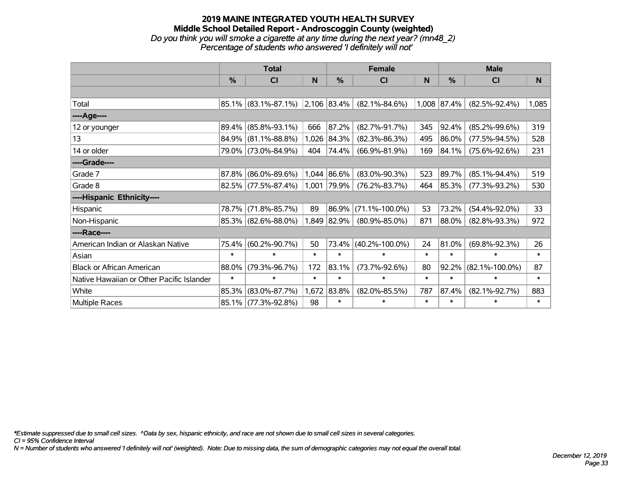#### **2019 MAINE INTEGRATED YOUTH HEALTH SURVEY Middle School Detailed Report - Androscoggin County (weighted)** *Do you think you will smoke a cigarette at any time during the next year? (mn48\_2) Percentage of students who answered 'I definitely will not'*

|                                           | <b>Total</b>  |                                 |        |               | <b>Female</b>        |        | <b>Male</b>   |                      |        |  |
|-------------------------------------------|---------------|---------------------------------|--------|---------------|----------------------|--------|---------------|----------------------|--------|--|
|                                           | $\frac{9}{6}$ | <b>CI</b>                       | N      | $\frac{9}{6}$ | <b>CI</b>            | N      | $\frac{9}{6}$ | <b>CI</b>            | N      |  |
|                                           |               |                                 |        |               |                      |        |               |                      |        |  |
| Total                                     |               | 85.1% (83.1%-87.1%) 2,106 83.4% |        |               | $(82.1\% - 84.6\%)$  |        | 1,008 87.4%   | $(82.5\% - 92.4\%)$  | 1,085  |  |
| ----Age----                               |               |                                 |        |               |                      |        |               |                      |        |  |
| 12 or younger                             | 89.4%         | $(85.8\% - 93.1\%)$             | 666    | 87.2%         | $(82.7\% - 91.7\%)$  | 345    | 92.4%         | $(85.2\% - 99.6\%)$  | 319    |  |
| 13                                        | 84.9%         | $(81.1\% - 88.8\%)$             |        | 1,026 84.3%   | $(82.3\% - 86.3\%)$  | 495    | 86.0%         | $(77.5\% - 94.5\%)$  | 528    |  |
| 14 or older                               |               | 79.0% (73.0%-84.9%)             | 404    | 74.4%         | $(66.9\% - 81.9\%)$  | 169    | 84.1%         | $(75.6\% - 92.6\%)$  | 231    |  |
| ----Grade----                             |               |                                 |        |               |                      |        |               |                      |        |  |
| Grade 7                                   | 87.8%         | $(86.0\% - 89.6\%)$             |        | 1,044 86.6%   | $(83.0\% - 90.3\%)$  | 523    | 89.7%         | $(85.1\% - 94.4\%)$  | 519    |  |
| Grade 8                                   |               | $82.5\%$ (77.5%-87.4%)          |        | 1,001 79.9%   | $(76.2\% - 83.7\%)$  | 464    | 85.3%         | $(77.3\% - 93.2\%)$  | 530    |  |
| ----Hispanic Ethnicity----                |               |                                 |        |               |                      |        |               |                      |        |  |
| Hispanic                                  | 78.7%         | $(71.8\% - 85.7\%)$             | 89     | 86.9%         | $(71.1\% - 100.0\%)$ | 53     | 73.2%         | $(54.4\% - 92.0\%)$  | 33     |  |
| Non-Hispanic                              |               | 85.3% (82.6%-88.0%)             | 1,849  | 82.9%         | $(80.9\% - 85.0\%)$  | 871    | 88.0%         | $(82.8\% - 93.3\%)$  | 972    |  |
| ----Race----                              |               |                                 |        |               |                      |        |               |                      |        |  |
| American Indian or Alaskan Native         | 75.4%         | $(60.2\% - 90.7\%)$             | 50     | 73.4%         | $(40.2\% - 100.0\%)$ | 24     | 81.0%         | $(69.8\% - 92.3\%)$  | 26     |  |
| Asian                                     | $\ast$        | $\ast$                          | $\ast$ | $\ast$        | $\ast$               | $\ast$ | $\ast$        | $\ast$               | $\ast$ |  |
| <b>Black or African American</b>          | 88.0%         | $(79.3\% - 96.7\%)$             | 172    | 83.1%         | $(73.7\% - 92.6\%)$  | 80     | 92.2%         | $(82.1\% - 100.0\%)$ | 87     |  |
| Native Hawaiian or Other Pacific Islander | $\ast$        | $\ast$                          | $\ast$ | $\ast$        | $\ast$               | $\ast$ | $\ast$        | $\ast$               | $\ast$ |  |
| White                                     | 85.3%         | $(83.0\% - 87.7\%)$             | 1,672  | 83.8%         | $(82.0\% - 85.5\%)$  | 787    | 87.4%         | $(82.1\% - 92.7\%)$  | 883    |  |
| Multiple Races                            |               | 85.1% (77.3%-92.8%)             | 98     | $\ast$        | $\ast$               | $\ast$ | $\ast$        | $\ast$               | $\ast$ |  |

*\*Estimate suppressed due to small cell sizes. ^Data by sex, hispanic ethnicity, and race are not shown due to small cell sizes in several categories.*

*CI = 95% Confidence Interval*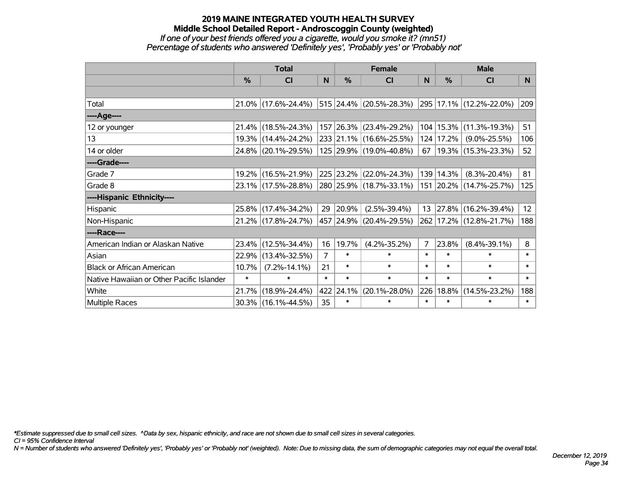## **2019 MAINE INTEGRATED YOUTH HEALTH SURVEY Middle School Detailed Report - Androscoggin County (weighted)** *If one of your best friends offered you a cigarette, would you smoke it? (mn51) Percentage of students who answered 'Definitely yes', 'Probably yes' or 'Probably not'*

|                                           | <b>Total</b>  |                     |        |               | <b>Female</b>           |              | <b>Male</b> |                         |          |  |
|-------------------------------------------|---------------|---------------------|--------|---------------|-------------------------|--------------|-------------|-------------------------|----------|--|
|                                           | $\frac{0}{0}$ | <b>CI</b>           | N.     | $\frac{0}{0}$ | <b>CI</b>               | <sub>N</sub> | %           | <b>CI</b>               | <b>N</b> |  |
|                                           |               |                     |        |               |                         |              |             |                         |          |  |
| Total                                     |               | 21.0% (17.6%-24.4%) |        |               | 515 24.4% (20.5%-28.3%) |              |             | 295 17.1% (12.2%-22.0%) | 209      |  |
| ----Age----                               |               |                     |        |               |                         |              |             |                         |          |  |
| 12 or younger                             | 21.4%         | $(18.5\% - 24.3\%)$ |        |               | 157 26.3% (23.4%-29.2%) | 104          | 15.3%       | $(11.3\% - 19.3\%)$     | 51       |  |
| 13                                        |               | 19.3% (14.4%-24.2%) |        |               | 233 21.1% (16.6%-25.5%) |              | 124   17.2% | $(9.0\% - 25.5\%)$      | 106      |  |
| 14 or older                               |               | 24.8% (20.1%-29.5%) |        |               | 125 29.9% (19.0%-40.8%) | 67           |             | 19.3% (15.3%-23.3%)     | 52       |  |
| ----Grade----                             |               |                     |        |               |                         |              |             |                         |          |  |
| Grade 7                                   | $19.2\%$      | $(16.5\% - 21.9\%)$ |        |               | 225 23.2% (22.0%-24.3%) | 139          | 14.3%       | $(8.3\% - 20.4\%)$      | 81       |  |
| Grade 8                                   |               | 23.1% (17.5%-28.8%) |        |               | 280 25.9% (18.7%-33.1%) |              |             | 151 20.2% (14.7%-25.7%) | 125      |  |
| ----Hispanic Ethnicity----                |               |                     |        |               |                         |              |             |                         |          |  |
| Hispanic                                  |               | 25.8% (17.4%-34.2%) | 29     | 20.9%         | $(2.5\% - 39.4\%)$      | 13           | 27.8%       | $(16.2\% - 39.4\%)$     | 12       |  |
| Non-Hispanic                              |               | 21.2% (17.8%-24.7%) |        |               | 457 24.9% (20.4%-29.5%) |              |             | 262 17.2% (12.8%-21.7%) | 188      |  |
| ----Race----                              |               |                     |        |               |                         |              |             |                         |          |  |
| American Indian or Alaskan Native         |               | 23.4% (12.5%-34.4%) | 16     | 19.7%         | $(4.2\% - 35.2\%)$      | 7            | 23.8%       | $(8.4\% - 39.1\%)$      | 8        |  |
| Asian                                     | 22.9%         | $(13.4\% - 32.5\%)$ | 7      | $\ast$        | $\ast$                  | $\ast$       | $\ast$      | $\ast$                  | $\ast$   |  |
| <b>Black or African American</b>          | 10.7%         | $(7.2\% - 14.1\%)$  | 21     | $\ast$        | $\ast$                  | $\ast$       | $\ast$      | $\ast$                  | $\ast$   |  |
| Native Hawaiian or Other Pacific Islander | $\ast$        | $\ast$              | $\ast$ | $\ast$        | $\ast$                  | $\ast$       | $\ast$      | $\ast$                  | $\ast$   |  |
| White                                     | 21.7%         | $(18.9\% - 24.4\%)$ | 422    | 24.1%         | $(20.1\% - 28.0\%)$     | 226          | 18.8%       | $(14.5\% - 23.2\%)$     | 188      |  |
| <b>Multiple Races</b>                     |               | 30.3% (16.1%-44.5%) | 35     | $\ast$        | $\ast$                  | $\ast$       | $\ast$      | $\ast$                  | $\ast$   |  |

*\*Estimate suppressed due to small cell sizes. ^Data by sex, hispanic ethnicity, and race are not shown due to small cell sizes in several categories.*

*CI = 95% Confidence Interval*

*N = Number of students who answered 'Definitely yes', 'Probably yes' or 'Probably not' (weighted). Note: Due to missing data, the sum of demographic categories may not equal the overall total.*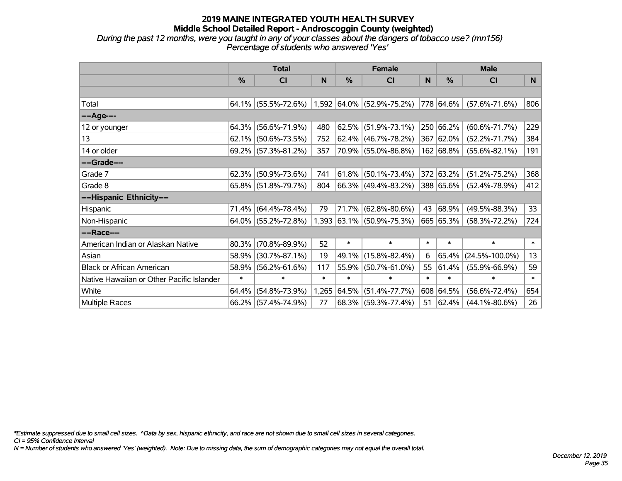#### **2019 MAINE INTEGRATED YOUTH HEALTH SURVEY Middle School Detailed Report - Androscoggin County (weighted)** *During the past 12 months, were you taught in any of your classes about the dangers of tobacco use? (mn156) Percentage of students who answered 'Yes'*

|                                           | <b>Total</b> |                        |        |               | <b>Female</b>                  |        | <b>Male</b> |                      |        |  |
|-------------------------------------------|--------------|------------------------|--------|---------------|--------------------------------|--------|-------------|----------------------|--------|--|
|                                           | %            | CI                     | N      | $\frac{0}{0}$ | <b>CI</b>                      | N      | %           | C <sub>1</sub>       | N      |  |
|                                           |              |                        |        |               |                                |        |             |                      |        |  |
| Total                                     |              | $64.1\%$ (55.5%-72.6%) |        |               | $1,592$ $64.0\%$ (52.9%-75.2%) |        | 778 64.6%   | $(57.6\% - 71.6\%)$  | 806    |  |
| ----Age----                               |              |                        |        |               |                                |        |             |                      |        |  |
| 12 or younger                             | 64.3%        | $(56.6\% - 71.9\%)$    | 480    |               | $62.5\%$ (51.9%-73.1%)         |        | 250 66.2%   | $(60.6\% - 71.7\%)$  | 229    |  |
| 13                                        | 62.1%        | $(50.6\% - 73.5\%)$    | 752    |               | $62.4\%$ (46.7%-78.2%)         |        | 367 62.0%   | $(52.2\% - 71.7\%)$  | 384    |  |
| 14 or older                               | 69.2%        | $(57.3\% - 81.2\%)$    | 357    |               | 70.9% (55.0%-86.8%)            |        | 162 68.8%   | $(55.6\% - 82.1\%)$  | 191    |  |
| ----Grade----                             |              |                        |        |               |                                |        |             |                      |        |  |
| Grade 7                                   | 62.3%        | $(50.9\% - 73.6\%)$    | 741    |               | $61.8\%$ (50.1%-73.4%)         |        | 372 63.2%   | $(51.2\% - 75.2\%)$  | 368    |  |
| Grade 8                                   |              | $65.8\%$ (51.8%-79.7%) | 804    |               | 66.3% (49.4%-83.2%)            |        | 388 65.6%   | $(52.4\% - 78.9\%)$  | 412    |  |
| ----Hispanic Ethnicity----                |              |                        |        |               |                                |        |             |                      |        |  |
| Hispanic                                  | 71.4%        | $(64.4\% - 78.4\%)$    | 79     | 71.7%         | $(62.8\% - 80.6\%)$            | 43     | 68.9%       | $(49.5\% - 88.3\%)$  | 33     |  |
| Non-Hispanic                              | 64.0%        | $(55.2\% - 72.8\%)$    |        |               | $1,393$ 63.1% (50.9%-75.3%)    |        | 665 65.3%   | $(58.3\% - 72.2\%)$  | 724    |  |
| ----Race----                              |              |                        |        |               |                                |        |             |                      |        |  |
| American Indian or Alaskan Native         | 80.3%        | $(70.8\% - 89.9\%)$    | 52     | $\ast$        | $\ast$                         | $\ast$ | $\ast$      | $\ast$               | $\ast$ |  |
| Asian                                     | 58.9%        | $(30.7\% - 87.1\%)$    | 19     | 49.1%         | $(15.8\% - 82.4\%)$            | 6      | 65.4%       | $(24.5\% - 100.0\%)$ | 13     |  |
| <b>Black or African American</b>          | 58.9%        | $(56.2\% - 61.6\%)$    | 117    | 55.9%         | $(50.7\% - 61.0\%)$            | 55     | 61.4%       | $(55.9\% - 66.9\%)$  | 59     |  |
| Native Hawaiian or Other Pacific Islander | $\ast$       | $\ast$                 | $\ast$ | $\ast$        | $\ast$                         | $\ast$ | $\ast$      | $\ast$               | $\ast$ |  |
| White                                     | 64.4%        | $(54.8\% - 73.9\%)$    | 1,265  | 64.5%         | $(51.4\% - 77.7\%)$            |        | 608 64.5%   | $(56.6\% - 72.4\%)$  | 654    |  |
| Multiple Races                            | 66.2%        | $(57.4\% - 74.9\%)$    | 77     |               | 68.3% (59.3%-77.4%)            | 51     | 62.4%       | $(44.1\% - 80.6\%)$  | 26     |  |

*\*Estimate suppressed due to small cell sizes. ^Data by sex, hispanic ethnicity, and race are not shown due to small cell sizes in several categories.*

*CI = 95% Confidence Interval*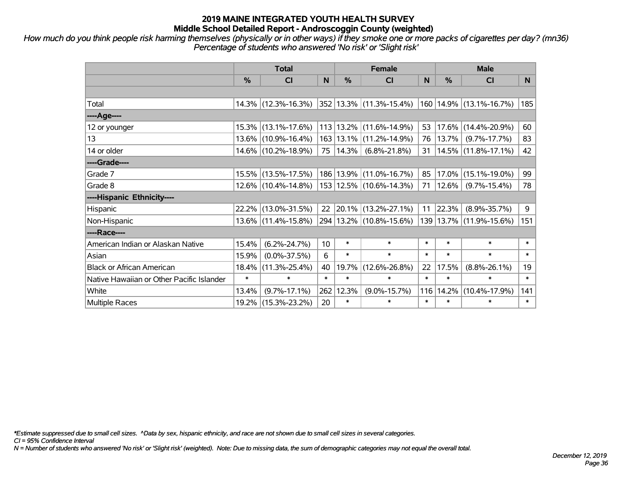*How much do you think people risk harming themselves (physically or in other ways) if they smoke one or more packs of cigarettes per day? (mn36) Percentage of students who answered 'No risk' or 'Slight risk'*

|                                           | <b>Total</b> |                                                |        | <b>Female</b> |                             |        | <b>Male</b> |                         |        |  |
|-------------------------------------------|--------------|------------------------------------------------|--------|---------------|-----------------------------|--------|-------------|-------------------------|--------|--|
|                                           | %            | <b>CI</b>                                      | N      | $\frac{0}{0}$ | CI                          | N      | $\%$        | <b>CI</b>               | N.     |  |
|                                           |              |                                                |        |               |                             |        |             |                         |        |  |
| Total                                     |              | $14.3\%$ (12.3%-16.3%) 352 13.3% (11.3%-15.4%) |        |               |                             |        |             | 160 14.9% (13.1%-16.7%) | 185    |  |
| ----Age----                               |              |                                                |        |               |                             |        |             |                         |        |  |
| 12 or younger                             |              | 15.3% (13.1%-17.6%)                            |        |               | 113   13.2%   (11.6%-14.9%) | 53     | 17.6%       | $(14.4\% - 20.9\%)$     | 60     |  |
| 13                                        |              | 13.6% (10.9%-16.4%)                            |        |               | 163   13.1%   (11.2%-14.9%) | 76     | 13.7%       | $(9.7\% - 17.7\%)$      | 83     |  |
| 14 or older                               |              | 14.6% (10.2%-18.9%)                            | 75     | $ 14.3\% $    | $(6.8\% - 21.8\%)$          | 31     |             | $14.5\%$ (11.8%-17.1%)  | 42     |  |
| ----Grade----                             |              |                                                |        |               |                             |        |             |                         |        |  |
| Grade 7                                   |              | 15.5% (13.5%-17.5%)                            |        |               | 186   13.9%   (11.0%-16.7%) | 85     | 17.0%       | $(15.1\% - 19.0\%)$     | 99     |  |
| Grade 8                                   |              | $12.6\%$ (10.4%-14.8%)                         |        |               | 153 12.5% (10.6%-14.3%)     | 71     | $ 12.6\% $  | $(9.7\% - 15.4\%)$      | 78     |  |
| ----Hispanic Ethnicity----                |              |                                                |        |               |                             |        |             |                         |        |  |
| Hispanic                                  |              | 22.2% (13.0%-31.5%)                            | 22     |               | $ 20.1\% $ (13.2%-27.1%)    | 11     | 22.3%       | $(8.9\% - 35.7\%)$      | 9      |  |
| Non-Hispanic                              |              | 13.6% (11.4%-15.8%)                            |        |               | 294   13.2%   (10.8%-15.6%) |        |             | 139 13.7% (11.9%-15.6%) | 151    |  |
| ----Race----                              |              |                                                |        |               |                             |        |             |                         |        |  |
| American Indian or Alaskan Native         | 15.4%        | $(6.2\% - 24.7\%)$                             | 10     | $\ast$        | $\ast$                      | $\ast$ | $\ast$      | $\ast$                  | $\ast$ |  |
| Asian                                     | 15.9%        | $(0.0\% - 37.5\%)$                             | 6      | $\ast$        | $\ast$                      | $\ast$ | $\ast$      | $\ast$                  | $\ast$ |  |
| <b>Black or African American</b>          | 18.4%        | $(11.3\% - 25.4\%)$                            | 40     | 19.7%         | $(12.6\% - 26.8\%)$         | 22     | 17.5%       | $(8.8\% - 26.1\%)$      | 19     |  |
| Native Hawaiian or Other Pacific Islander | $\ast$       | $\ast$                                         | $\ast$ | $\ast$        | $\ast$                      | $\ast$ | $\ast$      | $\ast$                  | $\ast$ |  |
| White                                     | 13.4%        | $(9.7\% - 17.1\%)$                             | 262    | 12.3%         | $(9.0\% - 15.7\%)$          | 116    | 14.2%       | $(10.4\% - 17.9\%)$     | 141    |  |
| <b>Multiple Races</b>                     |              | 19.2% (15.3%-23.2%)                            | 20     | $\ast$        | $\ast$                      | $\ast$ | $\ast$      | $\ast$                  | $\ast$ |  |

*\*Estimate suppressed due to small cell sizes. ^Data by sex, hispanic ethnicity, and race are not shown due to small cell sizes in several categories.*

*CI = 95% Confidence Interval*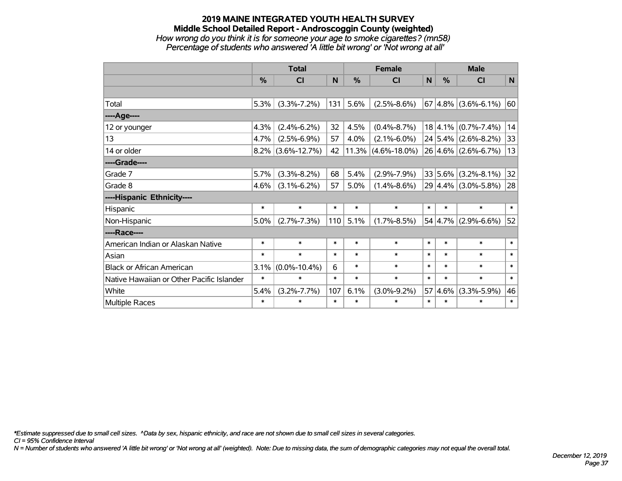### **2019 MAINE INTEGRATED YOUTH HEALTH SURVEY Middle School Detailed Report - Androscoggin County (weighted)** *How wrong do you think it is for someone your age to smoke cigarettes? (mn58) Percentage of students who answered 'A little bit wrong' or 'Not wrong at all'*

|                                           | <b>Total</b>  |                    |        |            | <b>Female</b>      |        | <b>Male</b> |                         |        |  |
|-------------------------------------------|---------------|--------------------|--------|------------|--------------------|--------|-------------|-------------------------|--------|--|
|                                           | $\frac{0}{0}$ | CI                 | N      | %          | CI                 | N      | %           | <b>CI</b>               | N      |  |
|                                           |               |                    |        |            |                    |        |             |                         |        |  |
| Total                                     | 5.3%          | $(3.3\% - 7.2\%)$  | 131    | 5.6%       | $(2.5\% - 8.6\%)$  |        |             | $67 4.8\% $ (3.6%-6.1%) | 60     |  |
| ----Age----                               |               |                    |        |            |                    |        |             |                         |        |  |
| 12 or younger                             | 4.3%          | $(2.4\% - 6.2\%)$  | 32     | 4.5%       | $(0.4\% - 8.7\%)$  |        | 18 4.1%     | $(0.7\% - 7.4\%)$       | 14     |  |
| 13                                        | 4.7%          | $(2.5\% - 6.9\%)$  | 57     | 4.0%       | $(2.1\% - 6.0\%)$  |        |             | $24 5.4\% $ (2.6%-8.2%) | 33     |  |
| 14 or older                               | $8.2\%$       | $(3.6\% - 12.7\%)$ | 42     | $ 11.3\% $ | $(4.6\% - 18.0\%)$ |        |             | $26 4.6\% $ (2.6%-6.7%) | 13     |  |
| ----Grade----                             |               |                    |        |            |                    |        |             |                         |        |  |
| Grade 7                                   | 5.7%          | $(3.3\% - 8.2\%)$  | 68     | 5.4%       | $(2.9\% - 7.9\%)$  |        | 33 5.6%     | $(3.2\% - 8.1\%)$       | 32     |  |
| Grade 8                                   | 4.6%          | $(3.1\% - 6.2\%)$  | 57     | 5.0%       | $(1.4\% - 8.6\%)$  |        |             | $29 4.4\% $ (3.0%-5.8%) | 28     |  |
| ----Hispanic Ethnicity----                |               |                    |        |            |                    |        |             |                         |        |  |
| Hispanic                                  | *             | $\ast$             | $\ast$ | $\ast$     | $\ast$             | $\ast$ | $\ast$      | $\ast$                  | $\ast$ |  |
| Non-Hispanic                              | $5.0\%$       | $(2.7\% - 7.3\%)$  | 110    | 5.1%       | $(1.7\% - 8.5\%)$  |        | 54 4.7%     | $(2.9\% - 6.6\%)$       | 52     |  |
| ----Race----                              |               |                    |        |            |                    |        |             |                         |        |  |
| American Indian or Alaskan Native         | $\ast$        | $\ast$             | $\ast$ | $\ast$     | $\ast$             | $\ast$ | $\ast$      | $\ast$                  | $\ast$ |  |
| Asian                                     | $\ast$        | $\ast$             | $\ast$ | $\ast$     | $\ast$             | $\ast$ | $\ast$      | $\ast$                  | $\ast$ |  |
| <b>Black or African American</b>          | 3.1%          | $(0.0\% - 10.4\%)$ | 6      | $\ast$     | $\ast$             | $\ast$ | $\ast$      | $\ast$                  | $\ast$ |  |
| Native Hawaiian or Other Pacific Islander | $\ast$        | $\ast$             | $\ast$ | $\ast$     | $\ast$             | $\ast$ | $\ast$      | $\ast$                  | $\ast$ |  |
| White                                     | 5.4%          | $(3.2\% - 7.7\%)$  | 107    | 6.1%       | $(3.0\% - 9.2\%)$  | 57     | 4.6%        | $(3.3\% - 5.9\%)$       | 46     |  |
| Multiple Races                            | $\ast$        | $\ast$             | $\ast$ | $\ast$     | $\ast$             | $\ast$ | $\ast$      | $\ast$                  | $\ast$ |  |

*\*Estimate suppressed due to small cell sizes. ^Data by sex, hispanic ethnicity, and race are not shown due to small cell sizes in several categories.*

*CI = 95% Confidence Interval*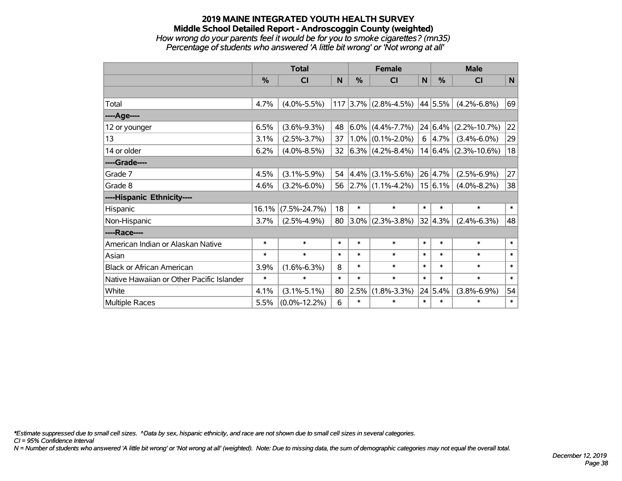### **2019 MAINE INTEGRATED YOUTH HEALTH SURVEY Middle School Detailed Report - Androscoggin County (weighted)** *How wrong do your parents feel it would be for you to smoke cigarettes? (mn35) Percentage of students who answered 'A little bit wrong' or 'Not wrong at all'*

|                                           | <b>Total</b> |                    |        |           | <b>Female</b>          |        | <b>Male</b> |                           |        |  |
|-------------------------------------------|--------------|--------------------|--------|-----------|------------------------|--------|-------------|---------------------------|--------|--|
|                                           | %            | <b>CI</b>          | N      | %         | <b>CI</b>              | N      | $\%$        | <b>CI</b>                 | N      |  |
|                                           |              |                    |        |           |                        |        |             |                           |        |  |
| Total                                     | 4.7%         | $(4.0\% - 5.5\%)$  |        |           | $117$ 3.7% (2.8%-4.5%) |        | 44 5.5%     | $(4.2\% - 6.8\%)$         | 69     |  |
| ----Age----                               |              |                    |        |           |                        |        |             |                           |        |  |
| 12 or younger                             | 6.5%         | $(3.6\% - 9.3\%)$  | 48     |           | $ 6.0\% $ (4.4%-7.7%)  |        |             | $ 24 6.4\% $ (2.2%-10.7%) | 22     |  |
| 13                                        | 3.1%         | $(2.5\% - 3.7\%)$  | 37     |           | $1.0\%$ (0.1%-2.0%)    |        | 6 4.7%      | $(3.4\% - 6.0\%)$         | 29     |  |
| 14 or older                               | 6.2%         | $(4.0\% - 8.5\%)$  | 32     |           | $ 6.3\% $ (4.2%-8.4%)  |        |             | $14 6.4\% $ (2.3%-10.6%)  | 18     |  |
| ----Grade----                             |              |                    |        |           |                        |        |             |                           |        |  |
| Grade 7                                   | 4.5%         | $(3.1\% - 5.9\%)$  | 54     | $ 4.4\% $ | $(3.1\% - 5.6\%)$      |        | 26 4.7%     | $(2.5\% - 6.9\%)$         | 27     |  |
| Grade 8                                   | 4.6%         | $(3.2\% - 6.0\%)$  | 56     |           | $ 2.7\% $ (1.1%-4.2%)  |        | 15 6.1%     | $(4.0\% - 8.2\%)$         | 38     |  |
| ----Hispanic Ethnicity----                |              |                    |        |           |                        |        |             |                           |        |  |
| Hispanic                                  | 16.1%        | $(7.5\% - 24.7\%)$ | 18     | $\ast$    | $\ast$                 | $\ast$ | $\ast$      | $\ast$                    | $\ast$ |  |
| Non-Hispanic                              | 3.7%         | $(2.5\% - 4.9\%)$  | 80     | $ 3.0\% $ | $(2.3\% - 3.8\%)$      |        | 32 4.3%     | $(2.4\% - 6.3\%)$         | 48     |  |
| ----Race----                              |              |                    |        |           |                        |        |             |                           |        |  |
| American Indian or Alaskan Native         | $\ast$       | $\ast$             | $\ast$ | $\ast$    | $\ast$                 | $\ast$ | $\ast$      | $\ast$                    | $\ast$ |  |
| Asian                                     | $\ast$       | $\ast$             | $\ast$ | $\ast$    | $\ast$                 | $\ast$ | $\ast$      | $\ast$                    | $\ast$ |  |
| <b>Black or African American</b>          | 3.9%         | $(1.6\% - 6.3\%)$  | 8      | $\ast$    | $\ast$                 | $\ast$ | $\ast$      | $\ast$                    | $\ast$ |  |
| Native Hawaiian or Other Pacific Islander | $\ast$       | $\ast$             | $\ast$ | $\ast$    | $\ast$                 | $\ast$ | $\ast$      | $\ast$                    | $\ast$ |  |
| White                                     | 4.1%         | $(3.1\% - 5.1\%)$  | 80     | 2.5%      | $(1.8\% - 3.3\%)$      |        | 24 5.4%     | $(3.8\% - 6.9\%)$         | 54     |  |
| Multiple Races                            | 5.5%         | $(0.0\% - 12.2\%)$ | 6      | $\ast$    | $\ast$                 | $\ast$ | $\ast$      | $\ast$                    | $\ast$ |  |

*\*Estimate suppressed due to small cell sizes. ^Data by sex, hispanic ethnicity, and race are not shown due to small cell sizes in several categories.*

*CI = 95% Confidence Interval*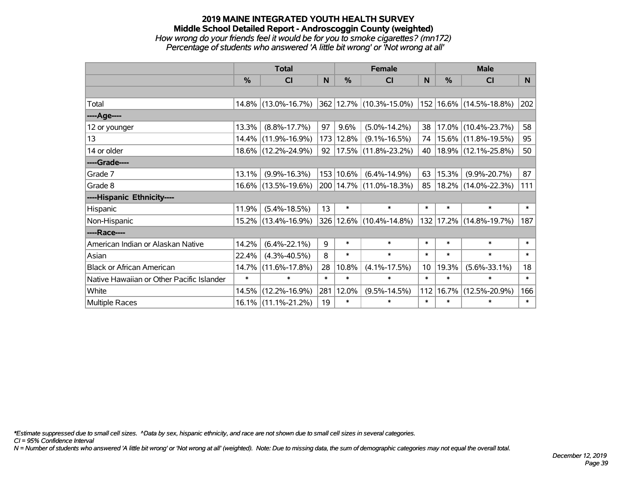### **2019 MAINE INTEGRATED YOUTH HEALTH SURVEY Middle School Detailed Report - Androscoggin County (weighted)** *How wrong do your friends feel it would be for you to smoke cigarettes? (mn172) Percentage of students who answered 'A little bit wrong' or 'Not wrong at all'*

|                                           |               | <b>Total</b>           | <b>Female</b> |               |                                         |                 | <b>Male</b> |                         |                |
|-------------------------------------------|---------------|------------------------|---------------|---------------|-----------------------------------------|-----------------|-------------|-------------------------|----------------|
|                                           | $\frac{0}{0}$ | CI                     | N             | $\frac{0}{0}$ | <b>CI</b>                               | N               | %           | <b>CI</b>               | N <sub>1</sub> |
|                                           |               |                        |               |               |                                         |                 |             |                         |                |
| Total                                     |               | $14.8\%$ (13.0%-16.7%) |               |               | 362 12.7% (10.3%-15.0%)                 |                 |             | 152 16.6% (14.5%-18.8%) | 202            |
| ----Age----                               |               |                        |               |               |                                         |                 |             |                         |                |
| 12 or younger                             | 13.3%         | $(8.8\% - 17.7\%)$     | 97            | 9.6%          | $(5.0\% - 14.2\%)$                      | 38              | 17.0%       | $(10.4\% - 23.7\%)$     | 58             |
| 13                                        | 14.4%         | $(11.9\% - 16.9\%)$    |               | 173 12.8%     | $(9.1\% - 16.5\%)$                      | 74              |             | 15.6% (11.8%-19.5%)     | 95             |
| 14 or older                               |               | 18.6% (12.2%-24.9%)    |               |               | $92 \mid 17.5\% \mid (11.8\% - 23.2\%)$ | 40              |             | $18.9\%$ (12.1%-25.8%)  | 50             |
| ----Grade----                             |               |                        |               |               |                                         |                 |             |                         |                |
| Grade 7                                   | 13.1%         | $(9.9\% - 16.3\%)$     |               | 153 10.6%     | $(6.4\% - 14.9\%)$                      | 63              | 15.3%       | $(9.9\% - 20.7\%)$      | 87             |
| Grade 8                                   |               | 16.6% (13.5%-19.6%)    |               |               | 200 14.7% (11.0%-18.3%)                 | 85              |             | 18.2% (14.0%-22.3%)     | 111            |
| ----Hispanic Ethnicity----                |               |                        |               |               |                                         |                 |             |                         |                |
| Hispanic                                  | 11.9%         | $(5.4\% - 18.5\%)$     | 13            | $\ast$        | $\ast$                                  | $\ast$          | $\ast$      | $\ast$                  | $\ast$         |
| Non-Hispanic                              |               | 15.2% (13.4%-16.9%)    |               |               | 326 12.6% (10.4%-14.8%)                 | 132             |             | 17.2% (14.8%-19.7%)     | 187            |
| ----Race----                              |               |                        |               |               |                                         |                 |             |                         |                |
| American Indian or Alaskan Native         | 14.2%         | $(6.4\% - 22.1\%)$     | 9             | $\ast$        | $\ast$                                  | $\ast$          | $\ast$      | $\ast$                  | $\ast$         |
| Asian                                     | 22.4%         | $(4.3\% - 40.5\%)$     | 8             | $\ast$        | $\ast$                                  | $\ast$          | $\ast$      | $\ast$                  | $\ast$         |
| <b>Black or African American</b>          | 14.7%         | $(11.6\% - 17.8\%)$    | 28            | 10.8%         | $(4.1\% - 17.5\%)$                      | 10 <sup>1</sup> | 19.3%       | $(5.6\% - 33.1\%)$      | 18             |
| Native Hawaiian or Other Pacific Islander | $\ast$        | $\ast$                 | $\ast$        | $\ast$        | $\ast$                                  | $\ast$          | $\ast$      | $\ast$                  | $\ast$         |
| White                                     | 14.5%         | $(12.2\% - 16.9\%)$    | 281           | 12.0%         | $(9.5\% - 14.5\%)$                      | 112             | 16.7%       | $(12.5\% - 20.9\%)$     | 166            |
| Multiple Races                            |               | 16.1% (11.1%-21.2%)    | 19            | $\ast$        | $\ast$                                  | $\ast$          | $\ast$      | $\ast$                  | $\ast$         |

*\*Estimate suppressed due to small cell sizes. ^Data by sex, hispanic ethnicity, and race are not shown due to small cell sizes in several categories.*

*CI = 95% Confidence Interval*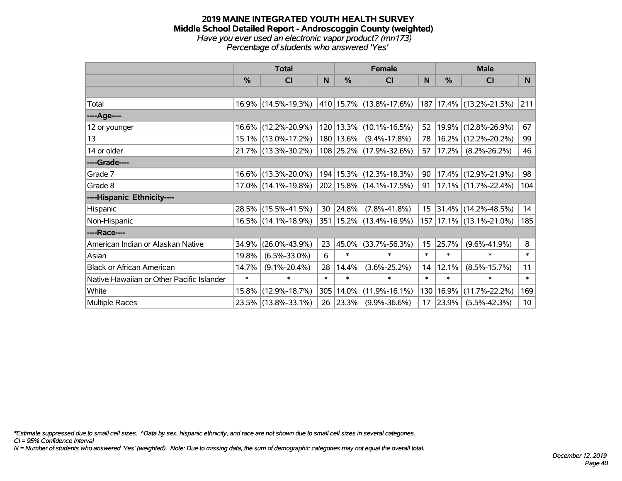#### **2019 MAINE INTEGRATED YOUTH HEALTH SURVEY Middle School Detailed Report - Androscoggin County (weighted)** *Have you ever used an electronic vapor product? (mn173) Percentage of students who answered 'Yes'*

|                                           |               | <b>Total</b>           |        |             | <b>Female</b>                                        |                 |               | <b>Male</b>                 |                 |
|-------------------------------------------|---------------|------------------------|--------|-------------|------------------------------------------------------|-----------------|---------------|-----------------------------|-----------------|
|                                           | $\frac{0}{0}$ | CI                     | N      | $\%$        | <b>CI</b>                                            | N               | $\frac{0}{0}$ | <b>CI</b>                   | <b>N</b>        |
|                                           |               |                        |        |             |                                                      |                 |               |                             |                 |
| Total                                     |               | 16.9% (14.5%-19.3%)    |        |             | $ 410 15.7\% $ (13.8%-17.6%) 187 17.4% (13.2%-21.5%) |                 |               |                             | 211             |
| ----Age----                               |               |                        |        |             |                                                      |                 |               |                             |                 |
| 12 or younger                             |               | 16.6% (12.2%-20.9%)    |        |             | 120   13.3%   (10.1%-16.5%)                          | 52              |               | 19.9% (12.8%-26.9%)         | 67              |
| 13                                        |               | 15.1% (13.0%-17.2%)    |        | 180   13.6% | $(9.4\% - 17.8\%)$                                   | 78              |               | 16.2% (12.2%-20.2%)         | 99              |
| 14 or older                               |               | 21.7% (13.3%-30.2%)    |        |             | 108 25.2% (17.9%-32.6%)                              | 57              | 17.2%         | $(8.2\% - 26.2\%)$          | 46              |
| ----Grade----                             |               |                        |        |             |                                                      |                 |               |                             |                 |
| Grade 7                                   |               | 16.6% (13.3%-20.0%)    |        |             | 194   15.3%   (12.3%-18.3%)                          | 90              |               | $17.4\%$ (12.9%-21.9%)      | 98              |
| Grade 8                                   |               | $17.0\%$ (14.1%-19.8%) |        |             | 202   15.8%   (14.1%-17.5%)                          | 91              |               | $17.1\%$ (11.7%-22.4%)      | 104             |
| ----Hispanic Ethnicity----                |               |                        |        |             |                                                      |                 |               |                             |                 |
| Hispanic                                  |               | 28.5% (15.5%-41.5%)    | 30     | $ 24.8\% $  | $(7.8\% - 41.8\%)$                                   | 15 <sub>1</sub> |               | $ 31.4\% $ (14.2%-48.5%)    | 14              |
| Non-Hispanic                              |               | 16.5% (14.1%-18.9%)    |        |             | 351   15.2%   (13.4%-16.9%)                          |                 |               | 157   17.1%   (13.1%-21.0%) | 185             |
| ----Race----                              |               |                        |        |             |                                                      |                 |               |                             |                 |
| American Indian or Alaskan Native         | 34.9%         | $(26.0\% - 43.9\%)$    | 23     | $ 45.0\% $  | $(33.7\% - 56.3\%)$                                  | 15 <sub>1</sub> | 25.7%         | $(9.6\% - 41.9\%)$          | 8               |
| Asian                                     | 19.8%         | $(6.5\% - 33.0\%)$     | 6      | $\ast$      | $\ast$                                               | $\ast$          | $\ast$        | $\ast$                      | $\ast$          |
| <b>Black or African American</b>          | 14.7%         | $(9.1\% - 20.4\%)$     | 28     | 14.4%       | $(3.6\% - 25.2\%)$                                   | 14              | 12.1%         | $(8.5\% - 15.7\%)$          | 11              |
| Native Hawaiian or Other Pacific Islander | $\ast$        | $\ast$                 | $\ast$ | $\ast$      | $\ast$                                               | $\ast$          | $\ast$        | $\ast$                      | $\ast$          |
| White                                     | $15.8\%$      | $(12.9\% - 18.7\%)$    | 305    | 14.0%       | $(11.9\% - 16.1\%)$                                  | 130             | 16.9%         | $(11.7\% - 22.2\%)$         | 169             |
| <b>Multiple Races</b>                     |               | 23.5% (13.8%-33.1%)    | 26     | $ 23.3\% $  | $(9.9\% - 36.6\%)$                                   | 17              | 23.9%         | $(5.5\% - 42.3\%)$          | 10 <sup>°</sup> |

*\*Estimate suppressed due to small cell sizes. ^Data by sex, hispanic ethnicity, and race are not shown due to small cell sizes in several categories.*

*CI = 95% Confidence Interval*

*N = Number of students who answered 'Yes' (weighted). Note: Due to missing data, the sum of demographic categories may not equal the overall total.*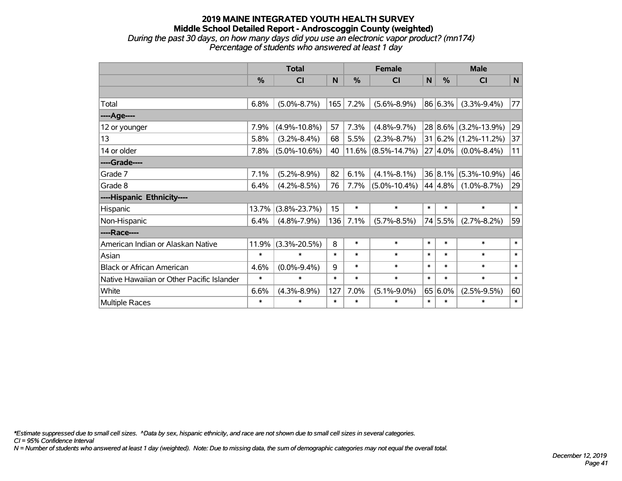### **2019 MAINE INTEGRATED YOUTH HEALTH SURVEY Middle School Detailed Report - Androscoggin County (weighted)** *During the past 30 days, on how many days did you use an electronic vapor product? (mn174) Percentage of students who answered at least 1 day*

|                                           | <b>Total</b>  |                    |        |          | <b>Female</b>      | <b>Male</b>  |               |                             |        |
|-------------------------------------------|---------------|--------------------|--------|----------|--------------------|--------------|---------------|-----------------------------|--------|
|                                           | $\frac{0}{0}$ | CI                 | N      | $\%$     | <b>CI</b>          | $\mathsf{N}$ | $\frac{0}{0}$ | <b>CI</b>                   | N      |
|                                           |               |                    |        |          |                    |              |               |                             |        |
| Total                                     | 6.8%          | $(5.0\% - 8.7\%)$  | 165    | 7.2%     | $(5.6\% - 8.9\%)$  |              | 86 6.3%       | $(3.3\% - 9.4\%)$           | 77     |
| ----Age----                               |               |                    |        |          |                    |              |               |                             |        |
| 12 or younger                             | 7.9%          | $(4.9\% - 10.8\%)$ | 57     | 7.3%     | $(4.8\% - 9.7\%)$  |              | $28 8.6\% $   | $(3.2\% - 13.9\%)$          | 29     |
| 13                                        | 5.8%          | $(3.2\% - 8.4\%)$  | 68     | 5.5%     | $(2.3\% - 8.7\%)$  |              |               | $31 6.2\% (1.2\% - 11.2\%)$ | 37     |
| 14 or older                               | 7.8%          | $(5.0\% - 10.6\%)$ | 40     | $11.6\%$ | $(8.5\% - 14.7\%)$ |              | $27 4.0\%$    | $(0.0\% - 8.4\%)$           | 11     |
| ----Grade----                             |               |                    |        |          |                    |              |               |                             |        |
| Grade 7                                   | 7.1%          | $(5.2\% - 8.9\%)$  | 82     | 6.1%     | $(4.1\% - 8.1\%)$  |              | 36 8.1%       | $(5.3\% - 10.9\%)$          | 46     |
| Grade 8                                   | 6.4%          | $(4.2\% - 8.5\%)$  | 76     | 7.7%     | $(5.0\% - 10.4\%)$ |              | 44 4.8%       | $(1.0\% - 8.7\%)$           | 29     |
| ----Hispanic Ethnicity----                |               |                    |        |          |                    |              |               |                             |        |
| Hispanic                                  | 13.7%         | $(3.8\% - 23.7\%)$ | 15     | $\ast$   | $\ast$             | $\ast$       | $\ast$        | $\ast$                      | $\ast$ |
| Non-Hispanic                              | 6.4%          | $(4.8\% - 7.9\%)$  | 136    | 7.1%     | $(5.7\% - 8.5\%)$  |              | 74 5.5%       | $(2.7\% - 8.2\%)$           | 59     |
| ----Race----                              |               |                    |        |          |                    |              |               |                             |        |
| American Indian or Alaskan Native         | 11.9%         | $(3.3\% - 20.5\%)$ | 8      | $\ast$   | $\ast$             | $\ast$       | $\ast$        | $\ast$                      | $\ast$ |
| Asian                                     | $\ast$        | $\ast$             | $\ast$ | $\ast$   | $\ast$             | $\ast$       | $\ast$        | $\ast$                      | $\ast$ |
| <b>Black or African American</b>          | 4.6%          | $(0.0\% - 9.4\%)$  | 9      | $\ast$   | $\ast$             | $\ast$       | $\ast$        | $\ast$                      | $\ast$ |
| Native Hawaiian or Other Pacific Islander | $\ast$        | $\ast$             | $\ast$ | $\ast$   | $\ast$             | $\ast$       | $\ast$        | $\ast$                      | $\ast$ |
| White                                     | 6.6%          | $(4.3\% - 8.9\%)$  | 127    | 7.0%     | $(5.1\% - 9.0\%)$  | 65           | 6.0%          | $(2.5\% - 9.5\%)$           | 60     |
| Multiple Races                            | ∗             | $\ast$             | $\ast$ | $\ast$   | $\ast$             | $\ast$       | $\ast$        | $\ast$                      | $\ast$ |

*\*Estimate suppressed due to small cell sizes. ^Data by sex, hispanic ethnicity, and race are not shown due to small cell sizes in several categories.*

*CI = 95% Confidence Interval*

*N = Number of students who answered at least 1 day (weighted). Note: Due to missing data, the sum of demographic categories may not equal the overall total.*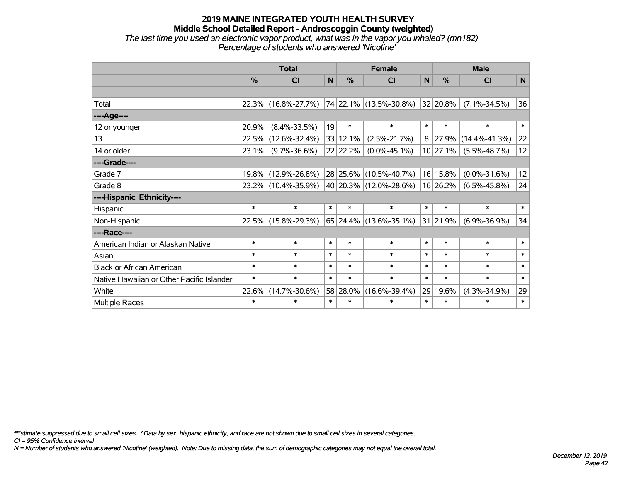### **2019 MAINE INTEGRATED YOUTH HEALTH SURVEY Middle School Detailed Report - Androscoggin County (weighted)** *The last time you used an electronic vapor product, what was in the vapor you inhaled? (mn182) Percentage of students who answered 'Nicotine'*

|                                           | <b>Total</b>  |                     |        |               | <b>Female</b>          | <b>Male</b> |               |                     |        |
|-------------------------------------------|---------------|---------------------|--------|---------------|------------------------|-------------|---------------|---------------------|--------|
|                                           | $\frac{0}{0}$ | CI                  | N      | $\frac{9}{6}$ | <b>CI</b>              | N           | $\frac{0}{0}$ | CI                  | N      |
|                                           |               |                     |        |               |                        |             |               |                     |        |
| Total                                     | 22.3%         | $(16.8\% - 27.7\%)$ |        |               | 74 22.1% (13.5%-30.8%) |             | 32 20.8%      | $(7.1\% - 34.5\%)$  | 36     |
| ----Age----                               |               |                     |        |               |                        |             |               |                     |        |
| 12 or younger                             | 20.9%         | $(8.4\% - 33.5\%)$  | 19     | $\ast$        | $\ast$                 | $\ast$      | $\ast$        | $\ast$              | $\ast$ |
| 13                                        | 22.5%         | $(12.6\% - 32.4\%)$ |        | 33 12.1%      | $(2.5\% - 21.7\%)$     | 8           | 27.9%         | $(14.4\% - 41.3\%)$ | 22     |
| 14 or older                               | 23.1%         | $(9.7\% - 36.6\%)$  |        | 22 22.2%      | $(0.0\% - 45.1\%)$     |             | 10 27.1%      | $(5.5\% - 48.7\%)$  | 12     |
| ----Grade----                             |               |                     |        |               |                        |             |               |                     |        |
| Grade 7                                   | 19.8%         | $(12.9\% - 26.8\%)$ |        | 28 25.6%      | $(10.5\% - 40.7\%)$    |             | 16 15.8%      | $(0.0\% - 31.6\%)$  | 12     |
| Grade 8                                   |               | 23.2% (10.4%-35.9%) |        |               | 40 20.3% (12.0%-28.6%) |             | 16 26.2%      | $(6.5\% - 45.8\%)$  | 24     |
| ----Hispanic Ethnicity----                |               |                     |        |               |                        |             |               |                     |        |
| Hispanic                                  | $\ast$        | $\ast$              | $\ast$ | $\ast$        | $\ast$                 | $\ast$      | $\ast$        | $\ast$              | $\ast$ |
| Non-Hispanic                              |               | 22.5% (15.8%-29.3%) |        |               | 65 24.4% (13.6%-35.1%) |             | 31 21.9%      | $(6.9\% - 36.9\%)$  | 34     |
| ----Race----                              |               |                     |        |               |                        |             |               |                     |        |
| American Indian or Alaskan Native         | $\ast$        | $\ast$              | $\ast$ | $\ast$        | $\ast$                 | $\ast$      | $\ast$        | $\ast$              | $\ast$ |
| Asian                                     | $\ast$        | $\ast$              | $\ast$ | $\ast$        | $\ast$                 | $\ast$      | $\ast$        | $\ast$              | $\ast$ |
| <b>Black or African American</b>          | $\ast$        | $\ast$              | $\ast$ | $\ast$        | $\ast$                 | $\ast$      | $\ast$        | $\ast$              | $\ast$ |
| Native Hawaiian or Other Pacific Islander | $\ast$        | $\ast$              | $\ast$ | $\ast$        | $\ast$                 | $\ast$      | $\ast$        | $\ast$              | $\ast$ |
| White                                     | 22.6%         | $(14.7\% - 30.6\%)$ |        | 58 28.0%      | $(16.6\% - 39.4\%)$    | 29          | 19.6%         | $(4.3\% - 34.9\%)$  | 29     |
| <b>Multiple Races</b>                     | $\ast$        | $\ast$              | $\ast$ | $\ast$        | $\ast$                 | $\ast$      | $\ast$        | $\ast$              | $\ast$ |

*\*Estimate suppressed due to small cell sizes. ^Data by sex, hispanic ethnicity, and race are not shown due to small cell sizes in several categories.*

*CI = 95% Confidence Interval*

*N = Number of students who answered 'Nicotine' (weighted). Note: Due to missing data, the sum of demographic categories may not equal the overall total.*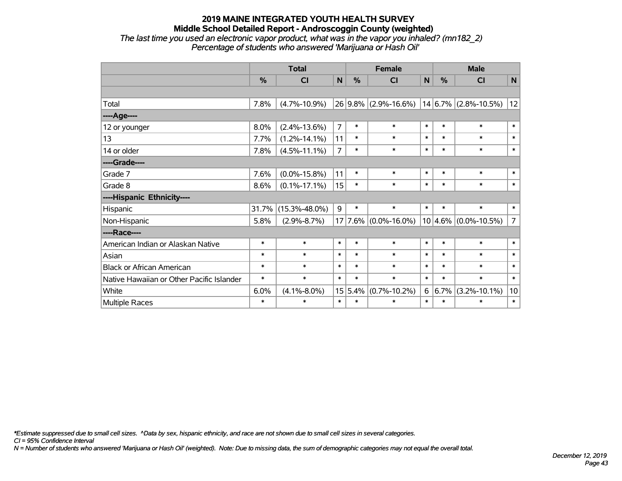### **2019 MAINE INTEGRATED YOUTH HEALTH SURVEY Middle School Detailed Report - Androscoggin County (weighted)** *The last time you used an electronic vapor product, what was in the vapor you inhaled? (mn182\_2) Percentage of students who answered 'Marijuana or Hash Oil'*

|                                           | <b>Total</b>  |                     |                |         | <b>Female</b>          | <b>Male</b>  |         |                          |                |
|-------------------------------------------|---------------|---------------------|----------------|---------|------------------------|--------------|---------|--------------------------|----------------|
|                                           | $\frac{0}{0}$ | C <sub>l</sub>      | N              | %       | <b>CI</b>              | $\mathsf{N}$ | %       | <b>CI</b>                | N              |
|                                           |               |                     |                |         |                        |              |         |                          |                |
| Total                                     | 7.8%          | $(4.7\% - 10.9\%)$  |                |         | 26 9.8% (2.9%-16.6%)   |              |         | $14 6.7\% $ (2.8%-10.5%) | 12             |
| ---- Age----                              |               |                     |                |         |                        |              |         |                          |                |
| 12 or younger                             | 8.0%          | $(2.4\% - 13.6\%)$  | $\overline{7}$ | $\ast$  | $\ast$                 | $\ast$       | $\ast$  | $\ast$                   | $\ast$         |
| 13                                        | 7.7%          | $(1.2\% - 14.1\%)$  | 11             | $\ast$  | $\ast$                 | $\ast$       | $\ast$  | $\ast$                   | $\ast$         |
| 14 or older                               | 7.8%          | $(4.5\% - 11.1\%)$  | $\overline{7}$ | $\ast$  | $\ast$                 | $\ast$       | $\ast$  | $\ast$                   | $\ast$         |
| ----Grade----                             |               |                     |                |         |                        |              |         |                          |                |
| Grade 7                                   | 7.6%          | $(0.0\% - 15.8\%)$  | 11             | $\ast$  | $\ast$                 | $\ast$       | $\ast$  | $\ast$                   | $\pmb{\ast}$   |
| Grade 8                                   | 8.6%          | $(0.1\% - 17.1\%)$  | 15             | $\ast$  | $\ast$                 | $\ast$       | $\ast$  | $\ast$                   | $\ast$         |
| ----Hispanic Ethnicity----                |               |                     |                |         |                        |              |         |                          |                |
| Hispanic                                  | 31.7%         | $(15.3\% - 48.0\%)$ | 9              | $\ast$  | $\ast$                 | $\ast$       | $\ast$  | $\ast$                   | $\ast$         |
| Non-Hispanic                              | 5.8%          | $(2.9\% - 8.7\%)$   | 17             |         | $ 7.6\% $ (0.0%-16.0%) |              |         | $10 4.6\% $ (0.0%-10.5%) | $\overline{7}$ |
| ----Race----                              |               |                     |                |         |                        |              |         |                          |                |
| American Indian or Alaskan Native         | $\ast$        | $\ast$              | $\ast$         | $\ast$  | $\ast$                 | $\ast$       | $\ast$  | $\ast$                   | $\ast$         |
| Asian                                     | $\ast$        | $\ast$              | $\ast$         | $\ast$  | $\ast$                 | $\ast$       | $\ast$  | $\ast$                   | $\ast$         |
| <b>Black or African American</b>          | $\ast$        | $\ast$              | $\ast$         | $\ast$  | $\ast$                 | $\ast$       | $\ast$  | $\ast$                   | $\ast$         |
| Native Hawaiian or Other Pacific Islander | $\ast$        | $\ast$              | $\ast$         | $\ast$  | $\ast$                 | $\ast$       | $\ast$  | $\ast$                   | $\ast$         |
| White                                     | 6.0%          | $(4.1\% - 8.0\%)$   |                | 15 5.4% | $(0.7\% - 10.2\%)$     | 6            | $6.7\%$ | $(3.2\% - 10.1\%)$       | 10             |
| <b>Multiple Races</b>                     | $\ast$        | $\ast$              | $\ast$         | $\ast$  | $\ast$                 | $\ast$       | $\ast$  | $\ast$                   | $\ast$         |

*\*Estimate suppressed due to small cell sizes. ^Data by sex, hispanic ethnicity, and race are not shown due to small cell sizes in several categories.*

*CI = 95% Confidence Interval*

*N = Number of students who answered 'Marijuana or Hash Oil' (weighted). Note: Due to missing data, the sum of demographic categories may not equal the overall total.*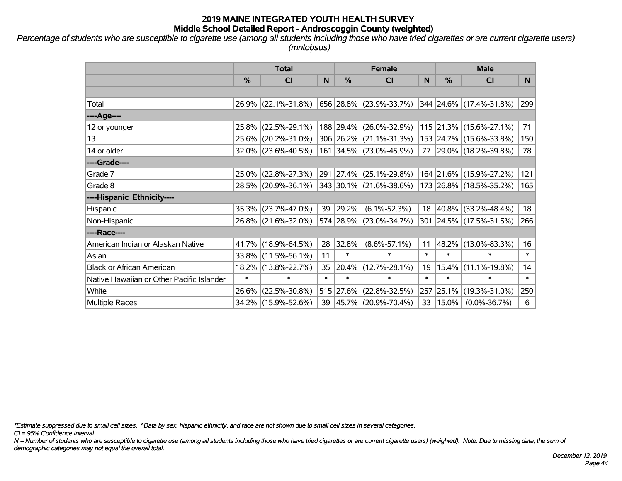*Percentage of students who are susceptible to cigarette use (among all students including those who have tried cigarettes or are current cigarette users) (mntobsus)*

|                                           | <b>Total</b>  |                        |        |        | <b>Female</b>            |        | <b>Male</b> |                          |        |  |
|-------------------------------------------|---------------|------------------------|--------|--------|--------------------------|--------|-------------|--------------------------|--------|--|
|                                           | $\frac{0}{0}$ | <b>CI</b>              | N      | %      | <b>CI</b>                | N      | %           | <b>CI</b>                | N.     |  |
|                                           |               |                        |        |        |                          |        |             |                          |        |  |
| Total                                     |               | 26.9% (22.1%-31.8%)    |        |        | 656 28.8% (23.9%-33.7%)  |        |             | 344 24.6% (17.4%-31.8%)  | 299    |  |
| ----Age----                               |               |                        |        |        |                          |        |             |                          |        |  |
| 12 or younger                             |               | 25.8% (22.5%-29.1%)    |        |        | 188 29.4% (26.0%-32.9%)  |        |             | 115 21.3% (15.6%-27.1%)  | 71     |  |
| 13                                        |               | 25.6% (20.2%-31.0%)    |        |        | 306 26.2% (21.1%-31.3%)  |        |             | 153 24.7% (15.6%-33.8%)  | 150    |  |
| 14 or older                               |               | $32.0\%$ (23.6%-40.5%) |        |        | 161 34.5% (23.0%-45.9%)  | 77     |             | $ 29.0\% $ (18.2%-39.8%) | 78     |  |
| ----Grade----                             |               |                        |        |        |                          |        |             |                          |        |  |
| Grade 7                                   |               | 25.0% (22.8%-27.3%)    |        |        | 291 27.4% (25.1%-29.8%)  |        |             | 164 21.6% (15.9%-27.2%)  | 121    |  |
| Grade 8                                   |               | 28.5% (20.9%-36.1%)    |        |        | 343 30.1% (21.6%-38.6%)  |        |             | 173 26.8% (18.5%-35.2%)  | 165    |  |
| ----Hispanic Ethnicity----                |               |                        |        |        |                          |        |             |                          |        |  |
| Hispanic                                  |               | 35.3% (23.7%-47.0%)    | 39     | 29.2%  | $(6.1\% - 52.3\%)$       | 18     | $ 40.8\%$   | $(33.2\% - 48.4\%)$      | 18     |  |
| Non-Hispanic                              |               | 26.8% (21.6%-32.0%)    |        |        | 574 28.9% (23.0%-34.7%)  |        |             | 301 24.5% (17.5%-31.5%)  | 266    |  |
| ----Race----                              |               |                        |        |        |                          |        |             |                          |        |  |
| American Indian or Alaskan Native         |               | 41.7% (18.9%-64.5%)    | 28     | 32.8%  | $(8.6\% - 57.1\%)$       | 11     | 48.2%       | $(13.0\% - 83.3\%)$      | 16     |  |
| Asian                                     |               | 33.8% (11.5%-56.1%)    | 11     | $\ast$ | $\ast$                   | $\ast$ | $\ast$      | $\ast$                   | $\ast$ |  |
| <b>Black or African American</b>          |               | 18.2% (13.8%-22.7%)    | 35     | 20.4%  | $(12.7\% - 28.1\%)$      | 19     | 15.4%       | $(11.1\% - 19.8\%)$      | 14     |  |
| Native Hawaiian or Other Pacific Islander | $\ast$        | $\ast$                 | $\ast$ | $\ast$ | $\ast$                   | $\ast$ | $\ast$      | $\ast$                   | $\ast$ |  |
| White                                     | 26.6%         | $(22.5\% - 30.8\%)$    | 515    | 27.6%  | $(22.8\% - 32.5\%)$      | 257    | 25.1%       | $(19.3\% - 31.0\%)$      | 250    |  |
| <b>Multiple Races</b>                     |               | 34.2% (15.9%-52.6%)    | 39     |        | $ 45.7\% $ (20.9%-70.4%) | 33     | 15.0%       | $(0.0\% - 36.7\%)$       | 6      |  |

*\*Estimate suppressed due to small cell sizes. ^Data by sex, hispanic ethnicity, and race are not shown due to small cell sizes in several categories.*

*CI = 95% Confidence Interval*

*N = Number of students who are susceptible to cigarette use (among all students including those who have tried cigarettes or are current cigarette users) (weighted). Note: Due to missing data, the sum of demographic categories may not equal the overall total.*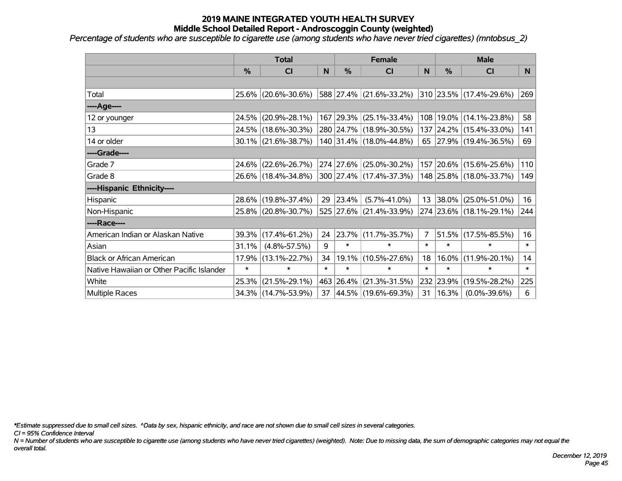*Percentage of students who are susceptible to cigarette use (among students who have never tried cigarettes) (mntobsus\_2)*

|                                           |        | <b>Total</b>           |        |               | <b>Female</b>           |                | <b>Male</b> |                         |        |
|-------------------------------------------|--------|------------------------|--------|---------------|-------------------------|----------------|-------------|-------------------------|--------|
|                                           | %      | <b>CI</b>              | N      | $\frac{0}{0}$ | CI                      | N              | %           | CI                      | N      |
|                                           |        |                        |        |               |                         |                |             |                         |        |
| Total                                     |        | 25.6% (20.6%-30.6%)    |        |               | 588 27.4% (21.6%-33.2%) |                |             | 310 23.5% (17.4%-29.6%) | 269    |
| ----Age----                               |        |                        |        |               |                         |                |             |                         |        |
| 12 or younger                             | 24.5%  | $(20.9\% - 28.1\%)$    |        |               | 167 29.3% (25.1%-33.4%) | 108            | 19.0%       | $(14.1\% - 23.8\%)$     | 58     |
| 13                                        |        | 24.5% (18.6%-30.3%)    |        |               | 280 24.7% (18.9%-30.5%) |                |             | 137 24.2% (15.4%-33.0%) | 141    |
| 14 or older                               |        | $30.1\%$ (21.6%-38.7%) |        |               | 140 31.4% (18.0%-44.8%) |                |             | 65 27.9% (19.4%-36.5%)  | 69     |
| ----Grade----                             |        |                        |        |               |                         |                |             |                         |        |
| Grade 7                                   | 24.6%  | $(22.6\% - 26.7\%)$    |        | 274 27.6%     | $(25.0\% - 30.2\%)$     |                | 157 20.6%   | $(15.6\% - 25.6\%)$     | 110    |
| Grade 8                                   |        | 26.6% (18.4%-34.8%)    |        |               | 300 27.4% (17.4%-37.3%) |                |             | 148 25.8% (18.0%-33.7%) | 149    |
| ----Hispanic Ethnicity----                |        |                        |        |               |                         |                |             |                         |        |
| Hispanic                                  |        | 28.6% (19.8%-37.4%)    | 29     | $ 23.4\% $    | $(5.7\% - 41.0\%)$      |                | 13 38.0%    | $(25.0\% - 51.0\%)$     | 16     |
| Non-Hispanic                              |        | 25.8% (20.8%-30.7%)    |        |               | 525 27.6% (21.4%-33.9%) |                |             | 274 23.6% (18.1%-29.1%) | 244    |
| ----Race----                              |        |                        |        |               |                         |                |             |                         |        |
| American Indian or Alaskan Native         |        | 39.3% (17.4%-61.2%)    | 24     | $ 23.7\% $    | $(11.7\% - 35.7\%)$     | $\overline{7}$ | 51.5%       | $(17.5\% - 85.5\%)$     | 16     |
| Asian                                     | 31.1%  | $(4.8\% - 57.5\%)$     | 9      | $\ast$        | $\ast$                  | $\ast$         | $\ast$      | $\ast$                  | $\ast$ |
| <b>Black or African American</b>          | 17.9%  | $(13.1\% - 22.7\%)$    | 34     | 19.1%         | $(10.5\% - 27.6\%)$     | 18             | 16.0%       | $(11.9\% - 20.1\%)$     | 14     |
| Native Hawaiian or Other Pacific Islander | $\ast$ | $\ast$                 | $\ast$ | $\ast$        | $\ast$                  | $\ast$         | $\ast$      | $\ast$                  | $\ast$ |
| White                                     | 25.3%  | $(21.5\% - 29.1\%)$    | 463    | $ 26.4\% $    | $(21.3\% - 31.5\%)$     | 232            | 23.9%       | $(19.5\% - 28.2\%)$     | 225    |
| <b>Multiple Races</b>                     |        | 34.3% (14.7%-53.9%)    |        |               | 37 44.5% (19.6%-69.3%)  | 31             | 16.3%       | $(0.0\% - 39.6\%)$      | 6      |

*\*Estimate suppressed due to small cell sizes. ^Data by sex, hispanic ethnicity, and race are not shown due to small cell sizes in several categories.*

*CI = 95% Confidence Interval*

*N = Number of students who are susceptible to cigarette use (among students who have never tried cigarettes) (weighted). Note: Due to missing data, the sum of demographic categories may not equal the overall total.*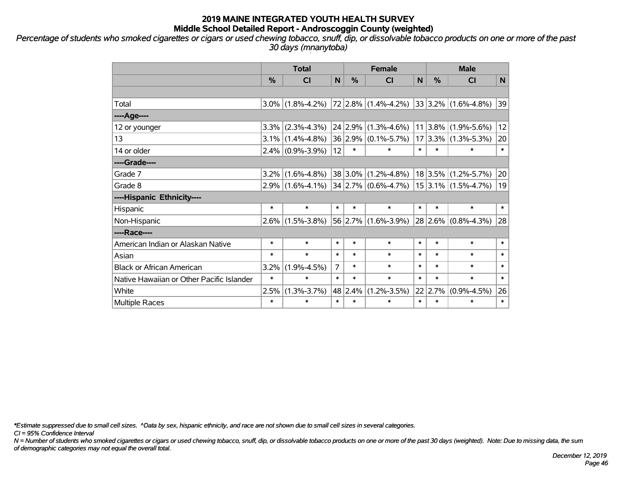*Percentage of students who smoked cigarettes or cigars or used chewing tobacco, snuff, dip, or dissolvable tobacco products on one or more of the past 30 days (mnanytoba)*

|                                           | <b>Total</b> |                                             |                |         | <b>Female</b>                                               | <b>Male</b> |                 |                          |        |
|-------------------------------------------|--------------|---------------------------------------------|----------------|---------|-------------------------------------------------------------|-------------|-----------------|--------------------------|--------|
|                                           | %            | <b>CI</b>                                   | N              | %       | <b>CI</b>                                                   | N           | %               | <b>CI</b>                | N      |
|                                           |              |                                             |                |         |                                                             |             |                 |                          |        |
| Total                                     | $3.0\%$      | $(1.8\% - 4.2\%)$   72   2.8%   (1.4%-4.2%) |                |         |                                                             |             |                 | $ 33 3.2\% $ (1.6%-4.8%) | 39     |
| ----Age----                               |              |                                             |                |         |                                                             |             |                 |                          |        |
| 12 or younger                             | 3.3%         | $(2.3\% - 4.3\%)$                           |                |         | $24$ 2.9% (1.3%-4.6%)                                       |             | 11 3.8%         | $(1.9\% - 5.6\%)$        | 12     |
| 13                                        | $3.1\%$      | $(1.4\% - 4.8\%)$                           |                |         | 36 2.9% (0.1%-5.7%)                                         |             | 17 3.3%         | $(1.3\% - 5.3\%)$        | 20     |
| 14 or older                               | $2.4\%$      | $(0.9\% - 3.9\%)$                           | 12             | $\ast$  | $\ast$                                                      | $\ast$      | $\ast$          | $\ast$                   | $\ast$ |
| ----Grade----                             |              |                                             |                |         |                                                             |             |                 |                          |        |
| Grade 7                                   | 3.2%         | $(1.6\% - 4.8\%)$                           |                |         | $38 3.0\% $ (1.2%-4.8%)                                     |             | 18 3.5%         | $(1.2\% - 5.7\%)$        | 20     |
| Grade 8                                   |              |                                             |                |         | $2.9\%$ (1.6%-4.1%) 34 2.7% (0.6%-4.7%) 15 3.1% (1.5%-4.7%) |             |                 |                          | 19     |
| ----Hispanic Ethnicity----                |              |                                             |                |         |                                                             |             |                 |                          |        |
| Hispanic                                  | $\ast$       | $\ast$                                      | $\ast$         | $\ast$  | $\ast$                                                      | $\ast$      | $\ast$          | $\ast$                   | $\ast$ |
| Non-Hispanic                              | $2.6\%$      | $(1.5\% - 3.8\%)$                           |                |         | $56$ 2.7% (1.6%-3.9%)                                       |             | 28 2.6%         | $(0.8\% - 4.3\%)$        | 28     |
| ----Race----                              |              |                                             |                |         |                                                             |             |                 |                          |        |
| American Indian or Alaskan Native         | $\ast$       | $\ast$                                      | $\ast$         | $\ast$  | $\ast$                                                      | $\ast$      | $\ast$          | $\ast$                   | $\ast$ |
| Asian                                     | $\ast$       | $\ast$                                      | $\ast$         | $\ast$  | $\ast$                                                      | $\ast$      | $\ast$          | $\ast$                   | $\ast$ |
| <b>Black or African American</b>          | 3.2%         | $(1.9\% - 4.5\%)$                           | $\overline{7}$ | $\ast$  | $\ast$                                                      | $\ast$      | $\ast$          | $\ast$                   | $\ast$ |
| Native Hawaiian or Other Pacific Islander | $\ast$       | $\ast$                                      | $\ast$         | $\ast$  | $\ast$                                                      | $\ast$      | $\ast$          | $\ast$                   | $\ast$ |
| White                                     | 2.5%         | $(1.3\% - 3.7\%)$                           |                | 48 2.4% | $(1.2\% - 3.5\%)$                                           |             | $22 \mid 2.7\%$ | $(0.9\% - 4.5\%)$        | 26     |
| <b>Multiple Races</b>                     | $\ast$       | $\ast$                                      | $\ast$         | $\ast$  | $\ast$                                                      | $\ast$      | $\ast$          | $\ast$                   | $\ast$ |

*\*Estimate suppressed due to small cell sizes. ^Data by sex, hispanic ethnicity, and race are not shown due to small cell sizes in several categories.*

*CI = 95% Confidence Interval*

*N = Number of students who smoked cigarettes or cigars or used chewing tobacco, snuff, dip, or dissolvable tobacco products on one or more of the past 30 days (weighted). Note: Due to missing data, the sum of demographic categories may not equal the overall total.*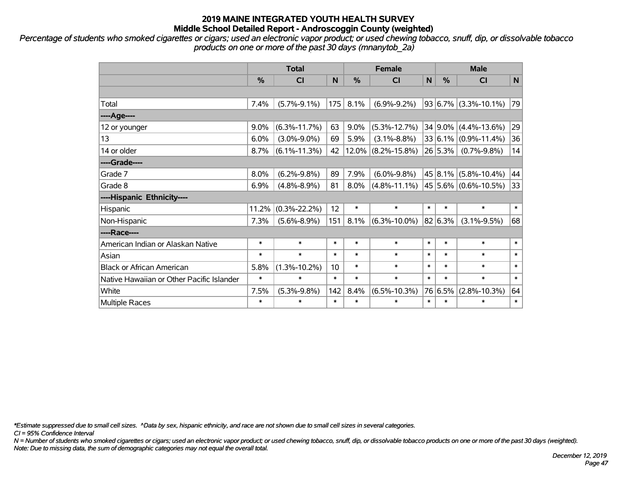*Percentage of students who smoked cigarettes or cigars; used an electronic vapor product; or used chewing tobacco, snuff, dip, or dissolvable tobacco products on one or more of the past 30 days (mnanytob\_2a)*

|                                           | <b>Total</b>  |                    |        |          | <b>Female</b>      |              | <b>Male</b>   |                          |              |  |
|-------------------------------------------|---------------|--------------------|--------|----------|--------------------|--------------|---------------|--------------------------|--------------|--|
|                                           | $\frac{0}{0}$ | CI                 | N      | %        | <b>CI</b>          | $\mathsf{N}$ | $\frac{0}{0}$ | <b>CI</b>                | $\mathsf{N}$ |  |
|                                           |               |                    |        |          |                    |              |               |                          |              |  |
| Total                                     | 7.4%          | $(5.7\% - 9.1\%)$  | 175    | 8.1%     | $(6.9\% - 9.2\%)$  |              |               | $93 6.7\% $ (3.3%-10.1%) | 79           |  |
| ---- Age----                              |               |                    |        |          |                    |              |               |                          |              |  |
| 12 or younger                             | 9.0%          | $(6.3\% - 11.7\%)$ | 63     | 9.0%     | $(5.3\% - 12.7\%)$ |              | $34 9.0\% $   | $(4.4\% - 13.6\%)$       | 29           |  |
| 13                                        | 6.0%          | $(3.0\% - 9.0\%)$  | 69     | 5.9%     | $(3.1\% - 8.8\%)$  |              | 33 6.1%       | $(0.9\% - 11.4\%)$       | 36           |  |
| 14 or older                               | 8.7%          | $(6.1\% - 11.3\%)$ | 42     | $12.0\%$ | $(8.2\% - 15.8\%)$ |              | 26 5.3%       | $(0.7\% - 9.8\%)$        | 14           |  |
| ----Grade----                             |               |                    |        |          |                    |              |               |                          |              |  |
| Grade 7                                   | 8.0%          | $(6.2\% - 9.8\%)$  | 89     | 7.9%     | $(6.0\% - 9.8\%)$  |              | 45 8.1%       | $(5.8\% - 10.4\%)$       | 44           |  |
| Grade 8                                   | 6.9%          | $(4.8\% - 8.9\%)$  | 81     | 8.0%     | $(4.8\% - 11.1\%)$ |              |               | $45 5.6\% $ (0.6%-10.5%) | 33           |  |
| ----Hispanic Ethnicity----                |               |                    |        |          |                    |              |               |                          |              |  |
| Hispanic                                  | 11.2%         | $(0.3\% - 22.2\%)$ | 12     | $\ast$   | $\ast$             | $\ast$       | $\ast$        | $\ast$                   | $\ast$       |  |
| Non-Hispanic                              | 7.3%          | $(5.6\% - 8.9\%)$  | 151    | 8.1%     | $(6.3\% - 10.0\%)$ |              | 82 6.3%       | $(3.1\% - 9.5\%)$        | 68           |  |
| ----Race----                              |               |                    |        |          |                    |              |               |                          |              |  |
| American Indian or Alaskan Native         | $\ast$        | $\ast$             | $\ast$ | $\ast$   | $\ast$             | $\ast$       | $\ast$        | $\ast$                   | $\ast$       |  |
| Asian                                     | $\ast$        | $\ast$             | $\ast$ | $\ast$   | $\ast$             | $\ast$       | $\ast$        | $\ast$                   | $\ast$       |  |
| <b>Black or African American</b>          | 5.8%          | $(1.3\% - 10.2\%)$ | 10     | $\ast$   | $\ast$             | $\ast$       | $\ast$        | $\ast$                   | $\ast$       |  |
| Native Hawaiian or Other Pacific Islander | $\ast$        | $\ast$             | $\ast$ | $\ast$   | $\ast$             | $\ast$       | $\ast$        | $\ast$                   | $\ast$       |  |
| White                                     | 7.5%          | $(5.3\% - 9.8\%)$  | 142    | 8.4%     | $(6.5\% - 10.3\%)$ |              | 76 6.5%       | $(2.8\% - 10.3\%)$       | 64           |  |
| Multiple Races                            | $\ast$        | $\ast$             | $\ast$ | $\ast$   | $\ast$             | $\ast$       | $\ast$        | $\ast$                   | $\ast$       |  |

*\*Estimate suppressed due to small cell sizes. ^Data by sex, hispanic ethnicity, and race are not shown due to small cell sizes in several categories.*

*CI = 95% Confidence Interval*

*N = Number of students who smoked cigarettes or cigars; used an electronic vapor product; or used chewing tobacco, snuff, dip, or dissolvable tobacco products on one or more of the past 30 days (weighted). Note: Due to missing data, the sum of demographic categories may not equal the overall total.*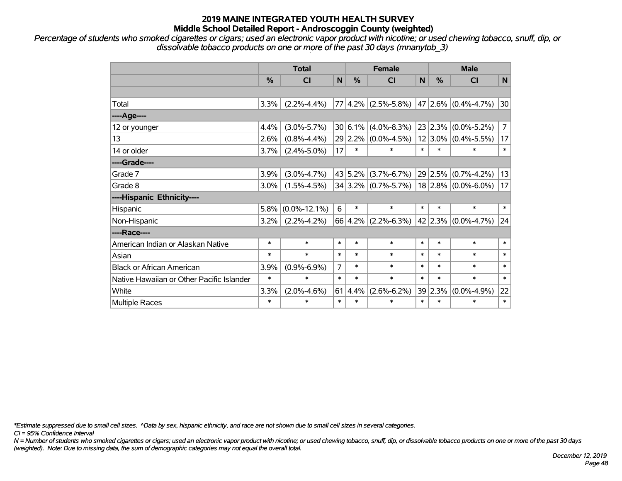*Percentage of students who smoked cigarettes or cigars; used an electronic vapor product with nicotine; or used chewing tobacco, snuff, dip, or dissolvable tobacco products on one or more of the past 30 days (mnanytob\_3)*

|                                           | <b>Total</b>  |                    |                |        | <b>Female</b>                           | <b>Male</b> |               |                       |                |
|-------------------------------------------|---------------|--------------------|----------------|--------|-----------------------------------------|-------------|---------------|-----------------------|----------------|
|                                           | $\frac{0}{0}$ | CI                 | N              | $\%$   | <b>CI</b>                               | N           | $\frac{9}{6}$ | <b>CI</b>             | N              |
|                                           |               |                    |                |        |                                         |             |               |                       |                |
| Total                                     | 3.3%          | $(2.2\% - 4.4\%)$  |                |        | 77 4.2% (2.5%-5.8%) 47 2.6% (0.4%-4.7%) |             |               |                       | 30             |
| ----Age----                               |               |                    |                |        |                                         |             |               |                       |                |
| 12 or younger                             | 4.4%          | $(3.0\% - 5.7\%)$  |                |        | $30 6.1\% (4.0\% - 8.3\%)$              |             | 23 2.3%       | $(0.0\% - 5.2\%)$     | $\overline{7}$ |
| 13                                        | 2.6%          | $(0.8\% - 4.4\%)$  |                |        | 29 2.2% (0.0%-4.5%)                     |             | $12 3.0\% $   | $(0.4\% - 5.5\%)$     | 17             |
| 14 or older                               | $3.7\%$       | $(2.4\% - 5.0\%)$  | 17             | $\ast$ | $\ast$                                  | $\ast$      | $\ast$        | $\ast$                | $\ast$         |
| ----Grade----                             |               |                    |                |        |                                         |             |               |                       |                |
| Grade 7                                   | 3.9%          | $(3.0\% - 4.7\%)$  |                |        | $43 5.2\% $ (3.7%-6.7%)                 |             | 29 2.5%       | $(0.7\% - 4.2\%)$     | 13             |
| Grade 8                                   | 3.0%          | $(1.5\% - 4.5\%)$  |                |        | $34 3.2\% $ (0.7%-5.7%)                 |             |               | $18$ 2.8% (0.0%-6.0%) | 17             |
| ----Hispanic Ethnicity----                |               |                    |                |        |                                         |             |               |                       |                |
| Hispanic                                  | 5.8%          | $(0.0\% - 12.1\%)$ | 6              | $\ast$ | $\ast$                                  | $\ast$      | $\ast$        | $\ast$                | $\ast$         |
| Non-Hispanic                              | $3.2\%$       | $(2.2\% - 4.2\%)$  |                |        | $66 4.2\% $ (2.2%-6.3%)                 |             | 42 2.3%       | $(0.0\% - 4.7\%)$     | 24             |
| ----Race----                              |               |                    |                |        |                                         |             |               |                       |                |
| American Indian or Alaskan Native         | $\ast$        | $\ast$             | $\ast$         | $\ast$ | $\ast$                                  | $\ast$      | $\ast$        | $\ast$                | $\ast$         |
| Asian                                     | $\ast$        | $\ast$             | $\ast$         | $\ast$ | $\ast$                                  | $\ast$      | $\ast$        | $\ast$                | $\ast$         |
| <b>Black or African American</b>          | 3.9%          | $(0.9\% - 6.9\%)$  | $\overline{7}$ | $\ast$ | $\ast$                                  | $\ast$      | $\ast$        | $\ast$                | $\ast$         |
| Native Hawaiian or Other Pacific Islander | $\ast$        | $\ast$             | $\ast$         | $\ast$ | $\ast$                                  | $\ast$      | $\ast$        | $\ast$                | $\ast$         |
| White                                     | 3.3%          | $(2.0\% - 4.6\%)$  | 61             | 4.4%   | $(2.6\% - 6.2\%)$                       |             | 39 2.3%       | $(0.0\% - 4.9\%)$     | 22             |
| <b>Multiple Races</b>                     | $\ast$        | $\ast$             | $\ast$         | $\ast$ | $\ast$                                  | $\ast$      | $\ast$        | $\ast$                | $\ast$         |

*\*Estimate suppressed due to small cell sizes. ^Data by sex, hispanic ethnicity, and race are not shown due to small cell sizes in several categories.*

*CI = 95% Confidence Interval*

*N = Number of students who smoked cigarettes or cigars; used an electronic vapor product with nicotine; or used chewing tobacco, snuff, dip, or dissolvable tobacco products on one or more of the past 30 days (weighted). Note: Due to missing data, the sum of demographic categories may not equal the overall total.*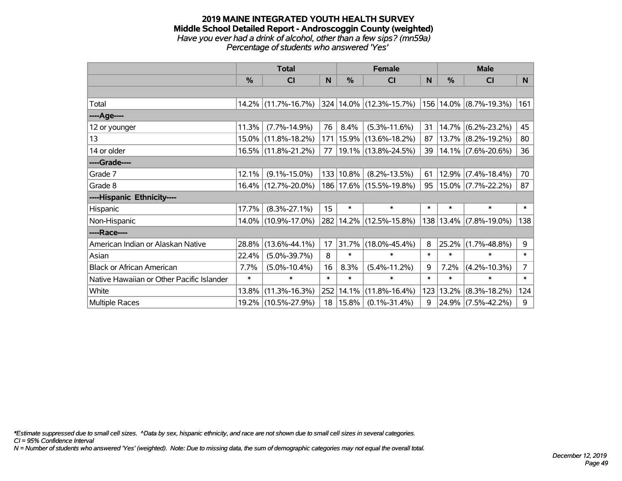### **2019 MAINE INTEGRATED YOUTH HEALTH SURVEY Middle School Detailed Report - Androscoggin County (weighted)** *Have you ever had a drink of alcohol, other than a few sips? (mn59a) Percentage of students who answered 'Yes'*

|                                           | <b>Total</b> |                     |        |             | <b>Female</b>                                                      | <b>Male</b> |          |                        |                |
|-------------------------------------------|--------------|---------------------|--------|-------------|--------------------------------------------------------------------|-------------|----------|------------------------|----------------|
|                                           | %            | <b>CI</b>           | N      | %           | CI                                                                 | N           | $\%$     | <b>CI</b>              | N.             |
|                                           |              |                     |        |             |                                                                    |             |          |                        |                |
| Total                                     |              |                     |        |             | 14.2% (11.7%-16.7%) 324 14.0% (12.3%-15.7%) 156 14.0% (8.7%-19.3%) |             |          |                        | 161            |
| ---- Age----                              |              |                     |        |             |                                                                    |             |          |                        |                |
| 12 or younger                             | 11.3%        | $(7.7\% - 14.9\%)$  | 76     | 8.4%        | $(5.3\% - 11.6\%)$                                                 | 31          | 14.7%    | $(6.2\% - 23.2\%)$     | 45             |
| 13                                        | 15.0%        | $(11.8\% - 18.2\%)$ |        | 171   15.9% | $(13.6\% - 18.2\%)$                                                | 87          |          | 13.7% (8.2%-19.2%)     | 80             |
| 14 or older                               |              | 16.5% (11.8%-21.2%) | 77     |             | $ 19.1\% $ (13.8%-24.5%)                                           | 39          |          | $14.1\%$ (7.6%-20.6%)  | 36             |
| ----Grade----                             |              |                     |        |             |                                                                    |             |          |                        |                |
| Grade 7                                   | 12.1%        | $(9.1\% - 15.0\%)$  |        | 133 10.8%   | $(8.2\% - 13.5\%)$                                                 | 61          | 12.9%    | $(7.4\% - 18.4\%)$     | 70             |
| Grade 8                                   |              | 16.4% (12.7%-20.0%) |        |             | 186   17.6%   (15.5%-19.8%)                                        | 95          |          | 15.0% (7.7%-22.2%)     | 87             |
| ----Hispanic Ethnicity----                |              |                     |        |             |                                                                    |             |          |                        |                |
| Hispanic                                  | 17.7%        | $(8.3\% - 27.1\%)$  | 15     | $\ast$      | $\ast$                                                             | $\ast$      | $\ast$   | $\ast$                 | $\ast$         |
| Non-Hispanic                              |              | 14.0% (10.9%-17.0%) |        |             | 282 14.2% (12.5%-15.8%)                                            |             |          | 138 13.4% (7.8%-19.0%) | 138            |
| ----Race----                              |              |                     |        |             |                                                                    |             |          |                        |                |
| American Indian or Alaskan Native         | 28.8%        | $(13.6\% - 44.1\%)$ | 17     | 31.7%       | $(18.0\% - 45.4\%)$                                                | 8           | $25.2\%$ | $(1.7\% - 48.8\%)$     | 9              |
| Asian                                     | 22.4%        | $(5.0\% - 39.7\%)$  | 8      | $\ast$      | $\ast$                                                             | $\ast$      | $\ast$   | $\ast$                 | $\ast$         |
| <b>Black or African American</b>          | 7.7%         | $(5.0\% - 10.4\%)$  | 16     | 8.3%        | $(5.4\% - 11.2\%)$                                                 | 9           | 7.2%     | $(4.2\% - 10.3\%)$     | $\overline{7}$ |
| Native Hawaiian or Other Pacific Islander | $\ast$       | $\ast$              | $\ast$ | $\ast$      | $\ast$                                                             | $\ast$      | $\ast$   | $\ast$                 | $\ast$         |
| White                                     | 13.8%        | $(11.3\% - 16.3\%)$ |        | 252 14.1%   | $(11.8\% - 16.4\%)$                                                | 123         | 13.2%    | $(8.3\% - 18.2\%)$     | 124            |
| <b>Multiple Races</b>                     |              | 19.2% (10.5%-27.9%) | 18     | 15.8%       | $(0.1\% - 31.4\%)$                                                 | 9           |          | $24.9\%$ (7.5%-42.2%)  | 9              |

*\*Estimate suppressed due to small cell sizes. ^Data by sex, hispanic ethnicity, and race are not shown due to small cell sizes in several categories.*

*CI = 95% Confidence Interval*

*N = Number of students who answered 'Yes' (weighted). Note: Due to missing data, the sum of demographic categories may not equal the overall total.*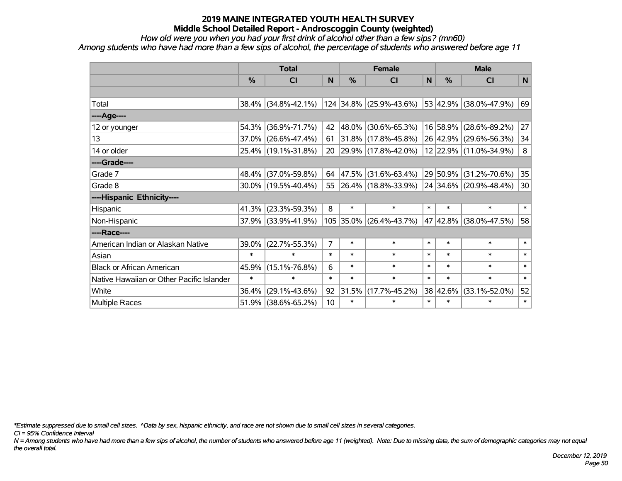*How old were you when you had your first drink of alcohol other than a few sips? (mn60)*

*Among students who have had more than a few sips of alcohol, the percentage of students who answered before age 11*

|                                           | <b>Total</b>  |                        |                |        | <b>Female</b>            |        | <b>Male</b> |                        |        |  |
|-------------------------------------------|---------------|------------------------|----------------|--------|--------------------------|--------|-------------|------------------------|--------|--|
|                                           | $\frac{0}{0}$ | <b>CI</b>              | N              | %      | <b>CI</b>                | N      | %           | <b>CI</b>              | N      |  |
|                                           |               |                        |                |        |                          |        |             |                        |        |  |
| Total                                     |               | $38.4\%$ (34.8%-42.1%) |                |        | 124 34.8% (25.9%-43.6%)  |        |             | 53 42.9% (38.0%-47.9%) | 69     |  |
| ----Age----                               |               |                        |                |        |                          |        |             |                        |        |  |
| 12 or younger                             | 54.3%         | $(36.9\% - 71.7\%)$    | 42             | 48.0%  | $(30.6\% - 65.3\%)$      |        | 16 58.9%    | $(28.6\% - 89.2\%)$    | 27     |  |
| 13                                        |               | 37.0% (26.6%-47.4%)    | 61             |        | 31.8% (17.8%-45.8%)      |        |             | 26 42.9% (29.6%-56.3%) | 34     |  |
| 14 or older                               |               | 25.4% (19.1%-31.8%)    | 20             |        | 29.9% (17.8%-42.0%)      |        |             | 12 22.9% (11.0%-34.9%) | 8      |  |
| ----Grade----                             |               |                        |                |        |                          |        |             |                        |        |  |
| Grade 7                                   | $48.4\%$      | $(37.0\% - 59.8\%)$    | 64             | 47.5%  | (31.6%-63.4%)            |        | 29 50.9%    | $(31.2\% - 70.6\%)$    | 35     |  |
| Grade 8                                   |               | $30.0\%$ (19.5%-40.4%) | 55             |        | $ 26.4\% $ (18.8%-33.9%) |        |             | 24 34.6% (20.9%-48.4%) | 30     |  |
| ----Hispanic Ethnicity----                |               |                        |                |        |                          |        |             |                        |        |  |
| <b>Hispanic</b>                           | 41.3%         | $(23.3\% - 59.3\%)$    | 8              | $\ast$ | $\ast$                   | $\ast$ | $\ast$      | $\ast$                 | $\ast$ |  |
| Non-Hispanic                              |               | 37.9% (33.9%-41.9%)    |                |        | 105 35.0% (26.4%-43.7%)  |        | 47 42.8%    | $(38.0\% - 47.5\%)$    | 58     |  |
| ----Race----                              |               |                        |                |        |                          |        |             |                        |        |  |
| American Indian or Alaskan Native         | 39.0%         | $(22.7\% - 55.3\%)$    | $\overline{7}$ | $\ast$ | $\ast$                   | $\ast$ | $\ast$      | $\ast$                 | $\ast$ |  |
| Asian                                     | $\ast$        | $\ast$                 | $\ast$         | $\ast$ | $\ast$                   | $\ast$ | $\ast$      | $\ast$                 | $\ast$ |  |
| <b>Black or African American</b>          | 45.9%         | $(15.1\% - 76.8\%)$    | 6              | $\ast$ | $\ast$                   | $\ast$ | $\ast$      | $\ast$                 | $\ast$ |  |
| Native Hawaiian or Other Pacific Islander | $\ast$        | $\ast$                 | $\ast$         | $\ast$ | $\ast$                   | $\ast$ | $\ast$      | $\ast$                 | $\ast$ |  |
| White                                     | 36.4%         | $(29.1\% - 43.6\%)$    | 92             | 31.5%  | $(17.7\% - 45.2\%)$      |        | 38 42.6%    | $(33.1\% - 52.0\%)$    | 52     |  |
| Multiple Races                            |               | $51.9\%$ (38.6%-65.2%) | 10             | $\ast$ | $\ast$                   | $\ast$ | $\ast$      | $\ast$                 | $\ast$ |  |

*\*Estimate suppressed due to small cell sizes. ^Data by sex, hispanic ethnicity, and race are not shown due to small cell sizes in several categories.*

*CI = 95% Confidence Interval*

*N = Among students who have had more than a few sips of alcohol, the number of students who answered before age 11 (weighted). Note: Due to missing data, the sum of demographic categories may not equal the overall total.*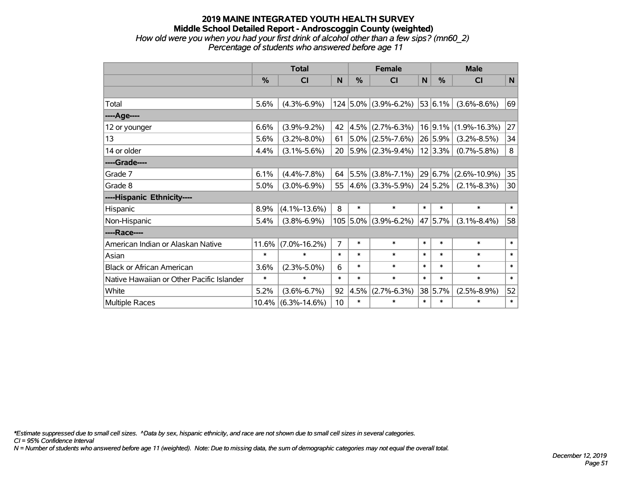### **2019 MAINE INTEGRATED YOUTH HEALTH SURVEY Middle School Detailed Report - Androscoggin County (weighted)** *How old were you when you had your first drink of alcohol other than a few sips? (mn60\_2) Percentage of students who answered before age 11*

|                                           | <b>Total</b> |                    |                |            | <b>Female</b>          |        | <b>Male</b>  |                    |              |  |
|-------------------------------------------|--------------|--------------------|----------------|------------|------------------------|--------|--------------|--------------------|--------------|--|
|                                           | %            | CI                 | N              | %          | C <sub>1</sub>         | N      | $\%$         | <b>CI</b>          | $\mathsf{N}$ |  |
|                                           |              |                    |                |            |                        |        |              |                    |              |  |
| Total                                     | 5.6%         | $(4.3\% - 6.9\%)$  |                |            | $124$ 5.0% (3.9%-6.2%) |        | $ 53 6.1\% $ | $(3.6\% - 8.6\%)$  | 69           |  |
| ----Age----                               |              |                    |                |            |                        |        |              |                    |              |  |
| 12 or younger                             | 6.6%         | $(3.9\% - 9.2\%)$  | 42             | 4.5%       | $(2.7\% - 6.3\%)$      |        | 16 9.1%      | $(1.9\% - 16.3\%)$ | 27           |  |
| 13                                        | 5.6%         | $(3.2\% - 8.0\%)$  | 61             |            | $5.0\%$ (2.5%-7.6%)    |        | 26 5.9%      | $(3.2\% - 8.5\%)$  | 34           |  |
| 14 or older                               | 4.4%         | $(3.1\% - 5.6\%)$  | 20             |            | $ 5.9\% $ (2.3%-9.4%)  |        | 12 3.3%      | $(0.7\% - 5.8\%)$  | 8            |  |
| ----Grade----                             |              |                    |                |            |                        |        |              |                    |              |  |
| Grade 7                                   | 6.1%         | $(4.4\% - 7.8\%)$  | 64             |            | $ 5.5\% $ (3.8%-7.1%)  |        | 29 6.7%      | $(2.6\% - 10.9\%)$ | 35           |  |
| Grade 8                                   | 5.0%         | $(3.0\% - 6.9\%)$  | 55             |            | $4.6\%$ (3.3%-5.9%)    |        | $ 24 5.2\% $ | $(2.1\% - 8.3\%)$  | 30           |  |
| ----Hispanic Ethnicity----                |              |                    |                |            |                        |        |              |                    |              |  |
| Hispanic                                  | 8.9%         | $(4.1\% - 13.6\%)$ | 8              | $\ast$     | $\ast$                 | $\ast$ | $\ast$       | $\ast$             | $\ast$       |  |
| Non-Hispanic                              | 5.4%         | $(3.8\% - 6.9\%)$  |                | $105$ 5.0% | $(3.9\% - 6.2\%)$      |        | $ 47 5.7\% $ | $(3.1\% - 8.4\%)$  | 58           |  |
| ----Race----                              |              |                    |                |            |                        |        |              |                    |              |  |
| American Indian or Alaskan Native         | 11.6%        | $(7.0\% - 16.2\%)$ | $\overline{7}$ | $\ast$     | $\ast$                 | $\ast$ | $\ast$       | $\ast$             | $\ast$       |  |
| Asian                                     | $\ast$       | $\ast$             | $\ast$         | $\ast$     | $\ast$                 | $\ast$ | $\ast$       | $\ast$             | $\ast$       |  |
| <b>Black or African American</b>          | 3.6%         | $(2.3\% - 5.0\%)$  | 6              | $\ast$     | $\ast$                 | $\ast$ | *            | $\ast$             | $\ast$       |  |
| Native Hawaiian or Other Pacific Islander | $\ast$       | $\ast$             | $\ast$         | $\ast$     | $\ast$                 | $\ast$ | *            | $\ast$             | $\ast$       |  |
| White                                     | 5.2%         | $(3.6\% - 6.7\%)$  | 92             | 4.5%       | $(2.7\% - 6.3\%)$      |        | 38 5.7%      | $(2.5\% - 8.9\%)$  | 52           |  |
| Multiple Races                            | 10.4%        | $(6.3\% - 14.6\%)$ | 10             | $\ast$     | $\ast$                 | $\ast$ | *            | $\ast$             | $\ast$       |  |

*\*Estimate suppressed due to small cell sizes. ^Data by sex, hispanic ethnicity, and race are not shown due to small cell sizes in several categories.*

*CI = 95% Confidence Interval*

*N = Number of students who answered before age 11 (weighted). Note: Due to missing data, the sum of demographic categories may not equal the overall total.*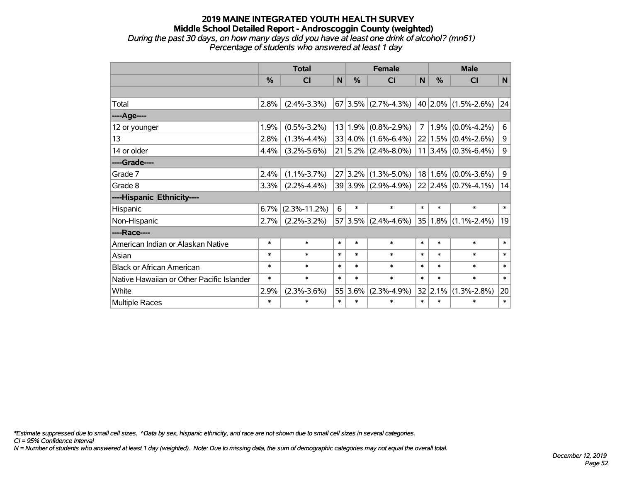### **2019 MAINE INTEGRATED YOUTH HEALTH SURVEY Middle School Detailed Report - Androscoggin County (weighted)** *During the past 30 days, on how many days did you have at least one drink of alcohol? (mn61) Percentage of students who answered at least 1 day*

|                                           | <b>Total</b>  |                    |        |         | <b>Female</b>                               | <b>Male</b> |               |                         |        |
|-------------------------------------------|---------------|--------------------|--------|---------|---------------------------------------------|-------------|---------------|-------------------------|--------|
|                                           | $\frac{0}{0}$ | <b>CI</b>          | N      | %       | <b>CI</b>                                   | N           | $\frac{0}{0}$ | <b>CI</b>               | N      |
|                                           |               |                    |        |         |                                             |             |               |                         |        |
| Total                                     | 2.8%          | $(2.4\% - 3.3\%)$  |        |         | $67 3.5\% $ (2.7%-4.3%) 40 2.0% (1.5%-2.6%) |             |               |                         | 24     |
| ----Age----                               |               |                    |        |         |                                             |             |               |                         |        |
| 12 or younger                             | 1.9%          | $(0.5\% - 3.2\%)$  |        |         | $13 1.9\% $ (0.8%-2.9%)                     | 7           | 1.9%          | $(0.0\% - 4.2\%)$       | 6      |
| 13                                        | 2.8%          | $(1.3\% - 4.4\%)$  |        |         | $33 4.0\% $ (1.6%-6.4%)                     |             |               | $22 1.5\% $ (0.4%-2.6%) | 9      |
| 14 or older                               | 4.4%          | $(3.2\% - 5.6\%)$  |        |         | $21 5.2\% $ (2.4%-8.0%)                     |             |               | $11 3.4\% $ (0.3%-6.4%) | 9      |
| ----Grade----                             |               |                    |        |         |                                             |             |               |                         |        |
| Grade 7                                   | 2.4%          | $(1.1\% - 3.7\%)$  |        |         | $27 3.2\% $ (1.3%-5.0%)                     |             | $18 1.6\% $   | $(0.0\% - 3.6\%)$       | 9      |
| Grade 8                                   | 3.3%          | $(2.2\% - 4.4\%)$  |        |         | 39 3.9% (2.9%-4.9%)                         |             |               | $22$ 2.4% (0.7%-4.1%)   | 14     |
| ----Hispanic Ethnicity----                |               |                    |        |         |                                             |             |               |                         |        |
| Hispanic                                  | 6.7%          | $(2.3\% - 11.2\%)$ | 6      | $\ast$  | $\ast$                                      | $\ast$      | $\ast$        | $\ast$                  | $\ast$ |
| Non-Hispanic                              | $2.7\%$       | $(2.2\% - 3.2\%)$  |        |         | $57 3.5\% $ (2.4%-4.6%)                     |             | $35 1.8\% $   | $(1.1\% - 2.4\%)$       | 19     |
| ----Race----                              |               |                    |        |         |                                             |             |               |                         |        |
| American Indian or Alaskan Native         | $\ast$        | $\ast$             | $\ast$ | $\ast$  | $\ast$                                      | $\ast$      | $\ast$        | $\ast$                  | $\ast$ |
| Asian                                     | $\ast$        | $\ast$             | $\ast$ | $\ast$  | $\ast$                                      | $\ast$      | $\ast$        | $\ast$                  | $\ast$ |
| <b>Black or African American</b>          | $\ast$        | $\ast$             | $\ast$ | $\ast$  | $\ast$                                      | $\ast$      | $\ast$        | $\ast$                  | $\ast$ |
| Native Hawaiian or Other Pacific Islander | $\ast$        | $\ast$             | $\ast$ | $\ast$  | $\ast$                                      | $\ast$      | $\ast$        | $\ast$                  | $\ast$ |
| White                                     | 2.9%          | $(2.3\% - 3.6\%)$  |        | 55 3.6% | $(2.3\% - 4.9\%)$                           |             | 32 2.1%       | $(1.3\% - 2.8\%)$       | 20     |
| Multiple Races                            | $\ast$        | $\ast$             | $\ast$ | $\ast$  | $\ast$                                      | $\ast$      | $\ast$        | $\ast$                  | $\ast$ |

*\*Estimate suppressed due to small cell sizes. ^Data by sex, hispanic ethnicity, and race are not shown due to small cell sizes in several categories.*

*CI = 95% Confidence Interval*

*N = Number of students who answered at least 1 day (weighted). Note: Due to missing data, the sum of demographic categories may not equal the overall total.*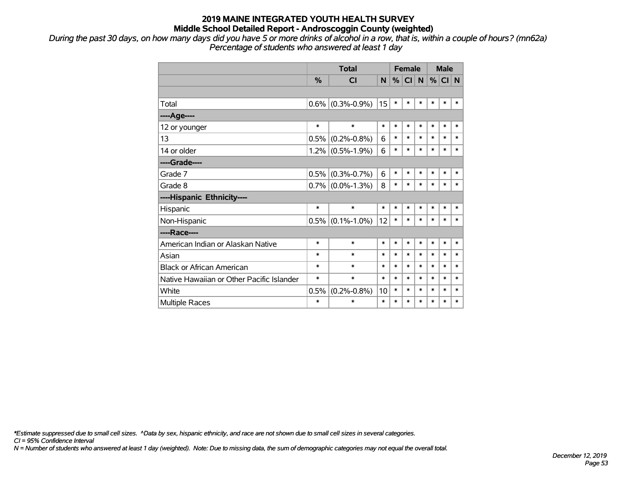*During the past 30 days, on how many days did you have 5 or more drinks of alcohol in a row, that is, within a couple of hours? (mn62a) Percentage of students who answered at least 1 day*

|                                           |               | <b>Total</b>      | <b>Female</b> |        |           |                | <b>Male</b> |          |        |
|-------------------------------------------|---------------|-------------------|---------------|--------|-----------|----------------|-------------|----------|--------|
|                                           | $\frac{0}{0}$ | <b>CI</b>         | N.            | %      | <b>CI</b> | N <sub>1</sub> |             | $%$ CI N |        |
|                                           |               |                   |               |        |           |                |             |          |        |
| Total                                     | 0.6%          | $(0.3\% - 0.9\%)$ | 15            | $\ast$ | *         | $\ast$         | $\ast$      | $\ast$   | $\ast$ |
| ----Age----                               |               |                   |               |        |           |                |             |          |        |
| 12 or younger                             | $\ast$        | $\ast$            | $\ast$        | $\ast$ | $\ast$    | $\ast$         | $\ast$      | $\ast$   | $\ast$ |
| 13                                        | 0.5%          | $(0.2\% - 0.8\%)$ | 6             | $\ast$ | $\ast$    | $\ast$         | $\ast$      | $\ast$   | $\ast$ |
| 14 or older                               | 1.2%          | $(0.5\% - 1.9\%)$ | 6             | $\ast$ | $\ast$    | $\ast$         | $\ast$      | $\ast$   | $\ast$ |
| ----Grade----                             |               |                   |               |        |           |                |             |          |        |
| Grade 7                                   | 0.5%          | $(0.3\% - 0.7\%)$ | 6             | $\ast$ | $\ast$    | $\ast$         | $\ast$      | $\ast$   | $\ast$ |
| Grade 8                                   | $0.7\%$       | $(0.0\% - 1.3\%)$ | 8             | $\ast$ | $\ast$    | $\ast$         | $\ast$      | $\ast$   | $\ast$ |
| ----Hispanic Ethnicity----                |               |                   |               |        |           |                |             |          |        |
| Hispanic                                  | $\ast$        | $\ast$            | $\ast$        | *      | *         | $\ast$         | $\ast$      | *        | ∗      |
| Non-Hispanic                              | 0.5%          | $(0.1\% - 1.0\%)$ | 12            | $\ast$ | $\ast$    | $\ast$         | $\ast$      | $\ast$   | $\ast$ |
| ----Race----                              |               |                   |               |        |           |                |             |          |        |
| American Indian or Alaskan Native         | $\ast$        | $\ast$            | *             | *      | $\ast$    | $\ast$         | $\ast$      | $\ast$   | $\ast$ |
| Asian                                     | $\ast$        | $\ast$            | *             | *      | $\ast$    | $\ast$         | $\ast$      | $\ast$   | $\ast$ |
| <b>Black or African American</b>          | *             | $\ast$            | $\ast$        | $\ast$ | $\ast$    | $\ast$         | $\ast$      | $\ast$   | $\ast$ |
| Native Hawaiian or Other Pacific Islander | $\ast$        | $\ast$            | $\ast$        | $\ast$ | $\ast$    | $\ast$         | $\ast$      | $\ast$   | $\ast$ |
| White                                     | 0.5%          | $(0.2\% - 0.8\%)$ | 10            | $\ast$ | $\ast$    | $\ast$         | $\ast$      | $\ast$   | $\ast$ |
| Multiple Races                            | $\ast$        | $\ast$            | $\ast$        | $\ast$ | $\ast$    | $\ast$         | $\ast$      | $\ast$   | $\ast$ |

*\*Estimate suppressed due to small cell sizes. ^Data by sex, hispanic ethnicity, and race are not shown due to small cell sizes in several categories.*

*CI = 95% Confidence Interval*

*N = Number of students who answered at least 1 day (weighted). Note: Due to missing data, the sum of demographic categories may not equal the overall total.*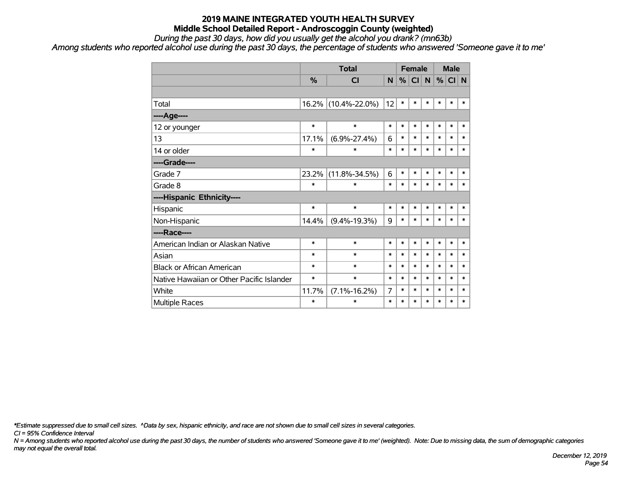*During the past 30 days, how did you usually get the alcohol you drank? (mn63b)*

*Among students who reported alcohol use during the past 30 days, the percentage of students who answered 'Someone gave it to me'*

|                                           |          | <b>Total</b>        |        |        | <b>Female</b> |        | <b>Male</b> |        |        |  |
|-------------------------------------------|----------|---------------------|--------|--------|---------------|--------|-------------|--------|--------|--|
|                                           | %        | <b>CI</b>           | N      | %      | CI            | N      | %           | CI N   |        |  |
|                                           |          |                     |        |        |               |        |             |        |        |  |
| Total                                     | $16.2\%$ | $(10.4\% - 22.0\%)$ | 12     | $\ast$ | $\ast$        | $\ast$ | $\ast$      | $\ast$ | $\ast$ |  |
| ---- Age----                              |          |                     |        |        |               |        |             |        |        |  |
| 12 or younger                             | $\ast$   | $\ast$              | $\ast$ | $\ast$ | $\ast$        | $\ast$ | $\ast$      | $\ast$ | $\ast$ |  |
| 13                                        | 17.1%    | $(6.9\% - 27.4\%)$  | 6      | $\ast$ | $\ast$        | $\ast$ | $\ast$      | $\ast$ | $\ast$ |  |
| 14 or older                               | $\ast$   | $\ast$              | $\ast$ | $\ast$ | $\ast$        | $\ast$ | $\ast$      | $\ast$ | $\ast$ |  |
| ----Grade----                             |          |                     |        |        |               |        |             |        |        |  |
| Grade 7                                   | $23.2\%$ | $(11.8\% - 34.5\%)$ | 6      | $\ast$ | $\ast$        | $\ast$ | $\ast$      | $\ast$ | $\ast$ |  |
| Grade 8                                   | $\ast$   | $\ast$              | $\ast$ | $\ast$ | $\ast$        | $\ast$ | $\ast$      | $\ast$ | $\ast$ |  |
| ----Hispanic Ethnicity----                |          |                     |        |        |               |        |             |        |        |  |
| Hispanic                                  | $\ast$   | $\ast$              | $\ast$ | $\ast$ | $\ast$        | $\ast$ | $\ast$      | $\ast$ | $\ast$ |  |
| Non-Hispanic                              | 14.4%    | $(9.4\% - 19.3\%)$  | 9      | $\ast$ | $\ast$        | $\ast$ | $\ast$      | $\ast$ | $\ast$ |  |
| ----Race----                              |          |                     |        |        |               |        |             |        |        |  |
| American Indian or Alaskan Native         | $\ast$   | $\ast$              | *      | $\ast$ | $\ast$        | $\ast$ | $\ast$      | $\ast$ | $\ast$ |  |
| Asian                                     | $\ast$   | $\ast$              | $\ast$ | $\ast$ | $\ast$        | $\ast$ | $\ast$      | $\ast$ | $\ast$ |  |
| <b>Black or African American</b>          | $\ast$   | $\ast$              | $\ast$ | $\ast$ | $\ast$        | $\ast$ | $\ast$      | $\ast$ | $\ast$ |  |
| Native Hawaiian or Other Pacific Islander | $\ast$   | $\ast$              | $\ast$ | $\ast$ | $\ast$        | $\ast$ | $\ast$      | $\ast$ | $\ast$ |  |
| White                                     | 11.7%    | $(7.1\% - 16.2\%)$  | 7      | $\ast$ | $\ast$        | $\ast$ | $\ast$      | $\ast$ | $\ast$ |  |
| <b>Multiple Races</b>                     | $\ast$   | $\ast$              | $\ast$ | $\ast$ | $\ast$        | $\ast$ | $\ast$      | $\ast$ | $\ast$ |  |

*\*Estimate suppressed due to small cell sizes. ^Data by sex, hispanic ethnicity, and race are not shown due to small cell sizes in several categories.*

*CI = 95% Confidence Interval*

*N = Among students who reported alcohol use during the past 30 days, the number of students who answered 'Someone gave it to me' (weighted). Note: Due to missing data, the sum of demographic categories may not equal the overall total.*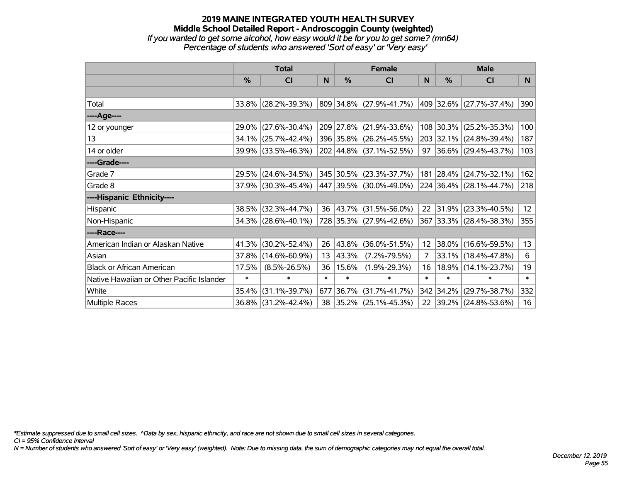### **2019 MAINE INTEGRATED YOUTH HEALTH SURVEY Middle School Detailed Report - Androscoggin County (weighted)** *If you wanted to get some alcohol, how easy would it be for you to get some? (mn64) Percentage of students who answered 'Sort of easy' or 'Very easy'*

|                                           | <b>Total</b>  |                        |        |               | <b>Female</b>            | <b>Male</b>    |           |                         |        |
|-------------------------------------------|---------------|------------------------|--------|---------------|--------------------------|----------------|-----------|-------------------------|--------|
|                                           | $\frac{0}{0}$ | CI                     | N      | $\frac{0}{0}$ | <b>CI</b>                | <sub>N</sub>   | %         | <b>CI</b>               | N      |
|                                           |               |                        |        |               |                          |                |           |                         |        |
| Total                                     |               | 33.8% (28.2%-39.3%)    |        |               | 809 34.8% (27.9%-41.7%)  |                |           | 409 32.6% (27.7%-37.4%) | 390    |
| ----Age----                               |               |                        |        |               |                          |                |           |                         |        |
| 12 or younger                             | 29.0%         | $(27.6\% - 30.4\%)$    |        | 209 27.8%     | $(21.9\% - 33.6\%)$      |                | 108 30.3% | $(25.2\% - 35.3\%)$     | 100    |
| 13                                        | 34.1%         | $(25.7\% - 42.4\%)$    |        |               | 396 35.8% (26.2%-45.5%)  |                |           | 203 32.1% (24.8%-39.4%) | 187    |
| 14 or older                               |               | 39.9% (33.5%-46.3%)    |        |               | 202 44.8% (37.1%-52.5%)  |                |           | 97 36.6% (29.4%-43.7%)  | 103    |
| ----Grade----                             |               |                        |        |               |                          |                |           |                         |        |
| Grade 7                                   | 29.5%         | $(24.6\% - 34.5\%)$    |        |               | 345 30.5% (23.3%-37.7%)  | 181            | 28.4%     | $(24.7\% - 32.1\%)$     | 162    |
| Grade 8                                   |               | $37.9\%$ (30.3%-45.4%) |        |               | 447 39.5% (30.0%-49.0%)  |                |           | 224 36.4% (28.1%-44.7%) | 218    |
| ----Hispanic Ethnicity----                |               |                        |        |               |                          |                |           |                         |        |
| Hispanic                                  | 38.5%         | $(32.3\% - 44.7\%)$    | 36     |               | $ 43.7\% $ (31.5%-56.0%) | 22             | 31.9%     | $(23.3\% - 40.5\%)$     | 12     |
| Non-Hispanic                              |               | 34.3% (28.6%-40.1%)    |        |               | 728 35.3% (27.9%-42.6%)  |                |           | 367 33.3% (28.4%-38.3%) | 355    |
| ----Race----                              |               |                        |        |               |                          |                |           |                         |        |
| American Indian or Alaskan Native         | 41.3%         | $(30.2\% - 52.4\%)$    | 26     | $ 43.8\% $    | $(36.0\% - 51.5\%)$      | 12             | 38.0%     | $(16.6\% - 59.5\%)$     | 13     |
| Asian                                     | 37.8%         | $(14.6\% - 60.9\%)$    | 13     | 43.3%         | $(7.2\% - 79.5\%)$       | $\overline{7}$ | 33.1%     | $(18.4\% - 47.8\%)$     | 6      |
| <b>Black or African American</b>          | 17.5%         | $(8.5\% - 26.5\%)$     | 36     | $ 15.6\% $    | $(1.9\% - 29.3\%)$       | 16             | 18.9%     | $(14.1\% - 23.7\%)$     | 19     |
| Native Hawaiian or Other Pacific Islander | $\ast$        | $\ast$                 | $\ast$ | $\ast$        | $\ast$                   | $\ast$         | $\ast$    | $\ast$                  | $\ast$ |
| White                                     | 35.4%         | $(31.1\% - 39.7\%)$    | 677    | $ 36.7\% $    | $(31.7\% - 41.7\%)$      |                | 342 34.2% | $(29.7\% - 38.7\%)$     | 332    |
| Multiple Races                            | $36.8\%$      | $(31.2\% - 42.4\%)$    |        |               | 38 35.2% (25.1%-45.3%)   | 22             |           | 39.2% (24.8%-53.6%)     | 16     |

*\*Estimate suppressed due to small cell sizes. ^Data by sex, hispanic ethnicity, and race are not shown due to small cell sizes in several categories.*

*CI = 95% Confidence Interval*

*N = Number of students who answered 'Sort of easy' or 'Very easy' (weighted). Note: Due to missing data, the sum of demographic categories may not equal the overall total.*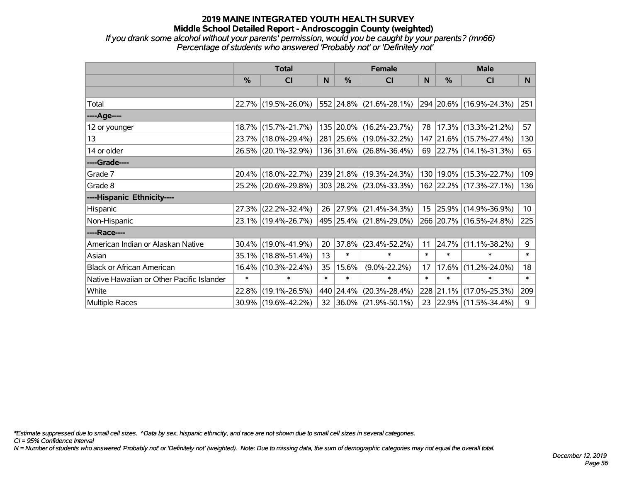*If you drank some alcohol without your parents' permission, would you be caught by your parents? (mn66) Percentage of students who answered 'Probably not' or 'Definitely not'*

|                                           | <b>Total</b>  |                     |        |           | <b>Female</b>            | <b>Male</b> |           |                              |                 |
|-------------------------------------------|---------------|---------------------|--------|-----------|--------------------------|-------------|-----------|------------------------------|-----------------|
|                                           | $\frac{0}{0}$ | <b>CI</b>           | N      | %         | <b>CI</b>                | N           | %         | <b>CI</b>                    | N.              |
|                                           |               |                     |        |           |                          |             |           |                              |                 |
| Total                                     |               | 22.7% (19.5%-26.0%) |        |           | 552 24.8% (21.6%-28.1%)  |             |           | $ 294 20.6\% $ (16.9%-24.3%) | 251             |
| ----Age----                               |               |                     |        |           |                          |             |           |                              |                 |
| 12 or younger                             |               | 18.7% (15.7%-21.7%) |        |           | 135 20.0% (16.2%-23.7%)  | 78          |           | 17.3% (13.3%-21.2%)          | 57              |
| 13                                        |               | 23.7% (18.0%-29.4%) |        |           | 281 25.6% (19.0%-32.2%)  |             |           | 147 21.6% (15.7%-27.4%)      | 130             |
| 14 or older                               |               | 26.5% (20.1%-32.9%) |        |           | 136 31.6% (26.8%-36.4%)  |             |           | 69 22.7% (14.1%-31.3%)       | 65              |
| ----Grade----                             |               |                     |        |           |                          |             |           |                              |                 |
| Grade 7                                   | $20.4\%$      | $(18.0\% - 22.7\%)$ |        |           | 239 21.8% (19.3%-24.3%)  | 130         | 19.0%     | $(15.3\% - 22.7\%)$          | 109             |
| Grade 8                                   |               | 25.2% (20.6%-29.8%) |        |           | 303 28.2% (23.0%-33.3%)  |             |           | 162 22.2% (17.3%-27.1%)      | 136             |
| ----Hispanic Ethnicity----                |               |                     |        |           |                          |             |           |                              |                 |
| Hispanic                                  |               | 27.3% (22.2%-32.4%) | 26     | 27.9%     | $(21.4\% - 34.3\%)$      |             | 15 25.9%  | $(14.9\% - 36.9\%)$          | 10 <sub>1</sub> |
| Non-Hispanic                              |               | 23.1% (19.4%-26.7%) |        |           | 495 25.4% (21.8%-29.0%)  |             |           | 266 20.7% (16.5%-24.8%)      | 225             |
| ----Race----                              |               |                     |        |           |                          |             |           |                              |                 |
| American Indian or Alaskan Native         |               | 30.4% (19.0%-41.9%) | 20     | 37.8%     | $(23.4\% - 52.2\%)$      | 11          | 24.7%     | $(11.1\% - 38.2\%)$          | 9               |
| Asian                                     | $35.1\%$      | $(18.8\% - 51.4\%)$ | 13     | $\ast$    | $\ast$                   | $\ast$      | $\ast$    | $\ast$                       | $\ast$          |
| <b>Black or African American</b>          | $16.4\%$      | $(10.3\% - 22.4\%)$ | 35     | 15.6%     | $(9.0\% - 22.2\%)$       | 17          | 17.6%     | $(11.2\% - 24.0\%)$          | 18              |
| Native Hawaiian or Other Pacific Islander | $\ast$        | $\ast$              | $\ast$ | $\ast$    | $\ast$                   | $\ast$      | $\ast$    | $\ast$                       | $\ast$          |
| White                                     | 22.8%         | $(19.1\% - 26.5\%)$ |        | 440 24.4% | $(20.3\% - 28.4\%)$      |             | 228 21.1% | $(17.0\% - 25.3\%)$          | 209             |
| Multiple Races                            |               | 30.9% (19.6%-42.2%) | 32     |           | $ 36.0\% $ (21.9%-50.1%) |             |           | 23 22.9% (11.5%-34.4%)       | 9               |

*\*Estimate suppressed due to small cell sizes. ^Data by sex, hispanic ethnicity, and race are not shown due to small cell sizes in several categories.*

*CI = 95% Confidence Interval*

*N = Number of students who answered 'Probably not' or 'Definitely not' (weighted). Note: Due to missing data, the sum of demographic categories may not equal the overall total.*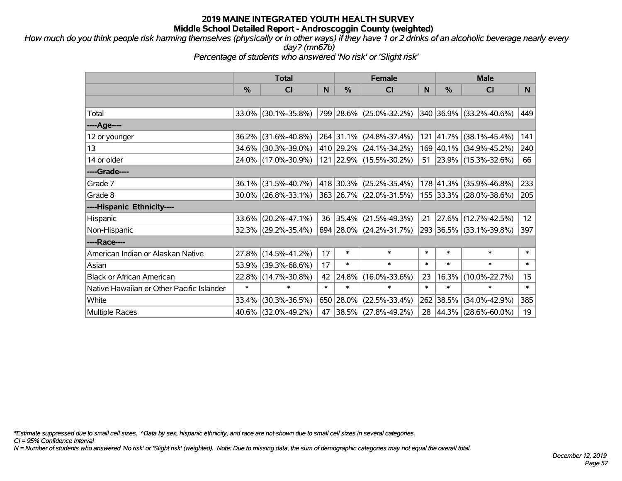*How much do you think people risk harming themselves (physically or in other ways) if they have 1 or 2 drinks of an alcoholic beverage nearly every day? (mn67b)*

*Percentage of students who answered 'No risk' or 'Slight risk'*

|                                           | <b>Total</b> |                        |        | <b>Female</b> | <b>Male</b>             |        |               |                         |                  |
|-------------------------------------------|--------------|------------------------|--------|---------------|-------------------------|--------|---------------|-------------------------|------------------|
|                                           | $\%$         | C <sub>l</sub>         | N      | $\frac{9}{6}$ | <b>CI</b>               | N      | $\frac{0}{0}$ | <b>CI</b>               | N.               |
|                                           |              |                        |        |               |                         |        |               |                         |                  |
| Total                                     |              | 33.0% (30.1%-35.8%)    |        |               | 799 28.6% (25.0%-32.2%) |        | 340 36.9%     | $(33.2\% - 40.6\%)$     | 449              |
| ----Age----                               |              |                        |        |               |                         |        |               |                         |                  |
| 12 or younger                             |              | 36.2% (31.6%-40.8%)    |        | 264 31.1%     | $(24.8\% - 37.4\%)$     |        | 121 41.7%     | $(38.1\% - 45.4\%)$     | 141              |
| 13                                        |              | 34.6% (30.3%-39.0%)    |        |               | 410 29.2% (24.1%-34.2%) |        |               | 169 40.1% (34.9%-45.2%) | 240              |
| 14 or older                               |              | 24.0% (17.0%-30.9%)    |        |               | 121 22.9% (15.5%-30.2%) |        |               | 51 23.9% (15.3%-32.6%)  | 66               |
| ----Grade----                             |              |                        |        |               |                         |        |               |                         |                  |
| Grade 7                                   |              | $36.1\%$ (31.5%-40.7%) |        | 418 30.3%     | $(25.2\% - 35.4\%)$     |        | 178 41.3%     | $(35.9\% - 46.8\%)$     | 233              |
| Grade 8                                   |              | $30.0\%$ (26.8%-33.1%) |        |               | 363 26.7% (22.0%-31.5%) |        |               | 155 33.3% (28.0%-38.6%) | 205              |
| ----Hispanic Ethnicity----                |              |                        |        |               |                         |        |               |                         |                  |
| Hispanic                                  |              | $33.6\%$ (20.2%-47.1%) | 36     | 35.4%         | $(21.5\% - 49.3\%)$     | 21     | $ 27.6\% $    | $(12.7\% - 42.5\%)$     | 12               |
| Non-Hispanic                              |              | 32.3% (29.2%-35.4%)    |        |               | 694 28.0% (24.2%-31.7%) |        |               | 293 36.5% (33.1%-39.8%) | 397              |
| ----Race----                              |              |                        |        |               |                         |        |               |                         |                  |
| American Indian or Alaskan Native         |              | 27.8% (14.5%-41.2%)    | 17     | $\ast$        | $\ast$                  | $\ast$ | $\ast$        | $\ast$                  | $\ast$           |
| Asian                                     |              | 53.9% (39.3%-68.6%)    | 17     | $\ast$        | $\ast$                  | $\ast$ | $\ast$        | $\ast$                  | $\ast$           |
| <b>Black or African American</b>          |              | 22.8% (14.7%-30.8%)    | 42     | 24.8%         | $(16.0\% - 33.6\%)$     | 23     | 16.3%         | $(10.0\% - 22.7\%)$     | 15 <sub>15</sub> |
| Native Hawaiian or Other Pacific Islander | $\ast$       | $\ast$                 | $\ast$ | $\ast$        | $\ast$                  | $\ast$ | $\ast$        | $\ast$                  | $\pmb{\ast}$     |
| White                                     | 33.4%        | $(30.3\% - 36.5\%)$    | 650    | 28.0%         | $(22.5\% - 33.4\%)$     | 262    | 38.5%         | $(34.0\% - 42.9\%)$     | 385              |
| <b>Multiple Races</b>                     |              | 40.6% (32.0%-49.2%)    | 47     |               | 38.5% (27.8%-49.2%)     |        | 28 44.3%      | $(28.6\% - 60.0\%)$     | 19               |

*\*Estimate suppressed due to small cell sizes. ^Data by sex, hispanic ethnicity, and race are not shown due to small cell sizes in several categories.*

*CI = 95% Confidence Interval*

*N = Number of students who answered 'No risk' or 'Slight risk' (weighted). Note: Due to missing data, the sum of demographic categories may not equal the overall total.*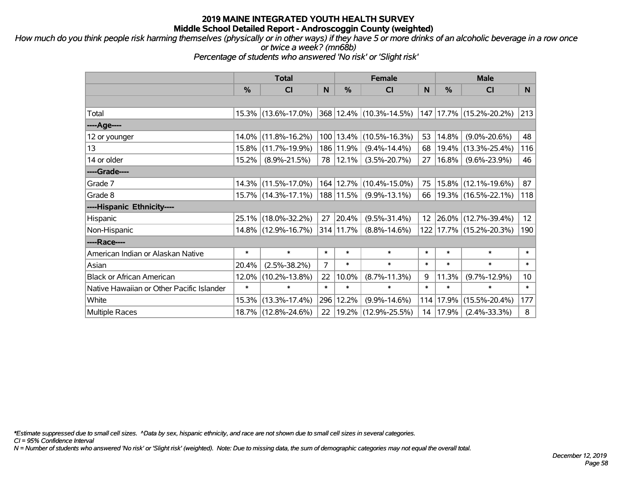*How much do you think people risk harming themselves (physically or in other ways) if they have 5 or more drinks of an alcoholic beverage in a row once or twice a week? (mn68b)*

*Percentage of students who answered 'No risk' or 'Slight risk'*

|                                           | <b>Total</b>  |                     |                | <b>Female</b> | <b>Male</b>             |                 |          |                         |                 |
|-------------------------------------------|---------------|---------------------|----------------|---------------|-------------------------|-----------------|----------|-------------------------|-----------------|
|                                           | $\frac{0}{0}$ | <b>CI</b>           | N              | $\frac{9}{6}$ | <b>CI</b>               | N               | %        | <b>CI</b>               | N               |
|                                           |               |                     |                |               |                         |                 |          |                         |                 |
| Total                                     |               | 15.3% (13.6%-17.0%) |                |               | 368 12.4% (10.3%-14.5%) |                 |          | 147 17.7% (15.2%-20.2%) | 213             |
| ----Age----                               |               |                     |                |               |                         |                 |          |                         |                 |
| 12 or younger                             |               | 14.0% (11.8%-16.2%) |                | 100 13.4%     | $(10.5\% - 16.3\%)$     | 53              | 14.8%    | $(9.0\% - 20.6\%)$      | 48              |
| 13                                        |               | 15.8% (11.7%-19.9%) |                | 186 11.9%     | $(9.4\% - 14.4\%)$      | 68              | 19.4%    | $(13.3\% - 25.4\%)$     | 116             |
| 14 or older                               | 15.2%         | $(8.9\% - 21.5\%)$  |                | 78   12.1%    | $(3.5\% - 20.7\%)$      | 27              | $16.8\%$ | $(9.6\% - 23.9\%)$      | 46              |
| ----Grade----                             |               |                     |                |               |                         |                 |          |                         |                 |
| Grade 7                                   |               | 14.3% (11.5%-17.0%) |                | 164 12.7%     | $(10.4\% - 15.0\%)$     | 75              | $15.8\%$ | $(12.1\% - 19.6\%)$     | 87              |
| Grade 8                                   |               | 15.7% (14.3%-17.1%) |                | 188 11.5%     | $(9.9\% - 13.1\%)$      | 66              |          | 19.3% (16.5%-22.1%)     | 118             |
| ----Hispanic Ethnicity----                |               |                     |                |               |                         |                 |          |                         |                 |
| Hispanic                                  |               | 25.1% (18.0%-32.2%) | 27             | 20.4%         | $(9.5\% - 31.4\%)$      | 12 <sup>7</sup> | 26.0%    | $(12.7\% - 39.4\%)$     | 12 <sub>2</sub> |
| Non-Hispanic                              |               | 14.8% (12.9%-16.7%) |                | 314 11.7%     | $(8.8\% - 14.6\%)$      |                 |          | 122 17.7% (15.2%-20.3%) | 190             |
| ----Race----                              |               |                     |                |               |                         |                 |          |                         |                 |
| American Indian or Alaskan Native         | $\ast$        | $\ast$              | $\ast$         | $\ast$        | $\ast$                  | $\ast$          | $\ast$   | $\ast$                  | $\ast$          |
| Asian                                     | 20.4%         | $(2.5\% - 38.2\%)$  | $\overline{7}$ | $\ast$        | $\ast$                  | $\ast$          | $\ast$   | $\ast$                  | $\ast$          |
| <b>Black or African American</b>          | 12.0%         | $(10.2\% - 13.8\%)$ | 22             | 10.0%         | $(8.7\% - 11.3\%)$      | 9               | 11.3%    | $(9.7\% - 12.9\%)$      | 10 <sup>°</sup> |
| Native Hawaiian or Other Pacific Islander | $\ast$        | $\ast$              | $\ast$         | $\ast$        | $\ast$                  | $\ast$          | $\ast$   | $\ast$                  | $\ast$          |
| White                                     | 15.3%         | $(13.3\% - 17.4\%)$ | 296            | 12.2%         | $(9.9\% - 14.6\%)$      | 114             | 17.9%    | $(15.5\% - 20.4\%)$     | 177             |
| <b>Multiple Races</b>                     |               | 18.7% (12.8%-24.6%) | 22             |               | 19.2%  (12.9%-25.5%)    | 14              | 17.9%    | $(2.4\% - 33.3\%)$      | 8               |

*\*Estimate suppressed due to small cell sizes. ^Data by sex, hispanic ethnicity, and race are not shown due to small cell sizes in several categories.*

*CI = 95% Confidence Interval*

*N = Number of students who answered 'No risk' or 'Slight risk' (weighted). Note: Due to missing data, the sum of demographic categories may not equal the overall total.*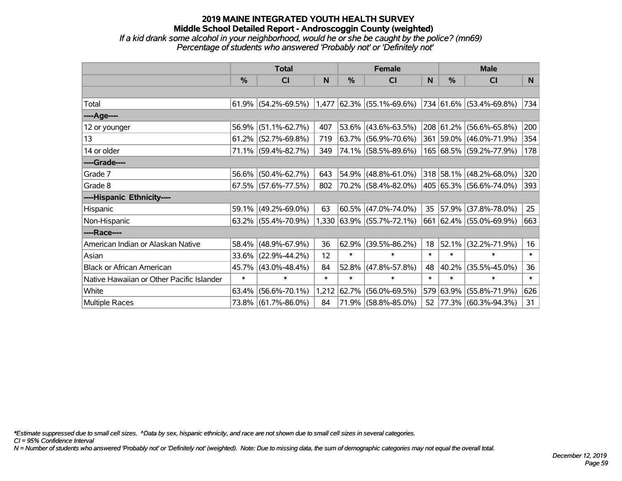### **2019 MAINE INTEGRATED YOUTH HEALTH SURVEY Middle School Detailed Report - Androscoggin County (weighted)** *If a kid drank some alcohol in your neighborhood, would he or she be caught by the police? (mn69) Percentage of students who answered 'Probably not' or 'Definitely not'*

|                                           | <b>Total</b> |                        |        |        | <b>Female</b>               | <b>Male</b> |               |                         |        |
|-------------------------------------------|--------------|------------------------|--------|--------|-----------------------------|-------------|---------------|-------------------------|--------|
|                                           | %            | <b>CI</b>              | N      | %      | <b>CI</b>                   | N           | $\frac{0}{0}$ | <b>CI</b>               | N.     |
|                                           |              |                        |        |        |                             |             |               |                         |        |
| Total                                     |              | $61.9\%$ (54.2%-69.5%) |        |        | $1,477$ 62.3% (55.1%-69.6%) |             |               | 734 61.6% (53.4%-69.8%) | 734    |
| ----Age----                               |              |                        |        |        |                             |             |               |                         |        |
| 12 or younger                             | 56.9%        | $(51.1\% - 62.7\%)$    | 407    |        | $53.6\%$ (43.6%-63.5%)      |             |               | 208 61.2% (56.6%-65.8%) | 200    |
| 13                                        |              | $61.2\%$ (52.7%-69.8%) | 719    |        | 63.7% (56.9%-70.6%)         |             |               | 361 59.0% (46.0%-71.9%) | 354    |
| 14 or older                               |              | 71.1% (59.4%-82.7%)    | 349    |        | 74.1% (58.5%-89.6%)         |             |               | 165 68.5% (59.2%-77.9%) | 178    |
| ----Grade----                             |              |                        |        |        |                             |             |               |                         |        |
| Grade 7                                   | 56.6%        | $(50.4\% - 62.7\%)$    | 643    |        | 54.9% (48.8%-61.0%)         |             |               | 318 58.1% (48.2%-68.0%) | 320    |
| Grade 8                                   |              | $67.5\%$ (57.6%-77.5%) | 802    |        | 70.2% (58.4%-82.0%)         |             |               | 405 65.3% (56.6%-74.0%) | 393    |
| ----Hispanic Ethnicity----                |              |                        |        |        |                             |             |               |                         |        |
| Hispanic                                  | 59.1%        | $(49.2\% - 69.0\%)$    | 63     |        | 60.5%   (47.0%-74.0%)       | 35          |               | 57.9% (37.8%-78.0%)     | 25     |
| Non-Hispanic                              |              | $63.2\%$ (55.4%-70.9%) |        |        | $1,330$ 63.9% (55.7%-72.1%) |             |               | 661 62.4% (55.0%-69.9%) | 663    |
| ----Race----                              |              |                        |        |        |                             |             |               |                         |        |
| American Indian or Alaskan Native         | 58.4%        | $(48.9\% - 67.9\%)$    | 36     | 62.9%  | $(39.5\% - 86.2\%)$         | 18          | 52.1%         | $(32.2\% - 71.9\%)$     | 16     |
| Asian                                     | 33.6%        | $(22.9\% - 44.2\%)$    | 12     | $\ast$ | $\ast$                      | $\ast$      | $\ast$        | $\ast$                  | $\ast$ |
| <b>Black or African American</b>          | 45.7%        | $(43.0\% - 48.4\%)$    | 84     | 52.8%  | $(47.8\% - 57.8\%)$         | 48          | 40.2%         | $(35.5\% - 45.0\%)$     | 36     |
| Native Hawaiian or Other Pacific Islander | $\ast$       | $\ast$                 | $\ast$ | $\ast$ | $\ast$                      | $\ast$      | $\ast$        | $\ast$                  | $\ast$ |
| White                                     | 63.4%        | $(56.6\% - 70.1\%)$    | 1,212  | 62.7%  | $(56.0\% - 69.5\%)$         |             |               | 579 63.9% (55.8%-71.9%) | 626    |
| Multiple Races                            |              | 73.8% (61.7%-86.0%)    | 84     |        | 71.9% (58.8%-85.0%)         | 52          |               | 77.3% (60.3%-94.3%)     | 31     |

*\*Estimate suppressed due to small cell sizes. ^Data by sex, hispanic ethnicity, and race are not shown due to small cell sizes in several categories.*

*CI = 95% Confidence Interval*

*N = Number of students who answered 'Probably not' or 'Definitely not' (weighted). Note: Due to missing data, the sum of demographic categories may not equal the overall total.*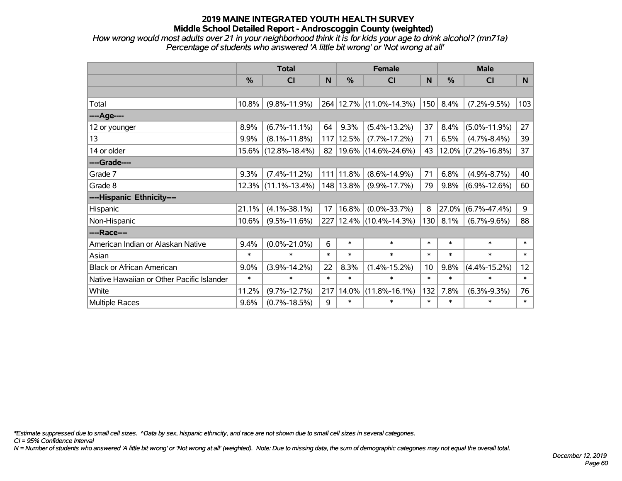*How wrong would most adults over 21 in your neighborhood think it is for kids your age to drink alcohol? (mn71a) Percentage of students who answered 'A little bit wrong' or 'Not wrong at all'*

|                                           | <b>Total</b>  |                     |        |           | <b>Female</b>           |        | <b>Male</b> |                    |                 |  |
|-------------------------------------------|---------------|---------------------|--------|-----------|-------------------------|--------|-------------|--------------------|-----------------|--|
|                                           | $\frac{0}{0}$ | <b>CI</b>           | N      | %         | <b>CI</b>               | N      | %           | <b>CI</b>          | N               |  |
|                                           |               |                     |        |           |                         |        |             |                    |                 |  |
| Total                                     | 10.8%         | $(9.8\% - 11.9\%)$  |        |           | 264 12.7% (11.0%-14.3%) | 150    | 8.4%        | $(7.2\% - 9.5\%)$  | 103             |  |
| ----Age----                               |               |                     |        |           |                         |        |             |                    |                 |  |
| 12 or younger                             | 8.9%          | $(6.7\% - 11.1\%)$  | 64     | 9.3%      | $(5.4\% - 13.2\%)$      | 37     | 8.4%        | $(5.0\% - 11.9\%)$ | 27              |  |
| 13                                        | 9.9%          | $(8.1\% - 11.8\%)$  | 117    | 12.5%     | $(7.7\% - 17.2\%)$      | 71     | 6.5%        | $(4.7\% - 8.4\%)$  | 39              |  |
| 14 or older                               | 15.6%         | $(12.8\% - 18.4\%)$ | 82     |           | 19.6% (14.6%-24.6%)     | 43     | $12.0\%$    | $(7.2\% - 16.8\%)$ | 37              |  |
| ----Grade----                             |               |                     |        |           |                         |        |             |                    |                 |  |
| Grade 7                                   | 9.3%          | $(7.4\% - 11.2\%)$  |        | 111 11.8% | $(8.6\% - 14.9\%)$      | 71     | 6.8%        | $(4.9\% - 8.7\%)$  | 40              |  |
| Grade 8                                   | 12.3%         | $(11.1\% - 13.4\%)$ |        | 148 13.8% | $(9.9\% - 17.7\%)$      | 79     | 9.8%        | $(6.9\% - 12.6\%)$ | 60              |  |
| ----Hispanic Ethnicity----                |               |                     |        |           |                         |        |             |                    |                 |  |
| Hispanic                                  | 21.1%         | $(4.1\% - 38.1\%)$  | 17     | 16.8%     | $(0.0\% - 33.7\%)$      | 8      | 27.0%       | $(6.7\% - 47.4\%)$ | 9               |  |
| Non-Hispanic                              | 10.6%         | $(9.5\% - 11.6\%)$  |        |           | 227 12.4% (10.4%-14.3%) | 130    | 8.1%        | $(6.7\% - 9.6\%)$  | 88              |  |
| ----Race----                              |               |                     |        |           |                         |        |             |                    |                 |  |
| American Indian or Alaskan Native         | 9.4%          | $(0.0\% - 21.0\%)$  | 6      | $\ast$    | $\ast$                  | $\ast$ | $\ast$      | $\ast$             | $\ast$          |  |
| Asian                                     | $\ast$        | $\ast$              | $\ast$ | $\ast$    | $\ast$                  | $\ast$ | $\ast$      | $\ast$             | $\ast$          |  |
| <b>Black or African American</b>          | $9.0\%$       | $(3.9\% - 14.2\%)$  | 22     | 8.3%      | $(1.4\% - 15.2\%)$      | 10     | 9.8%        | $(4.4\% - 15.2\%)$ | 12 <sup>2</sup> |  |
| Native Hawaiian or Other Pacific Islander | $\ast$        | $\ast$              | $\ast$ | $\ast$    | $\ast$                  | $\ast$ | $\ast$      | $\ast$             | $\ast$          |  |
| White                                     | 11.2%         | $(9.7\% - 12.7\%)$  | 217    | 14.0%     | $(11.8\% - 16.1\%)$     | 132    | 7.8%        | $(6.3\% - 9.3\%)$  | 76              |  |
| Multiple Races                            | 9.6%          | $(0.7\% - 18.5\%)$  | 9      | $\ast$    | $\ast$                  | $\ast$ | $\ast$      | $\ast$             | $\ast$          |  |

*\*Estimate suppressed due to small cell sizes. ^Data by sex, hispanic ethnicity, and race are not shown due to small cell sizes in several categories.*

*CI = 95% Confidence Interval*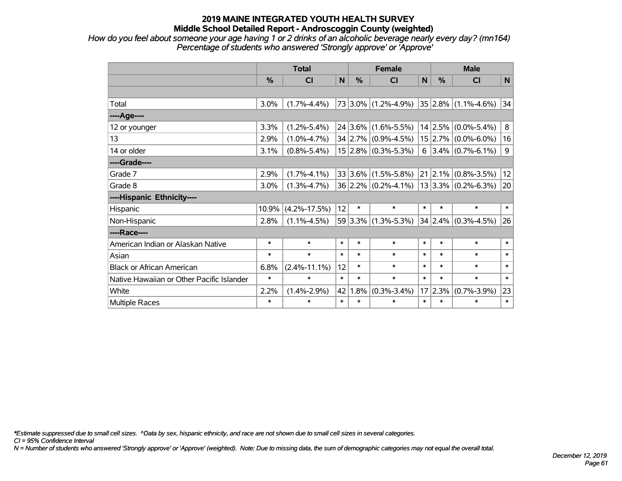*How do you feel about someone your age having 1 or 2 drinks of an alcoholic beverage nearly every day? (mn164) Percentage of students who answered 'Strongly approve' or 'Approve'*

|                                           | <b>Total</b> |                    |        |             | <b>Female</b>           |        | <b>Male</b>   |                                                           |             |  |
|-------------------------------------------|--------------|--------------------|--------|-------------|-------------------------|--------|---------------|-----------------------------------------------------------|-------------|--|
|                                           | %            | <b>CI</b>          | N      | %           | <b>CI</b>               | N      | $\frac{0}{0}$ | <b>CI</b>                                                 | $\mathbf N$ |  |
|                                           |              |                    |        |             |                         |        |               |                                                           |             |  |
| Total                                     | 3.0%         | $(1.7\% - 4.4\%)$  |        |             | $73 3.0\% $ (1.2%-4.9%) |        |               | $ 35 2.8\%  (1.1\% - 4.6\%)$                              | 34          |  |
| ----Age----                               |              |                    |        |             |                         |        |               |                                                           |             |  |
| 12 or younger                             | 3.3%         | $(1.2\% - 5.4\%)$  |        | $24 3.6\% $ | $(1.6\% - 5.5\%)$       |        | $14$   2.5%   | $(0.0\% - 5.4\%)$                                         | 8           |  |
| 13                                        | 2.9%         | $(1.0\% - 4.7\%)$  |        |             | $34 2.7\% $ (0.9%-4.5%) |        |               | $15 2.7\% $ (0.0%-6.0%)                                   | 16          |  |
| 14 or older                               | 3.1%         | $(0.8\% - 5.4\%)$  |        |             | $15 2.8\% $ (0.3%-5.3%) |        |               | 6 $ 3.4\% $ (0.7%-6.1%)                                   | 9           |  |
| ----Grade----                             |              |                    |        |             |                         |        |               |                                                           |             |  |
| Grade 7                                   | 2.9%         | $(1.7\% - 4.1\%)$  |        | $33 3.6\% $ | $(1.5\% - 5.8\%)$       |        |               | $\left  21 \right  2.1\% \left  (0.8\% - 3.5\% ) \right $ | 12          |  |
| Grade 8                                   | 3.0%         | $(1.3\% - 4.7\%)$  |        |             | $36 2.2\% $ (0.2%-4.1%) |        |               | $ 13 3.3\% $ (0.2%-6.3%)                                  | 20          |  |
| ----Hispanic Ethnicity----                |              |                    |        |             |                         |        |               |                                                           |             |  |
| Hispanic                                  | 10.9%        | $(4.2\% - 17.5\%)$ | 12     | $\ast$      | $\ast$                  | $\ast$ | $\ast$        | $\ast$                                                    | $\ast$      |  |
| Non-Hispanic                              | 2.8%         | $(1.1\% - 4.5\%)$  |        | 59 3.3%     | $(1.3\% - 5.3\%)$       |        | 34 2.4%       | $(0.3\% - 4.5\%)$                                         | 26          |  |
| ----Race----                              |              |                    |        |             |                         |        |               |                                                           |             |  |
| American Indian or Alaskan Native         | $\ast$       | $\ast$             | $\ast$ | $\ast$      | $\ast$                  | $\ast$ | $\ast$        | $\ast$                                                    | $\ast$      |  |
| Asian                                     | $\ast$       | $\ast$             | $\ast$ | $\ast$      | $\ast$                  | $\ast$ | $\ast$        | $\ast$                                                    | $\ast$      |  |
| <b>Black or African American</b>          | 6.8%         | $(2.4\% - 11.1\%)$ | 12     | $\ast$      | $\ast$                  | $\ast$ | $\ast$        | $\ast$                                                    | $\ast$      |  |
| Native Hawaiian or Other Pacific Islander | $\ast$       | $\ast$             | $\ast$ | $\ast$      | $\ast$                  | $\ast$ | $\ast$        | $\ast$                                                    | $\ast$      |  |
| White                                     | 2.2%         | $(1.4\% - 2.9\%)$  | 42     | 1.8%        | $(0.3\% - 3.4\%)$       |        | 17 2.3%       | $(0.7\% - 3.9\%)$                                         | 23          |  |
| Multiple Races                            | $\ast$       | $\ast$             | $\ast$ | $\ast$      | $\ast$                  | $\ast$ | $\ast$        | *                                                         | $\ast$      |  |

*\*Estimate suppressed due to small cell sizes. ^Data by sex, hispanic ethnicity, and race are not shown due to small cell sizes in several categories.*

*CI = 95% Confidence Interval*

*N = Number of students who answered 'Strongly approve' or 'Approve' (weighted). Note: Due to missing data, the sum of demographic categories may not equal the overall total.*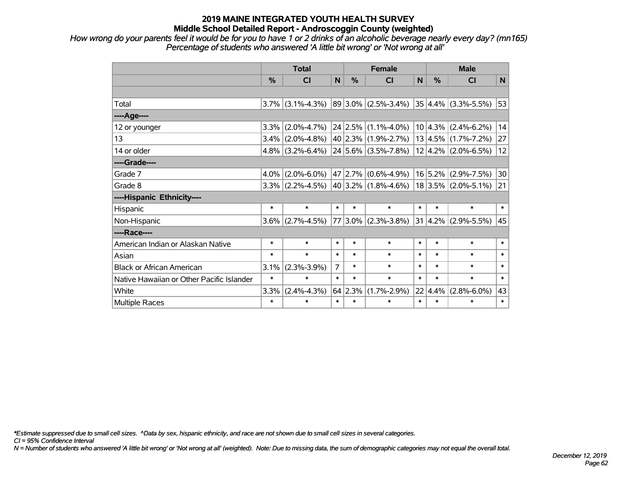*How wrong do your parents feel it would be for you to have 1 or 2 drinks of an alcoholic beverage nearly every day? (mn165) Percentage of students who answered 'A little bit wrong' or 'Not wrong at all'*

|                                           | <b>Total</b> |                   |        |                 | <b>Female</b>                                    | <b>Male</b> |                 |                          |        |
|-------------------------------------------|--------------|-------------------|--------|-----------------|--------------------------------------------------|-------------|-----------------|--------------------------|--------|
|                                           | %            | <b>CI</b>         | N      | %               | <b>CI</b>                                        | N           | $\%$            | <b>CI</b>                | N      |
|                                           |              |                   |        |                 |                                                  |             |                 |                          |        |
| Total                                     | $3.7\%$      | $(3.1\% - 4.3\%)$ |        |                 | $ 89 3.0\% $ (2.5%-3.4%)                         |             |                 | $ 35 4.4\% $ (3.3%-5.5%) | 53     |
| ----Age----                               |              |                   |        |                 |                                                  |             |                 |                          |        |
| 12 or younger                             | 3.3%         | $(2.0\% - 4.7\%)$ |        |                 | $24$ 2.5% (1.1%-4.0%)                            |             | 10 4.3%         | $(2.4\% - 6.2\%)$        | 14     |
| 13                                        | $3.4\%$      | $(2.0\% - 4.8\%)$ |        |                 | $40 2.3\% $ (1.9%-2.7%)                          |             | 13 4.5%         | $(1.7\% - 7.2\%)$        | 27     |
| 14 or older                               | $4.8\%$      | $(3.2\% - 6.4\%)$ |        |                 | $24 5.6\% $ (3.5%-7.8%)                          |             |                 | $12 4.2\% $ (2.0%-6.5%)  | 12     |
| ----Grade----                             |              |                   |        |                 |                                                  |             |                 |                          |        |
| Grade 7                                   | 4.0%         | $(2.0\% - 6.0\%)$ |        |                 | $47 2.7\% $ (0.6%-4.9%)                          |             | 16 5.2%         | $(2.9\% - 7.5\%)$        | 30     |
| Grade 8                                   | 3.3%         | $(2.2\% - 4.5\%)$ |        |                 | $ 40 3.2\% $ (1.8%-4.6%)   18 3.5%   (2.0%-5.1%) |             |                 |                          | 21     |
| ----Hispanic Ethnicity----                |              |                   |        |                 |                                                  |             |                 |                          |        |
| Hispanic                                  | $\ast$       | $\ast$            | $\ast$ | $\ast$          | $\ast$                                           | $\ast$      | $\ast$          | $\ast$                   | $\ast$ |
| Non-Hispanic                              | 3.6%         | $(2.7\% - 4.5\%)$ | 77     |                 | $3.0\%$ (2.3%-3.8%)                              | 31          | 4.2%            | $(2.9\% - 5.5\%)$        | 45     |
| ----Race----                              |              |                   |        |                 |                                                  |             |                 |                          |        |
| American Indian or Alaskan Native         | $\ast$       | $\ast$            | $\ast$ | $\ast$          | $\ast$                                           | $\ast$      | $\ast$          | $\ast$                   | $\ast$ |
| Asian                                     | $\ast$       | $\ast$            | $\ast$ | $\ast$          | $\ast$                                           | $\ast$      | $\ast$          | $\ast$                   | $\ast$ |
| <b>Black or African American</b>          | 3.1%         | $(2.3\% - 3.9\%)$ | 7      | $\ast$          | $\ast$                                           | $\ast$      | $\ast$          | $\ast$                   | $\ast$ |
| Native Hawaiian or Other Pacific Islander | $\ast$       | $\ast$            | $\ast$ | $\ast$          | $\ast$                                           | $\ast$      | $\ast$          | $\ast$                   | $\ast$ |
| White                                     | 3.3%         | $(2.4\% - 4.3\%)$ |        | $64 \mid 2.3\%$ | $(1.7\% - 2.9\%)$                                |             | $22 \mid 4.4\%$ | $(2.8\% - 6.0\%)$        | 43     |
| Multiple Races                            | $\ast$       | $\ast$            | $\ast$ | $\ast$          | $\ast$                                           | $\ast$      | $\ast$          | $\ast$                   | $\ast$ |

*\*Estimate suppressed due to small cell sizes. ^Data by sex, hispanic ethnicity, and race are not shown due to small cell sizes in several categories.*

*CI = 95% Confidence Interval*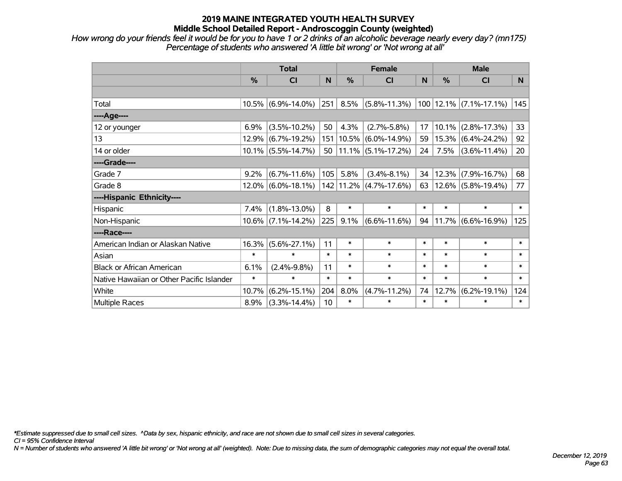*How wrong do your friends feel it would be for you to have 1 or 2 drinks of an alcoholic beverage nearly every day? (mn175) Percentage of students who answered 'A little bit wrong' or 'Not wrong at all'*

|                                           | <b>Total</b> |                       |        |               | <b>Female</b>                | <b>Male</b> |          |                            |        |
|-------------------------------------------|--------------|-----------------------|--------|---------------|------------------------------|-------------|----------|----------------------------|--------|
|                                           | %            | CI                    | N      | $\frac{0}{0}$ | <b>CI</b>                    | N           | %        | <b>CI</b>                  | N.     |
|                                           |              |                       |        |               |                              |             |          |                            |        |
| Total                                     | $10.5\%$     | $(6.9\% - 14.0\%)$    | 251    | 8.5%          | $(5.8\% - 11.3\%)$           |             |          | $100 12.1\% $ (7.1%-17.1%) | 145    |
| ---- Age----                              |              |                       |        |               |                              |             |          |                            |        |
| 12 or younger                             | 6.9%         | $(3.5\% - 10.2\%)$    | 50     | 4.3%          | $(2.7\% - 5.8\%)$            | 17          | $10.1\%$ | $(2.8\% - 17.3\%)$         | 33     |
| 13                                        | $12.9\%$     | $(6.7\% - 19.2\%)$    | 151    | 10.5%         | $(6.0\% - 14.9\%)$           | 59          |          | 15.3% (6.4%-24.2%)         | 92     |
| 14 or older                               |              | $10.1\%$ (5.5%-14.7%) | 50     |               | $11.1\%$ (5.1%-17.2%)        | 24          | 7.5%     | $(3.6\% - 11.4\%)$         | 20     |
| ----Grade----                             |              |                       |        |               |                              |             |          |                            |        |
| Grade 7                                   | 9.2%         | $(6.7\% - 11.6\%)$    | 105    | 5.8%          | $(3.4\% - 8.1\%)$            | 34          | 12.3%    | $(7.9\% - 16.7\%)$         | 68     |
| Grade 8                                   |              | $12.0\%$ (6.0%-18.1%) |        |               | $142$   11.2%   (4.7%-17.6%) | 63          |          | 12.6% (5.8%-19.4%)         | 77     |
| ----Hispanic Ethnicity----                |              |                       |        |               |                              |             |          |                            |        |
| Hispanic                                  | 7.4%         | $(1.8\% - 13.0\%)$    | 8      | $\ast$        | $\ast$                       | $\ast$      | $\ast$   | $\ast$                     | $\ast$ |
| Non-Hispanic                              | $10.6\%$     | $(7.1\% - 14.2\%)$    | 225    | 9.1%          | $(6.6\% - 11.6\%)$           | 94          |          | $11.7\%$ (6.6%-16.9%)      | 125    |
| ----Race----                              |              |                       |        |               |                              |             |          |                            |        |
| American Indian or Alaskan Native         | 16.3%        | $(5.6\% - 27.1\%)$    | 11     | $\ast$        | $\ast$                       | $\ast$      | $\ast$   | $\ast$                     | $\ast$ |
| Asian                                     | $\ast$       | $\ast$                | $\ast$ | $\ast$        | $\ast$                       | $\ast$      | $\ast$   | $\ast$                     | $\ast$ |
| <b>Black or African American</b>          | 6.1%         | $(2.4\% - 9.8\%)$     | 11     | $\ast$        | $\ast$                       | $\ast$      | $\ast$   | $\ast$                     | $\ast$ |
| Native Hawaiian or Other Pacific Islander | $\ast$       | $\ast$                | $\ast$ | $\ast$        | $\ast$                       | $\ast$      | $\ast$   | $\ast$                     | $\ast$ |
| White                                     | 10.7%        | $(6.2\% - 15.1\%)$    | 204    | 8.0%          | $(4.7\% - 11.2\%)$           | 74          | 12.7%    | $(6.2\% - 19.1\%)$         | 124    |
| <b>Multiple Races</b>                     | 8.9%         | $(3.3\% - 14.4\%)$    | 10     | $\ast$        | $\ast$                       | $\ast$      | $\ast$   | $\ast$                     | $\ast$ |

*\*Estimate suppressed due to small cell sizes. ^Data by sex, hispanic ethnicity, and race are not shown due to small cell sizes in several categories.*

*CI = 95% Confidence Interval*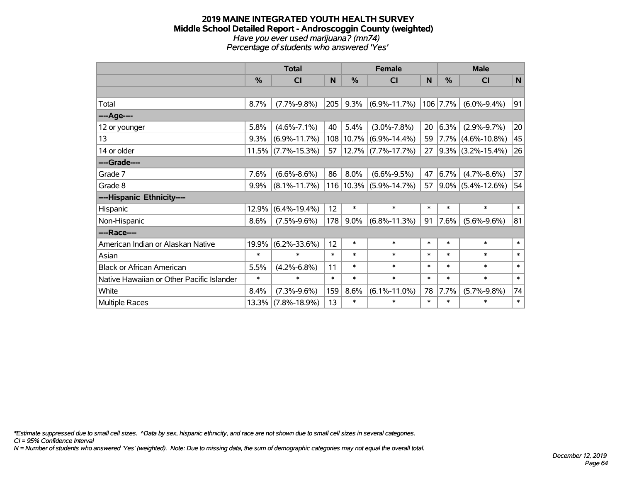#### **2019 MAINE INTEGRATED YOUTH HEALTH SURVEY Middle School Detailed Report - Androscoggin County (weighted)** *Have you ever used marijuana? (mn74) Percentage of students who answered 'Yes'*

|                                           | <b>Total</b> |                       |        |           | <b>Female</b>              |        | <b>Male</b>   |                      |        |  |
|-------------------------------------------|--------------|-----------------------|--------|-----------|----------------------------|--------|---------------|----------------------|--------|--|
|                                           | %            | <b>CI</b>             | N      | %         | <b>CI</b>                  | N      | $\frac{0}{0}$ | <b>CI</b>            | N      |  |
|                                           |              |                       |        |           |                            |        |               |                      |        |  |
| Total                                     | 8.7%         | $(7.7\% - 9.8\%)$     | 205    | 9.3%      | $(6.9\% - 11.7\%)$         |        | 106 7.7%      | $(6.0\% - 9.4\%)$    | 91     |  |
| ----Age----                               |              |                       |        |           |                            |        |               |                      |        |  |
| 12 or younger                             | 5.8%         | $(4.6\% - 7.1\%)$     | 40     | 5.4%      | $(3.0\% - 7.8\%)$          | 20     | 6.3%          | $(2.9\% - 9.7\%)$    | 20     |  |
| 13                                        | 9.3%         | $(6.9\% - 11.7\%)$    |        | 108 10.7% | $(6.9\% - 14.4\%)$         | 59     | $7.7\%$       | $(4.6\% - 10.8\%)$   | 45     |  |
| 14 or older                               |              | $11.5\%$ (7.7%-15.3%) | 57     |           | $ 12.7\% $ (7.7%-17.7%)    | 27     |               | $9.3\%$ (3.2%-15.4%) | 26     |  |
| ----Grade----                             |              |                       |        |           |                            |        |               |                      |        |  |
| Grade 7                                   | 7.6%         | $(6.6\% - 8.6\%)$     | 86     | 8.0%      | $(6.6\% - 9.5\%)$          | 47     | 6.7%          | $(4.7\% - 8.6\%)$    | 37     |  |
| Grade 8                                   | 9.9%         | $(8.1\% - 11.7\%)$    |        |           | $116 10.3\% $ (5.9%-14.7%) | 57     |               | $9.0\%$ (5.4%-12.6%) | 54     |  |
| ----Hispanic Ethnicity----                |              |                       |        |           |                            |        |               |                      |        |  |
| Hispanic                                  | 12.9%        | $(6.4\% - 19.4\%)$    | 12     | $\ast$    | $\ast$                     | $\ast$ | $\ast$        | $\ast$               | $\ast$ |  |
| Non-Hispanic                              | 8.6%         | $(7.5\% - 9.6\%)$     | 178    | 9.0%      | $(6.8\% - 11.3\%)$         | 91     | 7.6%          | $(5.6\% - 9.6\%)$    | 81     |  |
| ----Race----                              |              |                       |        |           |                            |        |               |                      |        |  |
| American Indian or Alaskan Native         | 19.9%        | $(6.2\% - 33.6\%)$    | 12     | $\ast$    | $\ast$                     | $\ast$ | $\ast$        | $\ast$               | $\ast$ |  |
| Asian                                     | $\ast$       | $\ast$                | $\ast$ | $\ast$    | $\ast$                     | $\ast$ | $\ast$        | $\ast$               | $\ast$ |  |
| <b>Black or African American</b>          | 5.5%         | $(4.2\% - 6.8\%)$     | 11     | *         | $\ast$                     | $\ast$ | $\ast$        | $\ast$               | $\ast$ |  |
| Native Hawaiian or Other Pacific Islander | $\ast$       | $\ast$                | $\ast$ | $\ast$    | $\ast$                     | $\ast$ | $\ast$        | $\ast$               | $\ast$ |  |
| White                                     | 8.4%         | $(7.3\% - 9.6\%)$     | 159    | 8.6%      | $(6.1\% - 11.0\%)$         | 78     | 7.7%          | $(5.7\% - 9.8\%)$    | 74     |  |
| <b>Multiple Races</b>                     | 13.3%        | $(7.8\% - 18.9\%)$    | 13     | $\ast$    | $\ast$                     | $\ast$ | $\ast$        | $\ast$               | $\ast$ |  |

*\*Estimate suppressed due to small cell sizes. ^Data by sex, hispanic ethnicity, and race are not shown due to small cell sizes in several categories.*

*CI = 95% Confidence Interval*

*N = Number of students who answered 'Yes' (weighted). Note: Due to missing data, the sum of demographic categories may not equal the overall total.*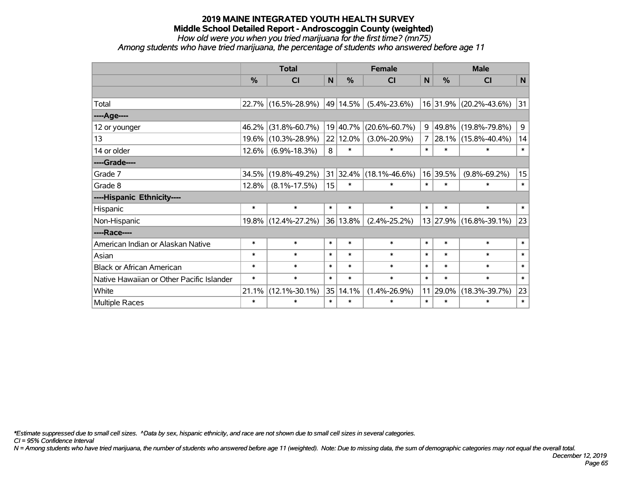*How old were you when you tried marijuana for the first time? (mn75)*

*Among students who have tried marijuana, the percentage of students who answered before age 11*

|                                           | <b>Total</b>  |                     |        |               | <b>Female</b>       | <b>Male</b>  |               |                        |             |
|-------------------------------------------|---------------|---------------------|--------|---------------|---------------------|--------------|---------------|------------------------|-------------|
|                                           | $\frac{0}{0}$ | CI                  | N      | $\frac{9}{6}$ | C <sub>l</sub>      | $\mathsf{N}$ | $\frac{0}{0}$ | CI                     | $\mathbf N$ |
|                                           |               |                     |        |               |                     |              |               |                        |             |
| Total                                     |               | 22.7% (16.5%-28.9%) |        | 49 14.5%      | $(5.4\% - 23.6\%)$  |              |               | 16 31.9% (20.2%-43.6%) | 31          |
| ----Age----                               |               |                     |        |               |                     |              |               |                        |             |
| 12 or younger                             | 46.2%         | $(31.8\% - 60.7\%)$ |        | 19 40.7%      | $(20.6\% - 60.7\%)$ | 9            | 49.8%         | $(19.8\% - 79.8\%)$    | 9           |
| 13                                        | 19.6%         | $(10.3\% - 28.9\%)$ |        | 22 12.0%      | $(3.0\% - 20.9\%)$  | 7            | 28.1%         | $(15.8\% - 40.4\%)$    | 14          |
| 14 or older                               | 12.6%         | $(6.9\% - 18.3\%)$  | 8      | $\ast$        | $\ast$              | $\ast$       | $\ast$        | $\ast$                 | $\ast$      |
| ----Grade----                             |               |                     |        |               |                     |              |               |                        |             |
| Grade 7                                   | 34.5%         | $(19.8\% - 49.2\%)$ |        | 31 32.4%      | $(18.1\% - 46.6\%)$ |              | 16 39.5%      | $(9.8\% - 69.2\%)$     | 15          |
| Grade 8                                   | 12.8%         | $(8.1\% - 17.5\%)$  | 15     | $\ast$        | $\ast$              | $\ast$       | $\ast$        | $\ast$                 | $\ast$      |
| ----Hispanic Ethnicity----                |               |                     |        |               |                     |              |               |                        |             |
| Hispanic                                  | $\ast$        | $\ast$              | $\ast$ | $\ast$        | $\ast$              | $\ast$       | $\ast$        | $\ast$                 | $\ast$      |
| Non-Hispanic                              |               | 19.8% (12.4%-27.2%) |        | 36 13.8%      | $(2.4\% - 25.2\%)$  |              | 13 27.9%      | $(16.8\% - 39.1\%)$    | 23          |
| ----Race----                              |               |                     |        |               |                     |              |               |                        |             |
| American Indian or Alaskan Native         | $\ast$        | $\ast$              | $\ast$ | $\ast$        | $\ast$              | $\ast$       | $\ast$        | $\ast$                 | $\ast$      |
| Asian                                     | $\ast$        | $\ast$              | $\ast$ | $\ast$        | $\ast$              | $\ast$       | $\ast$        | $\ast$                 | $\ast$      |
| <b>Black or African American</b>          | $\ast$        | $\ast$              | $\ast$ | $\ast$        | $\ast$              | $\ast$       | $\ast$        | $\ast$                 | $\ast$      |
| Native Hawaiian or Other Pacific Islander | $\ast$        | $\ast$              | $\ast$ | $\ast$        | $\ast$              | $\ast$       | $\ast$        | $\ast$                 | $\ast$      |
| White                                     | 21.1%         | $(12.1\% - 30.1\%)$ |        | 35 14.1%      | $(1.4\% - 26.9\%)$  | 11           | 29.0%         | $(18.3\% - 39.7\%)$    | 23          |
| Multiple Races                            | $\ast$        | $\ast$              | $\ast$ | $\ast$        | $\ast$              | $\ast$       | $\ast$        | $\ast$                 | $\ast$      |

*\*Estimate suppressed due to small cell sizes. ^Data by sex, hispanic ethnicity, and race are not shown due to small cell sizes in several categories.*

*CI = 95% Confidence Interval*

*N = Among students who have tried marijuana, the number of students who answered before age 11 (weighted). Note: Due to missing data, the sum of demographic categories may not equal the overall total.*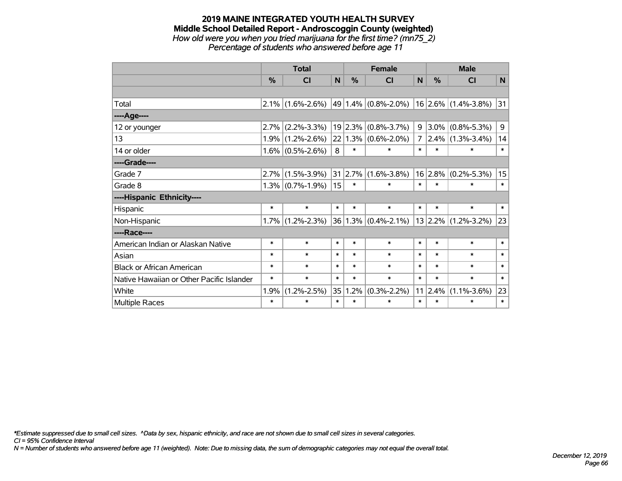#### **2019 MAINE INTEGRATED YOUTH HEALTH SURVEY Middle School Detailed Report - Androscoggin County (weighted)** *How old were you when you tried marijuana for the first time? (mn75\_2) Percentage of students who answered before age 11*

|                                           | <b>Total</b> |                     |        | <b>Female</b>   |                                     |                | <b>Male</b> |                       |        |  |
|-------------------------------------------|--------------|---------------------|--------|-----------------|-------------------------------------|----------------|-------------|-----------------------|--------|--|
|                                           | %            | <b>CI</b>           | N      | %               | CI                                  | N              | %           | <b>CI</b>             | N      |  |
|                                           |              |                     |        |                 |                                     |                |             |                       |        |  |
| Total                                     |              | $2.1\%$ (1.6%-2.6%) |        |                 | 49 1.4% $(0.8\text{%-}2.0\text{/})$ |                |             | $16$ 2.6% (1.4%-3.8%) | 31     |  |
| ----Age----                               |              |                     |        |                 |                                     |                |             |                       |        |  |
| 12 or younger                             | 2.7%         | $(2.2\% - 3.3\%)$   | 19     | 2.3%            | $(0.8\% - 3.7\%)$                   | 9              | $3.0\%$     | $(0.8\% - 5.3\%)$     | 9      |  |
| 13                                        |              | $1.9\%$ (1.2%-2.6%) |        |                 | $22 1.3\% $ (0.6%-2.0%)             | 7 <sup>1</sup> |             | $2.4\%$ (1.3%-3.4%)   | 14     |  |
| 14 or older                               |              | $1.6\%$ (0.5%-2.6%) | 8      | $\ast$          | $\ast$                              | $\ast$         | $\ast$      | $\ast$                | $\ast$ |  |
| ----Grade----                             |              |                     |        |                 |                                     |                |             |                       |        |  |
| Grade 7                                   | 2.7%         | $(1.5\% - 3.9\%)$   |        | $31 \mid 2.7\%$ | $(1.6\% - 3.8\%)$                   |                | 16 2.8%     | $(0.2\% - 5.3\%)$     | 15     |  |
| Grade 8                                   |              | $1.3\%$ (0.7%-1.9%) | 15     | $\ast$          | $\ast$                              | $\ast$         | $\ast$      | $\ast$                | $\ast$ |  |
| ----Hispanic Ethnicity----                |              |                     |        |                 |                                     |                |             |                       |        |  |
| Hispanic                                  | $\ast$       | $\ast$              | $\ast$ | $\ast$          | $\ast$                              | $\ast$         | $\ast$      | $\ast$                | $\ast$ |  |
| Non-Hispanic                              | 1.7%         | $(1.2\% - 2.3\%)$   |        |                 | $36 1.3\% $ (0.4%-2.1%)             |                |             | $13$ 2.2% (1.2%-3.2%) | 23     |  |
| ----Race----                              |              |                     |        |                 |                                     |                |             |                       |        |  |
| American Indian or Alaskan Native         | $\ast$       | $\ast$              | $\ast$ | $\ast$          | $\ast$                              | $\ast$         | $\ast$      | $\ast$                | $\ast$ |  |
| Asian                                     | $\ast$       | $\ast$              | $\ast$ | $\ast$          | $\ast$                              | $\ast$         | $\ast$      | $\ast$                | $\ast$ |  |
| <b>Black or African American</b>          | $\ast$       | $\ast$              | $\ast$ | $\ast$          | $\ast$                              | $\ast$         | $\ast$      | $\ast$                | $\ast$ |  |
| Native Hawaiian or Other Pacific Islander | $\ast$       | $\ast$              | $\ast$ | $\ast$          | $\ast$                              | $\ast$         | $\ast$      | $\ast$                | $\ast$ |  |
| White                                     | 1.9%         | $(1.2\% - 2.5\%)$   | 35     | 1.2%            | $(0.3\% - 2.2\%)$                   | 11             | 2.4%        | $(1.1\% - 3.6\%)$     | 23     |  |
| <b>Multiple Races</b>                     | $\ast$       | $\ast$              | $\ast$ | $\ast$          | $\ast$                              | $\ast$         | $\ast$      | $\ast$                | $\ast$ |  |

*\*Estimate suppressed due to small cell sizes. ^Data by sex, hispanic ethnicity, and race are not shown due to small cell sizes in several categories.*

*CI = 95% Confidence Interval*

*N = Number of students who answered before age 11 (weighted). Note: Due to missing data, the sum of demographic categories may not equal the overall total.*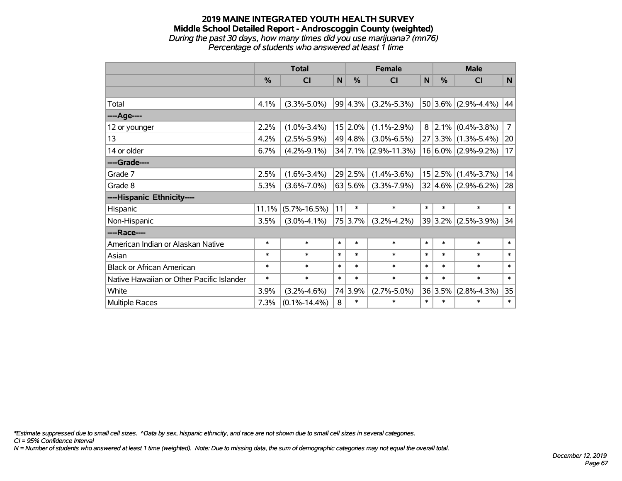## **2019 MAINE INTEGRATED YOUTH HEALTH SURVEY Middle School Detailed Report - Androscoggin County (weighted)** *During the past 30 days, how many times did you use marijuana? (mn76)*

*Percentage of students who answered at least 1 time*

|                                           | <b>Total</b> |                    |              |               | <b>Female</b>        |              | <b>Male</b> |                           |                |  |
|-------------------------------------------|--------------|--------------------|--------------|---------------|----------------------|--------------|-------------|---------------------------|----------------|--|
|                                           | %            | <b>CI</b>          | $\mathsf{N}$ | $\frac{0}{0}$ | <b>CI</b>            | $\mathsf{N}$ | %           | <b>CI</b>                 | $\mathsf{N}$   |  |
|                                           |              |                    |              |               |                      |              |             |                           |                |  |
| Total                                     | 4.1%         | $(3.3\% - 5.0\%)$  |              | 99 4.3%       | $(3.2\% - 5.3\%)$    |              |             | 50 3.6% $(2.9\% - 4.4\%)$ | 44             |  |
| ----Age----                               |              |                    |              |               |                      |              |             |                           |                |  |
| 12 or younger                             | 2.2%         | $(1.0\% - 3.4\%)$  |              | 15 2.0%       | $(1.1\% - 2.9\%)$    | 8            | $2.1\%$     | $(0.4\% - 3.8\%)$         | $\overline{7}$ |  |
| 13                                        | 4.2%         | $(2.5\% - 5.9\%)$  |              | 49 4.8%       | $(3.0\% - 6.5\%)$    |              |             | $27 3.3\% $ (1.3%-5.4%)   | 20             |  |
| 14 or older                               | 6.7%         | $(4.2\% - 9.1\%)$  |              |               | 34 7.1% (2.9%-11.3%) |              |             | $16 6.0\% $ (2.9%-9.2%)   | 17             |  |
| ----Grade----                             |              |                    |              |               |                      |              |             |                           |                |  |
| Grade 7                                   | 2.5%         | $(1.6\% - 3.4\%)$  |              | 29 2.5%       | $(1.4\% - 3.6\%)$    |              | 15 2.5%     | $(1.4\% - 3.7\%)$         | 14             |  |
| Grade 8                                   | 5.3%         | $(3.6\% - 7.0\%)$  |              | 63 5.6%       | $(3.3\% - 7.9\%)$    |              |             | $32 4.6\% $ (2.9%-6.2%)   | 28             |  |
| ----Hispanic Ethnicity----                |              |                    |              |               |                      |              |             |                           |                |  |
| Hispanic                                  | 11.1%        | $(5.7\% - 16.5\%)$ | 11           | $\ast$        | $\ast$               | $\ast$       | $\ast$      | $\ast$                    | $\ast$         |  |
| Non-Hispanic                              | 3.5%         | $(3.0\% - 4.1\%)$  |              | 75 3.7%       | $(3.2\% - 4.2\%)$    |              |             | 39 3.2% (2.5%-3.9%)       | 34             |  |
| ----Race----                              |              |                    |              |               |                      |              |             |                           |                |  |
| American Indian or Alaskan Native         | $\ast$       | $\ast$             | $\ast$       | $\ast$        | $\ast$               | $\ast$       | $\ast$      | $\ast$                    | $\ast$         |  |
| Asian                                     | $\ast$       | $\ast$             | $\ast$       | $\ast$        | $\ast$               | $\ast$       | $\ast$      | $\ast$                    | $\ast$         |  |
| <b>Black or African American</b>          | $\ast$       | $\ast$             | $\ast$       | $\ast$        | $\ast$               | $\ast$       | $\ast$      | $\ast$                    | $\ast$         |  |
| Native Hawaiian or Other Pacific Islander | $\ast$       | $\ast$             | $\ast$       | $\ast$        | $\ast$               | $\ast$       | $\ast$      | $\ast$                    | $\ast$         |  |
| White                                     | 3.9%         | $(3.2\% - 4.6\%)$  |              | 74 3.9%       | $(2.7\% - 5.0\%)$    |              | 36 3.5%     | $(2.8\% - 4.3\%)$         | 35             |  |
| Multiple Races                            | 7.3%         | $(0.1\% - 14.4\%)$ | 8            | $\ast$        | $\ast$               | $\ast$       | $\ast$      | $\ast$                    | $\ast$         |  |

*\*Estimate suppressed due to small cell sizes. ^Data by sex, hispanic ethnicity, and race are not shown due to small cell sizes in several categories.*

*CI = 95% Confidence Interval*

*N = Number of students who answered at least 1 time (weighted). Note: Due to missing data, the sum of demographic categories may not equal the overall total.*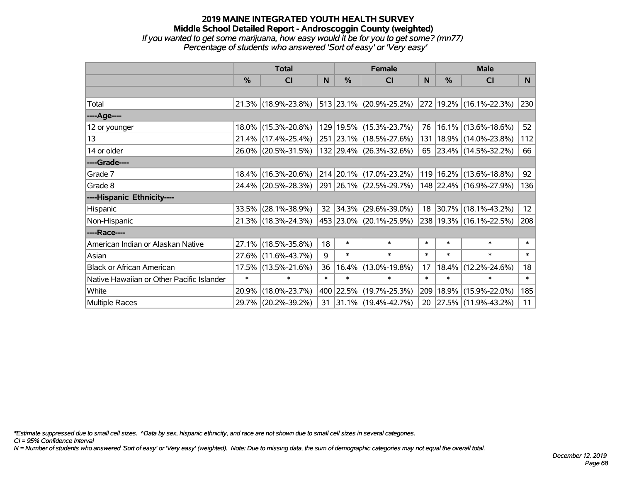## **2019 MAINE INTEGRATED YOUTH HEALTH SURVEY Middle School Detailed Report - Androscoggin County (weighted)** *If you wanted to get some marijuana, how easy would it be for you to get some? (mn77)*

*Percentage of students who answered 'Sort of easy' or 'Very easy'*

|                                           | <b>Total</b> |                                             |                 | <b>Female</b> | <b>Male</b>                  |        |          |                         |                 |
|-------------------------------------------|--------------|---------------------------------------------|-----------------|---------------|------------------------------|--------|----------|-------------------------|-----------------|
|                                           | %            | <b>CI</b>                                   | N               | $\frac{9}{6}$ | <b>CI</b>                    | N      | %        | <b>CI</b>               | N.              |
|                                           |              |                                             |                 |               |                              |        |          |                         |                 |
| Total                                     |              | 21.3% (18.9%-23.8%)                         |                 |               | $ 513 23.1\% $ (20.9%-25.2%) |        |          | 272 19.2% (16.1%-22.3%) | 230             |
| ----Age----                               |              |                                             |                 |               |                              |        |          |                         |                 |
| 12 or younger                             | $18.0\%$     | $(15.3\% - 20.8\%)$                         |                 |               | 129   19.5%   (15.3%-23.7%)  | 76     |          | $16.1\%$ (13.6%-18.6%)  | 52              |
| 13                                        |              | 21.4% (17.4%-25.4%)                         |                 |               | 251 23.1% (18.5%-27.6%)      | 131    |          | 18.9% (14.0%-23.8%)     | 112             |
| 14 or older                               |              | 26.0% (20.5%-31.5%)                         |                 |               | 132 29.4% (26.3%-32.6%)      |        |          | 65 23.4% (14.5%-32.2%)  | 66              |
| ----Grade----                             |              |                                             |                 |               |                              |        |          |                         |                 |
| Grade 7                                   | $18.4\%$     | $(16.3\% - 20.6\%)$                         |                 |               | 214 20.1% (17.0%-23.2%)      | 119    | 16.2%    | $(13.6\% - 18.8\%)$     | 92              |
| Grade 8                                   |              | 24.4% (20.5%-28.3%) 291 26.1% (22.5%-29.7%) |                 |               |                              |        |          | 148 22.4% (16.9%-27.9%) | 136             |
| ----Hispanic Ethnicity----                |              |                                             |                 |               |                              |        |          |                         |                 |
| Hispanic                                  | 33.5%        | $(28.1\% - 38.9\%)$                         | 32 <sup>2</sup> |               | $ 34.3\% $ (29.6%-39.0%)     |        | 18 30.7% | $(18.1\% - 43.2\%)$     | 12 <sub>2</sub> |
| Non-Hispanic                              |              | 21.3% (18.3%-24.3%)                         |                 |               | 453 23.0% (20.1%-25.9%)      |        |          | 238 19.3% (16.1%-22.5%) | 208             |
| ----Race----                              |              |                                             |                 |               |                              |        |          |                         |                 |
| American Indian or Alaskan Native         | 27.1%        | $(18.5\% - 35.8\%)$                         | 18              | $\ast$        | $\ast$                       | $\ast$ | $\ast$   | $\ast$                  | $\ast$          |
| Asian                                     | $27.6\%$     | $(11.6\% - 43.7\%)$                         | 9               | $\ast$        | $\ast$                       | $\ast$ | $\ast$   | $\ast$                  | $\ast$          |
| <b>Black or African American</b>          | 17.5%        | $(13.5\% - 21.6\%)$                         | 36              |               | 16.4% (13.0%-19.8%)          | 17     | 18.4%    | $(12.2\% - 24.6\%)$     | 18              |
| Native Hawaiian or Other Pacific Islander | $\ast$       | $\ast$                                      | $\ast$          | $\ast$        | $\ast$                       | $\ast$ | $\ast$   | $\ast$                  | $\ast$          |
| White                                     | 20.9%        | $(18.0\% - 23.7\%)$                         |                 | 400 22.5%     | $(19.7\% - 25.3\%)$          | 209    | 18.9%    | $(15.9\% - 22.0\%)$     | 185             |
| <b>Multiple Races</b>                     |              | 29.7% (20.2%-39.2%)                         | 31              |               | $ 31.1\% $ (19.4%-42.7%)     |        |          | 20 27.5% (11.9%-43.2%)  | 11              |

*\*Estimate suppressed due to small cell sizes. ^Data by sex, hispanic ethnicity, and race are not shown due to small cell sizes in several categories.*

*CI = 95% Confidence Interval*

*N = Number of students who answered 'Sort of easy' or 'Very easy' (weighted). Note: Due to missing data, the sum of demographic categories may not equal the overall total.*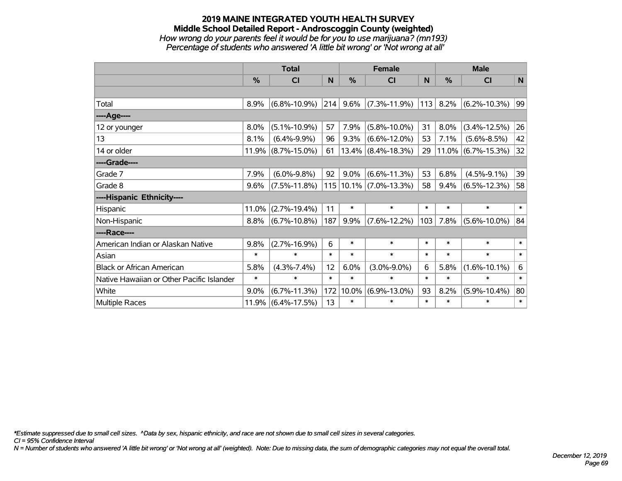### **2019 MAINE INTEGRATED YOUTH HEALTH SURVEY Middle School Detailed Report - Androscoggin County (weighted)** *How wrong do your parents feel it would be for you to use marijuana? (mn193) Percentage of students who answered 'A little bit wrong' or 'Not wrong at all'*

|                                           | <b>Total</b>  |                    | <b>Female</b> |         |                            | <b>Male</b> |        |                       |              |
|-------------------------------------------|---------------|--------------------|---------------|---------|----------------------------|-------------|--------|-----------------------|--------------|
|                                           | $\frac{0}{0}$ | CI                 | N             | %       | <b>CI</b>                  | N           | %      | <b>CI</b>             | N            |
|                                           |               |                    |               |         |                            |             |        |                       |              |
| Total                                     | 8.9%          | $(6.8\% - 10.9\%)$ | 214           | 9.6%    | $(7.3\% - 11.9\%)$         | 113         | 8.2%   | $(6.2\% - 10.3\%)$    | 99           |
| ----Age----                               |               |                    |               |         |                            |             |        |                       |              |
| 12 or younger                             | 8.0%          | $(5.1\% - 10.9\%)$ | 57            | 7.9%    | $(5.8\% - 10.0\%)$         | 31          | 8.0%   | $(3.4\% - 12.5\%)$    | 26           |
| 13                                        | 8.1%          | $(6.4\% - 9.9\%)$  | 96            | 9.3%    | $(6.6\% - 12.0\%)$         | 53          | 7.1%   | $(5.6\% - 8.5\%)$     | 42           |
| 14 or older                               | 11.9%         | $(8.7\% - 15.0\%)$ | 61            |         | $13.4\%$ (8.4%-18.3%)      | 29          |        | $11.0\%$ (6.7%-15.3%) | 32           |
| ----Grade----                             |               |                    |               |         |                            |             |        |                       |              |
| Grade 7                                   | 7.9%          | $(6.0\% - 9.8\%)$  | 92            | $9.0\%$ | $(6.6\% - 11.3\%)$         | 53          | 6.8%   | $(4.5\% - 9.1\%)$     | 39           |
| Grade 8                                   | 9.6%          | $(7.5\% - 11.8\%)$ |               |         | $115 10.1\% $ (7.0%-13.3%) | 58          | 9.4%   | $(6.5\% - 12.3\%)$    | 58           |
| ----Hispanic Ethnicity----                |               |                    |               |         |                            |             |        |                       |              |
| Hispanic                                  | 11.0%         | $(2.7\% - 19.4\%)$ | 11            | $\ast$  | $\ast$                     | $\ast$      | $\ast$ | $\ast$                | $\ast$       |
| Non-Hispanic                              | 8.8%          | $(6.7\% - 10.8\%)$ | 187           | 9.9%    | $(7.6\% - 12.2\%)$         | 103         | 7.8%   | $(5.6\% - 10.0\%)$    | 84           |
| ----Race----                              |               |                    |               |         |                            |             |        |                       |              |
| American Indian or Alaskan Native         | 9.8%          | $(2.7\% - 16.9\%)$ | 6             | $\ast$  | $\ast$                     | $\ast$      | $\ast$ | $\ast$                | $\ast$       |
| Asian                                     | $\ast$        | $\ast$             | $\ast$        | $\ast$  | $\ast$                     | $\ast$      | $\ast$ | $\ast$                | $\ast$       |
| <b>Black or African American</b>          | 5.8%          | $(4.3\% - 7.4\%)$  | 12            | 6.0%    | $(3.0\% - 9.0\%)$          | 6           | 5.8%   | $(1.6\% - 10.1\%)$    | 6            |
| Native Hawaiian or Other Pacific Islander | $\ast$        | $\ast$             | $\ast$        | $\ast$  | $\ast$                     | $\ast$      | $\ast$ | *                     | $\pmb{\ast}$ |
| White                                     | 9.0%          | $(6.7\% - 11.3\%)$ | 172           | 10.0%   | $(6.9\% - 13.0\%)$         | 93          | 8.2%   | $(5.9\% - 10.4\%)$    | 80           |
| <b>Multiple Races</b>                     | 11.9%         | $(6.4\% - 17.5\%)$ | 13            | $\ast$  | $\ast$                     | $\ast$      | $\ast$ | *                     | $\ast$       |

*\*Estimate suppressed due to small cell sizes. ^Data by sex, hispanic ethnicity, and race are not shown due to small cell sizes in several categories.*

*CI = 95% Confidence Interval*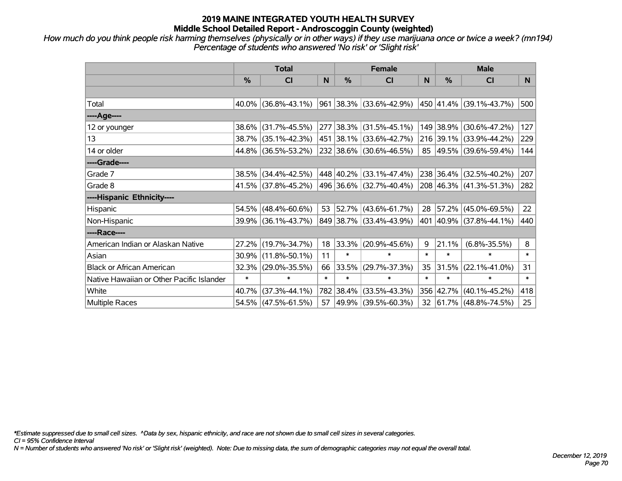*How much do you think people risk harming themselves (physically or in other ways) if they use marijuana once or twice a week? (mn194) Percentage of students who answered 'No risk' or 'Slight risk'*

|                                           | <b>Total</b> |                        |        | <b>Female</b> | <b>Male</b>              |        |               |                                          |        |
|-------------------------------------------|--------------|------------------------|--------|---------------|--------------------------|--------|---------------|------------------------------------------|--------|
|                                           | %            | <b>CI</b>              | N      | $\frac{0}{0}$ | <b>CI</b>                | N      | $\frac{0}{0}$ | <b>CI</b>                                | N.     |
|                                           |              |                        |        |               |                          |        |               |                                          |        |
| Total                                     |              | $40.0\%$ (36.8%-43.1%) |        |               | 961 38.3% (33.6%-42.9%)  |        |               | 450 41.4% (39.1%-43.7%)                  | 500    |
| ----Age----                               |              |                        |        |               |                          |        |               |                                          |        |
| 12 or younger                             |              | 38.6% (31.7%-45.5%)    |        |               | 277 38.3% (31.5%-45.1%)  |        | 149 38.9%     | $(30.6\% - 47.2\%)$                      | 127    |
| 13                                        |              | 38.7% (35.1%-42.3%)    |        |               | 451 38.1% (33.6%-42.7%)  |        |               | 216 39.1% (33.9%-44.2%)                  | 229    |
| 14 or older                               |              | 44.8% (36.5%-53.2%)    |        |               | 232 38.6% (30.6%-46.5%)  |        |               | 85 49.5% (39.6%-59.4%)                   | 144    |
| ----Grade----                             |              |                        |        |               |                          |        |               |                                          |        |
| Grade 7                                   |              | 38.5% (34.4%-42.5%)    |        |               | 448 40.2% (33.1%-47.4%)  |        | 238 36.4%     | $(32.5\% - 40.2\%)$                      | 207    |
| Grade 8                                   |              | 41.5% (37.8%-45.2%)    |        |               | 496 36.6% (32.7%-40.4%)  |        |               | $208 \mid 46.3\% \mid (41.3\% - 51.3\%)$ | 282    |
| ----Hispanic Ethnicity----                |              |                        |        |               |                          |        |               |                                          |        |
| Hispanic                                  |              | $54.5\%$ (48.4%-60.6%) | 53     |               | $ 52.7\% $ (43.6%-61.7%) | 28     | 57.2%         | $(45.0\% - 69.5\%)$                      | 22     |
| Non-Hispanic                              |              | 39.9% (36.1%-43.7%)    |        |               | 849 38.7% (33.4%-43.9%)  |        |               | 401 40.9% (37.8%-44.1%)                  | 440    |
| ----Race----                              |              |                        |        |               |                          |        |               |                                          |        |
| American Indian or Alaskan Native         |              | 27.2% (19.7%-34.7%)    | 18     | 33.3%         | $(20.9\% - 45.6\%)$      | 9      | 21.1%         | $(6.8\% - 35.5\%)$                       | 8      |
| Asian                                     |              | 30.9% (11.8%-50.1%)    | 11     | $\ast$        | $\ast$                   | $\ast$ | $\ast$        | $\ast$                                   | $\ast$ |
| <b>Black or African American</b>          |              | 32.3% (29.0%-35.5%)    | 66     | 33.5%         | $(29.7\% - 37.3\%)$      | 35     | 31.5%         | $(22.1\% - 41.0\%)$                      | 31     |
| Native Hawaiian or Other Pacific Islander | $\ast$       | ∗                      | $\ast$ | $\ast$        | $\ast$                   | $\ast$ | $\ast$        | $\ast$                                   | $\ast$ |
| White                                     | 40.7%        | $(37.3\% - 44.1\%)$    |        | 782 38.4%     | $(33.5\% - 43.3\%)$      |        | 356 42.7%     | $(40.1\% - 45.2\%)$                      | 418    |
| <b>Multiple Races</b>                     |              | 54.5% (47.5%-61.5%)    | 57     |               | 49.9% (39.5%-60.3%)      |        |               | 32 61.7% (48.8%-74.5%)                   | 25     |

*\*Estimate suppressed due to small cell sizes. ^Data by sex, hispanic ethnicity, and race are not shown due to small cell sizes in several categories.*

*CI = 95% Confidence Interval*

*N = Number of students who answered 'No risk' or 'Slight risk' (weighted). Note: Due to missing data, the sum of demographic categories may not equal the overall total.*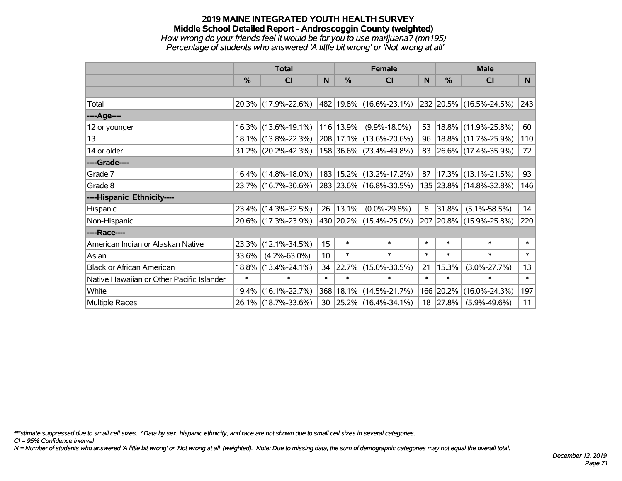### **2019 MAINE INTEGRATED YOUTH HEALTH SURVEY Middle School Detailed Report - Androscoggin County (weighted)** *How wrong do your friends feel it would be for you to use marijuana? (mn195) Percentage of students who answered 'A little bit wrong' or 'Not wrong at all'*

|                                           | <b>Total</b>  |                        |        | <b>Female</b> | <b>Male</b>                 |          |          |                         |        |
|-------------------------------------------|---------------|------------------------|--------|---------------|-----------------------------|----------|----------|-------------------------|--------|
|                                           | $\frac{0}{0}$ | <b>CI</b>              | N      | $\frac{0}{0}$ | <b>CI</b>                   | <b>N</b> | %        | <b>CI</b>               | N      |
|                                           |               |                        |        |               |                             |          |          |                         |        |
| Total                                     |               | 20.3% (17.9%-22.6%)    |        |               | 482 19.8% (16.6%-23.1%)     |          |          | 232 20.5% (16.5%-24.5%) | 243    |
| ----Age----                               |               |                        |        |               |                             |          |          |                         |        |
| 12 or younger                             |               | 16.3% (13.6%-19.1%)    |        | 116 13.9%     | $(9.9\% - 18.0\%)$          | 53       | 18.8%    | $(11.9\% - 25.8\%)$     | 60     |
| 13                                        |               | 18.1% (13.8%-22.3%)    |        |               | 208 17.1% (13.6%-20.6%)     | 96       |          | 18.8% (11.7%-25.9%)     | 110    |
| 14 or older                               |               | $31.2\%$ (20.2%-42.3%) |        |               | 158 36.6% (23.4%-49.8%)     |          |          | 83 26.6% (17.4%-35.9%)  | 72     |
| ----Grade----                             |               |                        |        |               |                             |          |          |                         |        |
| Grade 7                                   |               | 16.4% (14.8%-18.0%)    |        |               | 183   15.2%   (13.2%-17.2%) | 87       | 17.3%    | $(13.1\% - 21.5\%)$     | 93     |
| Grade 8                                   |               | 23.7% (16.7%-30.6%)    |        |               | 283 23.6% (16.8%-30.5%)     |          |          | 135 23.8% (14.8%-32.8%) | 146    |
| ----Hispanic Ethnicity----                |               |                        |        |               |                             |          |          |                         |        |
| Hispanic                                  |               | 23.4% (14.3%-32.5%)    | 26     | 13.1%         | $(0.0\% - 29.8\%)$          | 8        | 31.8%    | $(5.1\% - 58.5\%)$      | 14     |
| Non-Hispanic                              |               | 20.6% (17.3%-23.9%)    |        |               | 430 20.2% (15.4%-25.0%)     |          |          | 207 20.8% (15.9%-25.8%) | 220    |
| ----Race----                              |               |                        |        |               |                             |          |          |                         |        |
| American Indian or Alaskan Native         |               | 23.3% (12.1%-34.5%)    | 15     | $\ast$        | $\ast$                      | $\ast$   | $\ast$   | $\ast$                  | $\ast$ |
| Asian                                     | 33.6%         | $(4.2\% - 63.0\%)$     | 10     | $\ast$        | $\ast$                      | $\ast$   | $\ast$   | $\ast$                  | $\ast$ |
| <b>Black or African American</b>          |               | 18.8% (13.4%-24.1%)    | 34     | 22.7%         | $(15.0\% - 30.5\%)$         | 21       | 15.3%    | $(3.0\% - 27.7\%)$      | 13     |
| Native Hawaiian or Other Pacific Islander | $\ast$        | $\ast$                 | $\ast$ | $\ast$        | $\ast$                      | $\ast$   | $\ast$   | $\ast$                  | $\ast$ |
| White                                     | $19.4\%$      | $(16.1\% - 22.7\%)$    |        | 368 18.1%     | $(14.5\% - 21.7\%)$         | 166      | 20.2%    | $(16.0\% - 24.3\%)$     | 197    |
| <b>Multiple Races</b>                     |               | 26.1% (18.7%-33.6%)    | 30     |               | $ 25.2\% $ (16.4%-34.1%)    |          | 18 27.8% | $(5.9\% - 49.6\%)$      | 11     |

*\*Estimate suppressed due to small cell sizes. ^Data by sex, hispanic ethnicity, and race are not shown due to small cell sizes in several categories.*

*CI = 95% Confidence Interval*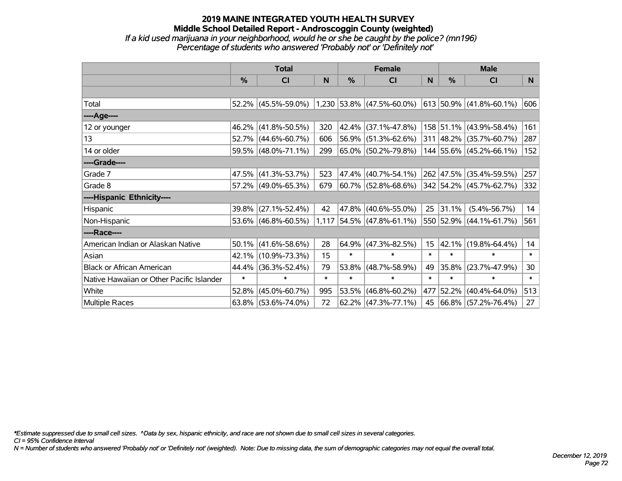### **2019 MAINE INTEGRATED YOUTH HEALTH SURVEY Middle School Detailed Report - Androscoggin County (weighted)** *If a kid used marijuana in your neighborhood, would he or she be caught by the police? (mn196) Percentage of students who answered 'Probably not' or 'Definitely not'*

|                                           | <b>Total</b>  |                                               |        | <b>Female</b> | <b>Male</b>                 |        |               |                           |        |
|-------------------------------------------|---------------|-----------------------------------------------|--------|---------------|-----------------------------|--------|---------------|---------------------------|--------|
|                                           | $\frac{0}{0}$ | <b>CI</b>                                     | N      | %             | <b>CI</b>                   | N      | $\frac{0}{0}$ | <b>CI</b>                 | N.     |
|                                           |               |                                               |        |               |                             |        |               |                           |        |
| Total                                     |               | 52.2% (45.5%-59.0%) 1,230 53.8% (47.5%-60.0%) |        |               |                             |        |               | $613$ 50.9% (41.8%-60.1%) | 606    |
| ----Age----                               |               |                                               |        |               |                             |        |               |                           |        |
| 12 or younger                             | 46.2%         | $(41.8\% - 50.5\%)$                           | 320    | 42.4%         | $(37.1\% - 47.8\%)$         |        |               | 158 51.1% (43.9%-58.4%)   | 161    |
| 13                                        |               | 52.7% (44.6%-60.7%)                           | 606    | 56.9%         | $(51.3\% - 62.6\%)$         |        |               | 311 48.2% (35.7%-60.7%)   | 287    |
| 14 or older                               |               | 59.5% (48.0%-71.1%)                           | 299    |               | 65.0% (50.2%-79.8%)         |        |               | 144 55.6% (45.2%-66.1%)   | 152    |
| ----Grade----                             |               |                                               |        |               |                             |        |               |                           |        |
| Grade 7                                   |               | 47.5% (41.3%-53.7%)                           | 523    | 47.4%         | $(40.7\% - 54.1\%)$         |        |               | 262 47.5% (35.4%-59.5%)   | 257    |
| Grade 8                                   |               | 57.2% (49.0%-65.3%)                           | 679    |               | 60.7% (52.8%-68.6%)         |        |               | 342 54.2% (45.7%-62.7%)   | 332    |
| ----Hispanic Ethnicity----                |               |                                               |        |               |                             |        |               |                           |        |
| Hispanic                                  | 39.8%         | $(27.1\% - 52.4\%)$                           | 42     | 47.8%         | $(40.6\% - 55.0\%)$         | 25     | 31.1%         | $(5.4\% - 56.7\%)$        | 14     |
| Non-Hispanic                              |               | 53.6% (46.8%-60.5%)                           |        |               | $1,117$ 54.5% (47.8%-61.1%) |        |               | 550 52.9% (44.1%-61.7%)   | 561    |
| ----Race----                              |               |                                               |        |               |                             |        |               |                           |        |
| American Indian or Alaskan Native         | 50.1%         | $(41.6\% - 58.6\%)$                           | 28     | 64.9%         | $(47.3\% - 82.5\%)$         | 15     | 42.1%         | $(19.8\% - 64.4\%)$       | 14     |
| Asian                                     | 42.1%         | $(10.9\% - 73.3\%)$                           | 15     | $\ast$        | $\ast$                      | $\ast$ | $\ast$        | $\ast$                    | $\ast$ |
| <b>Black or African American</b>          | 44.4%         | $(36.3\% - 52.4\%)$                           | 79     | 53.8%         | $(48.7\% - 58.9\%)$         | 49     | 35.8%         | $(23.7\% - 47.9\%)$       | 30     |
| Native Hawaiian or Other Pacific Islander | $\ast$        | $\ast$                                        | $\ast$ | $\ast$        | $\ast$                      | $\ast$ | $\ast$        | $\ast$                    | $\ast$ |
| White                                     | 52.8%         | $(45.0\% - 60.7\%)$                           | 995    | 53.5%         | $(46.8\% - 60.2\%)$         | 477    | 52.2%         | $(40.4\% - 64.0\%)$       | 513    |
| Multiple Races                            |               | $63.8\%$ (53.6%-74.0%)                        | 72     |               | $62.2\%$ (47.3%-77.1%)      | 45     |               | 66.8% (57.2%-76.4%)       | 27     |

*\*Estimate suppressed due to small cell sizes. ^Data by sex, hispanic ethnicity, and race are not shown due to small cell sizes in several categories.*

*CI = 95% Confidence Interval*

*N = Number of students who answered 'Probably not' or 'Definitely not' (weighted). Note: Due to missing data, the sum of demographic categories may not equal the overall total.*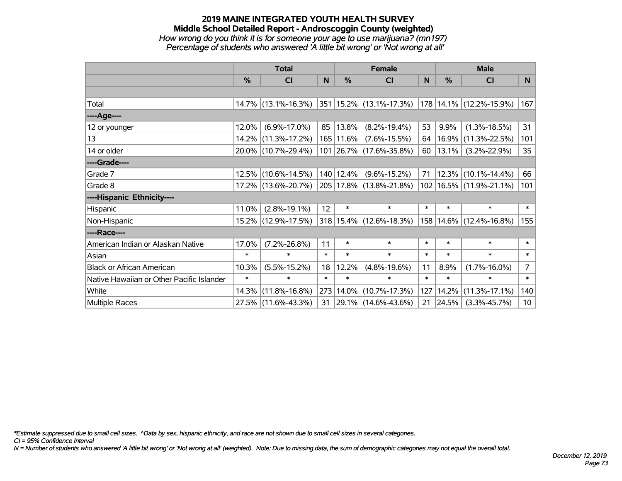#### **2019 MAINE INTEGRATED YOUTH HEALTH SURVEY Middle School Detailed Report - Androscoggin County (weighted)** *How wrong do you think it is for someone your age to use marijuana? (mn197) Percentage of students who answered 'A little bit wrong' or 'Not wrong at all'*

|                                           | <b>Total</b>  |                        |        | <b>Female</b> | <b>Male</b>                       |        |        |                              |                 |
|-------------------------------------------|---------------|------------------------|--------|---------------|-----------------------------------|--------|--------|------------------------------|-----------------|
|                                           | $\frac{0}{0}$ | CI                     | N      | $\frac{0}{0}$ | <b>CI</b>                         | N      | %      | <b>CI</b>                    | N.              |
|                                           |               |                        |        |               |                                   |        |        |                              |                 |
| Total                                     |               | $14.7\%$ (13.1%-16.3%) |        |               | 351   15.2%   (13.1%-17.3%)       |        |        | $ 178 14.1\% $ (12.2%-15.9%) | 167             |
| ----Age----                               |               |                        |        |               |                                   |        |        |                              |                 |
| 12 or younger                             | 12.0%         | $(6.9\% - 17.0\%)$     | 85     | 13.8%         | $(8.2\% - 19.4\%)$                | 53     | 9.9%   | $(1.3\% - 18.5\%)$           | 31              |
| 13                                        |               | 14.2% (11.3%-17.2%)    |        | $165 11.6\% $ | $(7.6\% - 15.5\%)$                | 64     | 16.9%  | $(11.3\% - 22.5\%)$          | 101             |
| 14 or older                               |               | 20.0% (10.7%-29.4%)    |        |               | 101 26.7% (17.6%-35.8%)           | 60     | 13.1%  | $(3.2\% - 22.9\%)$           | 35 <sup>5</sup> |
| ----Grade----                             |               |                        |        |               |                                   |        |        |                              |                 |
| Grade 7                                   | 12.5%         | $(10.6\% - 14.5\%)$    |        | 140   12.4%   | $(9.6\% - 15.2\%)$                | 71     |        | $12.3\%$ (10.1%-14.4%)       | 66              |
| Grade 8                                   |               | 17.2% (13.6%-20.7%)    |        |               | 205 17.8% (13.8%-21.8%)           |        |        | 102   16.5%   (11.9%-21.1%)  | 101             |
| ----Hispanic Ethnicity----                |               |                        |        |               |                                   |        |        |                              |                 |
| Hispanic                                  | 11.0%         | $(2.8\% - 19.1\%)$     | 12     | $\ast$        | $\ast$                            | $\ast$ | $\ast$ | $\ast$                       | $\ast$          |
| Non-Hispanic                              |               | 15.2% (12.9%-17.5%)    |        |               | 318   15.4%   (12.6%-18.3%)       |        |        | 158 14.6% (12.4%-16.8%)      | 155             |
| ----Race----                              |               |                        |        |               |                                   |        |        |                              |                 |
| American Indian or Alaskan Native         | 17.0%         | $(7.2\% - 26.8\%)$     | 11     | $\ast$        | $\ast$                            | $\ast$ | $\ast$ | $\ast$                       | $\ast$          |
| Asian                                     | $\ast$        | $\ast$                 | $\ast$ | $\ast$        | $\ast$                            | $\ast$ | $\ast$ | $\ast$                       | $\ast$          |
| <b>Black or African American</b>          | 10.3%         | $(5.5\% - 15.2\%)$     | 18     | 12.2%         | $(4.8\% - 19.6\%)$                | 11     | 8.9%   | $(1.7\% - 16.0\%)$           | $\overline{7}$  |
| Native Hawaiian or Other Pacific Islander | $\ast$        | $\ast$                 | $\ast$ | $\ast$        | $\ast$                            | $\ast$ | $\ast$ | $\ast$                       | $\ast$          |
| White                                     | 14.3%         | $(11.8\% - 16.8\%)$    | 273    | $14.0\%$      | $(10.7\% - 17.3\%)$               | 127    | 14.2%  | $(11.3\% - 17.1\%)$          | 140             |
| <b>Multiple Races</b>                     |               | 27.5% (11.6%-43.3%)    |        |               | $31   29.1\%   (14.6\% - 43.6\%)$ | 21     | 24.5%  | $(3.3\% - 45.7\%)$           | 10 <sup>°</sup> |

*\*Estimate suppressed due to small cell sizes. ^Data by sex, hispanic ethnicity, and race are not shown due to small cell sizes in several categories.*

*CI = 95% Confidence Interval*

*N = Number of students who answered 'A little bit wrong' or 'Not wrong at all' (weighted). Note: Due to missing data, the sum of demographic categories may not equal the overall total.*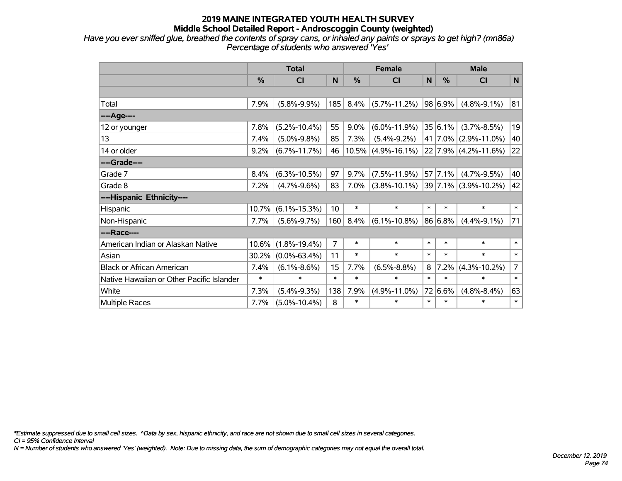*Have you ever sniffed glue, breathed the contents of spray cans, or inhaled any paints or sprays to get high? (mn86a) Percentage of students who answered 'Yes'*

|                                           | <b>Total</b>  |                    |                |               | <b>Female</b>         | <b>Male</b> |                 |                          |                |
|-------------------------------------------|---------------|--------------------|----------------|---------------|-----------------------|-------------|-----------------|--------------------------|----------------|
|                                           | $\frac{0}{0}$ | C <sub>l</sub>     | N              | $\frac{0}{0}$ | <b>CI</b>             | N           | $\frac{0}{0}$   | <b>CI</b>                | $\mathsf{N}$   |
|                                           |               |                    |                |               |                       |             |                 |                          |                |
| Total                                     | 7.9%          | $(5.8\% - 9.9\%)$  | 185            | 8.4%          | $(5.7\% - 11.2\%)$    |             | 98 6.9%         | $(4.8\% - 9.1\%)$        | 81             |
| ----Age----                               |               |                    |                |               |                       |             |                 |                          |                |
| 12 or younger                             | 7.8%          | $(5.2\% - 10.4\%)$ | 55             | 9.0%          | $(6.0\% - 11.9\%)$    |             | 35 6.1%         | $(3.7\% - 8.5\%)$        | 19             |
| 13                                        | 7.4%          | $(5.0\% - 9.8\%)$  | 85             | 7.3%          | $(5.4\% - 9.2\%)$     |             | 41 7.0%         | $(2.9\% - 11.0\%)$       | 40             |
| 14 or older                               | 9.2%          | $(6.7\% - 11.7\%)$ | 46             |               | $10.5\%$ (4.9%-16.1%) |             |                 | $22 7.9\% $ (4.2%-11.6%) | 22             |
| ----Grade----                             |               |                    |                |               |                       |             |                 |                          |                |
| Grade 7                                   | 8.4%          | $(6.3\% - 10.5\%)$ | 97             | 9.7%          | $(7.5\% - 11.9\%)$    |             | $57 \mid 7.1\%$ | $(4.7\% - 9.5\%)$        | 40             |
| Grade 8                                   | 7.2%          | $(4.7\% - 9.6\%)$  | 83             | 7.0%          | $(3.8\% - 10.1\%)$    |             | 39 7.1%         | $(3.9\% - 10.2\%)$       | 42             |
| ----Hispanic Ethnicity----                |               |                    |                |               |                       |             |                 |                          |                |
| Hispanic                                  | 10.7%         | $(6.1\% - 15.3\%)$ | 10             | $\ast$        | $\ast$                | $\ast$      | $\ast$          | $\ast$                   | $\ast$         |
| Non-Hispanic                              | 7.7%          | $(5.6\% - 9.7\%)$  | 160            | 8.4%          | $(6.1\% - 10.8\%)$    |             | 86 6.8%         | $(4.4\% - 9.1\%)$        | 71             |
| ----Race----                              |               |                    |                |               |                       |             |                 |                          |                |
| American Indian or Alaskan Native         | 10.6%         | $(1.8\% - 19.4\%)$ | $\overline{7}$ | $\ast$        | $\ast$                | $\ast$      | $\ast$          | $\ast$                   | $\ast$         |
| Asian                                     | 30.2%         | $(0.0\% - 63.4\%)$ | 11             | $\ast$        | $\ast$                | $\ast$      | $\ast$          | $\ast$                   | $\ast$         |
| <b>Black or African American</b>          | 7.4%          | $(6.1\% - 8.6\%)$  | 15             | 7.7%          | $(6.5\% - 8.8\%)$     | 8           | 7.2%            | $(4.3\% - 10.2\%)$       | $\overline{7}$ |
| Native Hawaiian or Other Pacific Islander | $\ast$        | $\ast$             | $\ast$         | $\ast$        | $\ast$                | $\ast$      | $\ast$          | $\ast$                   | $\ast$         |
| White                                     | 7.3%          | $(5.4\% - 9.3\%)$  | 138            | 7.9%          | $(4.9\% - 11.0\%)$    | 72          | 6.6%            | $(4.8\% - 8.4\%)$        | 63             |
| Multiple Races                            | 7.7%          | $(5.0\% - 10.4\%)$ | 8              | $\ast$        | $\ast$                | $\ast$      | $\ast$          | $\ast$                   | $\ast$         |

*\*Estimate suppressed due to small cell sizes. ^Data by sex, hispanic ethnicity, and race are not shown due to small cell sizes in several categories.*

*CI = 95% Confidence Interval*

*N = Number of students who answered 'Yes' (weighted). Note: Due to missing data, the sum of demographic categories may not equal the overall total.*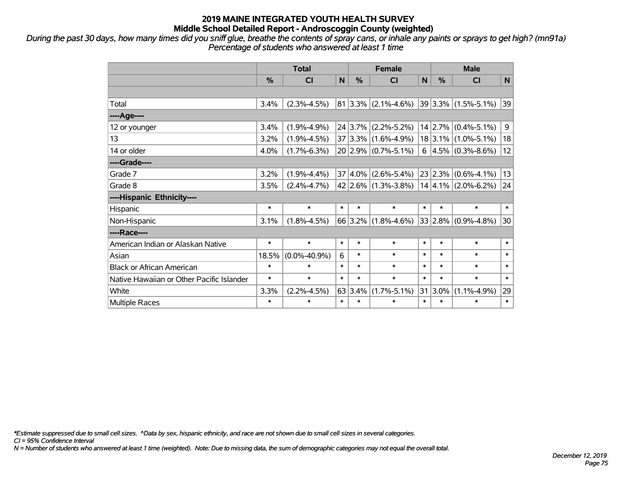*During the past 30 days, how many times did you sniff glue, breathe the contents of spray cans, or inhale any paints or sprays to get high? (mn91a) Percentage of students who answered at least 1 time*

|                                           | <b>Total</b> |                    |        | <b>Female</b> |                           |        | <b>Male</b> |                         |              |
|-------------------------------------------|--------------|--------------------|--------|---------------|---------------------------|--------|-------------|-------------------------|--------------|
|                                           | $\%$         | <b>CI</b>          | N      | $\%$          | <b>CI</b>                 | N      | $\%$        | <b>CI</b>               | N            |
|                                           |              |                    |        |               |                           |        |             |                         |              |
| Total                                     | 3.4%         | $(2.3\% - 4.5\%)$  |        |               | $81 3.3\% $ (2.1%-4.6%)   |        |             | $39 3.3\% $ (1.5%-5.1%) | 39           |
| ----Age----                               |              |                    |        |               |                           |        |             |                         |              |
| 12 or younger                             | 3.4%         | $(1.9\% - 4.9\%)$  |        |               | $24 3.7\% $ (2.2%-5.2%)   |        |             | $14$ 2.7% (0.4%-5.1%)   | 9            |
| 13                                        | 3.2%         | $(1.9\% - 4.5\%)$  |        |               | $37 3.3\% $ (1.6%-4.9%)   |        |             | $18$ 3.1% (1.0%-5.1%)   | 18           |
| 14 or older                               | 4.0%         | $(1.7\% - 6.3\%)$  |        |               | $20 2.9\% $ (0.7%-5.1%)   |        |             | 6 $ 4.5\% $ (0.3%-8.6%) | 12           |
| ----Grade----                             |              |                    |        |               |                           |        |             |                         |              |
| Grade 7                                   | 3.2%         | $(1.9\% - 4.4\%)$  |        |               | $37 4.0\% $ (2.6%-5.4%)   |        |             | $23 2.3\% $ (0.6%-4.1%) | 13           |
| Grade 8                                   | 3.5%         | $(2.4\% - 4.7\%)$  |        |               | $42 2.6\% $ (1.3%-3.8%)   |        |             | $14 4.1\% $ (2.0%-6.2%) | 24           |
| ----Hispanic Ethnicity----                |              |                    |        |               |                           |        |             |                         |              |
| Hispanic                                  | $\ast$       | $\ast$             | $\ast$ | $\ast$        | $\ast$                    | $\ast$ | $\ast$      | $\ast$                  | $\ast$       |
| Non-Hispanic                              | 3.1%         | $(1.8\% - 4.5\%)$  |        |               | 66 3.2% $(1.8\% - 4.6\%)$ |        |             | $33 2.8\% $ (0.9%-4.8%) | 30           |
| ----Race----                              |              |                    |        |               |                           |        |             |                         |              |
| American Indian or Alaskan Native         | $\ast$       | $\ast$             | $\ast$ | $\ast$        | $\ast$                    | $\ast$ | $\ast$      | $\ast$                  | $\ast$       |
| Asian                                     | 18.5%        | $(0.0\% - 40.9\%)$ | 6      | $\ast$        | $\ast$                    | $\ast$ | $\ast$      | $\ast$                  | $\ast$       |
| <b>Black or African American</b>          | $\ast$       | $\ast$             | $\ast$ | $\ast$        | $\ast$                    | $\ast$ | $\ast$      | $\ast$                  | $\ast$       |
| Native Hawaiian or Other Pacific Islander | $\ast$       | $\ast$             | $\ast$ | $\ast$        | $\ast$                    | $\ast$ | $\ast$      | $\ast$                  | $\ast$       |
| White                                     | 3.3%         | $(2.2\% - 4.5\%)$  |        | 63 3.4%       | $(1.7\% - 5.1\%)$         |        | $31 3.0\%$  | $(1.1\% - 4.9\%)$       | 29           |
| <b>Multiple Races</b>                     | $\ast$       | $\ast$             | $\ast$ | $\ast$        | $\ast$                    | $\ast$ | $\ast$      | $\ast$                  | $\pmb{\ast}$ |

*\*Estimate suppressed due to small cell sizes. ^Data by sex, hispanic ethnicity, and race are not shown due to small cell sizes in several categories.*

*CI = 95% Confidence Interval*

*N = Number of students who answered at least 1 time (weighted). Note: Due to missing data, the sum of demographic categories may not equal the overall total.*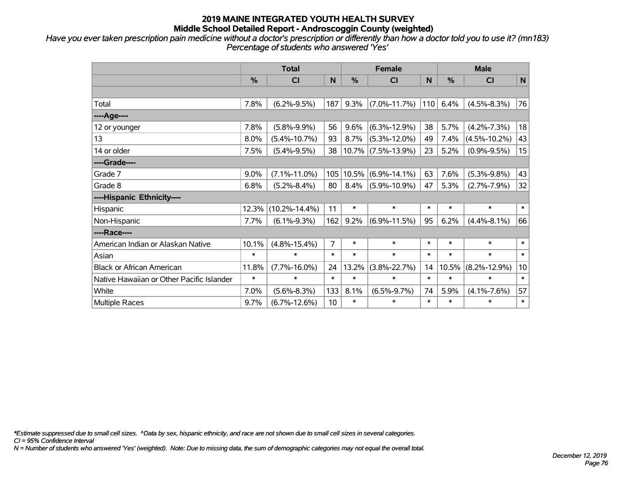*Have you ever taken prescription pain medicine without a doctor's prescription or differently than how a doctor told you to use it? (mn183) Percentage of students who answered 'Yes'*

|                                           | <b>Total</b> |                     |        | <b>Female</b> |                       |        | <b>Male</b> |                    |        |
|-------------------------------------------|--------------|---------------------|--------|---------------|-----------------------|--------|-------------|--------------------|--------|
|                                           | $\%$         | <b>CI</b>           | N      | $\%$          | <b>CI</b>             | N      | $\%$        | <b>CI</b>          | N      |
|                                           |              |                     |        |               |                       |        |             |                    |        |
| Total                                     | 7.8%         | $(6.2\% - 9.5\%)$   | 187    | 9.3%          | $(7.0\% - 11.7\%)$    | 110    | 6.4%        | $(4.5\% - 8.3\%)$  | 76     |
| ----Age----                               |              |                     |        |               |                       |        |             |                    |        |
| 12 or younger                             | 7.8%         | $(5.8\% - 9.9\%)$   | 56     | $9.6\%$       | $(6.3\% - 12.9\%)$    | 38     | 5.7%        | $(4.2\% - 7.3\%)$  | 18     |
| 13                                        | 8.0%         | $(5.4\% - 10.7\%)$  | 93     | 8.7%          | $(5.3\% - 12.0\%)$    | 49     | 7.4%        | $(4.5\% - 10.2\%)$ | 43     |
| 14 or older                               | 7.5%         | $(5.4\% - 9.5\%)$   | 38     |               | $10.7\%$ (7.5%-13.9%) | 23     | 5.2%        | $(0.9\% - 9.5\%)$  | 15     |
| ----Grade----                             |              |                     |        |               |                       |        |             |                    |        |
| Grade 7                                   | 9.0%         | $(7.1\% - 11.0\%)$  | 105    | 10.5%         | $(6.9\% - 14.1\%)$    | 63     | 7.6%        | $(5.3\% - 9.8\%)$  | 43     |
| Grade 8                                   | 6.8%         | $(5.2\% - 8.4\%)$   | 80     | $8.4\%$       | $(5.9\% - 10.9\%)$    | 47     | 5.3%        | $(2.7\% - 7.9\%)$  | 32     |
| ----Hispanic Ethnicity----                |              |                     |        |               |                       |        |             |                    |        |
| Hispanic                                  | 12.3%        | $(10.2\% - 14.4\%)$ | 11     | $\ast$        | $\ast$                | $\ast$ | $\ast$      | $\ast$             | $\ast$ |
| Non-Hispanic                              | 7.7%         | $(6.1\% - 9.3\%)$   | 162    | 9.2%          | $(6.9\% - 11.5\%)$    | 95     | 6.2%        | $(4.4\% - 8.1\%)$  | 66     |
| ----Race----                              |              |                     |        |               |                       |        |             |                    |        |
| American Indian or Alaskan Native         | 10.1%        | $(4.8\% - 15.4\%)$  | 7      | $\ast$        | $\ast$                | $\ast$ | $\ast$      | $\ast$             | $\ast$ |
| Asian                                     | $\ast$       | $\ast$              | $\ast$ | $\ast$        | $\ast$                | $\ast$ | $\ast$      | $\ast$             | $\ast$ |
| <b>Black or African American</b>          | 11.8%        | $(7.7\% - 16.0\%)$  | 24     | 13.2%         | $(3.8\% - 22.7\%)$    | 14     | 10.5%       | $(8.2\% - 12.9\%)$ | 10     |
| Native Hawaiian or Other Pacific Islander | $\ast$       | $\ast$              | $\ast$ | $\ast$        | $\ast$                | $\ast$ | $\ast$      | $\ast$             | $\ast$ |
| White                                     | 7.0%         | $(5.6\% - 8.3\%)$   | 133    | 8.1%          | $(6.5\% - 9.7\%)$     | 74     | 5.9%        | $(4.1\% - 7.6\%)$  | 57     |
| Multiple Races                            | 9.7%         | $(6.7\% - 12.6\%)$  | 10     | $\ast$        | $\ast$                | $\ast$ | $\ast$      | $\ast$             | $\ast$ |

*\*Estimate suppressed due to small cell sizes. ^Data by sex, hispanic ethnicity, and race are not shown due to small cell sizes in several categories.*

*CI = 95% Confidence Interval*

*N = Number of students who answered 'Yes' (weighted). Note: Due to missing data, the sum of demographic categories may not equal the overall total.*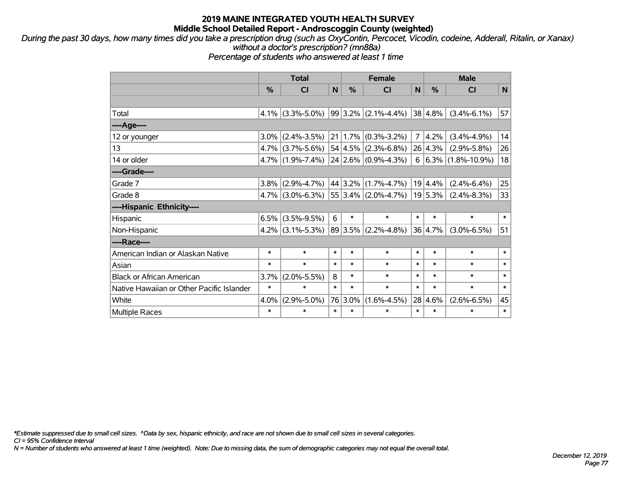*During the past 30 days, how many times did you take a prescription drug (such as OxyContin, Percocet, Vicodin, codeine, Adderall, Ritalin, or Xanax) without a doctor's prescription? (mn88a)*

*Percentage of students who answered at least 1 time*

|                                           | <b>Total</b> |                     |        |         | <b>Female</b>                        |                | <b>Male</b> |                            |        |  |
|-------------------------------------------|--------------|---------------------|--------|---------|--------------------------------------|----------------|-------------|----------------------------|--------|--|
|                                           | %            | <b>CI</b>           | N      | %       | <b>CI</b>                            | N              | %           | <b>CI</b>                  | N      |  |
|                                           |              |                     |        |         |                                      |                |             |                            |        |  |
| Total                                     | $4.1\%$      | $(3.3\% - 5.0\%)$   |        |         | $99 3.2\% $ (2.1%-4.4%)              |                | 38 4.8%     | $(3.4\% - 6.1\%)$          | 57     |  |
| ----Age----                               |              |                     |        |         |                                      |                |             |                            |        |  |
| 12 or younger                             | $3.0\%$      | $(2.4\% - 3.5\%)$   |        |         | $21 \mid 1.7\% \mid (0.3\% - 3.2\%)$ | $\overline{7}$ | 4.2%        | $(3.4\% - 4.9\%)$          | 14     |  |
| 13                                        |              | $4.7\%$ (3.7%-5.6%) |        |         | $54 4.5\% $ (2.3%-6.8%)              |                | $26 4.3\% $ | $(2.9\% - 5.8\%)$          | 26     |  |
| 14 or older                               |              | $4.7\%$ (1.9%-7.4%) |        |         | $24$ 2.6% (0.9%-4.3%)                |                |             | $6 6.3\% (1.8\% - 10.9\%)$ | 18     |  |
| ----Grade----                             |              |                     |        |         |                                      |                |             |                            |        |  |
| Grade 7                                   | $3.8\%$      | $(2.9\% - 4.7\%)$   |        |         | 44 3.2% (1.7%-4.7%)                  |                | 19 4.4%     | $(2.4\% - 6.4\%)$          | 25     |  |
| Grade 8                                   |              | $4.7\%$ (3.0%-6.3%) |        |         | 55 3.4% (2.0%-4.7%)                  |                | 19 5.3%     | $(2.4\% - 8.3\%)$          | 33     |  |
| ----Hispanic Ethnicity----                |              |                     |        |         |                                      |                |             |                            |        |  |
| Hispanic                                  | 6.5%         | $(3.5\% - 9.5\%)$   | 6      | $\ast$  | $\ast$                               | $\ast$         | $\ast$      | $\ast$                     | $\ast$ |  |
| Non-Hispanic                              |              | $4.2\%$ (3.1%-5.3%) |        |         | $ 89 3.5\% $ (2.2%-4.8%)             |                | 36 4.7%     | $(3.0\% - 6.5\%)$          | 51     |  |
| ----Race----                              |              |                     |        |         |                                      |                |             |                            |        |  |
| American Indian or Alaskan Native         | *            | $\ast$              | $\ast$ | $\ast$  | $\ast$                               | $\ast$         | $\ast$      | $\ast$                     | $\ast$ |  |
| Asian                                     | $\ast$       | $\ast$              | $\ast$ | $\ast$  | $\ast$                               | $\ast$         | $\ast$      | $\ast$                     | $\ast$ |  |
| <b>Black or African American</b>          | 3.7%         | $(2.0\% - 5.5\%)$   | 8      | $\ast$  | $\ast$                               | $\ast$         | $\ast$      | $\ast$                     | $\ast$ |  |
| Native Hawaiian or Other Pacific Islander | $\ast$       | $\ast$              | $\ast$ | $\ast$  | $\ast$                               | $\ast$         | $\ast$      | $\ast$                     | $\ast$ |  |
| White                                     | 4.0%         | $(2.9\% - 5.0\%)$   |        | 76 3.0% | $(1.6\% - 4.5\%)$                    |                | 28 4.6%     | $(2.6\% - 6.5\%)$          | 45     |  |
| <b>Multiple Races</b>                     | $\ast$       | $\ast$              | $\ast$ | $\ast$  | $\ast$                               | $\ast$         | $\ast$      | $\ast$                     | $\ast$ |  |

*\*Estimate suppressed due to small cell sizes. ^Data by sex, hispanic ethnicity, and race are not shown due to small cell sizes in several categories.*

*CI = 95% Confidence Interval*

*N = Number of students who answered at least 1 time (weighted). Note: Due to missing data, the sum of demographic categories may not equal the overall total.*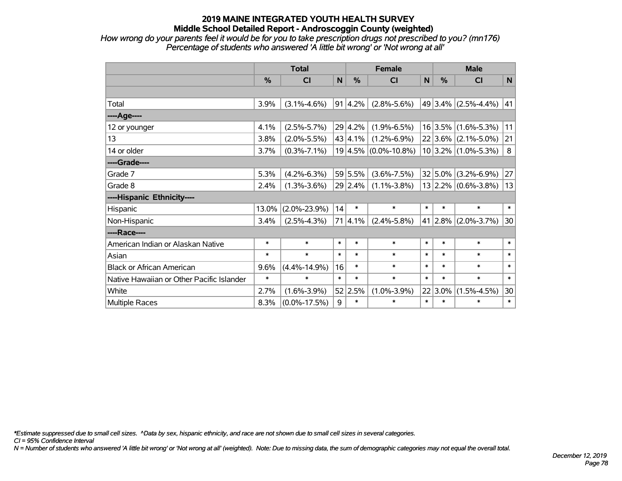*How wrong do your parents feel it would be for you to take prescription drugs not prescribed to you? (mn176) Percentage of students who answered 'A little bit wrong' or 'Not wrong at all'*

|                                           | <b>Total</b> |                    |              |             | <b>Female</b>            | <b>Male</b> |           |                           |        |
|-------------------------------------------|--------------|--------------------|--------------|-------------|--------------------------|-------------|-----------|---------------------------|--------|
|                                           | $\%$         | CI                 | $\mathsf{N}$ | %           | <b>CI</b>                | N           | %         | <b>CI</b>                 | N      |
|                                           |              |                    |              |             |                          |             |           |                           |        |
| Total                                     | 3.9%         | $(3.1\% - 4.6\%)$  |              | 91   4.2%   | $(2.8\% - 5.6\%)$        |             |           | 49 3.4% $(2.5\% - 4.4\%)$ | 41     |
| ----Age----                               |              |                    |              |             |                          |             |           |                           |        |
| 12 or younger                             | 4.1%         | $(2.5\% - 5.7\%)$  |              | 29 4.2%     | $(1.9\% - 6.5\%)$        |             |           | $16$ 3.5% (1.6%-5.3%)     | 11     |
| 13                                        | 3.8%         | $(2.0\% - 5.5\%)$  |              | 43 4.1%     | $(1.2\% - 6.9\%)$        |             |           | $22 3.6\% $ (2.1%-5.0%)   | 21     |
| 14 or older                               | 3.7%         | $(0.3\% - 7.1\%)$  |              |             | $19 4.5\% $ (0.0%-10.8%) |             |           | $10 3.2\% $ (1.0%-5.3%)   | 8      |
| ----Grade----                             |              |                    |              |             |                          |             |           |                           |        |
| Grade 7                                   | 5.3%         | $(4.2\% - 6.3\%)$  |              | 59 5.5%     | $(3.6\% - 7.5\%)$        |             | 32 5.0%   | $(3.2\% - 6.9\%)$         | 27     |
| Grade 8                                   | 2.4%         | $(1.3\% - 3.6\%)$  |              | $29 2.4\% $ | $(1.1\% - 3.8\%)$        |             |           | $13$ 2.2% (0.6%-3.8%)     | 13     |
| ----Hispanic Ethnicity----                |              |                    |              |             |                          |             |           |                           |        |
| Hispanic                                  | 13.0%        | $(2.0\% - 23.9\%)$ | 14           | $\ast$      | $\ast$                   | $\ast$      | $\ast$    | $\ast$                    | $\ast$ |
| Non-Hispanic                              | 3.4%         | $(2.5\% - 4.3\%)$  |              | $71 4.1\% $ | $(2.4\% - 5.8\%)$        | 41          | $ 2.8\% $ | $(2.0\% - 3.7\%)$         | 30     |
| ----Race----                              |              |                    |              |             |                          |             |           |                           |        |
| American Indian or Alaskan Native         | $\ast$       | $\ast$             | $\ast$       | $\ast$      | $\ast$                   | $\ast$      | $\ast$    | $\ast$                    | $\ast$ |
| Asian                                     | $\ast$       | $\ast$             | $\ast$       | $\ast$      | $\ast$                   | $\ast$      | $\ast$    | $\ast$                    | $\ast$ |
| <b>Black or African American</b>          | 9.6%         | $(4.4\% - 14.9\%)$ | 16           | $\ast$      | $\ast$                   | $\ast$      | $\ast$    | $\ast$                    | $\ast$ |
| Native Hawaiian or Other Pacific Islander | $\ast$       | $\ast$             | $\ast$       | $\ast$      | $\ast$                   | $\ast$      | $\ast$    | $\ast$                    | $\ast$ |
| White                                     | 2.7%         | $(1.6\% - 3.9\%)$  |              | 52 2.5%     | $(1.0\% - 3.9\%)$        | 22          | 3.0%      | $(1.5\% - 4.5\%)$         | 30     |
| <b>Multiple Races</b>                     | 8.3%         | $(0.0\% - 17.5\%)$ | 9            | $\ast$      | $\ast$                   | $\ast$      | $\ast$    | $\ast$                    | $\ast$ |

*\*Estimate suppressed due to small cell sizes. ^Data by sex, hispanic ethnicity, and race are not shown due to small cell sizes in several categories.*

*CI = 95% Confidence Interval*

*N = Number of students who answered 'A little bit wrong' or 'Not wrong at all' (weighted). Note: Due to missing data, the sum of demographic categories may not equal the overall total.*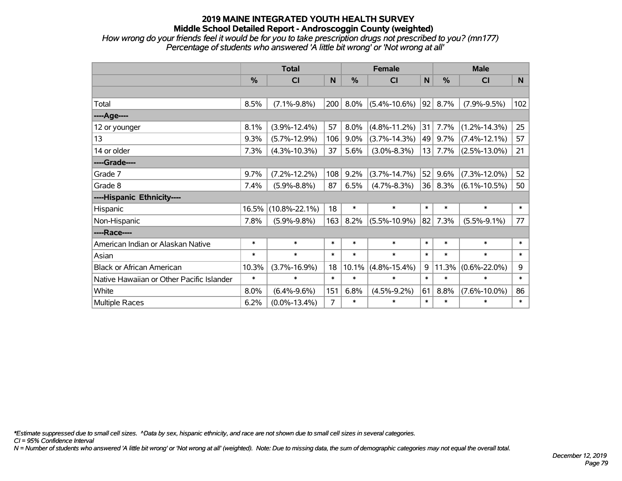*How wrong do your friends feel it would be for you to take prescription drugs not prescribed to you? (mn177) Percentage of students who answered 'A little bit wrong' or 'Not wrong at all'*

|                                           | <b>Total</b>  |                     |        |               | <b>Female</b>      |        | <b>Male</b> |                    |        |  |
|-------------------------------------------|---------------|---------------------|--------|---------------|--------------------|--------|-------------|--------------------|--------|--|
|                                           | $\frac{0}{0}$ | <b>CI</b>           | N      | $\frac{0}{0}$ | <b>CI</b>          | N      | %           | <b>CI</b>          | N      |  |
|                                           |               |                     |        |               |                    |        |             |                    |        |  |
| Total                                     | 8.5%          | $(7.1\% - 9.8\%)$   | 200    | 8.0%          | $(5.4\% - 10.6\%)$ | 92     | 8.7%        | $(7.9\% - 9.5\%)$  | 102    |  |
| ----Age----                               |               |                     |        |               |                    |        |             |                    |        |  |
| 12 or younger                             | 8.1%          | $(3.9\% - 12.4\%)$  | 57     | 8.0%          | $(4.8\% - 11.2\%)$ | 31     | 7.7%        | $(1.2\% - 14.3\%)$ | 25     |  |
| 13                                        | 9.3%          | $(5.7\% - 12.9\%)$  | 106    | $9.0\%$       | $(3.7\% - 14.3\%)$ | 49     | 9.7%        | $(7.4\% - 12.1\%)$ | 57     |  |
| 14 or older                               | 7.3%          | $(4.3\% - 10.3\%)$  | 37     | 5.6%          | $(3.0\% - 8.3\%)$  | 13     | 7.7%        | $(2.5\% - 13.0\%)$ | 21     |  |
| ----Grade----                             |               |                     |        |               |                    |        |             |                    |        |  |
| Grade 7                                   | 9.7%          | $(7.2\% - 12.2\%)$  | 108    | 9.2%          | $(3.7\% - 14.7\%)$ | 52     | 9.6%        | $(7.3\% - 12.0\%)$ | 52     |  |
| Grade 8                                   | 7.4%          | $(5.9\% - 8.8\%)$   | 87     | 6.5%          | $(4.7\% - 8.3\%)$  | 36     | 8.3%        | $(6.1\% - 10.5\%)$ | 50     |  |
| ----Hispanic Ethnicity----                |               |                     |        |               |                    |        |             |                    |        |  |
| Hispanic                                  | 16.5%         | $(10.8\% - 22.1\%)$ | 18     | $\ast$        | $\ast$             | $\ast$ | $\ast$      | $\ast$             | $\ast$ |  |
| Non-Hispanic                              | 7.8%          | $(5.9\% - 9.8\%)$   | 163    | 8.2%          | $(5.5\% - 10.9\%)$ | 82     | 7.3%        | $(5.5\% - 9.1\%)$  | 77     |  |
| ----Race----                              |               |                     |        |               |                    |        |             |                    |        |  |
| American Indian or Alaskan Native         | $\ast$        | $\ast$              | $\ast$ | $\ast$        | $\ast$             | $\ast$ | $\ast$      | $\ast$             | $\ast$ |  |
| Asian                                     | $\ast$        | $\ast$              | $\ast$ | $\ast$        | $\ast$             | $\ast$ | $\ast$      | $\ast$             | $\ast$ |  |
| <b>Black or African American</b>          | 10.3%         | $(3.7\% - 16.9\%)$  | 18     | 10.1%         | $(4.8\% - 15.4\%)$ | 9      | 11.3%       | $(0.6\% - 22.0\%)$ | 9      |  |
| Native Hawaiian or Other Pacific Islander | $\ast$        | $\ast$              | $\ast$ | $\ast$        | $\ast$             | $\ast$ | $\ast$      | $\ast$             | $\ast$ |  |
| White                                     | 8.0%          | $(6.4\% - 9.6\%)$   | 151    | 6.8%          | $(4.5\% - 9.2\%)$  | 61     | 8.8%        | $(7.6\% - 10.0\%)$ | 86     |  |
| <b>Multiple Races</b>                     | 6.2%          | $(0.0\% - 13.4\%)$  | 7      | $\ast$        | $\ast$             | $\ast$ | $\ast$      | $\ast$             | $\ast$ |  |

*\*Estimate suppressed due to small cell sizes. ^Data by sex, hispanic ethnicity, and race are not shown due to small cell sizes in several categories.*

*CI = 95% Confidence Interval*

*N = Number of students who answered 'A little bit wrong' or 'Not wrong at all' (weighted). Note: Due to missing data, the sum of demographic categories may not equal the overall total.*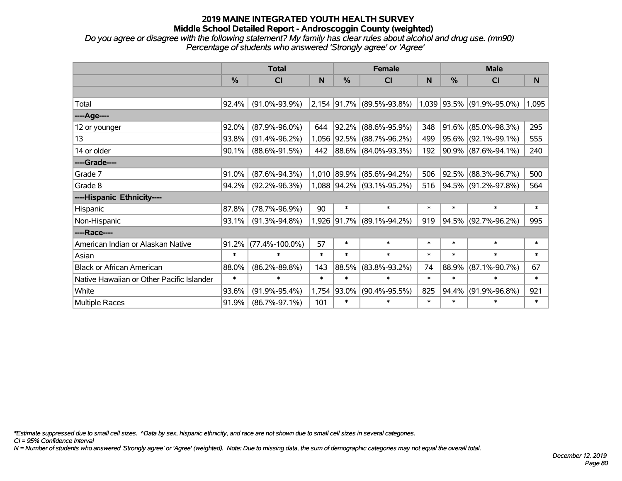*Do you agree or disagree with the following statement? My family has clear rules about alcohol and drug use. (mn90) Percentage of students who answered 'Strongly agree' or 'Agree'*

|                                           | <b>Total</b> |                      |        | <b>Female</b> |                           | <b>Male</b> |               |                           |        |
|-------------------------------------------|--------------|----------------------|--------|---------------|---------------------------|-------------|---------------|---------------------------|--------|
|                                           | %            | <b>CI</b>            | N.     | $\frac{0}{0}$ | <b>CI</b>                 | N.          | $\frac{0}{0}$ | <b>CI</b>                 | N      |
|                                           |              |                      |        |               |                           |             |               |                           |        |
| Total                                     | 92.4%        | $(91.0\% - 93.9\%)$  |        |               | 2,154 91.7% (89.5%-93.8%) |             |               | 1,039 93.5% (91.9%-95.0%) | 1,095  |
| ----Age----                               |              |                      |        |               |                           |             |               |                           |        |
| 12 or younger                             | 92.0%        | $(87.9\% - 96.0\%)$  | 644    | 92.2%         | $(88.6\% - 95.9\%)$       | 348         | 91.6%         | $(85.0\% - 98.3\%)$       | 295    |
| 13                                        | 93.8%        | $(91.4\% - 96.2\%)$  |        |               | 1,056 92.5% (88.7%-96.2%) | 499         |               | 95.6% (92.1%-99.1%)       | 555    |
| 14 or older                               | 90.1%        | $(88.6\% - 91.5\%)$  | 442    |               | 88.6% (84.0%-93.3%)       | 192         |               | 90.9% (87.6%-94.1%)       | 240    |
| ----Grade----                             |              |                      |        |               |                           |             |               |                           |        |
| Grade 7                                   | 91.0%        | $(87.6\% - 94.3\%)$  |        | 1,010 89.9%   | $(85.6\% - 94.2\%)$       | 506         |               | 92.5% (88.3%-96.7%)       | 500    |
| Grade 8                                   | 94.2%        | $(92.2\% - 96.3\%)$  |        |               | 1,088 94.2% (93.1%-95.2%) | 516         |               | 94.5% (91.2%-97.8%)       | 564    |
| ----Hispanic Ethnicity----                |              |                      |        |               |                           |             |               |                           |        |
| Hispanic                                  | 87.8%        | $(78.7\% - 96.9\%)$  | 90     | $\ast$        | $\ast$                    | $\ast$      | *             | $\ast$                    | $\ast$ |
| Non-Hispanic                              | 93.1%        | $(91.3\% - 94.8\%)$  |        |               | 1,926 91.7% (89.1%-94.2%) | 919         | 94.5%         | $(92.7\% - 96.2\%)$       | 995    |
| ----Race----                              |              |                      |        |               |                           |             |               |                           |        |
| American Indian or Alaskan Native         | 91.2%        | $(77.4\% - 100.0\%)$ | 57     | $\ast$        | $\ast$                    | $\ast$      | $\ast$        | $\ast$                    | $\ast$ |
| Asian                                     | $\ast$       | $\ast$               | $\ast$ | $\ast$        | $\ast$                    | $\ast$      | $\ast$        | $\ast$                    | $\ast$ |
| <b>Black or African American</b>          | 88.0%        | $(86.2\% - 89.8\%)$  | 143    | 88.5%         | $(83.8\% - 93.2\%)$       | 74          | 88.9%         | $(87.1\% - 90.7\%)$       | 67     |
| Native Hawaiian or Other Pacific Islander | $\ast$       | $\ast$               | $\ast$ | $\ast$        | $\ast$                    | $\ast$      | $\ast$        | $\ast$                    | $\ast$ |
| White                                     | 93.6%        | $(91.9\% - 95.4\%)$  | 1,754  | 93.0%         | $(90.4\% - 95.5\%)$       | 825         | 94.4%         | $(91.9\% - 96.8\%)$       | 921    |
| Multiple Races                            | 91.9%        | $(86.7\% - 97.1\%)$  | 101    | $\ast$        | $\ast$                    | $\ast$      | $\ast$        | $\ast$                    | $\ast$ |

*\*Estimate suppressed due to small cell sizes. ^Data by sex, hispanic ethnicity, and race are not shown due to small cell sizes in several categories.*

*CI = 95% Confidence Interval*

*N = Number of students who answered 'Strongly agree' or 'Agree' (weighted). Note: Due to missing data, the sum of demographic categories may not equal the overall total.*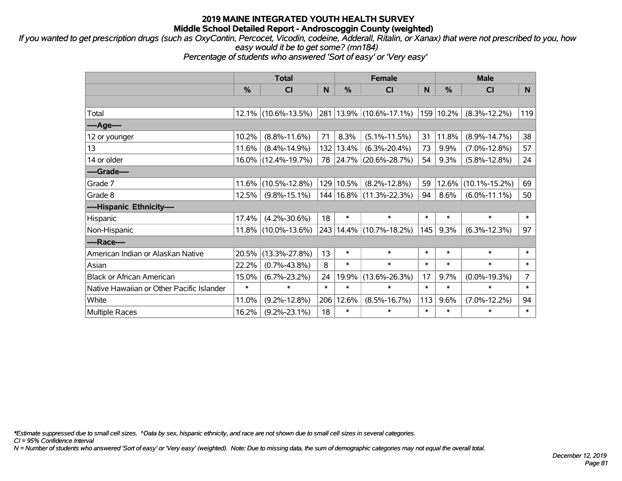*If you wanted to get prescription drugs (such as OxyContin, Percocet, Vicodin, codeine, Adderall, Ritalin, or Xanax) that were not prescribed to you, how easy would it be to get some? (mn184)*

*Percentage of students who answered 'Sort of easy' or 'Very easy'*

|                                           | <b>Total</b> |                     |        | <b>Female</b> | <b>Male</b>                 |        |        |                     |                |
|-------------------------------------------|--------------|---------------------|--------|---------------|-----------------------------|--------|--------|---------------------|----------------|
|                                           | %            | <b>CI</b>           | N      | %             | <b>CI</b>                   | N      | %      | <b>CI</b>           | N.             |
|                                           |              |                     |        |               |                             |        |        |                     |                |
| Total                                     |              | 12.1% (10.6%-13.5%) |        |               | 281   13.9%   (10.6%-17.1%) | 159    | 10.2%  | $(8.3\% - 12.2\%)$  | 119            |
| ----Age----                               |              |                     |        |               |                             |        |        |                     |                |
| 12 or younger                             | 10.2%        | $(8.8\% - 11.6\%)$  | 71     | 8.3%          | $(5.1\% - 11.5\%)$          | 31     | 11.8%  | $(8.9\% - 14.7\%)$  | 38             |
| 13                                        | 11.6%        | $(8.4\% - 14.9\%)$  |        | 132 13.4%     | $(6.3\% - 20.4\%)$          | 73     | 9.9%   | $(7.0\% - 12.8\%)$  | 57             |
| 14 or older                               |              | 16.0% (12.4%-19.7%) |        |               | 78 24.7% (20.6%-28.7%)      | 54     | 9.3%   | $(5.8\% - 12.8\%)$  | 24             |
| ----Grade----                             |              |                     |        |               |                             |        |        |                     |                |
| Grade 7                                   | $11.6\%$     | $(10.5\% - 12.8\%)$ |        | 129 10.5%     | $(8.2\% - 12.8\%)$          | 59     | 12.6%  | $(10.1\% - 15.2\%)$ | 69             |
| Grade 8                                   | 12.5%        | $(9.8\% - 15.1\%)$  |        |               | 144   16.8%   (11.3%-22.3%) | 94     | 8.6%   | $(6.0\% - 11.1\%)$  | 50             |
| ----Hispanic Ethnicity----                |              |                     |        |               |                             |        |        |                     |                |
| Hispanic                                  | 17.4%        | $(4.2\% - 30.6\%)$  | 18     | $\ast$        | $\ast$                      | $\ast$ | $\ast$ | $\ast$              | $\ast$         |
| Non-Hispanic                              |              | 11.8% (10.0%-13.6%) |        |               | 243   14.4%   (10.7%-18.2%) | 145    | 9.3%   | $(6.3\% - 12.3\%)$  | 97             |
| ----Race----                              |              |                     |        |               |                             |        |        |                     |                |
| American Indian or Alaskan Native         | 20.5%        | $(13.3\% - 27.8\%)$ | 13     | $\ast$        | $\ast$                      | $\ast$ | $\ast$ | $\ast$              | $\ast$         |
| Asian                                     | 22.2%        | $(0.7\% - 43.8\%)$  | 8      | $\ast$        | $\ast$                      | $\ast$ | $\ast$ | $\ast$              | $\ast$         |
| <b>Black or African American</b>          | 15.0%        | $(6.7\% - 23.2\%)$  | 24     | 19.9%         | $(13.6\% - 26.3\%)$         | 17     | 9.7%   | $(0.0\% - 19.3\%)$  | $\overline{7}$ |
| Native Hawaiian or Other Pacific Islander | $\ast$       | $\ast$              | $\ast$ | $\ast$        | $\ast$                      | $\ast$ | $\ast$ | $\ast$              | $\ast$         |
| White                                     | 11.0%        | $(9.2\% - 12.8\%)$  | 206    | 12.6%         | $(8.5\% - 16.7\%)$          | 113    | 9.6%   | $(7.0\% - 12.2\%)$  | 94             |
| <b>Multiple Races</b>                     | 16.2%        | $(9.2\% - 23.1\%)$  | 18     | $\ast$        | $\ast$                      | $\ast$ | $\ast$ | $\ast$              | $\ast$         |

*\*Estimate suppressed due to small cell sizes. ^Data by sex, hispanic ethnicity, and race are not shown due to small cell sizes in several categories.*

*CI = 95% Confidence Interval*

*N = Number of students who answered 'Sort of easy' or 'Very easy' (weighted). Note: Due to missing data, the sum of demographic categories may not equal the overall total.*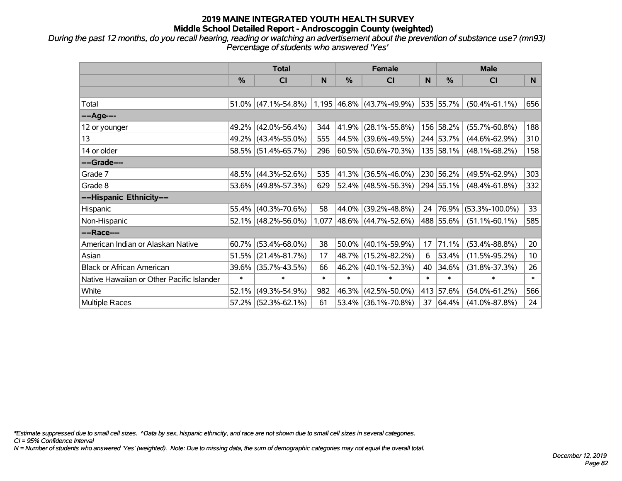*During the past 12 months, do you recall hearing, reading or watching an advertisement about the prevention of substance use? (mn93) Percentage of students who answered 'Yes'*

|                                           | <b>Total</b>  |                        |        | <b>Female</b> |                           | <b>Male</b> |               |                      |                 |
|-------------------------------------------|---------------|------------------------|--------|---------------|---------------------------|-------------|---------------|----------------------|-----------------|
|                                           | $\frac{0}{0}$ | CI                     | N      | %             | <b>CI</b>                 | N           | $\frac{0}{0}$ | <b>CI</b>            | N.              |
|                                           |               |                        |        |               |                           |             |               |                      |                 |
| Total                                     |               | $51.0\%$ (47.1%-54.8%) |        |               | 1,195 46.8% (43.7%-49.9%) |             | 535 55.7%     | $(50.4\% - 61.1\%)$  | 656             |
| ----Age----                               |               |                        |        |               |                           |             |               |                      |                 |
| 12 or younger                             | 49.2%         | $(42.0\% - 56.4\%)$    | 344    |               | 41.9% (28.1%-55.8%)       |             | 156 58.2%     | $(55.7\% - 60.8\%)$  | 188             |
| 13                                        |               | 49.2% (43.4%-55.0%)    | 555    |               | 44.5% (39.6%-49.5%)       |             | 244 53.7%     | $(44.6\% - 62.9\%)$  | 310             |
| 14 or older                               |               | 58.5% (51.4%-65.7%)    | 296    |               | $60.5\%$ (50.6%-70.3%)    |             | 135 58.1%     | $(48.1\% - 68.2\%)$  | 158             |
| ----Grade----                             |               |                        |        |               |                           |             |               |                      |                 |
| Grade 7                                   | 48.5%         | $(44.3\% - 52.6\%)$    | 535    |               | 41.3% (36.5%-46.0%)       |             | 230 56.2%     | $(49.5\% - 62.9\%)$  | 303             |
| Grade 8                                   |               | 53.6% (49.8%-57.3%)    | 629    |               | $52.4\%$ (48.5%-56.3%)    |             | 294 55.1%     | $(48.4\% - 61.8\%)$  | 332             |
| ----Hispanic Ethnicity----                |               |                        |        |               |                           |             |               |                      |                 |
| Hispanic                                  | 55.4%         | $(40.3\% - 70.6\%)$    | 58     |               | 44.0% (39.2%-48.8%)       | 24          | 76.9%         | $(53.3\% - 100.0\%)$ | 33              |
| Non-Hispanic                              |               | $52.1\%$ (48.2%-56.0%) | 1,077  |               | $ 48.6\% $ (44.7%-52.6%)  |             | 488 55.6%     | $(51.1\% - 60.1\%)$  | 585             |
| ----Race----                              |               |                        |        |               |                           |             |               |                      |                 |
| American Indian or Alaskan Native         | 60.7%         | $(53.4\% - 68.0\%)$    | 38     |               | $50.0\%$ (40.1%-59.9%)    | 17          | 71.1%         | $(53.4\% - 88.8\%)$  | 20              |
| Asian                                     | 51.5%         | $(21.4\% - 81.7\%)$    | 17     |               | 48.7% (15.2%-82.2%)       | 6           | 53.4%         | $(11.5\% - 95.2\%)$  | 10 <sup>°</sup> |
| <b>Black or African American</b>          | 39.6%         | $(35.7\% - 43.5\%)$    | 66     |               | 46.2% (40.1%-52.3%)       | 40          | 34.6%         | $(31.8\% - 37.3\%)$  | 26              |
| Native Hawaiian or Other Pacific Islander | $\ast$        | $\ast$                 | $\ast$ | $\ast$        | $\ast$                    | $\ast$      | $\ast$        | $\ast$               | $\ast$          |
| White                                     | 52.1%         | $(49.3\% - 54.9\%)$    | 982    |               | 46.3% (42.5%-50.0%)       |             | 413 57.6%     | $(54.0\% - 61.2\%)$  | 566             |
| Multiple Races                            |               | $57.2\%$ (52.3%-62.1%) | 61     |               | 53.4% (36.1%-70.8%)       | 37          | 64.4%         | $(41.0\% - 87.8\%)$  | 24              |

*\*Estimate suppressed due to small cell sizes. ^Data by sex, hispanic ethnicity, and race are not shown due to small cell sizes in several categories.*

*CI = 95% Confidence Interval*

*N = Number of students who answered 'Yes' (weighted). Note: Due to missing data, the sum of demographic categories may not equal the overall total.*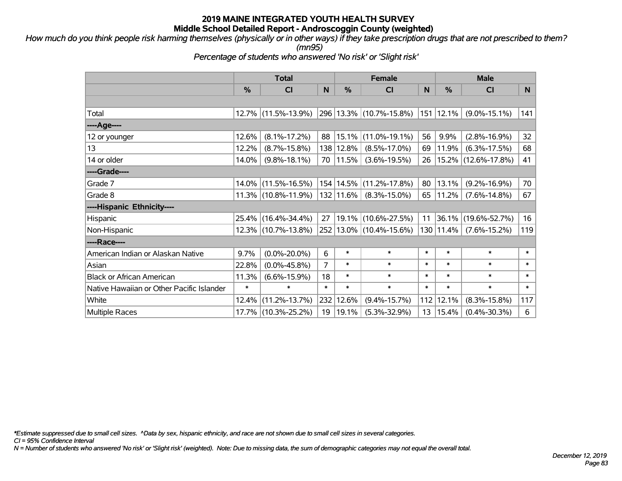*How much do you think people risk harming themselves (physically or in other ways) if they take prescription drugs that are not prescribed to them? (mn95)*

*Percentage of students who answered 'No risk' or 'Slight risk'*

|                                           | <b>Total</b> |                        |                | <b>Female</b> |                         |        | <b>Male</b> |                     |        |  |
|-------------------------------------------|--------------|------------------------|----------------|---------------|-------------------------|--------|-------------|---------------------|--------|--|
|                                           | %            | <b>CI</b>              | $\mathsf{N}$   | %             | <b>CI</b>               | N      | %           | <b>CI</b>           | N.     |  |
|                                           |              |                        |                |               |                         |        |             |                     |        |  |
| Total                                     |              | 12.7% (11.5%-13.9%)    |                |               | 296 13.3% (10.7%-15.8%) | 151    | 12.1%       | $(9.0\% - 15.1\%)$  | 141    |  |
| ----Age----                               |              |                        |                |               |                         |        |             |                     |        |  |
| 12 or younger                             | 12.6%        | $(8.1\% - 17.2\%)$     | 88             |               | 15.1%  (11.0%-19.1%)    | 56     | 9.9%        | $(2.8\% - 16.9\%)$  | 32     |  |
| 13                                        | 12.2%        | $(8.7\% - 15.8\%)$     |                | 138 12.8%     | $(8.5\% - 17.0\%)$      | 69     | 11.9%       | $(6.3\% - 17.5\%)$  | 68     |  |
| 14 or older                               | 14.0%        | $(9.8\% - 18.1\%)$     |                | 70   11.5%    | $(3.6\% - 19.5\%)$      | 26     |             | 15.2% (12.6%-17.8%) | 41     |  |
| ----Grade----                             |              |                        |                |               |                         |        |             |                     |        |  |
| Grade 7                                   | $14.0\%$     | $(11.5\% - 16.5\%)$    |                | 154 14.5%     | $(11.2\% - 17.8\%)$     | 80     | 13.1%       | $(9.2\% - 16.9\%)$  | 70     |  |
| Grade 8                                   |              | $11.3\%$ (10.8%-11.9%) |                | 132   11.6%   | $(8.3\% - 15.0\%)$      | 65     | 11.2%       | $(7.6\% - 14.8\%)$  | 67     |  |
| ----Hispanic Ethnicity----                |              |                        |                |               |                         |        |             |                     |        |  |
| Hispanic                                  | 25.4%        | $(16.4\% - 34.4\%)$    | 27             |               | 19.1%   (10.6%-27.5%)   | 11     | 36.1%       | $(19.6\% - 52.7\%)$ | 16     |  |
| Non-Hispanic                              |              | 12.3% (10.7%-13.8%)    |                |               | 252 13.0% (10.4%-15.6%) |        | 130 11.4%   | $(7.6\% - 15.2\%)$  | 119    |  |
| ----Race----                              |              |                        |                |               |                         |        |             |                     |        |  |
| American Indian or Alaskan Native         | 9.7%         | $(0.0\% - 20.0\%)$     | 6              | $\ast$        | $\ast$                  | $\ast$ | $\ast$      | $\ast$              | $\ast$ |  |
| Asian                                     | 22.8%        | $(0.0\% - 45.8\%)$     | $\overline{7}$ | $\ast$        | $\ast$                  | $\ast$ | $\ast$      | $\ast$              | $\ast$ |  |
| <b>Black or African American</b>          | 11.3%        | $(6.6\% - 15.9\%)$     | 18             | $\ast$        | $\ast$                  | $\ast$ | $\ast$      | $\ast$              | $\ast$ |  |
| Native Hawaiian or Other Pacific Islander | $\ast$       | $\ast$                 | $\ast$         | $\ast$        | $\ast$                  | $\ast$ | $\ast$      | $\ast$              | $\ast$ |  |
| White                                     | 12.4%        | $(11.2\% - 13.7\%)$    |                | 232 12.6%     | $(9.4\% - 15.7\%)$      | 112    | 12.1%       | $(8.3\% - 15.8\%)$  | 117    |  |
| <b>Multiple Races</b>                     | 17.7%        | $(10.3\% - 25.2\%)$    |                | 19 19.1%      | $(5.3\% - 32.9\%)$      | 13     | 15.4%       | $(0.4\% - 30.3\%)$  | 6      |  |

*\*Estimate suppressed due to small cell sizes. ^Data by sex, hispanic ethnicity, and race are not shown due to small cell sizes in several categories.*

*CI = 95% Confidence Interval*

*N = Number of students who answered 'No risk' or 'Slight risk' (weighted). Note: Due to missing data, the sum of demographic categories may not equal the overall total.*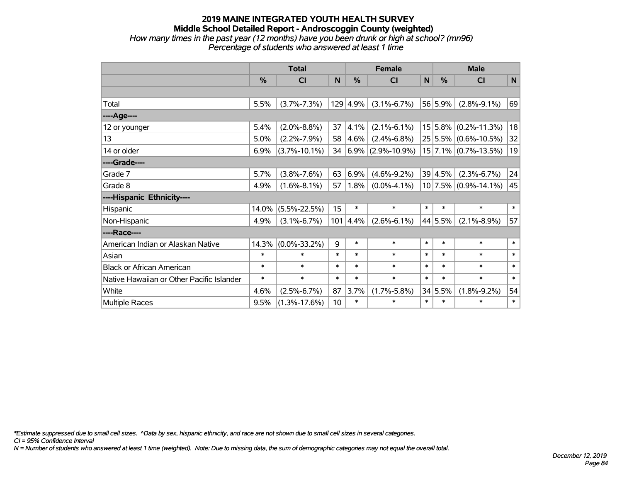#### **2019 MAINE INTEGRATED YOUTH HEALTH SURVEY Middle School Detailed Report - Androscoggin County (weighted)** *How many times in the past year (12 months) have you been drunk or high at school? (mn96) Percentage of students who answered at least 1 time*

|                                           | <b>Total</b> |                    |        | <b>Female</b> |                        |        | <b>Male</b> |                          |        |  |
|-------------------------------------------|--------------|--------------------|--------|---------------|------------------------|--------|-------------|--------------------------|--------|--|
|                                           | %            | CI                 | N      | %             | CI                     | N      | %           | CI                       | N      |  |
|                                           |              |                    |        |               |                        |        |             |                          |        |  |
| Total                                     | 5.5%         | $(3.7\% - 7.3\%)$  | 129    | 4.9%          | $(3.1\% - 6.7\%)$      |        | 56 5.9%     | $(2.8\% - 9.1\%)$        | 69     |  |
| ---- Age----                              |              |                    |        |               |                        |        |             |                          |        |  |
| 12 or younger                             | 5.4%         | $(2.0\% - 8.8\%)$  | 37     | 4.1%          | $(2.1\% - 6.1\%)$      |        |             | $15 5.8\% $ (0.2%-11.3%) | 18     |  |
| 13                                        | 5.0%         | $(2.2\% - 7.9\%)$  | 58     | 4.6%          | $(2.4\% - 6.8\%)$      |        |             | $25 5.5\% $ (0.6%-10.5%) | 32     |  |
| 14 or older                               | 6.9%         | $(3.7\% - 10.1\%)$ | 34     |               | $ 6.9\% $ (2.9%-10.9%) |        |             | $15$ 7.1% (0.7%-13.5%)   | 19     |  |
| ----Grade----                             |              |                    |        |               |                        |        |             |                          |        |  |
| Grade 7                                   | 5.7%         | $(3.8\% - 7.6\%)$  | 63     | 6.9%          | $(4.6\% - 9.2\%)$      |        | 39 4.5%     | $(2.3\% - 6.7\%)$        | 24     |  |
| Grade 8                                   | 4.9%         | $(1.6\% - 8.1\%)$  | 57     | 1.8%          | $(0.0\% - 4.1\%)$      |        |             | $10$ 7.5% (0.9%-14.1%)   | 45     |  |
| ----Hispanic Ethnicity----                |              |                    |        |               |                        |        |             |                          |        |  |
| Hispanic                                  | 14.0%        | $(5.5\% - 22.5\%)$ | 15     | $\ast$        | $\ast$                 | $\ast$ | $\ast$      | $\ast$                   | $\ast$ |  |
| Non-Hispanic                              | 4.9%         | $(3.1\% - 6.7\%)$  | 101    | 4.4%          | $(2.6\% - 6.1\%)$      |        | 44 5.5%     | $(2.1\% - 8.9\%)$        | 57     |  |
| ----Race----                              |              |                    |        |               |                        |        |             |                          |        |  |
| American Indian or Alaskan Native         | 14.3%        | $(0.0\% - 33.2\%)$ | 9      | $\ast$        | $\ast$                 | $\ast$ | $\ast$      | $\ast$                   | $\ast$ |  |
| Asian                                     | $\ast$       | $\ast$             | $\ast$ | $\ast$        | $\ast$                 | $\ast$ | $\ast$      | $\ast$                   | $\ast$ |  |
| <b>Black or African American</b>          | $\ast$       | $\ast$             | $\ast$ | $\ast$        | $\ast$                 | $\ast$ | $\ast$      | $\ast$                   | $\ast$ |  |
| Native Hawaiian or Other Pacific Islander | $\ast$       | $\ast$             | $\ast$ | $\ast$        | $\ast$                 | $\ast$ | $\ast$      | $\ast$                   | $\ast$ |  |
| White                                     | 4.6%         | $(2.5\% - 6.7\%)$  | 87     | 3.7%          | $(1.7\% - 5.8\%)$      |        | 34 5.5%     | $(1.8\% - 9.2\%)$        | 54     |  |
| Multiple Races                            | 9.5%         | $(1.3\% - 17.6\%)$ | 10     | $\ast$        | $\ast$                 | $\ast$ | $\ast$      | $\ast$                   | $\ast$ |  |

*\*Estimate suppressed due to small cell sizes. ^Data by sex, hispanic ethnicity, and race are not shown due to small cell sizes in several categories.*

*CI = 95% Confidence Interval*

*N = Number of students who answered at least 1 time (weighted). Note: Due to missing data, the sum of demographic categories may not equal the overall total.*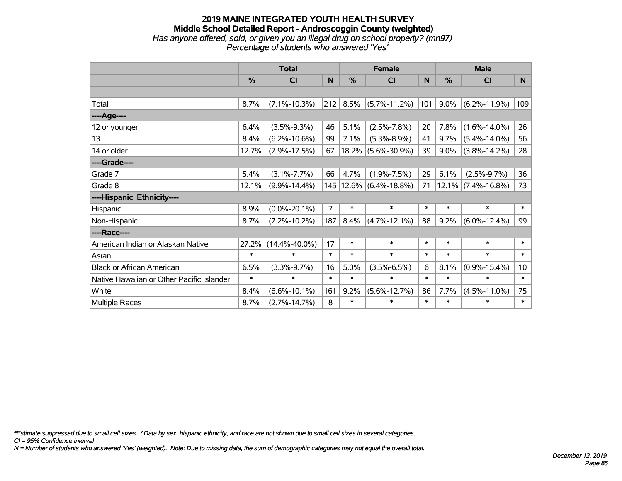#### **2019 MAINE INTEGRATED YOUTH HEALTH SURVEY Middle School Detailed Report - Androscoggin County (weighted)** *Has anyone offered, sold, or given you an illegal drug on school property? (mn97) Percentage of students who answered 'Yes'*

|                                           | <b>Total</b> |                     |                | <b>Female</b> |                            |        | <b>Male</b> |                       |                 |  |
|-------------------------------------------|--------------|---------------------|----------------|---------------|----------------------------|--------|-------------|-----------------------|-----------------|--|
|                                           | $\%$         | <b>CI</b>           | N              | %             | <b>CI</b>                  | N      | %           | <b>CI</b>             | N               |  |
|                                           |              |                     |                |               |                            |        |             |                       |                 |  |
| Total                                     | 8.7%         | $(7.1\% - 10.3\%)$  | 212            | 8.5%          | $(5.7\% - 11.2\%)$         | 101    | $9.0\%$     | $(6.2\% - 11.9\%)$    | 109             |  |
| ---- Age----                              |              |                     |                |               |                            |        |             |                       |                 |  |
| 12 or younger                             | 6.4%         | $(3.5\% - 9.3\%)$   | 46             | 5.1%          | $(2.5\% - 7.8\%)$          | 20     | 7.8%        | $(1.6\% - 14.0\%)$    | 26              |  |
| 13                                        | 8.4%         | $(6.2\% - 10.6\%)$  | 99             | 7.1%          | $(5.3\% - 8.9\%)$          | 41     | 9.7%        | $(5.4\% - 14.0\%)$    | 56              |  |
| 14 or older                               | 12.7%        | $(7.9\% - 17.5\%)$  | 67             |               | $18.2\%$ (5.6%-30.9%)      | 39     | $9.0\%$     | $(3.8\% - 14.2\%)$    | 28              |  |
| ----Grade----                             |              |                     |                |               |                            |        |             |                       |                 |  |
| Grade 7                                   | 5.4%         | $(3.1\% - 7.7\%)$   | 66             | 4.7%          | $(1.9\% - 7.5\%)$          | 29     | 6.1%        | $(2.5\% - 9.7\%)$     | 36              |  |
| Grade 8                                   | 12.1%        | $(9.9\% - 14.4\%)$  |                |               | 145   12.6%   (6.4%-18.8%) | 71     |             | $12.1\%$ (7.4%-16.8%) | 73              |  |
| ----Hispanic Ethnicity----                |              |                     |                |               |                            |        |             |                       |                 |  |
| Hispanic                                  | 8.9%         | $(0.0\% - 20.1\%)$  | $\overline{7}$ | $\ast$        | $\ast$                     | $\ast$ | $\ast$      | $\ast$                | *               |  |
| Non-Hispanic                              | 8.7%         | $(7.2\% - 10.2\%)$  | 187            | 8.4%          | $(4.7\% - 12.1\%)$         | 88     | 9.2%        | $(6.0\% - 12.4\%)$    | 99              |  |
| ----Race----                              |              |                     |                |               |                            |        |             |                       |                 |  |
| American Indian or Alaskan Native         | 27.2%        | $(14.4\% - 40.0\%)$ | 17             | $\ast$        | $\ast$                     | $\ast$ | $\ast$      | $\ast$                | $\ast$          |  |
| Asian                                     | $\ast$       | $\ast$              | $\ast$         | $\ast$        | $\ast$                     | $\ast$ | $\ast$      | $\ast$                | $\ast$          |  |
| <b>Black or African American</b>          | 6.5%         | $(3.3\% - 9.7\%)$   | 16             | 5.0%          | $(3.5\% - 6.5\%)$          | 6      | 8.1%        | $(0.9\% - 15.4\%)$    | 10 <sup>°</sup> |  |
| Native Hawaiian or Other Pacific Islander | $\ast$       | $\ast$              | $\ast$         | $\ast$        | $\ast$                     | $\ast$ | $\ast$      | $\ast$                | $\ast$          |  |
| White                                     | 8.4%         | $(6.6\% - 10.1\%)$  | 161            | 9.2%          | $(5.6\% - 12.7\%)$         | 86     | 7.7%        | $(4.5\% - 11.0\%)$    | 75              |  |
| Multiple Races                            | 8.7%         | $(2.7\% - 14.7\%)$  | 8              | $\ast$        | $\ast$                     | $\ast$ | $\ast$      | $\ast$                | $\ast$          |  |

*\*Estimate suppressed due to small cell sizes. ^Data by sex, hispanic ethnicity, and race are not shown due to small cell sizes in several categories.*

*CI = 95% Confidence Interval*

*N = Number of students who answered 'Yes' (weighted). Note: Due to missing data, the sum of demographic categories may not equal the overall total.*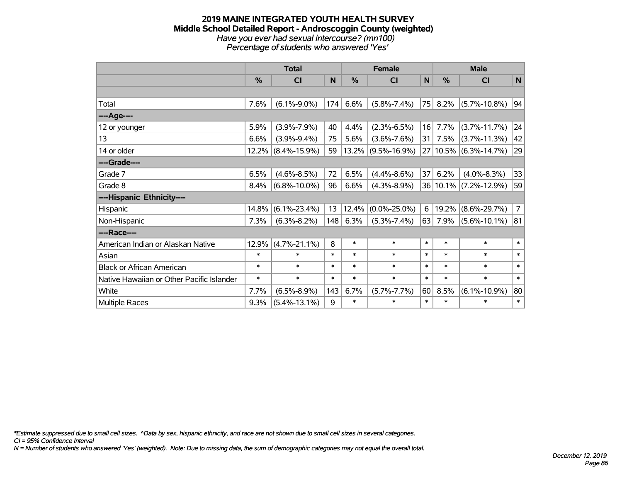#### **2019 MAINE INTEGRATED YOUTH HEALTH SURVEY Middle School Detailed Report - Androscoggin County (weighted)** *Have you ever had sexual intercourse? (mn100) Percentage of students who answered 'Yes'*

|                                           | <b>Total</b> |                    |        | <b>Female</b> |                    |              | <b>Male</b> |                       |                |  |
|-------------------------------------------|--------------|--------------------|--------|---------------|--------------------|--------------|-------------|-----------------------|----------------|--|
|                                           | %            | <b>CI</b>          | N      | %             | <b>CI</b>          | $\mathsf{N}$ | %           | <b>CI</b>             | $\mathsf{N}$   |  |
|                                           |              |                    |        |               |                    |              |             |                       |                |  |
| Total                                     | 7.6%         | $(6.1\% - 9.0\%)$  | 174    | 6.6%          | $(5.8\% - 7.4\%)$  | 75           | 8.2%        | $(5.7\% - 10.8\%)$    | 94             |  |
| ----Age----                               |              |                    |        |               |                    |              |             |                       |                |  |
| 12 or younger                             | 5.9%         | $(3.9\% - 7.9\%)$  | 40     | 4.4%          | $(2.3\% - 6.5\%)$  | 16           | 7.7%        | $(3.7\% - 11.7\%)$    | 24             |  |
| 13                                        | 6.6%         | $(3.9\% - 9.4\%)$  | 75     | 5.6%          | $(3.6\% - 7.6\%)$  | 31           | 7.5%        | $(3.7\% - 11.3\%)$    | 42             |  |
| 14 or older                               | 12.2%        | $(8.4\% - 15.9\%)$ | 59     | $ 13.2\% $    | $(9.5\% - 16.9\%)$ |              |             | 27 10.5% (6.3%-14.7%) | 29             |  |
| ----Grade----                             |              |                    |        |               |                    |              |             |                       |                |  |
| Grade 7                                   | 6.5%         | $(4.6\% - 8.5\%)$  | 72     | 6.5%          | $(4.4\% - 8.6\%)$  | 37           | 6.2%        | $(4.0\% - 8.3\%)$     | 33             |  |
| Grade 8                                   | 8.4%         | $(6.8\% - 10.0\%)$ | 96     | 6.6%          | $(4.3\% - 8.9\%)$  |              | 36 10.1%    | $(7.2\% - 12.9\%)$    | 59             |  |
| ----Hispanic Ethnicity----                |              |                    |        |               |                    |              |             |                       |                |  |
| Hispanic                                  | 14.8%        | $(6.1\% - 23.4\%)$ | 13     | 12.4%         | $(0.0\% - 25.0\%)$ | 6            | 19.2%       | $(8.6\% - 29.7\%)$    | $\overline{7}$ |  |
| Non-Hispanic                              | 7.3%         | $(6.3\% - 8.2\%)$  | 148    | 6.3%          | $(5.3\% - 7.4\%)$  | 63           | 7.9%        | $(5.6\% - 10.1\%)$    | 81             |  |
| ----Race----                              |              |                    |        |               |                    |              |             |                       |                |  |
| American Indian or Alaskan Native         | 12.9%        | $(4.7\% - 21.1\%)$ | 8      | $\ast$        | $\ast$             | $\ast$       | $\ast$      | $\ast$                | $\ast$         |  |
| Asian                                     | $\ast$       | $\ast$             | $\ast$ | $\ast$        | $\ast$             | $\ast$       | $\ast$      | $\ast$                | $\ast$         |  |
| <b>Black or African American</b>          | $\ast$       | $\ast$             | $\ast$ | $\ast$        | $\ast$             | $\ast$       | $\ast$      | $\ast$                | $\ast$         |  |
| Native Hawaiian or Other Pacific Islander | $\ast$       | $\ast$             | $\ast$ | $\ast$        | $\ast$             | $\ast$       | $\ast$      | $\ast$                | $\ast$         |  |
| White                                     | 7.7%         | $(6.5\% - 8.9\%)$  | 143    | 6.7%          | $(5.7\% - 7.7\%)$  | 60           | 8.5%        | $(6.1\% - 10.9\%)$    | 80             |  |
| <b>Multiple Races</b>                     | 9.3%         | $(5.4\% - 13.1\%)$ | 9      | $\ast$        | $\ast$             | $\ast$       | $\ast$      | $\ast$                | $\ast$         |  |

*\*Estimate suppressed due to small cell sizes. ^Data by sex, hispanic ethnicity, and race are not shown due to small cell sizes in several categories.*

*CI = 95% Confidence Interval*

*N = Number of students who answered 'Yes' (weighted). Note: Due to missing data, the sum of demographic categories may not equal the overall total.*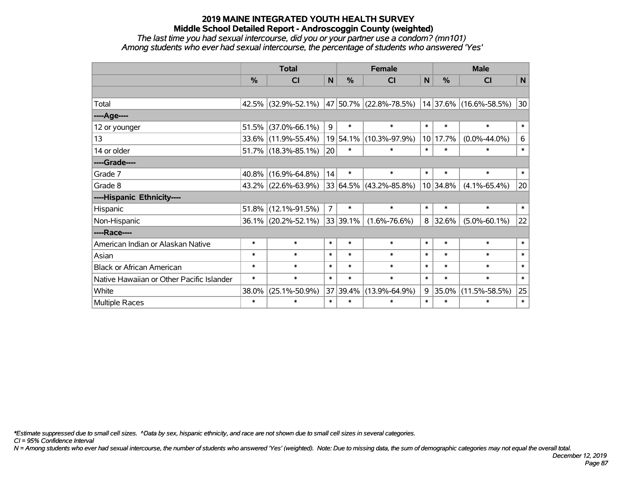*The last time you had sexual intercourse, did you or your partner use a condom? (mn101) Among students who ever had sexual intercourse, the percentage of students who answered 'Yes'*

|                                           | <b>Total</b> |                     | <b>Female</b>  |          |                            | <b>Male</b>  |               |                        |        |
|-------------------------------------------|--------------|---------------------|----------------|----------|----------------------------|--------------|---------------|------------------------|--------|
|                                           | $\%$         | <b>CI</b>           | N              | %        | <b>CI</b>                  | $\mathsf{N}$ | $\frac{0}{0}$ | <b>CI</b>              | N      |
|                                           |              |                     |                |          |                            |              |               |                        |        |
| Total                                     |              | 42.5% (32.9%-52.1%) |                |          | 47   50.7%   (22.8%-78.5%) |              |               | 14 37.6% (16.6%-58.5%) | 30     |
| ----Age----                               |              |                     |                |          |                            |              |               |                        |        |
| 12 or younger                             | 51.5%        | $(37.0\% - 66.1\%)$ | 9              | $\ast$   | $\ast$                     | $\ast$       | $\ast$        | $\ast$                 | $\ast$ |
| 13                                        |              | 33.6% (11.9%-55.4%) |                | 19 54.1% | $(10.3\% - 97.9\%)$        |              | 10 17.7%      | $(0.0\% - 44.0\%)$     | 6      |
| 14 or older                               |              | 51.7% (18.3%-85.1%) | 20             | $\ast$   | $\ast$                     | $\ast$       | $\ast$        | $\ast$                 | $\ast$ |
| ----Grade----                             |              |                     |                |          |                            |              |               |                        |        |
| Grade 7                                   | 40.8%        | $(16.9\% - 64.8\%)$ | 14             | $\ast$   | $\ast$                     | $\ast$       | $\ast$        | $\ast$                 | $\ast$ |
| Grade 8                                   |              | 43.2% (22.6%-63.9%) |                |          | $33 64.5\% $ (43.2%-85.8%) |              | 10 34.8%      | $(4.1\% - 65.4\%)$     | 20     |
| ----Hispanic Ethnicity----                |              |                     |                |          |                            |              |               |                        |        |
| Hispanic                                  | 51.8%        | $(12.1\% - 91.5\%)$ | $\overline{7}$ | $\ast$   | $\ast$                     | $\ast$       | $\ast$        | $\ast$                 | $\ast$ |
| Non-Hispanic                              |              | 36.1% (20.2%-52.1%) |                | 33 39.1% | $(1.6\% - 76.6\%)$         | 8            | 32.6%         | $(5.0\% - 60.1\%)$     | 22     |
| ----Race----                              |              |                     |                |          |                            |              |               |                        |        |
| American Indian or Alaskan Native         | $\ast$       | $\ast$              | $\ast$         | $\ast$   | $\ast$                     | $\ast$       | $\ast$        | $\ast$                 | $\ast$ |
| Asian                                     | $\ast$       | $\ast$              | $\ast$         | $\ast$   | $\ast$                     | $\ast$       | $\ast$        | $\ast$                 | $\ast$ |
| <b>Black or African American</b>          | $\ast$       | $\ast$              | $\ast$         | $\ast$   | $\ast$                     | $\ast$       | $\ast$        | $\ast$                 | $\ast$ |
| Native Hawaiian or Other Pacific Islander | $\ast$       | $\ast$              | $\ast$         | $\ast$   | $\ast$                     | $\ast$       | $\ast$        | $\ast$                 | $\ast$ |
| White                                     | 38.0%        | $(25.1\% - 50.9\%)$ |                | 37 39.4% | $(13.9\% - 64.9\%)$        | 9            | 35.0%         | $(11.5\% - 58.5\%)$    | 25     |
| <b>Multiple Races</b>                     | $\ast$       | $\ast$              | $\ast$         | $\ast$   | $\ast$                     | $\ast$       | $\ast$        | *                      | $\ast$ |

*\*Estimate suppressed due to small cell sizes. ^Data by sex, hispanic ethnicity, and race are not shown due to small cell sizes in several categories.*

*CI = 95% Confidence Interval*

*N = Among students who ever had sexual intercourse, the number of students who answered 'Yes' (weighted). Note: Due to missing data, the sum of demographic categories may not equal the overall total.*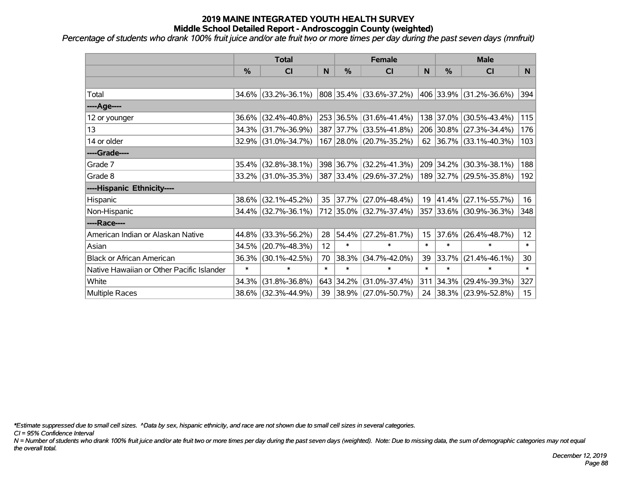*Percentage of students who drank 100% fruit juice and/or ate fruit two or more times per day during the past seven days (mnfruit)*

|                                           | <b>Total</b> |                     |        | <b>Female</b> | <b>Male</b>             |                 |           |                         |        |
|-------------------------------------------|--------------|---------------------|--------|---------------|-------------------------|-----------------|-----------|-------------------------|--------|
|                                           | %            | CI                  | N      | $\%$          | <b>CI</b>               | N               | %         | <b>CI</b>               | N.     |
|                                           |              |                     |        |               |                         |                 |           |                         |        |
| Total                                     |              | 34.6% (33.2%-36.1%) |        |               | 808 35.4% (33.6%-37.2%) |                 |           | 406 33.9% (31.2%-36.6%) | 394    |
| ----Age----                               |              |                     |        |               |                         |                 |           |                         |        |
| 12 or younger                             | 36.6%        | $(32.4\% - 40.8\%)$ |        |               | 253 36.5% (31.6%-41.4%) |                 | 138 37.0% | $(30.5\% - 43.4\%)$     | 115    |
| 13                                        | 34.3%        | $(31.7\% - 36.9\%)$ |        |               | 387 37.7% (33.5%-41.8%) |                 |           | 206 30.8% (27.3%-34.4%) | 176    |
| 14 or older                               |              | 32.9% (31.0%-34.7%) |        |               | 167 28.0% (20.7%-35.2%) |                 |           | 62 36.7% (33.1%-40.3%)  | 103    |
| ----Grade----                             |              |                     |        |               |                         |                 |           |                         |        |
| Grade 7                                   | 35.4%        | $(32.8\% - 38.1\%)$ |        |               | 398 36.7% (32.2%-41.3%) |                 | 209 34.2% | $(30.3\% - 38.1\%)$     | 188    |
| Grade 8                                   |              | 33.2% (31.0%-35.3%) |        |               | 387 33.4% (29.6%-37.2%) |                 |           | 189 32.7% (29.5%-35.8%) | 192    |
| ----Hispanic Ethnicity----                |              |                     |        |               |                         |                 |           |                         |        |
| Hispanic                                  | 38.6%        | $(32.1\% - 45.2\%)$ | 35     | $ 37.7\% $    | $(27.0\% - 48.4\%)$     | 19              | 41.4%     | $(27.1\% - 55.7\%)$     | 16     |
| Non-Hispanic                              |              | 34.4% (32.7%-36.1%) |        |               | 712 35.0% (32.7%-37.4%) |                 |           | 357 33.6% (30.9%-36.3%) | 348    |
| ----Race----                              |              |                     |        |               |                         |                 |           |                         |        |
| American Indian or Alaskan Native         | 44.8%        | $(33.3\% - 56.2\%)$ | 28     | $ 54.4\% $    | $(27.2\% - 81.7\%)$     | 15 <sub>1</sub> | 37.6%     | $(26.4\% - 48.7\%)$     | 12     |
| Asian                                     | 34.5%        | $(20.7\% - 48.3\%)$ | 12     | $\ast$        | $\ast$                  | $\ast$          | $\ast$    | $\ast$                  | $\ast$ |
| <b>Black or African American</b>          | 36.3%        | $(30.1\% - 42.5\%)$ | 70     | 38.3%         | $(34.7\% - 42.0\%)$     | 39              | 33.7%     | $(21.4\% - 46.1\%)$     | 30     |
| Native Hawaiian or Other Pacific Islander | $\ast$       | $\ast$              | $\ast$ | $\ast$        | $\ast$                  | $\ast$          | $\ast$    | $\ast$                  | $\ast$ |
| White                                     | 34.3%        | $(31.8\% - 36.8\%)$ |        | 643 34.2%     | $(31.0\% - 37.4\%)$     | 311             | 34.3%     | $(29.4\% - 39.3\%)$     | 327    |
| Multiple Races                            |              | 38.6% (32.3%-44.9%) |        |               | 39 38.9% (27.0%-50.7%)  |                 |           | 24 38.3% (23.9%-52.8%)  | 15     |

*\*Estimate suppressed due to small cell sizes. ^Data by sex, hispanic ethnicity, and race are not shown due to small cell sizes in several categories.*

*CI = 95% Confidence Interval*

*N = Number of students who drank 100% fruit juice and/or ate fruit two or more times per day during the past seven days (weighted). Note: Due to missing data, the sum of demographic categories may not equal the overall total.*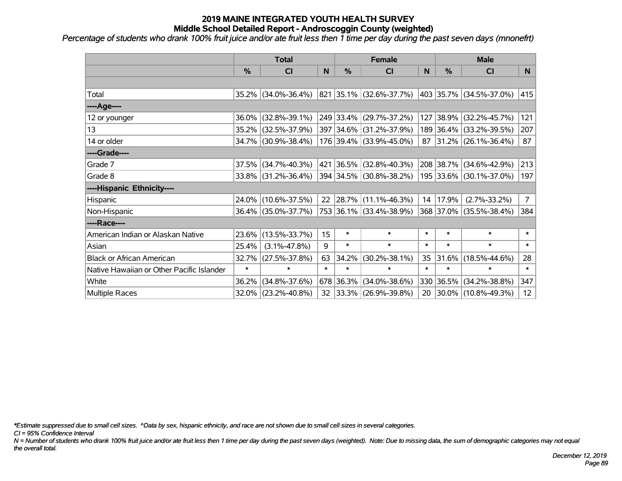*Percentage of students who drank 100% fruit juice and/or ate fruit less then 1 time per day during the past seven days (mnonefrt)*

|                                           | <b>Total</b>  |                     |        | <b>Female</b> | <b>Male</b>              |        |           |                          |                 |
|-------------------------------------------|---------------|---------------------|--------|---------------|--------------------------|--------|-----------|--------------------------|-----------------|
|                                           | $\frac{0}{0}$ | CI                  | N      | %             | <b>CI</b>                | N      | %         | <b>CI</b>                | N               |
|                                           |               |                     |        |               |                          |        |           |                          |                 |
| Total                                     |               | 35.2% (34.0%-36.4%) |        |               | 821 35.1% (32.6%-37.7%)  |        |           | 403 35.7% (34.5%-37.0%)  | 415             |
| ----Age----                               |               |                     |        |               |                          |        |           |                          |                 |
| 12 or younger                             | $36.0\%$      | $(32.8\% - 39.1\%)$ |        |               | 249 33.4% (29.7%-37.2%)  |        | 127 38.9% | $(32.2\% - 45.7\%)$      | 121             |
| 13                                        |               | 35.2% (32.5%-37.9%) |        |               | 397 34.6% (31.2%-37.9%)  |        | 189 36.4% | $(33.2\% - 39.5\%)$      | 207             |
| 14 or older                               |               | 34.7% (30.9%-38.4%) |        |               | 176 39.4% (33.9%-45.0%)  |        |           | $87$ 31.2% (26.1%-36.4%) | 87              |
| ----Grade----                             |               |                     |        |               |                          |        |           |                          |                 |
| Grade 7                                   | 37.5%         | $(34.7\% - 40.3\%)$ |        | 421 36.5%     | $(32.8\% - 40.3\%)$      |        | 208 38.7% | $(34.6\% - 42.9\%)$      | 213             |
| Grade 8                                   |               | 33.8% (31.2%-36.4%) |        |               | 394 34.5% (30.8%-38.2%)  |        |           | 195 33.6% (30.1%-37.0%)  | 197             |
| ----Hispanic Ethnicity----                |               |                     |        |               |                          |        |           |                          |                 |
| Hispanic                                  |               | 24.0% (10.6%-37.5%) | 22     |               | $ 28.7\% $ (11.1%-46.3%) | 14     | 17.9%     | $(2.7\% - 33.2\%)$       | 7 <sup>1</sup>  |
| Non-Hispanic                              |               | 36.4% (35.0%-37.7%) |        |               | 753 36.1% (33.4%-38.9%)  |        | 368 37.0% | $(35.5\% - 38.4\%)$      | 384             |
| ----Race----                              |               |                     |        |               |                          |        |           |                          |                 |
| American Indian or Alaskan Native         | $23.6\%$      | $(13.5\% - 33.7\%)$ | 15     | $\ast$        | $\ast$                   | $\ast$ | $\ast$    | $\ast$                   | $\ast$          |
| Asian                                     | 25.4%         | $(3.1\% - 47.8\%)$  | 9      | $\ast$        | $\ast$                   | $\ast$ | $\ast$    | $\ast$                   | $\ast$          |
| <b>Black or African American</b>          | 32.7%         | $(27.5\% - 37.8\%)$ | 63     | 34.2%         | $(30.2\% - 38.1\%)$      | 35     | 31.6%     | $(18.5\% - 44.6\%)$      | 28              |
| Native Hawaiian or Other Pacific Islander | $\ast$        | $\ast$              | $\ast$ | $\ast$        | $\ast$                   | $\ast$ | $\ast$    | $\ast$                   | $\ast$          |
| White                                     | 36.2%         | $(34.8\% - 37.6\%)$ |        | 678 36.3%     | $(34.0\% - 38.6\%)$      | 330    | 36.5%     | $(34.2\% - 38.8\%)$      | 347             |
| Multiple Races                            |               | 32.0% (23.2%-40.8%) |        |               | 32 33.3% (26.9%-39.8%)   |        |           | 20 30.0% (10.8%-49.3%)   | 12 <sup>2</sup> |

*\*Estimate suppressed due to small cell sizes. ^Data by sex, hispanic ethnicity, and race are not shown due to small cell sizes in several categories.*

*CI = 95% Confidence Interval*

*N = Number of students who drank 100% fruit juice and/or ate fruit less then 1 time per day during the past seven days (weighted). Note: Due to missing data, the sum of demographic categories may not equal the overall total.*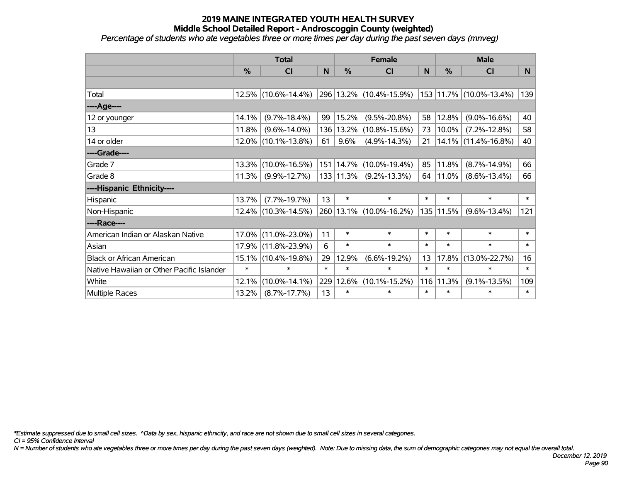*Percentage of students who ate vegetables three or more times per day during the past seven days (mnveg)*

|                                           | <b>Total</b> |                        |        | <b>Female</b> | <b>Male</b>             |        |        |                         |        |
|-------------------------------------------|--------------|------------------------|--------|---------------|-------------------------|--------|--------|-------------------------|--------|
|                                           | %            | <b>CI</b>              | N      | %             | <b>CI</b>               | N      | %      | <b>CI</b>               | N      |
|                                           |              |                        |        |               |                         |        |        |                         |        |
| Total                                     |              | 12.5% (10.6%-14.4%)    |        |               | 296 13.2% (10.4%-15.9%) |        |        | 153 11.7% (10.0%-13.4%) | 139    |
| ----Age----                               |              |                        |        |               |                         |        |        |                         |        |
| 12 or younger                             | 14.1%        | $(9.7\% - 18.4\%)$     | 99     | 15.2%         | $(9.5\% - 20.8\%)$      | 58     | 12.8%  | $(9.0\% - 16.6\%)$      | 40     |
| 13                                        | 11.8%        | $(9.6\% - 14.0\%)$     | 136    | $13.2\%$      | $(10.8\% - 15.6\%)$     | 73     | 10.0%  | $(7.2\% - 12.8\%)$      | 58     |
| 14 or older                               |              | $12.0\%$ (10.1%-13.8%) | 61     | 9.6%          | $(4.9\% - 14.3\%)$      | 21     |        | $14.1\%$ (11.4%-16.8%)  | 40     |
| ----Grade----                             |              |                        |        |               |                         |        |        |                         |        |
| Grade 7                                   | 13.3%        | $(10.0\% - 16.5\%)$    |        | 151   14.7%   | $(10.0\% - 19.4\%)$     | 85     | 11.8%  | $(8.7\% - 14.9\%)$      | 66     |
| Grade 8                                   | 11.3%        | $(9.9\% - 12.7\%)$     |        | $133$   11.3% | $(9.2\% - 13.3\%)$      | 64     | 11.0%  | $(8.6\% - 13.4\%)$      | 66     |
| ----Hispanic Ethnicity----                |              |                        |        |               |                         |        |        |                         |        |
| Hispanic                                  | 13.7%        | $(7.7\% - 19.7\%)$     | 13     | $\ast$        | $\ast$                  | $\ast$ | $\ast$ | $\ast$                  | $\ast$ |
| Non-Hispanic                              |              | 12.4% (10.3%-14.5%)    |        |               | 260 13.1% (10.0%-16.2%) | 135    | 11.5%  | $(9.6\% - 13.4\%)$      | 121    |
| ----Race----                              |              |                        |        |               |                         |        |        |                         |        |
| American Indian or Alaskan Native         | 17.0%        | $(11.0\% - 23.0\%)$    | 11     | $\ast$        | $\ast$                  | $\ast$ | $\ast$ | $\ast$                  | $\ast$ |
| Asian                                     | 17.9%        | $(11.8\% - 23.9\%)$    | 6      | $\ast$        | $\ast$                  | $\ast$ | $\ast$ | $\ast$                  | $\ast$ |
| <b>Black or African American</b>          | 15.1%        | $(10.4\% - 19.8\%)$    | 29     | 12.9%         | $(6.6\% - 19.2\%)$      | 13     | 17.8%  | $(13.0\% - 22.7\%)$     | 16     |
| Native Hawaiian or Other Pacific Islander | $\ast$       | $\ast$                 | $\ast$ | $\ast$        | $\ast$                  | $\ast$ | $\ast$ | $\ast$                  | $\ast$ |
| White                                     | 12.1%        | $(10.0\% - 14.1\%)$    | 229    | 12.6%         | $(10.1\% - 15.2\%)$     | 116    | 11.3%  | $(9.1\% - 13.5\%)$      | 109    |
| Multiple Races                            | 13.2%        | $(8.7\% - 17.7\%)$     | 13     | $\ast$        | $\ast$                  | $\ast$ | $\ast$ | $\ast$                  | $\ast$ |

*\*Estimate suppressed due to small cell sizes. ^Data by sex, hispanic ethnicity, and race are not shown due to small cell sizes in several categories.*

*CI = 95% Confidence Interval*

*N = Number of students who ate vegetables three or more times per day during the past seven days (weighted). Note: Due to missing data, the sum of demographic categories may not equal the overall total.*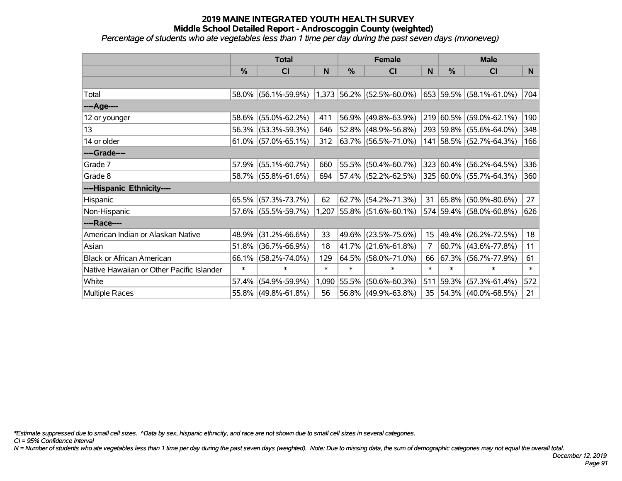*Percentage of students who ate vegetables less than 1 time per day during the past seven days (mnoneveg)*

|                                           | <b>Total</b>  |                        |        | <b>Female</b> | <b>Male</b>                 |                  |               |                          |        |
|-------------------------------------------|---------------|------------------------|--------|---------------|-----------------------------|------------------|---------------|--------------------------|--------|
|                                           | $\frac{0}{0}$ | <b>CI</b>              | N      | $\frac{0}{0}$ | <b>CI</b>                   | N                | $\frac{0}{0}$ | <b>CI</b>                | N.     |
|                                           |               |                        |        |               |                             |                  |               |                          |        |
| Total                                     |               | 58.0% (56.1%-59.9%)    |        |               | $1,373$ 56.2% (52.5%-60.0%) |                  |               | 653 59.5% (58.1%-61.0%)  | 704    |
| ----Age----                               |               |                        |        |               |                             |                  |               |                          |        |
| 12 or younger                             | 58.6%         | $(55.0\% - 62.2\%)$    | 411    | 56.9%         | $(49.8\% - 63.9\%)$         |                  |               | 219 60.5% (59.0%-62.1%)  | 190    |
| 13                                        |               | 56.3% (53.3%-59.3%)    | 646    | 52.8%         | $(48.9\% - 56.8\%)$         |                  |               | 293 59.8% (55.6%-64.0%)  | 348    |
| 14 or older                               |               | $61.0\%$ (57.0%-65.1%) | 312    |               | $ 63.7\% $ (56.5%-71.0%)    |                  |               | 141 58.5% (52.7%-64.3%)  | 166    |
| ----Grade----                             |               |                        |        |               |                             |                  |               |                          |        |
| Grade 7                                   | 57.9%         | $(55.1\% - 60.7\%)$    | 660    | 55.5%         | $(50.4\% - 60.7\%)$         |                  |               | 323 60.4% (56.2%-64.5%)  | 336    |
| Grade 8                                   |               | 58.7% (55.8%-61.6%)    | 694    |               | 57.4% (52.2%-62.5%)         |                  |               | 325 60.0% (55.7%-64.3%)  | 360    |
| ----Hispanic Ethnicity----                |               |                        |        |               |                             |                  |               |                          |        |
| Hispanic                                  | 65.5%         | $(57.3\% - 73.7\%)$    | 62     | 62.7%         | $(54.2\% - 71.3\%)$         | 31               | 65.8%         | $(50.9\% - 80.6\%)$      | 27     |
| Non-Hispanic                              |               | 57.6% (55.5%-59.7%)    |        |               | $1,207$ 55.8% (51.6%-60.1%) |                  |               | 574 59.4% (58.0%-60.8%)  | 626    |
| ----Race----                              |               |                        |        |               |                             |                  |               |                          |        |
| American Indian or Alaskan Native         | 48.9%         | $(31.2\% - 66.6\%)$    | 33     | 49.6%         | $(23.5\% - 75.6\%)$         | 15 <sub>15</sub> |               | 49.4% (26.2%-72.5%)      | 18     |
| Asian                                     | 51.8%         | $(36.7\% - 66.9\%)$    | 18     | 41.7%         | $(21.6\% - 61.8\%)$         | 7                |               | $60.7\%$ (43.6%-77.8%)   | 11     |
| <b>Black or African American</b>          | 66.1%         | $(58.2\% - 74.0\%)$    | 129    | 64.5%         | $(58.0\% - 71.0\%)$         | 66               |               | 67.3% (56.7%-77.9%)      | 61     |
| Native Hawaiian or Other Pacific Islander | $\ast$        | $\ast$                 | $\ast$ | $\ast$        | $\ast$                      | $\ast$           | $\ast$        | $\ast$                   | $\ast$ |
| White                                     | 57.4%         | $(54.9\% - 59.9\%)$    | 1,090  | 55.5%         | $(50.6\% - 60.3\%)$         | 511              | 59.3%         | $(57.3\% - 61.4\%)$      | 572    |
| Multiple Races                            |               | 55.8% (49.8%-61.8%)    | 56     |               | 56.8% (49.9%-63.8%)         | 35               |               | $ 54.3\% $ (40.0%-68.5%) | 21     |

*\*Estimate suppressed due to small cell sizes. ^Data by sex, hispanic ethnicity, and race are not shown due to small cell sizes in several categories.*

*CI = 95% Confidence Interval*

*N = Number of students who ate vegetables less than 1 time per day during the past seven days (weighted). Note: Due to missing data, the sum of demographic categories may not equal the overall total.*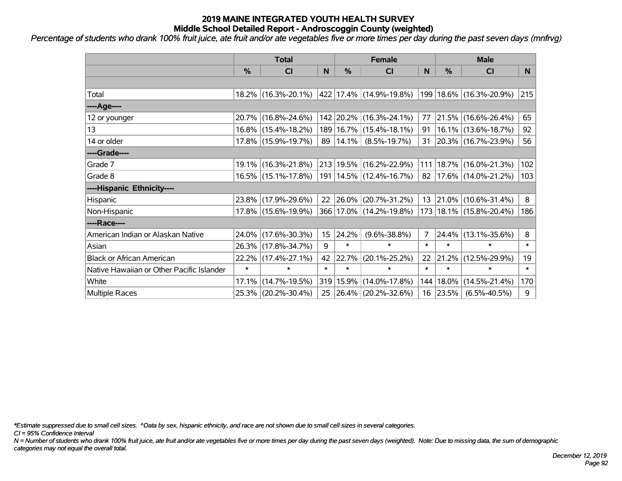*Percentage of students who drank 100% fruit juice, ate fruit and/or ate vegetables five or more times per day during the past seven days (mnfrvg)*

|                                           | <b>Total</b> |                     |        | <b>Female</b> | <b>Male</b>                 |        |               |                             |        |
|-------------------------------------------|--------------|---------------------|--------|---------------|-----------------------------|--------|---------------|-----------------------------|--------|
|                                           | %            | CI                  | N      | %             | <b>CI</b>                   | N      | $\frac{0}{0}$ | <b>CI</b>                   | N      |
|                                           |              |                     |        |               |                             |        |               |                             |        |
| Total                                     |              | 18.2% (16.3%-20.1%) |        |               | 422 17.4% (14.9%-19.8%)     | 199    |               | 18.6% (16.3%-20.9%)         | 215    |
| ----Age----                               |              |                     |        |               |                             |        |               |                             |        |
| 12 or younger                             |              | 20.7% (16.8%-24.6%) |        |               | 142 20.2% (16.3%-24.1%)     | 77     | $ 21.5\% $    | $(16.6\% - 26.4\%)$         | 65     |
| 13                                        |              | 16.8% (15.4%-18.2%) |        |               | 189   16.7%   (15.4%-18.1%) | 91     |               | 16.1% (13.6%-18.7%)         | 92     |
| 14 or older                               |              | 17.8% (15.9%-19.7%) |        | 89   14.1%    | $(8.5\% - 19.7\%)$          |        |               | 31 20.3% (16.7%-23.9%)      | 56     |
| ----Grade----                             |              |                     |        |               |                             |        |               |                             |        |
| Grade 7                                   |              | 19.1% (16.3%-21.8%) |        |               | 213 19.5% (16.2%-22.9%)     | 111    | 18.7%         | $(16.0\% - 21.3\%)$         | 102    |
| Grade 8                                   |              | 16.5% (15.1%-17.8%) |        |               | 191   14.5%   (12.4%-16.7%) | 82     |               | 17.6% (14.0%-21.2%)         | 103    |
| ----Hispanic Ethnicity----                |              |                     |        |               |                             |        |               |                             |        |
| Hispanic                                  |              | 23.8% (17.9%-29.6%) | 22     | $ 26.0\%$     | $(20.7\% - 31.2\%)$         | 13     | $ 21.0\% $    | $(10.6\% - 31.4\%)$         | 8      |
| Non-Hispanic                              |              | 17.8% (15.6%-19.9%) |        |               | 366 17.0% (14.2%-19.8%)     |        |               | 173   18.1%   (15.8%-20.4%) | 186    |
| ----Race----                              |              |                     |        |               |                             |        |               |                             |        |
| American Indian or Alaskan Native         |              | 24.0% (17.6%-30.3%) | 15     | 24.2%         | $(9.6\% - 38.8\%)$          | 7      | 24.4%         | $(13.1\% - 35.6\%)$         | 8      |
| Asian                                     |              | 26.3% (17.8%-34.7%) | 9      | $\ast$        | $\ast$                      | $\ast$ | $\ast$        | $\ast$                      | $\ast$ |
| <b>Black or African American</b>          |              | 22.2% (17.4%-27.1%) | 42     | 22.7%         | $(20.1\% - 25.2\%)$         | 22     | 21.2%         | $(12.5\% - 29.9\%)$         | 19     |
| Native Hawaiian or Other Pacific Islander | $\ast$       | $\ast$              | $\ast$ | $\ast$        | $\ast$                      | $\ast$ | $\ast$        | $\ast$                      | $\ast$ |
| White                                     | 17.1%        | $(14.7\% - 19.5\%)$ | 319    | 15.9%         | $(14.0\% - 17.8\%)$         | 144    | 18.0%         | $(14.5\% - 21.4\%)$         | 170    |
| <b>Multiple Races</b>                     |              | 25.3% (20.2%-30.4%) | 25     |               | $ 26.4\% $ (20.2%-32.6%)    |        | $16$   23.5%  | $(6.5\% - 40.5\%)$          | 9      |

*\*Estimate suppressed due to small cell sizes. ^Data by sex, hispanic ethnicity, and race are not shown due to small cell sizes in several categories.*

*CI = 95% Confidence Interval*

*N = Number of students who drank 100% fruit juice, ate fruit and/or ate vegetables five or more times per day during the past seven days (weighted). Note: Due to missing data, the sum of demographic categories may not equal the overall total.*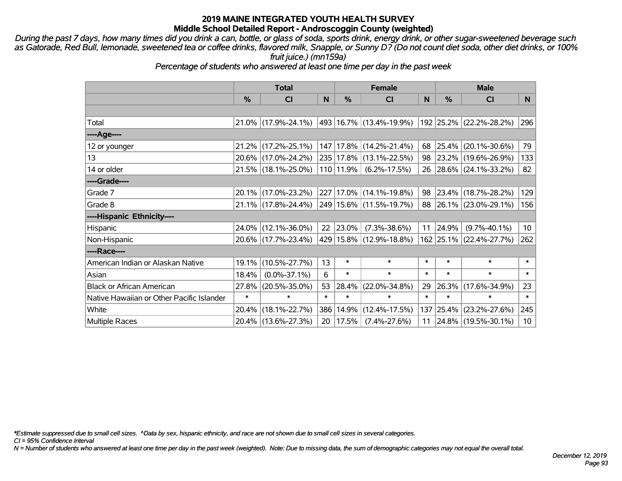*During the past 7 days, how many times did you drink a can, bottle, or glass of soda, sports drink, energy drink, or other sugar-sweetened beverage such as Gatorade, Red Bull, lemonade, sweetened tea or coffee drinks, flavored milk, Snapple, or Sunny D? (Do not count diet soda, other diet drinks, or 100% fruit juice.) (mn159a)*

*Percentage of students who answered at least one time per day in the past week*

|                                           | <b>Total</b>  |                                                | <b>Female</b> |               |                             | <b>Male</b> |          |                            |                 |
|-------------------------------------------|---------------|------------------------------------------------|---------------|---------------|-----------------------------|-------------|----------|----------------------------|-----------------|
|                                           | $\frac{0}{0}$ | <b>CI</b>                                      | N             | %             | <b>CI</b>                   | N           | %        | <b>CI</b>                  | N.              |
|                                           |               |                                                |               |               |                             |             |          |                            |                 |
| Total                                     |               | $21.0\%$ (17.9%-24.1%) 493 16.7% (13.4%-19.9%) |               |               |                             |             |          | 192 25.2% (22.2%-28.2%)    | 296             |
| ----Age----                               |               |                                                |               |               |                             |             |          |                            |                 |
| 12 or younger                             | $21.2\%$      | $(17.2\% - 25.1\%)$                            |               |               | 147   17.8%   (14.2%-21.4%) |             | 68 25.4% | $(20.1\% - 30.6\%)$        | 79              |
| 13                                        |               | 20.6% (17.0%-24.2%)                            |               |               | 235 17.8% (13.1%-22.5%)     |             |          | 98 23.2% (19.6%-26.9%)     | 133             |
| 14 or older                               |               | 21.5% (18.1%-25.0%)                            |               | $110 11.9\% $ | $(6.2\% - 17.5\%)$          |             |          | 26 28.6% (24.1%-33.2%)     | 82              |
| ----Grade----                             |               |                                                |               |               |                             |             |          |                            |                 |
| Grade 7                                   |               | 20.1% (17.0%-23.2%)                            |               |               | 227 17.0% (14.1%-19.8%)     | 98          | $23.4\%$ | $(18.7\% - 28.2\%)$        | 129             |
| Grade 8                                   |               | 21.1% (17.8%-24.4%)                            |               |               | 249 15.6% (11.5%-19.7%)     |             |          | 88 26.1% (23.0%-29.1%)     | 156             |
| ----Hispanic Ethnicity----                |               |                                                |               |               |                             |             |          |                            |                 |
| Hispanic                                  |               | 24.0% (12.1%-36.0%)                            | 22            | $ 23.0\%$     | $(7.3\% - 38.6\%)$          | 11          | 24.9%    | $(9.7\% - 40.1\%)$         | 10 <sup>°</sup> |
| Non-Hispanic                              |               | 20.6% (17.7%-23.4%)                            |               |               | 429 15.8% (12.9%-18.8%)     |             |          | 162 25.1% (22.4%-27.7%)    | 262             |
| ----Race----                              |               |                                                |               |               |                             |             |          |                            |                 |
| American Indian or Alaskan Native         | 19.1%         | $(10.5\% - 27.7\%)$                            | 13            | $\ast$        | $\ast$                      | $\ast$      | $\ast$   | $\ast$                     | $\ast$          |
| Asian                                     | 18.4%         | $(0.0\% - 37.1\%)$                             | 6             | $\ast$        | $\ast$                      | $\ast$      | $\ast$   | $\ast$                     | $\ast$          |
| <b>Black or African American</b>          | 27.8%         | $(20.5\% - 35.0\%)$                            | 53            | 28.4%         | $(22.0\% - 34.8\%)$         | 29          | 26.3%    | $(17.6\% - 34.9\%)$        | 23              |
| Native Hawaiian or Other Pacific Islander | $\ast$        | $\ast$                                         | $\ast$        | $\ast$        | $\ast$                      | $\ast$      | $\ast$   | $\ast$                     | $\ast$          |
| White                                     | 20.4%         | $(18.1\% - 22.7\%)$                            | 386           | 14.9%         | $(12.4\% - 17.5\%)$         | 137         | 25.4%    | $(23.2\% - 27.6\%)$        | 245             |
| <b>Multiple Races</b>                     |               | 20.4% (13.6%-27.3%)                            | 20            | 17.5%         | $(7.4\% - 27.6\%)$          |             |          | 11   24.8%   (19.5%-30.1%) | 10 <sup>°</sup> |

*\*Estimate suppressed due to small cell sizes. ^Data by sex, hispanic ethnicity, and race are not shown due to small cell sizes in several categories.*

*CI = 95% Confidence Interval*

*N = Number of students who answered at least one time per day in the past week (weighted). Note: Due to missing data, the sum of demographic categories may not equal the overall total.*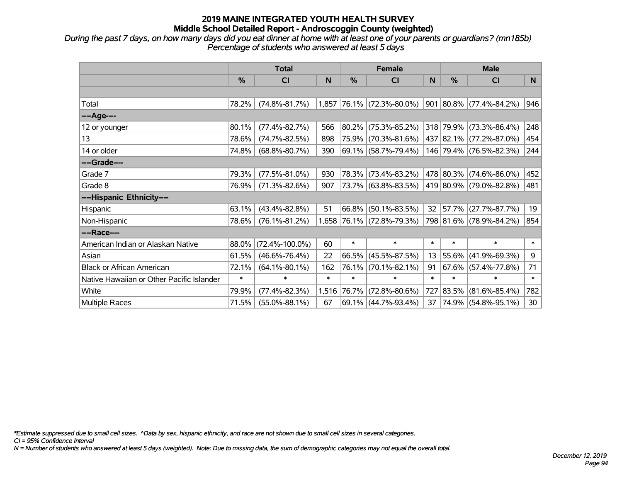*During the past 7 days, on how many days did you eat dinner at home with at least one of your parents or guardians? (mn185b) Percentage of students who answered at least 5 days*

|                                           | <b>Total</b>  |                      | <b>Female</b> |               |                           | <b>Male</b> |           |                          |        |
|-------------------------------------------|---------------|----------------------|---------------|---------------|---------------------------|-------------|-----------|--------------------------|--------|
|                                           | $\frac{0}{0}$ | CI                   | N             | $\frac{0}{0}$ | <b>CI</b>                 | N           | $\%$      | <b>CI</b>                | N      |
|                                           |               |                      |               |               |                           |             |           |                          |        |
| Total                                     | 78.2%         | $(74.8\% - 81.7\%)$  | 1,857         |               | $ 76.1\% $ (72.3%-80.0%)  | 901         |           | $ 80.8\% $ (77.4%-84.2%) | 946    |
| ----Age----                               |               |                      |               |               |                           |             |           |                          |        |
| 12 or younger                             | 80.1%         | $(77.4\% - 82.7\%)$  | 566           |               | 80.2% (75.3%-85.2%)       |             | 318 79.9% | $(73.3\% - 86.4\%)$      | 248    |
| 13                                        | 78.6%         | $(74.7\% - 82.5\%)$  | 898           |               | 75.9% (70.3%-81.6%)       |             |           | 437 82.1% (77.2%-87.0%)  | 454    |
| 14 or older                               | 74.8%         | $(68.8\% - 80.7\%)$  | 390           |               | 69.1% (58.7%-79.4%)       |             |           | 146 79.4% (76.5%-82.3%)  | 244    |
| ----Grade----                             |               |                      |               |               |                           |             |           |                          |        |
| Grade 7                                   | 79.3%         | $(77.5\% - 81.0\%)$  | 930           |               | 78.3% (73.4%-83.2%)       |             |           | 478 80.3% (74.6%-86.0%)  | 452    |
| Grade 8                                   | 76.9%         | $(71.3\% - 82.6\%)$  | 907           |               | 73.7% (63.8%-83.5%)       |             |           | 419 80.9% (79.0%-82.8%)  | 481    |
| ----Hispanic Ethnicity----                |               |                      |               |               |                           |             |           |                          |        |
| Hispanic                                  | 63.1%         | $(43.4\% - 82.8\%)$  | 51            | 66.8%         | $(50.1\% - 83.5\%)$       | 32          | 57.7%     | $(27.7\% - 87.7\%)$      | 19     |
| Non-Hispanic                              | 78.6%         | $(76.1\% - 81.2\%)$  |               |               | 1,658 76.1% (72.8%-79.3%) |             |           | 798 81.6% (78.9%-84.2%)  | 854    |
| ----Race----                              |               |                      |               |               |                           |             |           |                          |        |
| American Indian or Alaskan Native         | 88.0%         | $(72.4\% - 100.0\%)$ | 60            | $\ast$        | $\ast$                    | $\ast$      | $\ast$    | $\ast$                   | $\ast$ |
| Asian                                     | 61.5%         | $(46.6\% - 76.4\%)$  | 22            | 66.5%         | $(45.5\% - 87.5\%)$       | 13          | 55.6%     | $(41.9\% - 69.3\%)$      | 9      |
| <b>Black or African American</b>          | 72.1%         | $(64.1\% - 80.1\%)$  | 162           |               | 76.1% (70.1%-82.1%)       | 91          |           | $67.6\%$ (57.4%-77.8%)   | 71     |
| Native Hawaiian or Other Pacific Islander | $\ast$        | $\ast$               | $\ast$        | $\ast$        | $\ast$                    | $\ast$      | $\ast$    | $\ast$                   | $\ast$ |
| White                                     | 79.9%         | $(77.4\% - 82.3\%)$  | 1,516         | 76.7%         | $(72.8\% - 80.6\%)$       | 727         | 83.5%     | $(81.6\% - 85.4\%)$      | 782    |
| <b>Multiple Races</b>                     | 71.5%         | $(55.0\% - 88.1\%)$  | 67            |               | 69.1% (44.7%-93.4%)       | 37          |           | 74.9% (54.8%-95.1%)      | 30     |

*\*Estimate suppressed due to small cell sizes. ^Data by sex, hispanic ethnicity, and race are not shown due to small cell sizes in several categories.*

*CI = 95% Confidence Interval*

*N = Number of students who answered at least 5 days (weighted). Note: Due to missing data, the sum of demographic categories may not equal the overall total.*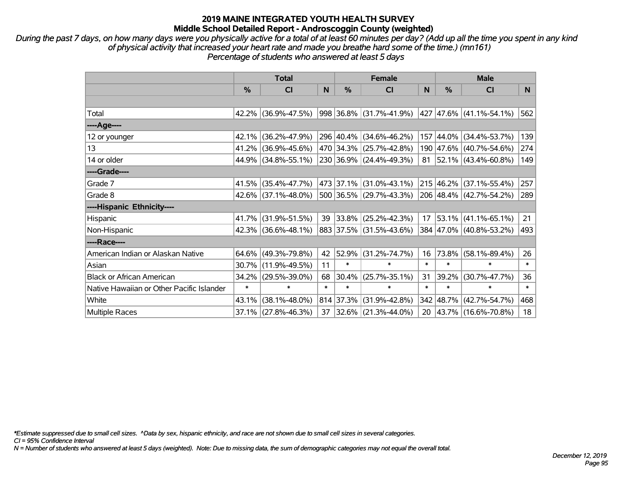*During the past 7 days, on how many days were you physically active for a total of at least 60 minutes per day? (Add up all the time you spent in any kind of physical activity that increased your heart rate and made you breathe hard some of the time.) (mn161) Percentage of students who answered at least 5 days*

|                                           | <b>Total</b> |                        |        | <b>Female</b> | <b>Male</b>             |        |               |                          |              |
|-------------------------------------------|--------------|------------------------|--------|---------------|-------------------------|--------|---------------|--------------------------|--------------|
|                                           | %            | CI                     | N      | $\frac{0}{0}$ | <b>CI</b>               | N      | $\frac{0}{0}$ | <b>CI</b>                | N            |
|                                           |              |                        |        |               |                         |        |               |                          |              |
| Total                                     |              | 42.2% (36.9%-47.5%)    |        |               | 998 36.8% (31.7%-41.9%) |        |               | 427 47.6% (41.1%-54.1%)  | 562          |
| ----Age----                               |              |                        |        |               |                         |        |               |                          |              |
| 12 or younger                             | 42.1%        | $(36.2\% - 47.9\%)$    |        |               | 296 40.4% (34.6%-46.2%) |        | 157 44.0%     | $(34.4\% - 53.7\%)$      | 139          |
| 13                                        | 41.2%        | $(36.9\% - 45.6\%)$    |        |               | 470 34.3% (25.7%-42.8%) |        |               | 190 47.6% (40.7%-54.6%)  | 274          |
| 14 or older                               |              | 44.9% (34.8%-55.1%)    |        |               | 230 36.9% (24.4%-49.3%) | 81     |               | $ 52.1\% $ (43.4%-60.8%) | 149          |
| ----Grade----                             |              |                        |        |               |                         |        |               |                          |              |
| Grade 7                                   | 41.5%        | $(35.4\% - 47.7\%)$    |        | 473 37.1%     | $(31.0\% - 43.1\%)$     |        | 215 46.2%     | $(37.1\% - 55.4\%)$      | 257          |
| Grade 8                                   |              | 42.6% (37.1%-48.0%)    |        |               | 500 36.5% (29.7%-43.3%) |        |               | 206 48.4% (42.7%-54.2%)  | 289          |
| ----Hispanic Ethnicity----                |              |                        |        |               |                         |        |               |                          |              |
| Hispanic                                  | 41.7%        | $(31.9\% - 51.5\%)$    | 39     | 33.8%         | $(25.2\% - 42.3\%)$     | 17     | $ 53.1\% $    | $(41.1\% - 65.1\%)$      | 21           |
| Non-Hispanic                              |              | $42.3\%$ (36.6%-48.1%) |        |               | 883 37.5% (31.5%-43.6%) |        |               | 384 47.0% (40.8%-53.2%)  | 493          |
| ----Race----                              |              |                        |        |               |                         |        |               |                          |              |
| American Indian or Alaskan Native         | $64.6\%$     | $(49.3\% - 79.8\%)$    | 42     | 52.9%         | $(31.2\% - 74.7\%)$     | 16     | $ 73.8\% $    | $(58.1\% - 89.4\%)$      | 26           |
| Asian                                     | 30.7%        | $(11.9\% - 49.5\%)$    | 11     | $\ast$        | $\ast$                  | $\ast$ | $\ast$        | $\ast$                   | $\ast$       |
| <b>Black or African American</b>          | 34.2%        | $(29.5\% - 39.0\%)$    | 68     | 30.4%         | $(25.7\% - 35.1\%)$     | 31     | 39.2%         | $(30.7\% - 47.7\%)$      | 36           |
| Native Hawaiian or Other Pacific Islander | $\ast$       | $\ast$                 | $\ast$ | $\ast$        | $\ast$                  | $\ast$ | $\ast$        | $\ast$                   | $\pmb{\ast}$ |
| White                                     | 43.1%        | $(38.1\% - 48.0\%)$    |        | 814 37.3%     | $(31.9\% - 42.8\%)$     | 342    | 48.7%         | $(42.7\% - 54.7\%)$      | 468          |
| Multiple Races                            |              | 37.1% (27.8%-46.3%)    | 37     |               | 32.6% (21.3%-44.0%)     | 20     |               | $ 43.7\% $ (16.6%-70.8%) | 18           |

*\*Estimate suppressed due to small cell sizes. ^Data by sex, hispanic ethnicity, and race are not shown due to small cell sizes in several categories.*

*CI = 95% Confidence Interval*

*N = Number of students who answered at least 5 days (weighted). Note: Due to missing data, the sum of demographic categories may not equal the overall total.*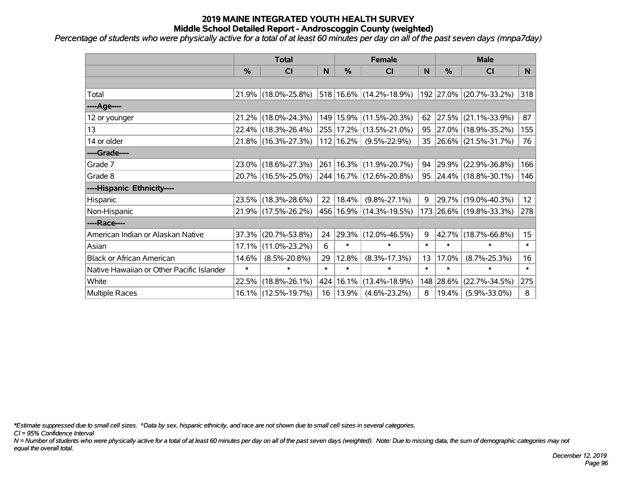*Percentage of students who were physically active for a total of at least 60 minutes per day on all of the past seven days (mnpa7day)*

|                                           | <b>Total</b>  |                                             |        | <b>Female</b> | <b>Male</b>                      |        |        |                         |                  |
|-------------------------------------------|---------------|---------------------------------------------|--------|---------------|----------------------------------|--------|--------|-------------------------|------------------|
|                                           | $\frac{0}{0}$ | <b>CI</b>                                   | N      | $\%$          | <b>CI</b>                        | N      | %      | <b>CI</b>               | N.               |
|                                           |               |                                             |        |               |                                  |        |        |                         |                  |
| Total                                     |               | 21.9% (18.0%-25.8%)                         |        |               | $ 518 16.6\%  (14.2\% - 18.9\%)$ |        |        | 192 27.0% (20.7%-33.2%) | 318              |
| ----Age----                               |               |                                             |        |               |                                  |        |        |                         |                  |
| 12 or younger                             | 21.2%         | $(18.0\% - 24.3\%)$                         |        |               | 149   15.9%   (11.5%-20.3%)      | 62     | 27.5%  | $(21.1\% - 33.9\%)$     | 87               |
| 13                                        |               | 22.4% (18.3%-26.4%)                         |        |               | 255 17.2% (13.5%-21.0%)          |        |        | 95 27.0% (18.9%-35.2%)  | 155              |
| 14 or older                               |               | 21.8% (16.3%-27.3%)                         |        | 112   16.2%   | $(9.5\% - 22.9\%)$               |        |        | 35 26.6% (21.5%-31.7%)  | 76               |
| ----Grade----                             |               |                                             |        |               |                                  |        |        |                         |                  |
| Grade 7                                   |               | 23.0% (18.6%-27.3%)                         |        |               | 261   16.3%   (11.9%-20.7%)      | 94     | 29.9%  | $(22.9\% - 36.8\%)$     | 166              |
| Grade 8                                   |               | 20.7% (16.5%-25.0%) 244 16.7% (12.6%-20.8%) |        |               |                                  |        |        | 95 24.4% (18.8%-30.1%)  | 146              |
| ----Hispanic Ethnicity----                |               |                                             |        |               |                                  |        |        |                         |                  |
| Hispanic                                  |               | 23.5% (18.3%-28.6%)                         | 22     | 18.4%         | $(9.8\% - 27.1\%)$               | 9      | 29.7%  | $(19.0\% - 40.3\%)$     | 12               |
| Non-Hispanic                              |               | 21.9% (17.5%-26.2%)                         |        |               | 456 16.9% (14.3%-19.5%)          |        |        | 173 26.6% (19.8%-33.3%) | 278              |
| ----Race----                              |               |                                             |        |               |                                  |        |        |                         |                  |
| American Indian or Alaskan Native         | 37.3%         | $(20.7\% - 53.8\%)$                         | 24     |               | $ 29.3\% $ (12.0%-46.5%)         | 9      | 42.7%  | $(18.7\% - 66.8\%)$     | 15 <sub>15</sub> |
| Asian                                     | 17.1%         | $(11.0\% - 23.2\%)$                         | 6      | $\ast$        | $\ast$                           | $\ast$ | $\ast$ | $\ast$                  | $\ast$           |
| <b>Black or African American</b>          | 14.6%         | $(8.5\% - 20.8\%)$                          | 29     | 12.8%         | $(8.3\% - 17.3\%)$               | 13     | 17.0%  | $(8.7\% - 25.3\%)$      | 16               |
| Native Hawaiian or Other Pacific Islander | $\ast$        | $\ast$                                      | $\ast$ | $\ast$        | $\ast$                           | $\ast$ | $\ast$ | $\ast$                  | $\ast$           |
| White                                     | 22.5%         | $(18.8\% - 26.1\%)$                         |        | 424 16.1%     | $(13.4\% - 18.9\%)$              | 148    | 28.6%  | $(22.7\% - 34.5\%)$     | 275              |
| Multiple Races                            |               | 16.1% (12.5%-19.7%)                         |        | 16   13.9%    | $(4.6\% - 23.2\%)$               | 8      | 19.4%  | $(5.9\% - 33.0\%)$      | 8                |

*\*Estimate suppressed due to small cell sizes. ^Data by sex, hispanic ethnicity, and race are not shown due to small cell sizes in several categories.*

*CI = 95% Confidence Interval*

*N = Number of students who were physically active for a total of at least 60 minutes per day on all of the past seven days (weighted). Note: Due to missing data, the sum of demographic categories may not equal the overall total.*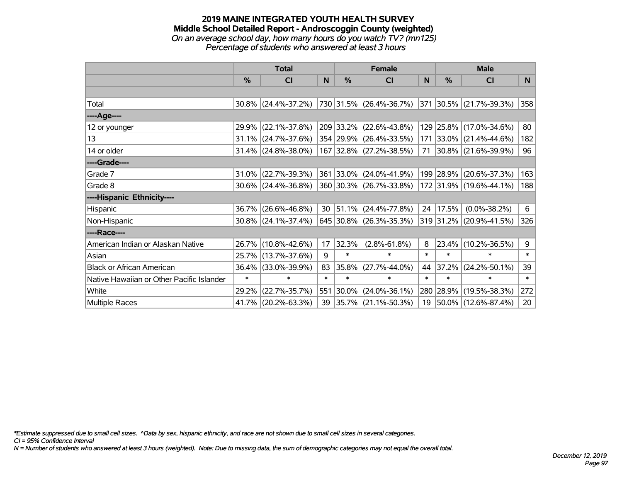#### **2019 MAINE INTEGRATED YOUTH HEALTH SURVEY Middle School Detailed Report - Androscoggin County (weighted)** *On an average school day, how many hours do you watch TV? (mn125) Percentage of students who answered at least 3 hours*

|                                           | <b>Total</b> |                        |        |            | <b>Female</b>            | <b>Male</b> |           |                          |        |
|-------------------------------------------|--------------|------------------------|--------|------------|--------------------------|-------------|-----------|--------------------------|--------|
|                                           | %            | CI                     | N      | %          | CI                       | N           | %         | <b>CI</b>                | N      |
|                                           |              |                        |        |            |                          |             |           |                          |        |
| Total                                     |              | $30.8\%$ (24.4%-37.2%) |        |            | 730 31.5% (26.4%-36.7%)  |             |           | 371 30.5% (21.7%-39.3%)  | 358    |
| ----Age----                               |              |                        |        |            |                          |             |           |                          |        |
| 12 or younger                             | 29.9%        | $(22.1\% - 37.8\%)$    |        |            | 209 33.2% (22.6%-43.8%)  |             |           | 129 25.8% (17.0%-34.6%)  | 80     |
| 13                                        |              | 31.1% (24.7%-37.6%)    |        |            | 354 29.9% (26.4%-33.5%)  |             |           | 171 33.0% (21.4%-44.6%)  | 182    |
| 14 or older                               |              | $31.4\%$ (24.8%-38.0%) |        |            | 167 32.8% (27.2%-38.5%)  | 71          |           | $ 30.8\% $ (21.6%-39.9%) | 96     |
| ----Grade----                             |              |                        |        |            |                          |             |           |                          |        |
| Grade 7                                   | $31.0\%$     | $(22.7\% - 39.3\%)$    |        |            | 361 33.0% (24.0%-41.9%)  |             | 199 28.9% | $(20.6\% - 37.3\%)$      | 163    |
| Grade 8                                   |              | $30.6\%$ (24.4%-36.8%) |        |            | 360 30.3% (26.7%-33.8%)  |             |           | 172 31.9% (19.6%-44.1%)  | 188    |
| ----Hispanic Ethnicity----                |              |                        |        |            |                          |             |           |                          |        |
| Hispanic                                  | 36.7%        | $(26.6\% - 46.8\%)$    | 30     | $ 51.1\% $ | $(24.4\% - 77.8\%)$      | 24          | 17.5%     | $(0.0\% - 38.2\%)$       | 6      |
| Non-Hispanic                              |              | 30.8% (24.1%-37.4%)    |        |            | 645 30.8% (26.3%-35.3%)  |             |           | 319 31.2% (20.9%-41.5%)  | 326    |
| ----Race----                              |              |                        |        |            |                          |             |           |                          |        |
| American Indian or Alaskan Native         |              | 26.7% (10.8%-42.6%)    | 17     | 32.3%      | $(2.8\% - 61.8\%)$       | 8           | 23.4%     | $(10.2\% - 36.5\%)$      | 9      |
| Asian                                     |              | 25.7% (13.7%-37.6%)    | 9      | $\ast$     | $\ast$                   | $\ast$      | $\ast$    | $\ast$                   | $\ast$ |
| <b>Black or African American</b>          | 36.4%        | $(33.0\% - 39.9\%)$    | 83     | 35.8%      | $(27.7\% - 44.0\%)$      | 44          | 37.2%     | $(24.2\% - 50.1\%)$      | 39     |
| Native Hawaiian or Other Pacific Islander | $\ast$       | $\ast$                 | $\ast$ | $\ast$     | $\ast$                   | $\ast$      | $\ast$    | $\ast$                   | $\ast$ |
| White                                     | 29.2%        | $(22.7\% - 35.7\%)$    | 551    | 30.0%      | $(24.0\% - 36.1\%)$      | 280         |           | 28.9% (19.5%-38.3%)      | 272    |
| Multiple Races                            |              | 41.7% (20.2%-63.3%)    | 39     |            | $ 35.7\% $ (21.1%-50.3%) | 19          |           | 50.0% (12.6%-87.4%)      | 20     |

*\*Estimate suppressed due to small cell sizes. ^Data by sex, hispanic ethnicity, and race are not shown due to small cell sizes in several categories.*

*CI = 95% Confidence Interval*

*N = Number of students who answered at least 3 hours (weighted). Note: Due to missing data, the sum of demographic categories may not equal the overall total.*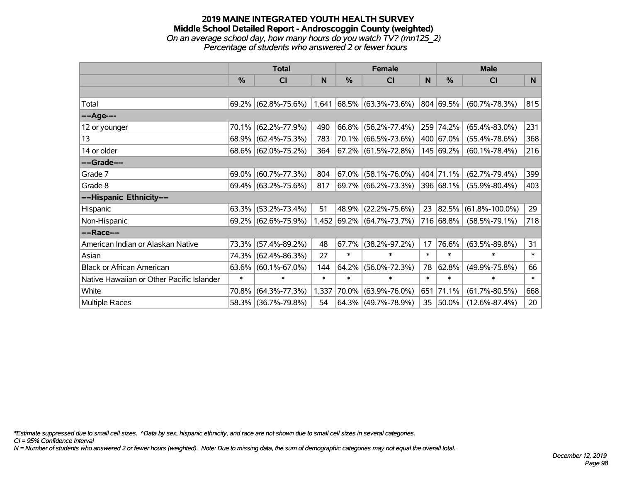#### **2019 MAINE INTEGRATED YOUTH HEALTH SURVEY Middle School Detailed Report - Androscoggin County (weighted)** *On an average school day, how many hours do you watch TV? (mn125\_2) Percentage of students who answered 2 or fewer hours*

|                                           | <b>Total</b>  |                        |        |          | <b>Female</b>               |        | <b>Male</b> |                      |        |  |
|-------------------------------------------|---------------|------------------------|--------|----------|-----------------------------|--------|-------------|----------------------|--------|--|
|                                           | $\frac{0}{0}$ | <b>CI</b>              | N      | $\%$     | <b>CI</b>                   | N      | $\%$        | <b>CI</b>            | N      |  |
|                                           |               |                        |        |          |                             |        |             |                      |        |  |
| Total                                     |               | $69.2\%$ (62.8%-75.6%) |        |          | $1,641$ 68.5% (63.3%-73.6%) |        | 804 69.5%   | $(60.7\% - 78.3\%)$  | 815    |  |
| ----Age----                               |               |                        |        |          |                             |        |             |                      |        |  |
| 12 or younger                             | 70.1%         | $(62.2\% - 77.9\%)$    | 490    | 66.8%    | $(56.2\% - 77.4\%)$         |        | 259 74.2%   | $(65.4\% - 83.0\%)$  | 231    |  |
| 13                                        |               | $68.9\%$ (62.4%-75.3%) | 783    |          | 70.1% (66.5%-73.6%)         |        | 400 67.0%   | $(55.4\% - 78.6\%)$  | 368    |  |
| 14 or older                               |               | 68.6% (62.0%-75.2%)    | 364    |          | $67.2\%$ (61.5%-72.8%)      |        | 145 69.2%   | $(60.1\% - 78.4\%)$  | 216    |  |
| ----Grade----                             |               |                        |        |          |                             |        |             |                      |        |  |
| Grade 7                                   | 69.0%         | $(60.7\% - 77.3\%)$    | 804    | $67.0\%$ | $(58.1\% - 76.0\%)$         |        | 404 71.1%   | $(62.7\% - 79.4\%)$  | 399    |  |
| Grade 8                                   |               | 69.4% (63.2%-75.6%)    | 817    |          | 69.7% (66.2%-73.3%)         |        | 396 68.1%   | $(55.9\% - 80.4\%)$  | 403    |  |
| ----Hispanic Ethnicity----                |               |                        |        |          |                             |        |             |                      |        |  |
| Hispanic                                  | 63.3%         | $(53.2\% - 73.4\%)$    | 51     | 48.9%    | $(22.2\% - 75.6\%)$         | 23     | 82.5%       | $(61.8\% - 100.0\%)$ | 29     |  |
| Non-Hispanic                              |               | 69.2% (62.6%-75.9%)    |        |          | 1,452 69.2% (64.7%-73.7%)   |        | 716 68.8%   | $(58.5\% - 79.1\%)$  | 718    |  |
| ----Race----                              |               |                        |        |          |                             |        |             |                      |        |  |
| American Indian or Alaskan Native         | 73.3%         | $(57.4\% - 89.2\%)$    | 48     | 67.7%    | $(38.2\% - 97.2\%)$         | 17     | 76.6%       | $(63.5\% - 89.8\%)$  | 31     |  |
| Asian                                     | 74.3%         | $(62.4\% - 86.3\%)$    | 27     | $\ast$   | $\ast$                      | $\ast$ | $\ast$      | $\ast$               | $\ast$ |  |
| <b>Black or African American</b>          | 63.6%         | $(60.1\% - 67.0\%)$    | 144    | $64.2\%$ | $(56.0\% - 72.3\%)$         | 78     | 62.8%       | $(49.9\% - 75.8\%)$  | 66     |  |
| Native Hawaiian or Other Pacific Islander | $\ast$        | $\ast$                 | $\ast$ | $\ast$   | $\ast$                      | $\ast$ | $\ast$      | $\ast$               | $\ast$ |  |
| White                                     | 70.8%         | $(64.3\% - 77.3\%)$    | 1,337  | 70.0%    | $(63.9\% - 76.0\%)$         | 651    | 71.1%       | $(61.7\% - 80.5\%)$  | 668    |  |
| Multiple Races                            | 58.3%         | $(36.7\% - 79.8\%)$    | 54     |          | $64.3\%$ (49.7%-78.9%)      | 35     | 50.0%       | $(12.6\% - 87.4\%)$  | 20     |  |

*\*Estimate suppressed due to small cell sizes. ^Data by sex, hispanic ethnicity, and race are not shown due to small cell sizes in several categories.*

*CI = 95% Confidence Interval*

*N = Number of students who answered 2 or fewer hours (weighted). Note: Due to missing data, the sum of demographic categories may not equal the overall total.*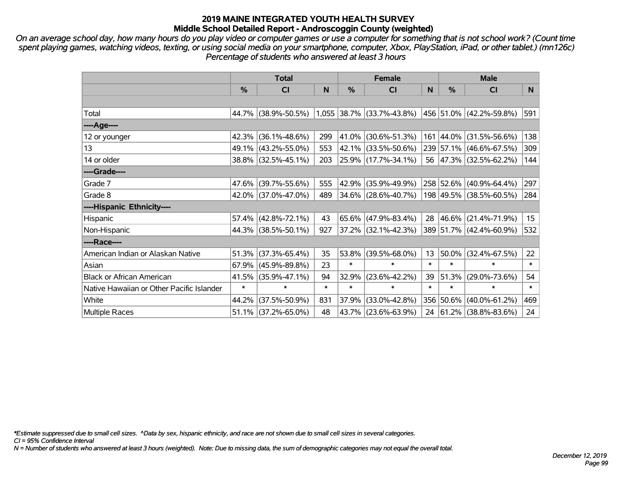*On an average school day, how many hours do you play video or computer games or use a computer for something that is not school work? (Count time spent playing games, watching videos, texting, or using social media on your smartphone, computer, Xbox, PlayStation, iPad, or other tablet.) (mn126c) Percentage of students who answered at least 3 hours*

|                                           | <b>Total</b> |                        |        |        | <b>Female</b>                                     |        | <b>Male</b>   |                          |                  |  |
|-------------------------------------------|--------------|------------------------|--------|--------|---------------------------------------------------|--------|---------------|--------------------------|------------------|--|
|                                           | %            | <b>CI</b>              | N      | %      | <b>CI</b>                                         | N      | $\frac{0}{0}$ | <b>CI</b>                | N                |  |
|                                           |              |                        |        |        |                                                   |        |               |                          |                  |  |
| Total                                     |              | 44.7% (38.9%-50.5%)    |        |        | 1,055 38.7% (33.7%-43.8%) 456 51.0% (42.2%-59.8%) |        |               |                          | 591              |  |
| ----Age----                               |              |                        |        |        |                                                   |        |               |                          |                  |  |
| 12 or younger                             | 42.3%        | $(36.1\% - 48.6\%)$    | 299    | 41.0%  | $(30.6\% - 51.3\%)$                               |        |               | 161 44.0% (31.5%-56.6%)  | 138              |  |
| 13                                        |              | 49.1% (43.2%-55.0%)    | 553    |        | 42.1% (33.5%-50.6%)                               |        |               | 239 57.1% (46.6%-67.5%)  | 309              |  |
| 14 or older                               |              | 38.8% (32.5%-45.1%)    | 203    |        | 25.9% (17.7%-34.1%)                               |        |               | 56 47.3% (32.5%-62.2%)   | 144              |  |
| ----Grade----                             |              |                        |        |        |                                                   |        |               |                          |                  |  |
| Grade 7                                   |              | 47.6% (39.7%-55.6%)    | 555    | 42.9%  | $(35.9\% - 49.9\%)$                               |        |               | 258 52.6% (40.9%-64.4%)  | 297              |  |
| Grade 8                                   |              | 42.0% (37.0%-47.0%)    | 489    |        | $34.6\%$ (28.6%-40.7%)                            |        |               | 198 49.5% (38.5%-60.5%)  | 284              |  |
| ----Hispanic Ethnicity----                |              |                        |        |        |                                                   |        |               |                          |                  |  |
| Hispanic                                  | 57.4%        | $(42.8\% - 72.1\%)$    | 43     | 65.6%  | $(47.9\% - 83.4\%)$                               | 28     |               | 46.6% (21.4%-71.9%)      | 15 <sub>15</sub> |  |
| Non-Hispanic                              |              | 44.3% (38.5%-50.1%)    | 927    |        | 37.2% (32.1%-42.3%)                               |        |               | 389 51.7% (42.4%-60.9%)  | 532              |  |
| ----Race----                              |              |                        |        |        |                                                   |        |               |                          |                  |  |
| American Indian or Alaskan Native         | 51.3%        | $(37.3\% - 65.4\%)$    | 35     | 53.8%  | $(39.5\% - 68.0\%)$                               | 13     |               | $50.0\%$ (32.4%-67.5%)   | 22               |  |
| Asian                                     |              | $67.9\%$ (45.9%-89.8%) | 23     | $\ast$ | $\ast$                                            | $\ast$ | $\ast$        | $\ast$                   | $\ast$           |  |
| <b>Black or African American</b>          | 41.5%        | $(35.9\% - 47.1\%)$    | 94     | 32.9%  | $(23.6\% - 42.2\%)$                               | 39     | 51.3%         | $(29.0\% - 73.6\%)$      | 54               |  |
| Native Hawaiian or Other Pacific Islander | $\ast$       | $\ast$                 | $\ast$ | $\ast$ | $\ast$                                            | $\ast$ | $\ast$        | $\ast$                   | $\ast$           |  |
| White                                     | 44.2%        | $(37.5\% - 50.9\%)$    | 831    | 37.9%  | $(33.0\% - 42.8\%)$                               |        | 356 50.6%     | $(40.0\% - 61.2\%)$      | 469              |  |
| <b>Multiple Races</b>                     |              | 51.1% (37.2%-65.0%)    | 48     | 43.7%  | $(23.6\% - 63.9\%)$                               | 24     |               | $ 61.2\% $ (38.8%-83.6%) | 24               |  |

*\*Estimate suppressed due to small cell sizes. ^Data by sex, hispanic ethnicity, and race are not shown due to small cell sizes in several categories.*

*CI = 95% Confidence Interval*

*N = Number of students who answered at least 3 hours (weighted). Note: Due to missing data, the sum of demographic categories may not equal the overall total.*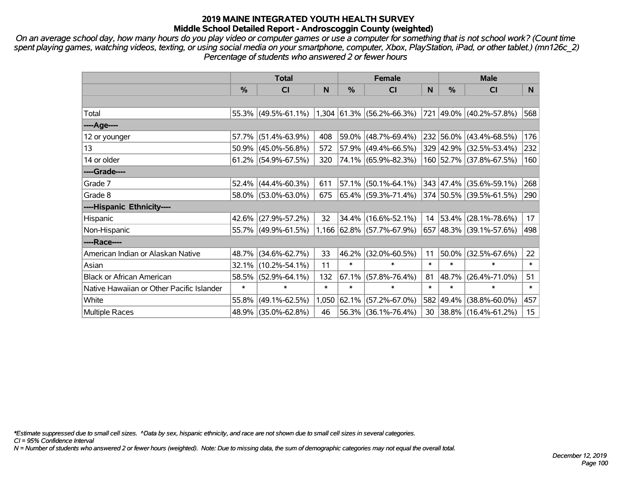*On an average school day, how many hours do you play video or computer games or use a computer for something that is not school work? (Count time spent playing games, watching videos, texting, or using social media on your smartphone, computer, Xbox, PlayStation, iPad, or other tablet.) (mn126c\_2) Percentage of students who answered 2 or fewer hours*

|                                           | <b>Total</b>  |                                                                       |        |        | <b>Female</b>             | <b>Male</b> |               |                         |                  |
|-------------------------------------------|---------------|-----------------------------------------------------------------------|--------|--------|---------------------------|-------------|---------------|-------------------------|------------------|
|                                           | $\frac{0}{0}$ | CI                                                                    | N      | $\%$   | <b>CI</b>                 | N           | $\frac{0}{0}$ | <b>CI</b>               | N                |
|                                           |               |                                                                       |        |        |                           |             |               |                         |                  |
| Total                                     |               | 55.3% (49.5%-61.1%) 1,304 61.3% (56.2%-66.3%) 721 49.0% (40.2%-57.8%) |        |        |                           |             |               |                         | 568              |
| ----Age----                               |               |                                                                       |        |        |                           |             |               |                         |                  |
| 12 or younger                             | 57.7%         | $(51.4\% - 63.9\%)$                                                   | 408    |        | $59.0\%$ (48.7%-69.4%)    |             |               | 232 56.0% (43.4%-68.5%) | 176              |
| 13                                        |               | $50.9\%$ (45.0%-56.8%)                                                | 572    |        | $57.9\%$ (49.4%-66.5%)    |             |               | 329 42.9% (32.5%-53.4%) | 232              |
| 14 or older                               |               | $61.2\%$ (54.9%-67.5%)                                                | 320    |        | 74.1% (65.9%-82.3%)       |             |               | 160 52.7% (37.8%-67.5%) | 160              |
| ----Grade----                             |               |                                                                       |        |        |                           |             |               |                         |                  |
| Grade 7                                   |               | $52.4\%$ (44.4%-60.3%)                                                | 611    |        | $57.1\%$ (50.1%-64.1%)    |             |               | 343 47.4% (35.6%-59.1%) | 268              |
| Grade 8                                   |               | 58.0% (53.0%-63.0%)                                                   | 675    |        | 65.4% (59.3%-71.4%)       |             |               | 374 50.5% (39.5%-61.5%) | 290              |
| ----Hispanic Ethnicity----                |               |                                                                       |        |        |                           |             |               |                         |                  |
| Hispanic                                  | 42.6%         | $(27.9\% - 57.2\%)$                                                   | 32     |        | $34.4\%$ (16.6%-52.1%)    | 14          |               | 53.4% (28.1%-78.6%)     | 17               |
| Non-Hispanic                              |               | 55.7% (49.9%-61.5%)                                                   |        |        | 1,166 62.8% (57.7%-67.9%) |             |               | 657 48.3% (39.1%-57.6%) | 498              |
| ----Race----                              |               |                                                                       |        |        |                           |             |               |                         |                  |
| American Indian or Alaskan Native         |               | 48.7% (34.6%-62.7%)                                                   | 33     |        | 46.2% (32.0%-60.5%)       | 11          | 50.0%         | $(32.5\% - 67.6\%)$     | 22               |
| Asian                                     | 32.1%         | $(10.2\% - 54.1\%)$                                                   | 11     | $\ast$ | $\ast$                    | $\ast$      | $\ast$        | $\ast$                  | $\ast$           |
| <b>Black or African American</b>          | 58.5%         | $(52.9\% - 64.1\%)$                                                   | 132    | 67.1%  | $(57.8\% - 76.4\%)$       | 81          | 48.7%         | $(26.4\% - 71.0\%)$     | 51               |
| Native Hawaiian or Other Pacific Islander | $\ast$        | $\ast$                                                                | $\ast$ | $\ast$ | $\ast$                    | $\ast$      | $\ast$        | $\ast$                  | $\ast$           |
| White                                     | 55.8%         | $(49.1\% - 62.5\%)$                                                   | 1,050  | 62.1%  | $(57.2\% - 67.0\%)$       | 582         | 49.4%         | $(38.8\% - 60.0\%)$     | 457              |
| <b>Multiple Races</b>                     |               | 48.9% (35.0%-62.8%)                                                   | 46     |        | $56.3\%$ (36.1%-76.4%)    | 30          |               | 38.8% (16.4%-61.2%)     | 15 <sub>15</sub> |

*\*Estimate suppressed due to small cell sizes. ^Data by sex, hispanic ethnicity, and race are not shown due to small cell sizes in several categories.*

*CI = 95% Confidence Interval*

*N = Number of students who answered 2 or fewer hours (weighted). Note: Due to missing data, the sum of demographic categories may not equal the overall total.*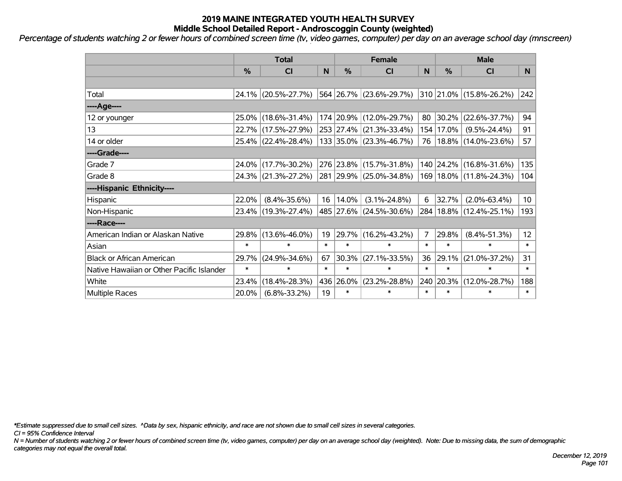*Percentage of students watching 2 or fewer hours of combined screen time (tv, video games, computer) per day on an average school day (mnscreen)*

|                                           | <b>Total</b>  |                     |        |           | <b>Female</b>           | <b>Male</b> |           |                             |                 |
|-------------------------------------------|---------------|---------------------|--------|-----------|-------------------------|-------------|-----------|-----------------------------|-----------------|
|                                           | $\frac{0}{0}$ | <b>CI</b>           | N      | %         | <b>CI</b>               | N           | %         | <b>CI</b>                   | N.              |
|                                           |               |                     |        |           |                         |             |           |                             |                 |
| Total                                     |               | 24.1% (20.5%-27.7%) |        |           | 564 26.7% (23.6%-29.7%) |             |           | 310 21.0% (15.8%-26.2%)     | 242             |
| ----Age----                               |               |                     |        |           |                         |             |           |                             |                 |
| 12 or younger                             | $25.0\%$      | $(18.6\% - 31.4\%)$ |        |           | 174 20.9% (12.0%-29.7%) | 80          | 30.2%     | $(22.6\% - 37.7\%)$         | 94              |
| 13                                        |               | 22.7% (17.5%-27.9%) |        |           | 253 27.4% (21.3%-33.4%) |             | 154 17.0% | $(9.5\% - 24.4\%)$          | 91              |
| 14 or older                               |               | 25.4% (22.4%-28.4%) |        |           | 133 35.0% (23.3%-46.7%) | 76          |           | 18.8% (14.0%-23.6%)         | 57              |
| ----Grade----                             |               |                     |        |           |                         |             |           |                             |                 |
| Grade 7                                   | 24.0%         | $(17.7\% - 30.2\%)$ |        | 276 23.8% | $(15.7\% - 31.8\%)$     | 140         | 24.2%     | $(16.8\% - 31.6\%)$         | 135             |
| Grade 8                                   |               | 24.3% (21.3%-27.2%) |        |           | 281 29.9% (25.0%-34.8%) |             |           | 169   18.0%   (11.8%-24.3%) | 104             |
| ----Hispanic Ethnicity----                |               |                     |        |           |                         |             |           |                             |                 |
| Hispanic                                  | 22.0%         | $(8.4\% - 35.6\%)$  | 16     | 14.0%     | $(3.1\% - 24.8\%)$      | 6           | 32.7%     | $(2.0\% - 63.4\%)$          | 10 <sup>°</sup> |
| Non-Hispanic                              |               | 23.4% (19.3%-27.4%) |        |           | 485 27.6% (24.5%-30.6%) | 284         |           | $18.8\%$ (12.4%-25.1%)      | 193             |
| ----Race----                              |               |                     |        |           |                         |             |           |                             |                 |
| American Indian or Alaskan Native         | 29.8%         | $(13.6\% - 46.0\%)$ | 19     | 29.7%     | $(16.2\% - 43.2\%)$     | 7           | 29.8%     | $(8.4\% - 51.3\%)$          | 12 <sup>2</sup> |
| Asian                                     | $\ast$        | $\ast$              | $\ast$ | $\ast$    | $\ast$                  | $\ast$      | $\ast$    | $\ast$                      | $\ast$          |
| <b>Black or African American</b>          | 29.7%         | $(24.9\% - 34.6\%)$ | 67     | 30.3%     | $(27.1\% - 33.5\%)$     | 36          | 29.1%     | $(21.0\% - 37.2\%)$         | 31              |
| Native Hawaiian or Other Pacific Islander | $\ast$        | $\ast$              | $\ast$ | $\ast$    | $\ast$                  | $\ast$      | $\ast$    | $\ast$                      | $\ast$          |
| White                                     | 23.4%         | $(18.4\% - 28.3\%)$ | 436    | 26.0%     | $(23.2\% - 28.8\%)$     | 240         | 20.3%     | $(12.0\% - 28.7\%)$         | 188             |
| <b>Multiple Races</b>                     | 20.0%         | $(6.8\% - 33.2\%)$  | 19     | $\ast$    | $\ast$                  | $\ast$      | $\ast$    | $\ast$                      | $\ast$          |

*\*Estimate suppressed due to small cell sizes. ^Data by sex, hispanic ethnicity, and race are not shown due to small cell sizes in several categories.*

*CI = 95% Confidence Interval*

*N = Number of students watching 2 or fewer hours of combined screen time (tv, video games, computer) per day on an average school day (weighted). Note: Due to missing data, the sum of demographic categories may not equal the overall total.*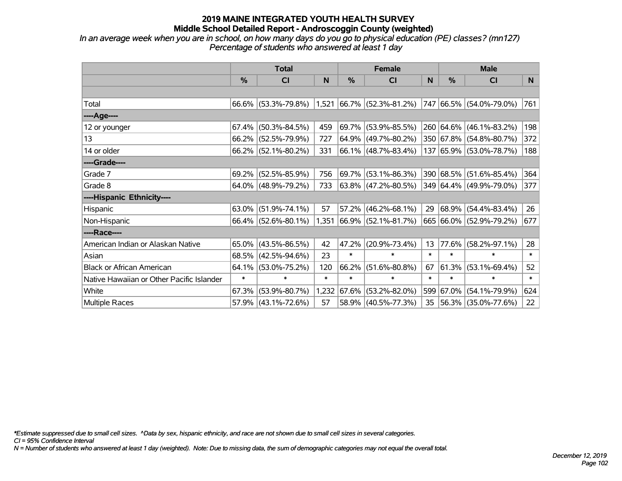*In an average week when you are in school, on how many days do you go to physical education (PE) classes? (mn127) Percentage of students who answered at least 1 day*

|                                           | <b>Total</b>  |                        |        | <b>Female</b> |                             |        | <b>Male</b>   |                         |        |
|-------------------------------------------|---------------|------------------------|--------|---------------|-----------------------------|--------|---------------|-------------------------|--------|
|                                           | $\frac{0}{0}$ | CI                     | N      | %             | <b>CI</b>                   | N      | $\frac{0}{0}$ | <b>CI</b>               | N.     |
|                                           |               |                        |        |               |                             |        |               |                         |        |
| Total                                     |               | $66.6\%$ (53.3%-79.8%) |        |               | $1,521$ 66.7% (52.3%-81.2%) |        |               | 747 66.5% (54.0%-79.0%) | 761    |
| ----Age----                               |               |                        |        |               |                             |        |               |                         |        |
| 12 or younger                             | 67.4%         | $(50.3\% - 84.5\%)$    | 459    | 69.7%         | $(53.9\% - 85.5\%)$         |        |               | 260 64.6% (46.1%-83.2%) | 198    |
| 13                                        |               | 66.2% (52.5%-79.9%)    | 727    |               | $64.9\%$ (49.7%-80.2%)      |        |               | 350 67.8% (54.8%-80.7%) | 372    |
| 14 or older                               |               | $66.2\%$ (52.1%-80.2%) | 331    |               | 66.1% (48.7%-83.4%)         |        |               | 137 65.9% (53.0%-78.7%) | 188    |
| ----Grade----                             |               |                        |        |               |                             |        |               |                         |        |
| Grade 7                                   | 69.2%         | $(52.5\% - 85.9\%)$    | 756    |               | 69.7% (53.1%-86.3%)         |        |               | 390 68.5% (51.6%-85.4%) | 364    |
| Grade 8                                   |               | $64.0\%$ (48.9%-79.2%) | 733    |               | 63.8% (47.2%-80.5%)         |        |               | 349 64.4% (49.9%-79.0%) | 377    |
| ----Hispanic Ethnicity----                |               |                        |        |               |                             |        |               |                         |        |
| Hispanic                                  | 63.0%         | $(51.9\% - 74.1\%)$    | 57     | 57.2%         | $(46.2\% - 68.1\%)$         | 29     | $68.9\%$      | $(54.4\% - 83.4\%)$     | 26     |
| Non-Hispanic                              |               | 66.4% (52.6%-80.1%)    |        |               | 1,351 66.9% (52.1%-81.7%)   |        |               | 665 66.0% (52.9%-79.2%) | 677    |
| ----Race----                              |               |                        |        |               |                             |        |               |                         |        |
| American Indian or Alaskan Native         |               | $65.0\%$ (43.5%-86.5%) | 42     | 47.2%         | $(20.9\% - 73.4\%)$         | 13     | 77.6%         | $(58.2\% - 97.1\%)$     | 28     |
| Asian                                     | 68.5%         | $(42.5\% - 94.6\%)$    | 23     | $\ast$        | $\ast$                      | $\ast$ | $\ast$        | $\ast$                  | $\ast$ |
| <b>Black or African American</b>          | 64.1%         | $(53.0\% - 75.2\%)$    | 120    | 66.2%         | $(51.6\% - 80.8\%)$         | 67     | 61.3%         | $(53.1\% - 69.4\%)$     | 52     |
| Native Hawaiian or Other Pacific Islander | $\ast$        | $\ast$                 | $\ast$ | $\ast$        | $\ast$                      | $\ast$ | $\ast$        | $\ast$                  | $\ast$ |
| White                                     | 67.3%         | $(53.9\% - 80.7\%)$    | 1,232  | 67.6%         | $(53.2\% - 82.0\%)$         | 599    | 67.0%         | $(54.1\% - 79.9\%)$     | 624    |
| Multiple Races                            |               | 57.9% (43.1%-72.6%)    | 57     |               | 58.9% (40.5%-77.3%)         | 35     |               | 56.3% (35.0%-77.6%)     | 22     |

*\*Estimate suppressed due to small cell sizes. ^Data by sex, hispanic ethnicity, and race are not shown due to small cell sizes in several categories.*

*CI = 95% Confidence Interval*

*N = Number of students who answered at least 1 day (weighted). Note: Due to missing data, the sum of demographic categories may not equal the overall total.*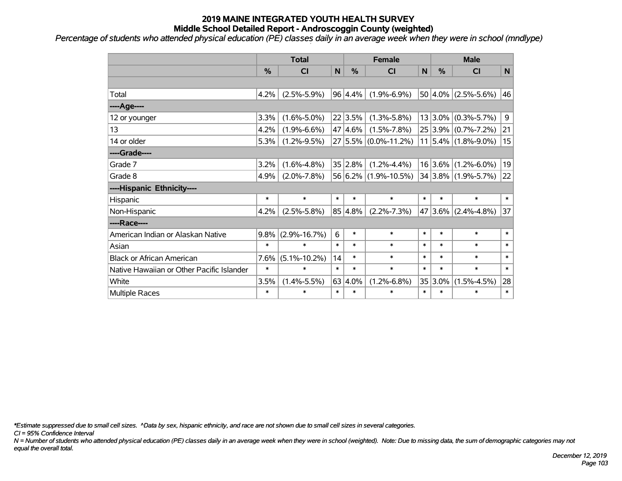*Percentage of students who attended physical education (PE) classes daily in an average week when they were in school (mndlype)*

|                                           | <b>Total</b> |                    |              |         | <b>Female</b>        |              | <b>Male</b>   |                         |              |  |
|-------------------------------------------|--------------|--------------------|--------------|---------|----------------------|--------------|---------------|-------------------------|--------------|--|
|                                           | %            | <b>CI</b>          | $\mathsf{N}$ | %       | <b>CI</b>            | $\mathsf{N}$ | $\frac{0}{0}$ | <b>CI</b>               | N            |  |
|                                           |              |                    |              |         |                      |              |               |                         |              |  |
| Total                                     | 4.2%         | $(2.5\% - 5.9\%)$  |              | 96 4.4% | $(1.9\% - 6.9\%)$    |              |               | $50 4.0\% $ (2.5%-5.6%) | 46           |  |
| ---- Age----                              |              |                    |              |         |                      |              |               |                         |              |  |
| 12 or younger                             | 3.3%         | $(1.6\% - 5.0\%)$  |              | 22 3.5% | $(1.3\% - 5.8\%)$    |              |               | $13 3.0\% $ (0.3%-5.7%) | 9            |  |
| 13                                        | 4.2%         | $(1.9\% - 6.6\%)$  |              | 47 4.6% | $(1.5\% - 7.8\%)$    |              |               | 25 3.9% (0.7%-7.2%)     | 21           |  |
| 14 or older                               | 5.3%         | $(1.2\% - 9.5\%)$  |              |         | 27 5.5% (0.0%-11.2%) |              |               | $11 5.4\% $ (1.8%-9.0%) | 15           |  |
| ----Grade----                             |              |                    |              |         |                      |              |               |                         |              |  |
| Grade 7                                   | 3.2%         | $(1.6\% - 4.8\%)$  |              | 35 2.8% | $(1.2\% - 4.4\%)$    |              |               | $16 3.6\% $ (1.2%-6.0%) | 19           |  |
| Grade 8                                   | 4.9%         | $(2.0\% - 7.8\%)$  |              |         | 56 6.2% (1.9%-10.5%) |              |               | 34 3.8% (1.9%-5.7%)     | 22           |  |
| ----Hispanic Ethnicity----                |              |                    |              |         |                      |              |               |                         |              |  |
| Hispanic                                  | $\ast$       | $\ast$             | $\ast$       | $\ast$  | $\ast$               | $\ast$       | $\ast$        | $\ast$                  | $\ast$       |  |
| Non-Hispanic                              | 4.2%         | $(2.5\% - 5.8\%)$  |              | 85 4.8% | $(2.2\% - 7.3\%)$    |              | 47 3.6%       | $(2.4\% - 4.8\%)$       | 37           |  |
| ----Race----                              |              |                    |              |         |                      |              |               |                         |              |  |
| American Indian or Alaskan Native         | 9.8%         | $(2.9\% - 16.7\%)$ | 6            | $\ast$  | $\ast$               | $\ast$       | $\ast$        | $\ast$                  | $\ast$       |  |
| Asian                                     | $\ast$       | $\ast$             | $\ast$       | $\ast$  | $\ast$               | $\ast$       | $\ast$        | $\ast$                  | $\ast$       |  |
| <b>Black or African American</b>          | 7.6%         | $(5.1\% - 10.2\%)$ | 14           | $\ast$  | $\ast$               | $\ast$       | $\ast$        | $\ast$                  | $\ast$       |  |
| Native Hawaiian or Other Pacific Islander | $\ast$       | $\ast$             | $\ast$       | $\ast$  | $\ast$               | $\ast$       | $\ast$        | $\ast$                  | $\ast$       |  |
| White                                     | 3.5%         | $(1.4\% - 5.5\%)$  |              | 63 4.0% | $(1.2\% - 6.8\%)$    |              | 35 3.0%       | $(1.5\% - 4.5\%)$       | 28           |  |
| Multiple Races                            | $\ast$       | $\ast$             | $\ast$       | $\ast$  | $\ast$               | $\ast$       | $\ast$        | $\ast$                  | $\pmb{\ast}$ |  |

*\*Estimate suppressed due to small cell sizes. ^Data by sex, hispanic ethnicity, and race are not shown due to small cell sizes in several categories.*

*CI = 95% Confidence Interval*

*N = Number of students who attended physical education (PE) classes daily in an average week when they were in school (weighted). Note: Due to missing data, the sum of demographic categories may not equal the overall total.*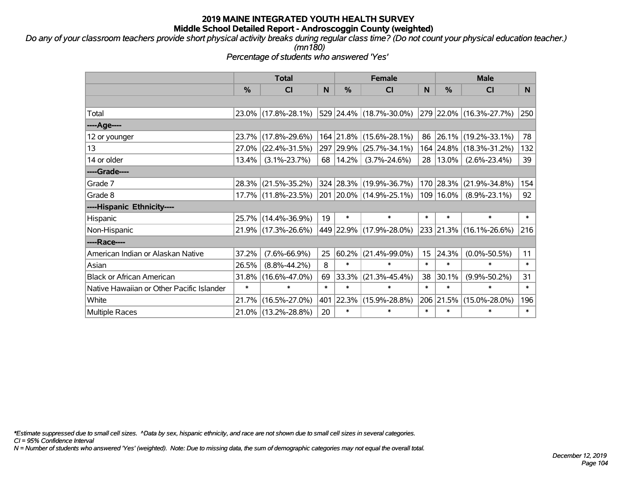*Do any of your classroom teachers provide short physical activity breaks during regular class time? (Do not count your physical education teacher.) (mn180)*

*Percentage of students who answered 'Yes'*

|                                           | <b>Total</b>  |                     |        | <b>Female</b> | <b>Male</b>                 |        |            |                              |        |
|-------------------------------------------|---------------|---------------------|--------|---------------|-----------------------------|--------|------------|------------------------------|--------|
|                                           | $\frac{0}{0}$ | <b>CI</b>           | N      | %             | <b>CI</b>                   | N      | %          | <b>CI</b>                    | N.     |
|                                           |               |                     |        |               |                             |        |            |                              |        |
| Total                                     |               | 23.0% (17.8%-28.1%) |        |               | 529   24.4%   (18.7%-30.0%) |        |            | $ 279 22.0\% $ (16.3%-27.7%) | 250    |
| ----Age----                               |               |                     |        |               |                             |        |            |                              |        |
| 12 or younger                             | 23.7%         | $(17.8\% - 29.6\%)$ |        | 164 21.8%     | $(15.6\% - 28.1\%)$         | 86     | 26.1%      | $(19.2\% - 33.1\%)$          | 78     |
| 13                                        | 27.0%         | $(22.4\% - 31.5\%)$ |        |               | 297 29.9% (25.7%-34.1%)     |        | 164 24.8%  | $(18.3\% - 31.2\%)$          | 132    |
| 14 or older                               | 13.4%         | $(3.1\% - 23.7\%)$  |        | 68   14.2%    | $(3.7\% - 24.6\%)$          |        | 28   13.0% | $(2.6\% - 23.4\%)$           | 39     |
| ----Grade----                             |               |                     |        |               |                             |        |            |                              |        |
| Grade 7                                   | 28.3%         | $(21.5\% - 35.2\%)$ |        |               | 324 28.3% (19.9%-36.7%)     | 170    | 28.3%      | $(21.9\% - 34.8\%)$          | 154    |
| Grade 8                                   |               | 17.7% (11.8%-23.5%) |        |               | 201 20.0% (14.9%-25.1%)     | 109    | $16.0\%$   | $(8.9\% - 23.1\%)$           | 92     |
| ----Hispanic Ethnicity----                |               |                     |        |               |                             |        |            |                              |        |
| Hispanic                                  | 25.7%         | $(14.4\% - 36.9\%)$ | 19     | $\ast$        | $\ast$                      | $\ast$ | $\ast$     | $\ast$                       | $\ast$ |
| Non-Hispanic                              |               | 21.9% (17.3%-26.6%) |        |               | 449 22.9% (17.9%-28.0%)     |        |            | 233 21.3% (16.1%-26.6%)      | 216    |
| ----Race----                              |               |                     |        |               |                             |        |            |                              |        |
| American Indian or Alaskan Native         | 37.2%         | $(7.6\% - 66.9\%)$  | 25     | 60.2%         | $(21.4\% - 99.0\%)$         | 15     | 24.3%      | $(0.0\% - 50.5\%)$           | 11     |
| Asian                                     | 26.5%         | $(8.8\% - 44.2\%)$  | 8      | $\ast$        | $\ast$                      | $\ast$ | $\ast$     | *                            | $\ast$ |
| <b>Black or African American</b>          | 31.8%         | $(16.6\% - 47.0\%)$ | 69     | 33.3%         | $(21.3\% - 45.4\%)$         | 38     | 30.1%      | $(9.9\% - 50.2\%)$           | 31     |
| Native Hawaiian or Other Pacific Islander | $\ast$        | $\ast$              | $\ast$ | $\ast$        | $\ast$                      | $\ast$ | $\ast$     | $\ast$                       | $\ast$ |
| White                                     | 21.7%         | $(16.5\% - 27.0\%)$ | 401    | 22.3%         | $(15.9\% - 28.8\%)$         | 206    | 21.5%      | $(15.0\% - 28.0\%)$          | 196    |
| <b>Multiple Races</b>                     | $21.0\%$      | $(13.2\% - 28.8\%)$ | 20     | $\ast$        | $\ast$                      | $\ast$ | $\ast$     | $\ast$                       | $\ast$ |

*\*Estimate suppressed due to small cell sizes. ^Data by sex, hispanic ethnicity, and race are not shown due to small cell sizes in several categories.*

*CI = 95% Confidence Interval*

*N = Number of students who answered 'Yes' (weighted). Note: Due to missing data, the sum of demographic categories may not equal the overall total.*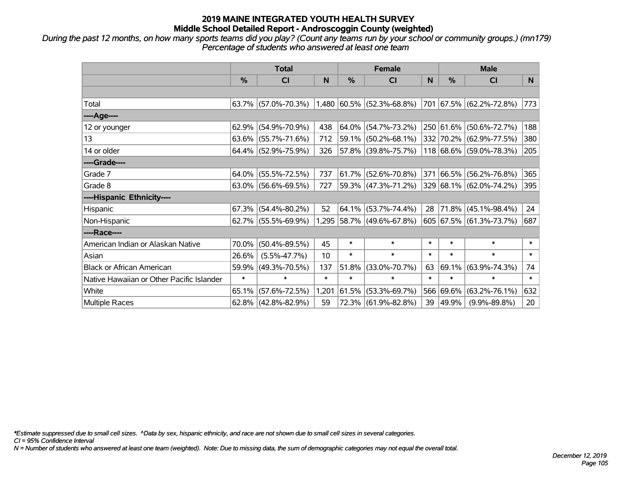*During the past 12 months, on how many sports teams did you play? (Count any teams run by your school or community groups.) (mn179) Percentage of students who answered at least one team*

|                                           | <b>Total</b>  |                        |        |               | <b>Female</b>               |        | <b>Male</b>   |                         |        |  |
|-------------------------------------------|---------------|------------------------|--------|---------------|-----------------------------|--------|---------------|-------------------------|--------|--|
|                                           | $\frac{0}{0}$ | <b>CI</b>              | N      | $\frac{0}{0}$ | <b>CI</b>                   | N      | $\frac{0}{0}$ | <b>CI</b>               | N.     |  |
|                                           |               |                        |        |               |                             |        |               |                         |        |  |
| Total                                     |               | $63.7\%$ (57.0%-70.3%) |        |               | $1,480$ 60.5% (52.3%-68.8%) | 701    |               | 67.5% (62.2%-72.8%)     | 773    |  |
| ----Age----                               |               |                        |        |               |                             |        |               |                         |        |  |
| 12 or younger                             | 62.9%         | $(54.9\% - 70.9\%)$    | 438    | 64.0%         | $(54.7\% - 73.2\%)$         |        | 250 61.6%     | $(50.6\% - 72.7\%)$     | 188    |  |
| 13                                        |               | $63.6\%$ (55.7%-71.6%) | 712    | 59.1%         | $(50.2\% - 68.1\%)$         |        |               | 332 70.2% (62.9%-77.5%) | 380    |  |
| 14 or older                               |               | 64.4% (52.9%-75.9%)    | 326    |               | 57.8% (39.8%-75.7%)         |        |               | 118 68.6% (59.0%-78.3%) | 205    |  |
| ----Grade----                             |               |                        |        |               |                             |        |               |                         |        |  |
| Grade 7                                   | 64.0%         | $(55.5\% - 72.5\%)$    | 737    | $ 61.7\% $    | $(52.6\% - 70.8\%)$         | 371    | 66.5%         | $(56.2\% - 76.8\%)$     | 365    |  |
| Grade 8                                   |               | $63.0\%$ (56.6%-69.5%) | 727    |               | 59.3% (47.3%-71.2%)         |        |               | 329 68.1% (62.0%-74.2%) | 395    |  |
| ----Hispanic Ethnicity----                |               |                        |        |               |                             |        |               |                         |        |  |
| Hispanic                                  | 67.3%         | $(54.4\% - 80.2\%)$    | 52     | 64.1%         | $(53.7\% - 74.4\%)$         | 28     | 71.8%         | $(45.1\% - 98.4\%)$     | 24     |  |
| Non-Hispanic                              |               | 62.7% (55.5%-69.9%)    |        |               | 1,295 58.7% (49.6%-67.8%)   |        |               | 605 67.5% (61.3%-73.7%) | 687    |  |
| ----Race----                              |               |                        |        |               |                             |        |               |                         |        |  |
| American Indian or Alaskan Native         | 70.0%         | $(50.4\% - 89.5\%)$    | 45     | $\ast$        | $\ast$                      | $\ast$ | $\ast$        | $\ast$                  | $\ast$ |  |
| Asian                                     | 26.6%         | $(5.5\% - 47.7\%)$     | 10     | $\ast$        | $\ast$                      | $\ast$ | $\ast$        | $\ast$                  | $\ast$ |  |
| <b>Black or African American</b>          | 59.9%         | $(49.3\% - 70.5\%)$    | 137    | 51.8%         | $(33.0\% - 70.7\%)$         | 63     | 69.1%         | $(63.9\% - 74.3\%)$     | 74     |  |
| Native Hawaiian or Other Pacific Islander | $\ast$        | $\ast$                 | $\ast$ | $\ast$        | $\ast$                      | $\ast$ | $\ast$        | $\ast$                  | $\ast$ |  |
| White                                     | 65.1%         | $(57.6\% - 72.5\%)$    | 1,201  | 61.5%         | $(53.3\% - 69.7\%)$         |        | 566 69.6%     | $(63.2\% - 76.1\%)$     | 632    |  |
| Multiple Races                            |               | 62.8% (42.8%-82.9%)    | 59     |               | 72.3% (61.9%-82.8%)         | 39     | 49.9%         | $(9.9\% - 89.8\%)$      | 20     |  |

*\*Estimate suppressed due to small cell sizes. ^Data by sex, hispanic ethnicity, and race are not shown due to small cell sizes in several categories.*

*CI = 95% Confidence Interval*

*N = Number of students who answered at least one team (weighted). Note: Due to missing data, the sum of demographic categories may not equal the overall total.*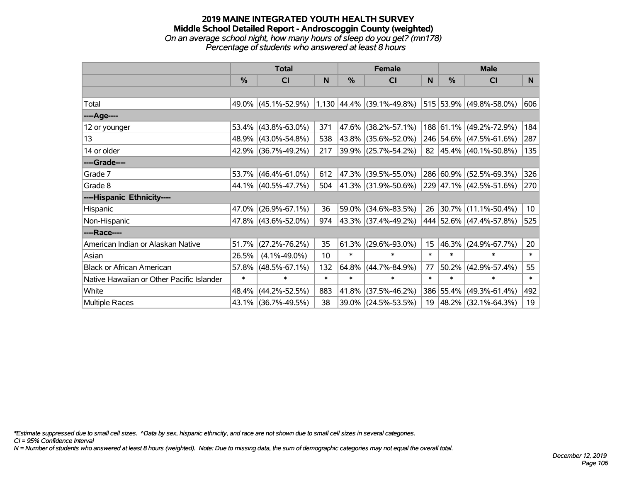#### **2019 MAINE INTEGRATED YOUTH HEALTH SURVEY Middle School Detailed Report - Androscoggin County (weighted)** *On an average school night, how many hours of sleep do you get? (mn178) Percentage of students who answered at least 8 hours*

|                                           | <b>Total</b>  |                     |        | <b>Female</b> |                                  |        | <b>Male</b> |                         |                 |
|-------------------------------------------|---------------|---------------------|--------|---------------|----------------------------------|--------|-------------|-------------------------|-----------------|
|                                           | $\frac{0}{0}$ | <b>CI</b>           | N      | %             | <b>CI</b>                        | N      | %           | <b>CI</b>               | N.              |
|                                           |               |                     |        |               |                                  |        |             |                         |                 |
| Total                                     |               | 49.0% (45.1%-52.9%) |        |               | $1,130$ $ 44.4\% $ (39.1%-49.8%) |        |             | 515 53.9% (49.8%-58.0%) | 606             |
| ----Age----                               |               |                     |        |               |                                  |        |             |                         |                 |
| 12 or younger                             | 53.4%         | $(43.8\% - 63.0\%)$ | 371    | 47.6%         | $(38.2\% - 57.1\%)$              |        |             | 188 61.1% (49.2%-72.9%) | 184             |
| 13                                        |               | 48.9% (43.0%-54.8%) | 538    | 43.8%         | $(35.6\% - 52.0\%)$              |        |             | 246 54.6% (47.5%-61.6%) | 287             |
| 14 or older                               |               | 42.9% (36.7%-49.2%) | 217    |               | 39.9% (25.7%-54.2%)              |        |             | 82 45.4% (40.1%-50.8%)  | 135             |
| ----Grade----                             |               |                     |        |               |                                  |        |             |                         |                 |
| Grade 7                                   | 53.7%         | $(46.4\% - 61.0\%)$ | 612    | 47.3%         | $(39.5\% - 55.0\%)$              |        |             | 286 60.9% (52.5%-69.3%) | 326             |
| Grade 8                                   |               | 44.1% (40.5%-47.7%) | 504    |               | 41.3% (31.9%-50.6%)              |        |             | 229 47.1% (42.5%-51.6%) | 270             |
| ----Hispanic Ethnicity----                |               |                     |        |               |                                  |        |             |                         |                 |
| Hispanic                                  | 47.0%         | $(26.9\% - 67.1\%)$ | 36     | 59.0%         | $(34.6\% - 83.5\%)$              | 26     |             | $30.7\%$ (11.1%-50.4%)  | 10 <sub>1</sub> |
| Non-Hispanic                              |               | 47.8% (43.6%-52.0%) | 974    |               | 43.3% (37.4%-49.2%)              |        |             | 444 52.6% (47.4%-57.8%) | 525             |
| ----Race----                              |               |                     |        |               |                                  |        |             |                         |                 |
| American Indian or Alaskan Native         | 51.7%         | $(27.2\% - 76.2\%)$ | 35     | 61.3%         | $(29.6\% - 93.0\%)$              | 15     | 46.3%       | $(24.9\% - 67.7\%)$     | 20              |
| Asian                                     | 26.5%         | $(4.1\% - 49.0\%)$  | 10     | $\ast$        | $\ast$                           | $\ast$ | $\ast$      | $\ast$                  | $\ast$          |
| <b>Black or African American</b>          | 57.8%         | $(48.5\% - 67.1\%)$ | 132    | 64.8%         | $(44.7\% - 84.9\%)$              | 77     | 50.2%       | $(42.9\% - 57.4\%)$     | 55              |
| Native Hawaiian or Other Pacific Islander | $\ast$        | $\ast$              | $\ast$ | $\ast$        | $\ast$                           | $\ast$ | $\ast$      | $\ast$                  | $\ast$          |
| White                                     | 48.4%         | $(44.2\% - 52.5\%)$ | 883    | 41.8%         | $(37.5\% - 46.2\%)$              |        | 386 55.4%   | $(49.3\% - 61.4\%)$     | 492             |
| Multiple Races                            |               | 43.1% (36.7%-49.5%) | 38     | 39.0%         | $(24.5\% - 53.5\%)$              | 19     |             | 48.2% (32.1%-64.3%)     | 19              |

*\*Estimate suppressed due to small cell sizes. ^Data by sex, hispanic ethnicity, and race are not shown due to small cell sizes in several categories.*

*CI = 95% Confidence Interval*

*N = Number of students who answered at least 8 hours (weighted). Note: Due to missing data, the sum of demographic categories may not equal the overall total.*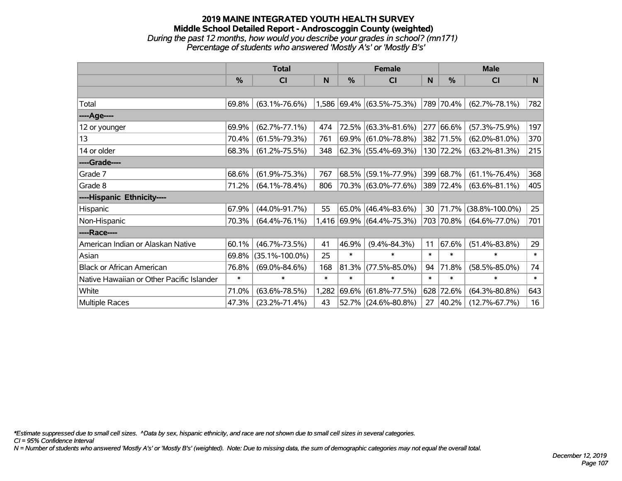#### **2019 MAINE INTEGRATED YOUTH HEALTH SURVEY Middle School Detailed Report - Androscoggin County (weighted)** *During the past 12 months, how would you describe your grades in school? (mn171) Percentage of students who answered 'Mostly A's' or 'Mostly B's'*

|                                           | <b>Total</b> |                      |        |        | <b>Female</b>               |        | <b>Male</b> |                      |        |  |
|-------------------------------------------|--------------|----------------------|--------|--------|-----------------------------|--------|-------------|----------------------|--------|--|
|                                           | %            | CI                   | N      | %      | <b>CI</b>                   | N      | %           | <b>CI</b>            | N      |  |
|                                           |              |                      |        |        |                             |        |             |                      |        |  |
| Total                                     | 69.8%        | $(63.1\% - 76.6\%)$  |        |        | 1,586 69.4% (63.5%-75.3%)   |        | 789 70.4%   | $(62.7\% - 78.1\%)$  | 782    |  |
| ----Age----                               |              |                      |        |        |                             |        |             |                      |        |  |
| 12 or younger                             | 69.9%        | $(62.7\% - 77.1\%)$  | 474    | 72.5%  | $(63.3\% - 81.6\%)$         | 277    | 66.6%       | $(57.3\% - 75.9\%)$  | 197    |  |
| 13                                        | 70.4%        | $(61.5\% - 79.3\%)$  | 761    | 69.9%  | $(61.0\% - 78.8\%)$         |        | 382 71.5%   | $(62.0\% - 81.0\%)$  | 370    |  |
| 14 or older                               | 68.3%        | $(61.2\% - 75.5\%)$  | 348    |        | 62.3% (55.4%-69.3%)         |        | 130 72.2%   | $(63.2\% - 81.3\%)$  | 215    |  |
| ----Grade----                             |              |                      |        |        |                             |        |             |                      |        |  |
| Grade 7                                   | 68.6%        | $(61.9\% - 75.3\%)$  | 767    | 68.5%  | $(59.1\% - 77.9\%)$         | 399    | 68.7%       | $(61.1\% - 76.4\%)$  | 368    |  |
| Grade 8                                   | 71.2%        | $(64.1\% - 78.4\%)$  | 806    |        | 70.3% (63.0%-77.6%)         |        | 389 72.4%   | $(63.6\% - 81.1\%)$  | 405    |  |
| ----Hispanic Ethnicity----                |              |                      |        |        |                             |        |             |                      |        |  |
| Hispanic                                  | 67.9%        | $(44.0\% - 91.7\%)$  | 55     | 65.0%  | $(46.4\% - 83.6\%)$         | 30     | 71.7%       | $(38.8\% - 100.0\%)$ | 25     |  |
| Non-Hispanic                              | 70.3%        | $(64.4\% - 76.1\%)$  |        |        | $1,416$ 69.9% (64.4%-75.3%) | 703    | 70.8%       | $(64.6\% - 77.0\%)$  | 701    |  |
| ----Race----                              |              |                      |        |        |                             |        |             |                      |        |  |
| American Indian or Alaskan Native         | 60.1%        | $(46.7\% - 73.5\%)$  | 41     | 46.9%  | $(9.4\% - 84.3\%)$          | 11     | 67.6%       | $(51.4\% - 83.8\%)$  | 29     |  |
| Asian                                     | 69.8%        | $(35.1\% - 100.0\%)$ | 25     | $\ast$ | $\ast$                      | $\ast$ | $\ast$      | $\ast$               | $\ast$ |  |
| <b>Black or African American</b>          | 76.8%        | $(69.0\% - 84.6\%)$  | 168    | 81.3%  | $(77.5\% - 85.0\%)$         | 94     | 71.8%       | $(58.5\% - 85.0\%)$  | 74     |  |
| Native Hawaiian or Other Pacific Islander | $\ast$       | $\ast$               | $\ast$ | $\ast$ | ∗                           | $\ast$ | $\ast$      | $\ast$               | $\ast$ |  |
| White                                     | 71.0%        | $(63.6\% - 78.5\%)$  | 1,282  | 69.6%  | $(61.8\% - 77.5\%)$         | 628    | 72.6%       | $(64.3\% - 80.8\%)$  | 643    |  |
| Multiple Races                            | 47.3%        | $(23.2\% - 71.4\%)$  | 43     | 52.7%  | $(24.6\% - 80.8\%)$         | 27     | 40.2%       | $(12.7\% - 67.7\%)$  | 16     |  |

*\*Estimate suppressed due to small cell sizes. ^Data by sex, hispanic ethnicity, and race are not shown due to small cell sizes in several categories.*

*CI = 95% Confidence Interval*

*N = Number of students who answered 'Mostly A's' or 'Mostly B's' (weighted). Note: Due to missing data, the sum of demographic categories may not equal the overall total.*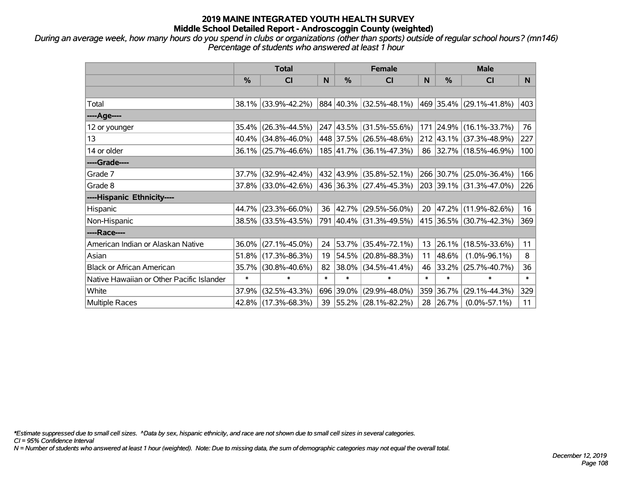*During an average week, how many hours do you spend in clubs or organizations (other than sports) outside of regular school hours? (mn146) Percentage of students who answered at least 1 hour*

|                                           | <b>Total</b> |                        |        |           | <b>Female</b>            | <b>Male</b> |           |                         |        |
|-------------------------------------------|--------------|------------------------|--------|-----------|--------------------------|-------------|-----------|-------------------------|--------|
|                                           | $\%$         | <b>CI</b>              | N      | $\%$      | <b>CI</b>                | N           | $\%$      | <b>CI</b>               | N.     |
|                                           |              |                        |        |           |                          |             |           |                         |        |
| Total                                     |              | 38.1% (33.9%-42.2%)    |        |           | 884 40.3% (32.5%-48.1%)  |             |           | 469 35.4% (29.1%-41.8%) | 403    |
| ---- Age----                              |              |                        |        |           |                          |             |           |                         |        |
| 12 or younger                             | 35.4%        | $(26.3\% - 44.5\%)$    |        |           | 247 43.5% (31.5%-55.6%)  |             |           | 171 24.9% (16.1%-33.7%) | 76     |
| 13                                        |              | $40.4\%$ (34.8%-46.0%) |        |           | 448 37.5% (26.5%-48.6%)  |             |           | 212 43.1% (37.3%-48.9%) | 227    |
| 14 or older                               |              | 36.1% (25.7%-46.6%)    |        |           | 185 41.7% (36.1%-47.3%)  |             |           | 86 32.7% (18.5%-46.9%)  | 100    |
| ----Grade----                             |              |                        |        |           |                          |             |           |                         |        |
| Grade 7                                   | 37.7%        | $(32.9\% - 42.4\%)$    |        | 432 43.9% | $(35.8\% - 52.1\%)$      |             | 266 30.7% | $(25.0\% - 36.4\%)$     | 166    |
| Grade 8                                   |              | 37.8% (33.0%-42.6%)    |        |           | 436 36.3% (27.4%-45.3%)  |             |           | 203 39.1% (31.3%-47.0%) | 226    |
| ----Hispanic Ethnicity----                |              |                        |        |           |                          |             |           |                         |        |
| Hispanic                                  |              | 44.7% (23.3%-66.0%)    | 36     |           | $ 42.7\% $ (29.5%-56.0%) | 20          | 47.2%     | $(11.9\% - 82.6\%)$     | 16     |
| Non-Hispanic                              |              | 38.5% (33.5%-43.5%)    |        |           | 791 40.4% (31.3%-49.5%)  |             |           | 415 36.5% (30.7%-42.3%) | 369    |
| ----Race----                              |              |                        |        |           |                          |             |           |                         |        |
| American Indian or Alaskan Native         |              | $36.0\%$ (27.1%-45.0%) | 24     |           | 53.7% (35.4%-72.1%)      | 13          | 26.1%     | $(18.5\% - 33.6\%)$     | 11     |
| Asian                                     |              | $51.8\%$ (17.3%-86.3%) | 19     | 54.5%     | $(20.8\% - 88.3\%)$      | 11          | 48.6%     | $(1.0\% - 96.1\%)$      | 8      |
| <b>Black or African American</b>          |              | 35.7% (30.8%-40.6%)    | 82     | 38.0%     | $(34.5\% - 41.4\%)$      | 46          | 33.2%     | $(25.7\% - 40.7\%)$     | 36     |
| Native Hawaiian or Other Pacific Islander | $\ast$       | $\ast$                 | $\ast$ | $\ast$    | $\ast$                   | $\ast$      | $\ast$    | $\ast$                  | $\ast$ |
| White                                     | 37.9%        | $(32.5\% - 43.3\%)$    | 696    | 39.0%     | $(29.9\% - 48.0\%)$      | 359         | 36.7%     | $(29.1\% - 44.3\%)$     | 329    |
| <b>Multiple Races</b>                     |              | 42.8% (17.3%-68.3%)    | 39     |           | 55.2% (28.1%-82.2%)      | 28          | 26.7%     | $(0.0\% - 57.1\%)$      | 11     |

*\*Estimate suppressed due to small cell sizes. ^Data by sex, hispanic ethnicity, and race are not shown due to small cell sizes in several categories.*

*CI = 95% Confidence Interval*

*N = Number of students who answered at least 1 hour (weighted). Note: Due to missing data, the sum of demographic categories may not equal the overall total.*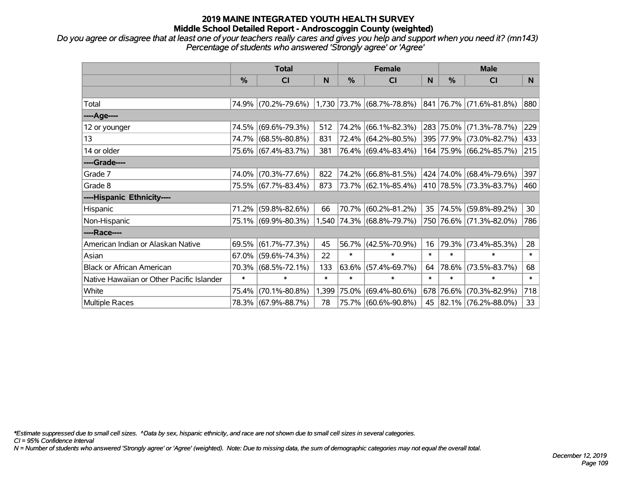# **2019 MAINE INTEGRATED YOUTH HEALTH SURVEY Middle School Detailed Report - Androscoggin County (weighted)**

*Do you agree or disagree that at least one of your teachers really cares and gives you help and support when you need it? (mn143) Percentage of students who answered 'Strongly agree' or 'Agree'*

|                                           | <b>Total</b>  |                     |        | <b>Female</b> |                                                        |        | <b>Male</b>   |                             |        |
|-------------------------------------------|---------------|---------------------|--------|---------------|--------------------------------------------------------|--------|---------------|-----------------------------|--------|
|                                           | $\frac{0}{0}$ | <b>CI</b>           | N      | $\frac{0}{0}$ | <b>CI</b>                                              | N      | $\frac{0}{0}$ | <b>CI</b>                   | N      |
|                                           |               |                     |        |               |                                                        |        |               |                             |        |
| Total                                     |               | 74.9% (70.2%-79.6%) |        |               | $1,730$ $73.7\%$ (68.7%-78.8%) 841 76.7% (71.6%-81.8%) |        |               |                             | 880    |
| ----Age----                               |               |                     |        |               |                                                        |        |               |                             |        |
| 12 or younger                             | 74.5%         | $(69.6\% - 79.3\%)$ | 512    | 74.2%         | $(66.1\% - 82.3\%)$                                    |        |               | 283 75.0% (71.3%-78.7%)     | 229    |
| 13                                        |               | 74.7% (68.5%-80.8%) | 831    | 72.4%         | $(64.2\% - 80.5\%)$                                    |        |               | 395 77.9% (73.0%-82.7%)     | 433    |
| 14 or older                               |               | 75.6% (67.4%-83.7%) | 381    |               | 76.4% (69.4%-83.4%)                                    |        |               | 164 75.9% (66.2%-85.7%)     | 215    |
| ----Grade----                             |               |                     |        |               |                                                        |        |               |                             |        |
| Grade 7                                   | 74.0%         | $(70.3\% - 77.6\%)$ | 822    | 74.2%         | $(66.8\% - 81.5\%)$                                    |        |               | 424 74.0% (68.4%-79.6%)     | 397    |
| Grade 8                                   |               | 75.5% (67.7%-83.4%) | 873    |               | 73.7% (62.1%-85.4%)                                    |        |               | 410   78.5%   (73.3%-83.7%) | 460    |
| ----Hispanic Ethnicity----                |               |                     |        |               |                                                        |        |               |                             |        |
| Hispanic                                  | 71.2%         | $(59.8\% - 82.6\%)$ | 66     | 70.7%         | $(60.2\% - 81.2\%)$                                    | 35     |               | 74.5% (59.8%-89.2%)         | 30     |
| Non-Hispanic                              |               | 75.1% (69.9%-80.3%) |        |               | 1,540 74.3% (68.8%-79.7%)                              |        |               | 750 76.6% (71.3%-82.0%)     | 786    |
| ----Race----                              |               |                     |        |               |                                                        |        |               |                             |        |
| American Indian or Alaskan Native         | 69.5%         | $(61.7\% - 77.3\%)$ | 45     | 56.7%         | $(42.5\% - 70.9\%)$                                    | 16     | 79.3%         | $(73.4\% - 85.3\%)$         | 28     |
| Asian                                     | 67.0%         | $(59.6\% - 74.3\%)$ | 22     | $\ast$        | $\ast$                                                 | $\ast$ | $\ast$        | $\ast$                      | $\ast$ |
| <b>Black or African American</b>          | 70.3%         | $(68.5\% - 72.1\%)$ | 133    | 63.6%         | $(57.4\% - 69.7\%)$                                    | 64     | 78.6%         | $(73.5\% - 83.7\%)$         | 68     |
| Native Hawaiian or Other Pacific Islander | $\ast$        | $\ast$              | $\ast$ | $\ast$        | $\ast$                                                 | $\ast$ | $\ast$        | $\ast$                      | $\ast$ |
| White                                     | 75.4%         | $(70.1\% - 80.8\%)$ | 1,399  | 75.0%         | $(69.4\% - 80.6\%)$                                    | 678    | 76.6%         | $(70.3\% - 82.9\%)$         | 718    |
| Multiple Races                            |               | 78.3% (67.9%-88.7%) | 78     | 75.7%         | $(60.6\% - 90.8\%)$                                    |        |               | 45 82.1% (76.2%-88.0%)      | 33     |

*\*Estimate suppressed due to small cell sizes. ^Data by sex, hispanic ethnicity, and race are not shown due to small cell sizes in several categories.*

*CI = 95% Confidence Interval*

*N = Number of students who answered 'Strongly agree' or 'Agree' (weighted). Note: Due to missing data, the sum of demographic categories may not equal the overall total.*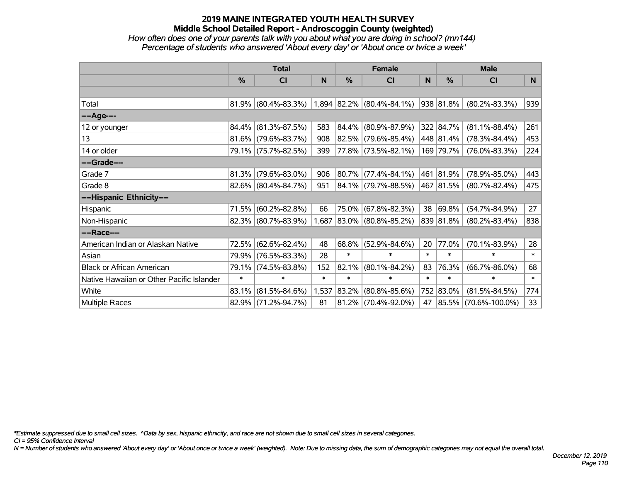# **2019 MAINE INTEGRATED YOUTH HEALTH SURVEY Middle School Detailed Report - Androscoggin County (weighted)**

## *How often does one of your parents talk with you about what you are doing in school? (mn144) Percentage of students who answered 'About every day' or 'About once or twice a week'*

|                                           | <b>Total</b> |                     |        | <b>Female</b> |                                        |        | <b>Male</b>   |                      |        |
|-------------------------------------------|--------------|---------------------|--------|---------------|----------------------------------------|--------|---------------|----------------------|--------|
|                                           | %            | <b>CI</b>           | N      | $\%$          | <b>CI</b>                              | N      | %             | <b>CI</b>            | N.     |
|                                           |              |                     |        |               |                                        |        |               |                      |        |
| Total                                     | 81.9%        | $(80.4\% - 83.3\%)$ |        |               | $1,894$ $ 82.2\% $ $(80.4\% - 84.1\%)$ |        | $ 938 81.8\%$ | $(80.2\% - 83.3\%)$  | 939    |
| ----Age----                               |              |                     |        |               |                                        |        |               |                      |        |
| 12 or younger                             | 84.4%        | $(81.3\% - 87.5\%)$ | 583    |               | 84.4% (80.9%-87.9%)                    |        | 322 84.7%     | $(81.1\% - 88.4\%)$  | 261    |
| 13                                        | 81.6%        | $(79.6\% - 83.7\%)$ | 908    |               | $82.5\%$ (79.6%-85.4%)                 |        | 448 81.4%     | $(78.3\% - 84.4\%)$  | 453    |
| 14 or older                               | 79.1%        | $(75.7\% - 82.5\%)$ | 399    |               | 77.8% (73.5%-82.1%)                    |        | 169 79.7%     | $(76.0\% - 83.3\%)$  | 224    |
| ----Grade----                             |              |                     |        |               |                                        |        |               |                      |        |
| Grade 7                                   | 81.3%        | $(79.6\% - 83.0\%)$ | 906    |               | $80.7\%$ (77.4%-84.1%)                 |        | 461 81.9%     | $(78.9\% - 85.0\%)$  | 443    |
| Grade 8                                   | 82.6%        | $(80.4\% - 84.7\%)$ | 951    |               | 84.1% (79.7%-88.5%)                    |        | 467 81.5%     | $(80.7\% - 82.4\%)$  | 475    |
| ----Hispanic Ethnicity----                |              |                     |        |               |                                        |        |               |                      |        |
| Hispanic                                  | 71.5%        | $(60.2\% - 82.8\%)$ | 66     |               | 75.0% (67.8%-82.3%)                    | 38     | 69.8%         | $(54.7\% - 84.9\%)$  | 27     |
| Non-Hispanic                              | 82.3%        | $(80.7\% - 83.9\%)$ | 1,687  |               | 83.0% (80.8%-85.2%)                    |        | 839 81.8%     | $(80.2\% - 83.4\%)$  | 838    |
| ----Race----                              |              |                     |        |               |                                        |        |               |                      |        |
| American Indian or Alaskan Native         | 72.5%        | $(62.6\% - 82.4\%)$ | 48     |               | 68.8% (52.9%-84.6%)                    | 20     | 77.0%         | $(70.1\% - 83.9\%)$  | 28     |
| Asian                                     | 79.9%        | $(76.5\% - 83.3\%)$ | 28     | $\ast$        | $\ast$                                 | $\ast$ | $\ast$        | $\ast$               | $\ast$ |
| <b>Black or African American</b>          | 79.1%        | $(74.5\% - 83.8\%)$ | 152    | 82.1%         | $(80.1\% - 84.2\%)$                    | 83     | 76.3%         | $(66.7\% - 86.0\%)$  | 68     |
| Native Hawaiian or Other Pacific Islander | $\ast$       | $\ast$              | $\ast$ | $\ast$        | $\ast$                                 | $\ast$ | $\ast$        | $\ast$               | $\ast$ |
| White                                     | 83.1%        | $(81.5\% - 84.6\%)$ | 1,537  | 83.2%         | $(80.8\% - 85.6\%)$                    |        | 752 83.0%     | $(81.5\% - 84.5\%)$  | 774    |
| Multiple Races                            | 82.9%        | $(71.2\% - 94.7\%)$ | 81     |               | 81.2% (70.4%-92.0%)                    | 47     | $ 85.5\% $    | $(70.6\% - 100.0\%)$ | 33     |

*\*Estimate suppressed due to small cell sizes. ^Data by sex, hispanic ethnicity, and race are not shown due to small cell sizes in several categories.*

*CI = 95% Confidence Interval*

*N = Number of students who answered 'About every day' or 'About once or twice a week' (weighted). Note: Due to missing data, the sum of demographic categories may not equal the overall total.*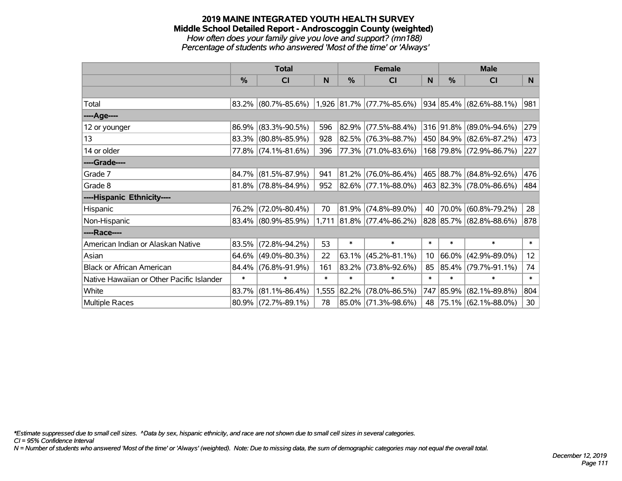#### **2019 MAINE INTEGRATED YOUTH HEALTH SURVEY Middle School Detailed Report - Androscoggin County (weighted)** *How often does your family give you love and support? (mn188) Percentage of students who answered 'Most of the time' or 'Always'*

|                                           | <b>Total</b> |                        |        | <b>Female</b> |                             |        | <b>Male</b> |                                 |                 |
|-------------------------------------------|--------------|------------------------|--------|---------------|-----------------------------|--------|-------------|---------------------------------|-----------------|
|                                           | %            | CI                     | N      | %             | <b>CI</b>                   | N      | %           | <b>CI</b>                       | N.              |
|                                           |              |                        |        |               |                             |        |             |                                 |                 |
| Total                                     |              | 83.2% (80.7%-85.6%)    |        |               | $1,926$ 81.7% (77.7%-85.6%) |        |             | $934 85.4\%  (82.6\% - 88.1\%)$ | 981             |
| ----Age----                               |              |                        |        |               |                             |        |             |                                 |                 |
| 12 or younger                             | 86.9%        | $(83.3\% - 90.5\%)$    | 596    | 82.9%         | $(77.5\% - 88.4\%)$         |        | 316 91.8%   | $(89.0\% - 94.6\%)$             | 279             |
| 13                                        |              | 83.3% (80.8%-85.9%)    | 928    | 82.5%         | $(76.3\% - 88.7\%)$         |        |             | 450 84.9% (82.6%-87.2%)         | 473             |
| 14 or older                               |              | 77.8% (74.1%-81.6%)    | 396    |               | 77.3% (71.0%-83.6%)         |        |             | 168 79.8% (72.9%-86.7%)         | 227             |
| ----Grade----                             |              |                        |        |               |                             |        |             |                                 |                 |
| Grade 7                                   | 84.7%        | $(81.5\% - 87.9\%)$    | 941    | 81.2%         | $(76.0\% - 86.4\%)$         |        |             | 465 88.7% (84.8%-92.6%)         | 476             |
| Grade 8                                   |              | $81.8\%$ (78.8%-84.9%) | 952    |               | 82.6% (77.1%-88.0%)         |        |             | 463 82.3% (78.0%-86.6%)         | 484             |
| ----Hispanic Ethnicity----                |              |                        |        |               |                             |        |             |                                 |                 |
| Hispanic                                  | 76.2%        | $(72.0\% - 80.4\%)$    | 70     | 81.9%         | $(74.8\% - 89.0\%)$         | 40     |             | 70.0% (60.8%-79.2%)             | 28              |
| Non-Hispanic                              |              | 83.4% (80.9%-85.9%)    |        |               | $1,711$ 81.8% (77.4%-86.2%) |        |             | 828 85.7% (82.8%-88.6%)         | 878             |
| ----Race----                              |              |                        |        |               |                             |        |             |                                 |                 |
| American Indian or Alaskan Native         | 83.5%        | $(72.8\% - 94.2\%)$    | 53     | $\ast$        | $\ast$                      | $\ast$ | $\ast$      | $\ast$                          | $\ast$          |
| Asian                                     | 64.6%        | $(49.0\% - 80.3\%)$    | 22     | 63.1%         | $(45.2\% - 81.1\%)$         | 10     | 66.0%       | $(42.9\% - 89.0\%)$             | 12 <sub>2</sub> |
| <b>Black or African American</b>          | 84.4%        | $(76.8\% - 91.9\%)$    | 161    | 83.2%         | $(73.8\% - 92.6\%)$         | 85     |             | 85.4% (79.7%-91.1%)             | 74              |
| Native Hawaiian or Other Pacific Islander | $\ast$       | $\ast$                 | $\ast$ | $\ast$        | $\ast$                      | $\ast$ | $\ast$      | $\ast$                          | $\ast$          |
| White                                     | 83.7%        | $(81.1\% - 86.4\%)$    | 1,555  | 82.2%         | $(78.0\% - 86.5\%)$         | 747    | 85.9%       | $(82.1\% - 89.8\%)$             | 804             |
| Multiple Races                            |              | 80.9% (72.7%-89.1%)    | 78     |               | 85.0% (71.3%-98.6%)         | 48     |             | 75.1% (62.1%-88.0%)             | 30              |

*\*Estimate suppressed due to small cell sizes. ^Data by sex, hispanic ethnicity, and race are not shown due to small cell sizes in several categories.*

*CI = 95% Confidence Interval*

*N = Number of students who answered 'Most of the time' or 'Always' (weighted). Note: Due to missing data, the sum of demographic categories may not equal the overall total.*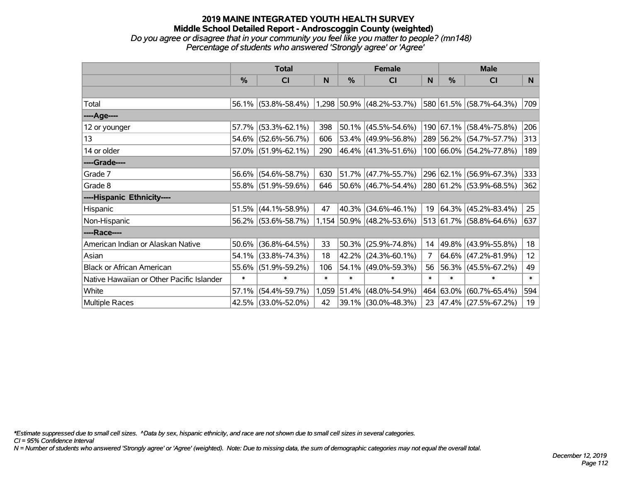## **2019 MAINE INTEGRATED YOUTH HEALTH SURVEY Middle School Detailed Report - Androscoggin County (weighted)** *Do you agree or disagree that in your community you feel like you matter to people? (mn148) Percentage of students who answered 'Strongly agree' or 'Agree'*

|                                           | <b>Total</b>  |                        |        | <b>Female</b> |                             |                | <b>Male</b>   |                                 |        |
|-------------------------------------------|---------------|------------------------|--------|---------------|-----------------------------|----------------|---------------|---------------------------------|--------|
|                                           | $\frac{0}{0}$ | CI                     | N      | %             | CI                          | N              | $\frac{0}{0}$ | <b>CI</b>                       | N.     |
|                                           |               |                        |        |               |                             |                |               |                                 |        |
| Total                                     |               | $56.1\%$ (53.8%-58.4%) |        |               | $1,298$ 50.9% (48.2%-53.7%) |                |               | 580 61.5% (58.7%-64.3%)         | 709    |
| ----Age----                               |               |                        |        |               |                             |                |               |                                 |        |
| 12 or younger                             | 57.7%         | $(53.3\% - 62.1\%)$    | 398    | $ 50.1\% $    | $(45.5\% - 54.6\%)$         |                |               | 190 67.1% (58.4%-75.8%)         | 206    |
| 13                                        |               | 54.6% (52.6%-56.7%)    | 606    |               | 53.4% (49.9%-56.8%)         |                |               | 289 56.2% (54.7%-57.7%)         | 313    |
| 14 or older                               |               | $57.0\%$ (51.9%-62.1%) | 290    |               | $ 46.4\% $ (41.3%-51.6%)    |                |               | 100 66.0% (54.2%-77.8%)         | 189    |
| ----Grade----                             |               |                        |        |               |                             |                |               |                                 |        |
| Grade 7                                   | 56.6%         | $(54.6\% - 58.7\%)$    | 630    |               | 51.7% (47.7%-55.7%)         |                |               | 296 62.1% (56.9%-67.3%)         | 333    |
| Grade 8                                   |               | 55.8% (51.9%-59.6%)    | 646    |               | $ 50.6\% $ (46.7%-54.4%)    |                |               | 280 61.2% (53.9%-68.5%)         | 362    |
| ----Hispanic Ethnicity----                |               |                        |        |               |                             |                |               |                                 |        |
| Hispanic                                  | 51.5%         | $(44.1\% - 58.9\%)$    | 47     | 40.3%         | $(34.6\% - 46.1\%)$         | 19             |               | $ 64.3\% $ (45.2%-83.4%)        | 25     |
| Non-Hispanic                              |               | 56.2% (53.6%-58.7%)    |        |               | 1,154 50.9% (48.2%-53.6%)   |                |               | $513 61.7\%  (58.8\% - 64.6\%)$ | 637    |
| ----Race----                              |               |                        |        |               |                             |                |               |                                 |        |
| American Indian or Alaskan Native         | 50.6%         | $(36.8\% - 64.5\%)$    | 33     | 50.3%         | $(25.9\% - 74.8\%)$         | 14             |               | 49.8% (43.9%-55.8%)             | 18     |
| Asian                                     | 54.1%         | $(33.8\% - 74.3\%)$    | 18     | 42.2%         | $(24.3\% - 60.1\%)$         | $\overline{7}$ | $64.6\%$      | $(47.2\% - 81.9\%)$             | 12     |
| <b>Black or African American</b>          | 55.6%         | $(51.9\% - 59.2\%)$    | 106    | 54.1%         | $(49.0\% - 59.3\%)$         | 56             |               | 56.3% (45.5%-67.2%)             | 49     |
| Native Hawaiian or Other Pacific Islander | $\ast$        | $\ast$                 | $\ast$ | $\ast$        | $\ast$                      | $\ast$         | $\ast$        | $\ast$                          | $\ast$ |
| White                                     | 57.1%         | $(54.4\% - 59.7\%)$    |        | 1,059 51.4%   | $(48.0\% - 54.9\%)$         | 464            | $ 63.0\% $    | $(60.7\% - 65.4\%)$             | 594    |
| Multiple Races                            |               | 42.5% (33.0%-52.0%)    | 42     |               | 39.1% (30.0%-48.3%)         | 23             |               | 47.4% (27.5%-67.2%)             | 19     |

*\*Estimate suppressed due to small cell sizes. ^Data by sex, hispanic ethnicity, and race are not shown due to small cell sizes in several categories.*

*CI = 95% Confidence Interval*

*N = Number of students who answered 'Strongly agree' or 'Agree' (weighted). Note: Due to missing data, the sum of demographic categories may not equal the overall total.*